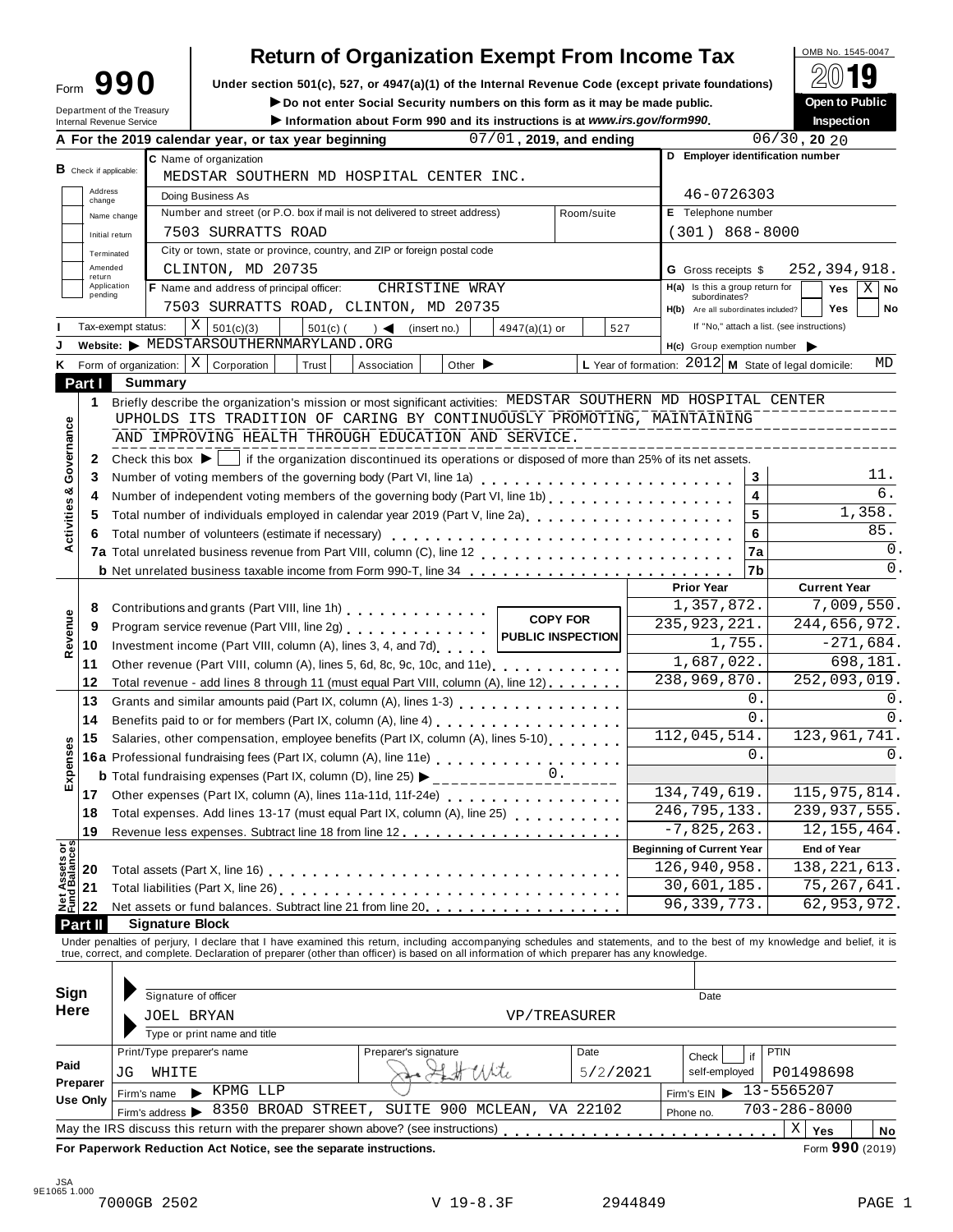## **Return of Organization Exempt From Income Tax**

| Form                                                   | Under section 501(c), 527, or 4947(a)(1) of the Internal Revenue Code (except private foundations)                                                                                                                             |                                                        |                                           |
|--------------------------------------------------------|--------------------------------------------------------------------------------------------------------------------------------------------------------------------------------------------------------------------------------|--------------------------------------------------------|-------------------------------------------|
|                                                        | Do not enter Social Security numbers on this form as it may be made public.                                                                                                                                                    |                                                        | Open to Public                            |
| Department of the Treasury<br>Internal Revenue Service | Information about Form 990 and its instructions is at www.irs.gov/form990.                                                                                                                                                     |                                                        | <b>Inspection</b>                         |
|                                                        | A For the 2019 calendar year, or tax year beginning<br>$07/01$ , 2019, and ending                                                                                                                                              |                                                        | $\overline{06/30}$ , 20 20                |
|                                                        | C Name of organization                                                                                                                                                                                                         | D Employer identification number                       |                                           |
| <b>B</b> Check if applicable:                          | MEDSTAR SOUTHERN MD HOSPITAL CENTER INC.                                                                                                                                                                                       |                                                        |                                           |
| Address<br>change                                      | Doing Business As                                                                                                                                                                                                              | 46-0726303                                             |                                           |
| Name change                                            | Number and street (or P.O. box if mail is not delivered to street address)<br>Room/suite                                                                                                                                       | E Telephone number                                     |                                           |
| Initial return                                         | 7503 SURRATTS ROAD                                                                                                                                                                                                             | $(301) 868 - 8000$                                     |                                           |
| Terminated                                             | City or town, state or province, country, and ZIP or foreign postal code                                                                                                                                                       |                                                        |                                           |
| Amended<br>return                                      | CLINTON, MD 20735                                                                                                                                                                                                              | <b>G</b> Gross receipts \$                             | 252,394,918.                              |
| Application<br>pending                                 | <b>F</b> Name and address of principal officer:<br>CHRISTINE WRAY                                                                                                                                                              | H(a) Is this a group return for<br>subordinates?       | Yes<br>Χ<br>No                            |
|                                                        | 7503 SURRATTS ROAD, CLINTON, MD 20735                                                                                                                                                                                          | H(b) Are all subordinates included?                    | <b>Yes</b><br>No                          |
| Tax-exempt status:                                     | Χ<br>$501(c)$ (<br>501(c)(3)<br>527<br>$\rightarrow$<br>$4947(a)(1)$ or<br>(insert no.)                                                                                                                                        | If "No," attach a list. (see instructions)             |                                           |
|                                                        | Website: MEDSTARSOUTHERNMARYLAND.ORG                                                                                                                                                                                           | $H(c)$ Group exemption number $\triangleright$         |                                           |
| Form of organization:                                  | X<br>Corporation<br>Trust<br>Other $\blacktriangleright$<br>Association                                                                                                                                                        | L Year of formation: $2012$ M State of legal domicile: | MD                                        |
| Part I                                                 | Summary                                                                                                                                                                                                                        |                                                        |                                           |
| 1                                                      | Briefly describe the organization's mission or most significant activities: MEDSTAR SOUTHERN MD HOSPITAL CENTER                                                                                                                |                                                        |                                           |
|                                                        | UPHOLDS ITS TRADITION OF CARING BY CONTINUOUSLY PROMOTING, MAINTAINING                                                                                                                                                         |                                                        |                                           |
| Governance                                             | AND IMPROVING HEALTH THROUGH EDUCATION AND SERVICE.                                                                                                                                                                            |                                                        |                                           |
| 2                                                      | Check this box $\blacktriangleright$   if the organization discontinued its operations or disposed of more than 25% of its net assets.                                                                                         |                                                        |                                           |
| 3                                                      | Number of voting members of the governing body (Part VI, line 1a)                                                                                                                                                              | 3                                                      | 11.                                       |
| Activities &<br>4                                      |                                                                                                                                                                                                                                | 4                                                      | $\overline{6}$ .                          |
| 5                                                      | Total number of individuals employed in calendar year 2019 (Part V, line 2a)<br>The 2a)                                                                                                                                        | 5                                                      | 1,358.                                    |
| 6                                                      | Total number of volunteers (estimate if necessary)                                                                                                                                                                             | 6                                                      | 85.                                       |
|                                                        |                                                                                                                                                                                                                                | 7a                                                     | $\Omega$ .                                |
|                                                        | <b>b</b> Net unrelated business taxable income from Form 990-T, line 34                                                                                                                                                        | 7b                                                     | $\overline{0}$ .                          |
|                                                        |                                                                                                                                                                                                                                | <b>Prior Year</b>                                      | <b>Current Year</b>                       |
| 8                                                      | Contributions and grants (Part VIII, line 1h)<br><b>COPY FOR</b>                                                                                                                                                               | 1,357,872.                                             | 7,009,550.                                |
| 9                                                      | Program service revenue (Part VIII, line 2g)<br><b>PUBLIC INSPECTION</b>                                                                                                                                                       | 235, 923, 221.                                         | 244,656,972.                              |
| Revenue<br>10                                          | Investment income (Part VIII, column (A), lines 3, 4, and 7d)                                                                                                                                                                  | 1,755.                                                 | $-271,684.$                               |
| 11                                                     | Other revenue (Part VIII, column (A), lines 5, 6d, 8c, 9c, 10c, and 11e)                                                                                                                                                       | $\overline{1}$ , 687, 022.                             | 698,181.                                  |
| 12                                                     | Total revenue - add lines 8 through 11 (must equal Part VIII, column (A), line 12)                                                                                                                                             | 238,969,870.                                           | 252,093,019.                              |
| 13                                                     |                                                                                                                                                                                                                                | $0$ .                                                  | 0.                                        |
| 14                                                     |                                                                                                                                                                                                                                | 0.                                                     | $\Omega$ .                                |
| 15<br>nses                                             | Salaries, other compensation, employee benefits (Part IX, column (A), lines 5-10)                                                                                                                                              | 112,045,514.                                           | 123, 961, 741.                            |
|                                                        | 16a Professional fundraising fees (Part IX, column (A), line 11e)                                                                                                                                                              | 0.                                                     | 0.                                        |
| Exper                                                  |                                                                                                                                                                                                                                |                                                        |                                           |
| 17                                                     | Other expenses (Part IX, column (A), lines 11a-11d, 11f-24e)                                                                                                                                                                   | 134,749,619.                                           | 115, 975, 814.                            |
| 18                                                     | Total expenses. Add lines 13-17 (must equal Part IX, column (A), line 25)                                                                                                                                                      | 246, 795, 133.                                         | 239, 937, 555.                            |
| 19                                                     |                                                                                                                                                                                                                                | $-7,825,263.$                                          | 12, 155, 464.                             |
|                                                        |                                                                                                                                                                                                                                | <b>Beginning of Current Year</b>                       | <b>End of Year</b>                        |
| <b>Net Assets or<br/>Fund Balances</b><br>20           |                                                                                                                                                                                                                                | 126,940,958.<br>30,601,185.                            | 138, 221, 613.                            |
| 21                                                     |                                                                                                                                                                                                                                |                                                        | 75, 267, 641.                             |
|                                                        | Net assets or fund balances. Subtract line 21 from line 20.                                                                                                                                                                    | 96, 339, 773.                                          | 62,953,972.                               |
| 22                                                     |                                                                                                                                                                                                                                |                                                        |                                           |
|                                                        | <b>Signature Block</b>                                                                                                                                                                                                         |                                                        |                                           |
|                                                        | Under penalties of perjury, I declare that I have examined this return, including accompanying schedules and statements, and to the best of my knowledge and belief, it is true, correct, and complete. Declaration of prepare |                                                        |                                           |
|                                                        |                                                                                                                                                                                                                                |                                                        |                                           |
|                                                        |                                                                                                                                                                                                                                |                                                        |                                           |
|                                                        | Signature of officer                                                                                                                                                                                                           | Date                                                   |                                           |
|                                                        | JOEL BRYAN<br>VP/TREASURER                                                                                                                                                                                                     |                                                        |                                           |
|                                                        | Type or print name and title                                                                                                                                                                                                   |                                                        |                                           |
|                                                        | Print/Type preparer's name<br>Preparer's signature<br>Date                                                                                                                                                                     | if<br>Check                                            | <b>PTIN</b>                               |
| Part II<br><b>Sign</b><br>Here<br>Paid<br>JG           | the Mite<br>WHITE<br>5/2/2021                                                                                                                                                                                                  | self-employed                                          | P01498698                                 |
| Firm's name                                            | $\blacktriangleright$ KPMG LLP                                                                                                                                                                                                 | Firm's $EIN$                                           | 13-5565207                                |
| Preparer<br>Use Only                                   | 8350 BROAD STREET, SUITE 900 MCLEAN, VA 22102<br>Firm's address >                                                                                                                                                              | Phone no.                                              | $703 - 286 - 8000$<br>$X \mid Y$ es<br>No |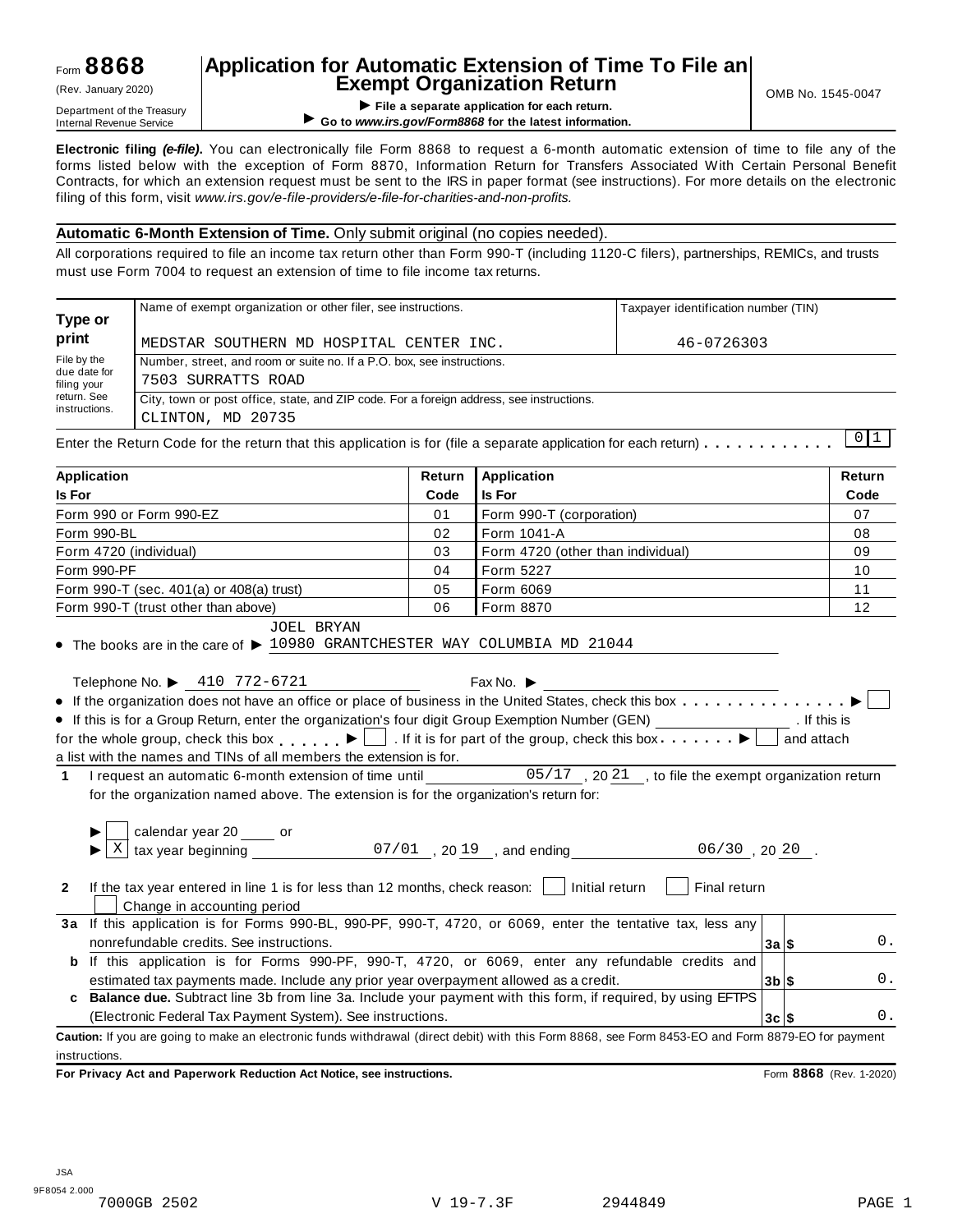## **Application for Automatic Extension of Time To File an Exempt Organization Return** (Rev. January 2020) OMB No. 1545-0047

TRETIPL OF GETTIPL OF SAFETTIPE OF SAFETTIPE OF SAFETTIPE OF SAFETTIPE OF SAFETTIPE OF SAFETTIPE OF SAFETTIPE OF SAFETTIPE OF SAFETTIPE OF SAFETTIPE OF SAFETTIPE OF SAFETTIPE OF SAFETTIPE OF SAFETTIPE OF SAFETTIPE OF SAFET ▶ Go to www.irs.gov/Form8868 for the latest information.

**Electronic filing** *(e-file)***.** You can electronically file Form 8868 to request a 6-month automatic extension of time to file any of the forms listed below with the exception of Form 8870, Information Return for Transfers Associated With Certain Personal Benefit Contracts, for which an extension request must be sent to the IRS in paper format (see instructions). For more details on the electronic filing of this form, visit *www.irs.gov/e-file-providers/e-file-for-charities-and-non-profits.*

#### **Automatic 6-Month Extension of Time.** Only submit original (no copies needed).

All corporations required to file an income tax return other than Form 990-T (including 1120-C filers), partnerships, REMICs, and trusts must use Form 7004 to request an extension of time to file income tax returns.

|                                            | Name of exempt organization or other filer, see instructions.                                                                       | Taxpayer identification number (TIN) |  |  |  |  |
|--------------------------------------------|-------------------------------------------------------------------------------------------------------------------------------------|--------------------------------------|--|--|--|--|
| Type or<br>print                           | MEDSTAR SOUTHERN MD HOSPITAL CENTER INC.                                                                                            | 46-0726303                           |  |  |  |  |
| File by the<br>due date for<br>filing your | Number, street, and room or suite no. If a P.O. box, see instructions.<br>7503 SURRATTS ROAD                                        |                                      |  |  |  |  |
| return. See<br>instructions.               | City, town or post office, state, and ZIP code. For a foreign address, see instructions.<br>CLINTON, MD 20735                       |                                      |  |  |  |  |
|                                            | Enter the Return Code for the return that this application is for (file a separate application for each return) $\dots \dots \dots$ | $0 \mid 1$                           |  |  |  |  |

| <b>Application</b> |        |             |      |
|--------------------|--------|-------------|------|
|                    | Return | Application | `urn |

| <b>Is For</b>                                                                                                                                                                                                                          | Code | Is For                            |         |            | Code |
|----------------------------------------------------------------------------------------------------------------------------------------------------------------------------------------------------------------------------------------|------|-----------------------------------|---------|------------|------|
| Form 990 or Form 990-EZ                                                                                                                                                                                                                | 01   | Form 990-T (corporation)          |         |            | 07   |
| Form 990-BL                                                                                                                                                                                                                            | 02   | Form 1041-A                       |         |            | 08   |
| Form 4720 (individual)                                                                                                                                                                                                                 | 03   | Form 4720 (other than individual) |         |            | 09   |
| Form 990-PF                                                                                                                                                                                                                            | 04   | Form 5227                         |         |            | 10   |
| Form 990-T (sec. 401(a) or 408(a) trust)                                                                                                                                                                                               | 05   | Form 6069                         |         |            | 11   |
| Form 990-T (trust other than above)                                                                                                                                                                                                    | 06   | Form 8870                         |         |            | 12   |
| <b>JOEL BRYAN</b><br>$\bullet$ The books are in the care of $\blacktriangleright$ 10980 GRANTCHESTER WAY COLUMBIA MD 21044<br>Telephone No. ▶ 410 772-6721                                                                             |      | Fax No. $\blacktriangleright$     |         |            |      |
|                                                                                                                                                                                                                                        |      |                                   |         |            |      |
| • If this is for a Group Return, enter the organization's four digit Group Exemption Number (GEN) __________________. If this is<br>for the whole group, check this box $\Box$ . If it is for part of the group, check this box $\Box$ |      |                                   |         | and attach |      |
| a list with the names and TINs of all members the extension is for.                                                                                                                                                                    |      |                                   |         |            |      |
|                                                                                                                                                                                                                                        |      |                                   |         |            |      |
| 1 I request an automatic 6-month extension of time until ______________05/17, 2021, to file the exempt organization return<br>for the organization named above. The extension is for the organization's return for:                    |      |                                   |         |            |      |
| If the tax year entered in line 1 is for less than 12 months, check reason: $\vert$   Initial return<br>$\mathbf{2}$                                                                                                                   |      | Final return                      |         |            |      |
| Change in accounting period                                                                                                                                                                                                            |      |                                   |         |            |      |
| 3a If this application is for Forms 990-BL, 990-PF, 990-T, 4720, or 6069, enter the tentative tax, less any                                                                                                                            |      |                                   |         |            |      |
| nonrefundable credits. See instructions.                                                                                                                                                                                               |      |                                   | 3a S    |            | 0.   |
| b If this application is for Forms 990-PF, 990-T, 4720, or 6069, enter any refundable credits and                                                                                                                                      |      |                                   |         |            |      |
| estimated tax payments made. Include any prior year overpayment allowed as a credit.                                                                                                                                                   |      |                                   | $3b$ \$ |            | 0.   |
| Balance due. Subtract line 3b from line 3a. Include your payment with this form, if required, by using EFTPS                                                                                                                           |      |                                   |         |            |      |
| (Electronic Federal Tax Payment System). See instructions.                                                                                                                                                                             |      |                                   | $3c$ \$ |            | 0.   |
| Caution: If you are going to make an electronic funds withdrawal (direct debit) with this Form 8868, see Form 8453-EO and Form 8879-EO for payment                                                                                     |      |                                   |         |            |      |
| instructions.                                                                                                                                                                                                                          |      |                                   |         |            |      |

**For Privacy Act and Paperwork Reduction Act Notice, see instructions.** Form **8868** (Rev. 1-2020)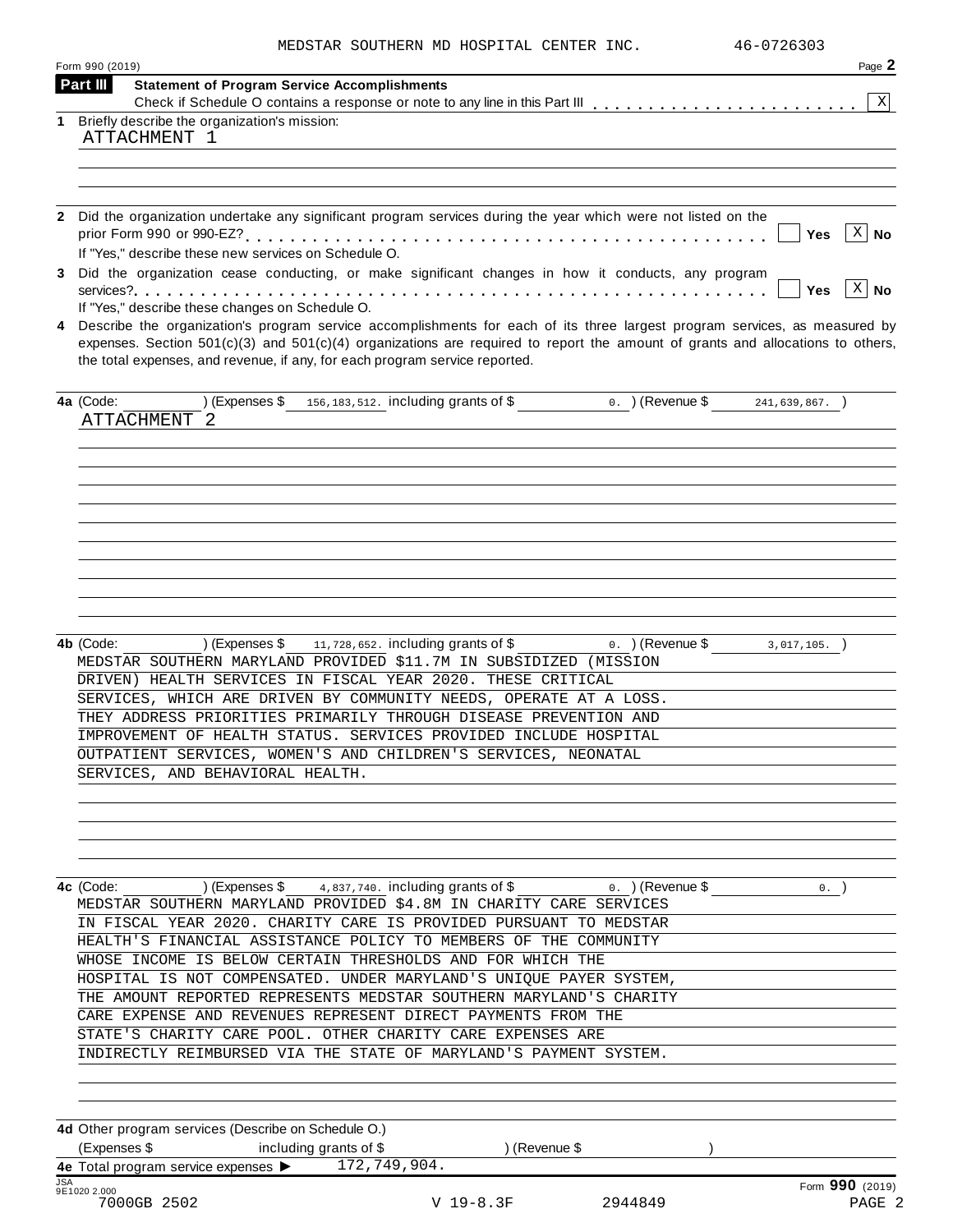| MEDSTAR SOUTHERN MD HOSPITAL CENTER INC. |  |  |  |  |  |  |
|------------------------------------------|--|--|--|--|--|--|
|------------------------------------------|--|--|--|--|--|--|

|            | Form 990 (2019) |                                              |                                                                                                                                                                                                                                                                                                                                                                                                                                                     |           |               |         | Page 2                                                                                                                             |
|------------|-----------------|----------------------------------------------|-----------------------------------------------------------------------------------------------------------------------------------------------------------------------------------------------------------------------------------------------------------------------------------------------------------------------------------------------------------------------------------------------------------------------------------------------------|-----------|---------------|---------|------------------------------------------------------------------------------------------------------------------------------------|
|            | Part III        |                                              | <b>Statement of Program Service Accomplishments</b>                                                                                                                                                                                                                                                                                                                                                                                                 |           |               |         |                                                                                                                                    |
| 1          |                 | Briefly describe the organization's mission: |                                                                                                                                                                                                                                                                                                                                                                                                                                                     |           |               |         | ΧI                                                                                                                                 |
|            |                 | ATTACHMENT 1                                 |                                                                                                                                                                                                                                                                                                                                                                                                                                                     |           |               |         |                                                                                                                                    |
|            |                 |                                              |                                                                                                                                                                                                                                                                                                                                                                                                                                                     |           |               |         |                                                                                                                                    |
|            |                 |                                              |                                                                                                                                                                                                                                                                                                                                                                                                                                                     |           |               |         |                                                                                                                                    |
|            |                 |                                              |                                                                                                                                                                                                                                                                                                                                                                                                                                                     |           |               |         |                                                                                                                                    |
|            |                 |                                              | 2 Did the organization undertake any significant program services during the year which were not listed on the                                                                                                                                                                                                                                                                                                                                      |           |               |         |                                                                                                                                    |
|            |                 |                                              |                                                                                                                                                                                                                                                                                                                                                                                                                                                     |           |               |         | $X \mid No$<br>Yes                                                                                                                 |
|            |                 |                                              | If "Yes," describe these new services on Schedule O.                                                                                                                                                                                                                                                                                                                                                                                                |           |               |         |                                                                                                                                    |
| 3          |                 |                                              | Did the organization cease conducting, or make significant changes in how it conducts, any program                                                                                                                                                                                                                                                                                                                                                  |           |               |         | $ X $ No                                                                                                                           |
|            |                 |                                              | If "Yes," describe these changes on Schedule O.                                                                                                                                                                                                                                                                                                                                                                                                     |           |               |         | Yes                                                                                                                                |
| 4          |                 |                                              |                                                                                                                                                                                                                                                                                                                                                                                                                                                     |           |               |         | Describe the organization's program service accomplishments for each of its three largest program services, as measured by         |
|            |                 |                                              |                                                                                                                                                                                                                                                                                                                                                                                                                                                     |           |               |         | expenses. Section $501(c)(3)$ and $501(c)(4)$ organizations are required to report the amount of grants and allocations to others, |
|            |                 |                                              | the total expenses, and revenue, if any, for each program service reported.                                                                                                                                                                                                                                                                                                                                                                         |           |               |         |                                                                                                                                    |
|            | 4a (Code:       |                                              | (Expenses \$ 156,183,512. including grants of \$ 0. ) (Revenue \$ 241,639,867. )                                                                                                                                                                                                                                                                                                                                                                    |           |               |         |                                                                                                                                    |
|            |                 | ATTACHMENT 2                                 |                                                                                                                                                                                                                                                                                                                                                                                                                                                     |           |               |         |                                                                                                                                    |
|            |                 |                                              |                                                                                                                                                                                                                                                                                                                                                                                                                                                     |           |               |         |                                                                                                                                    |
|            |                 |                                              |                                                                                                                                                                                                                                                                                                                                                                                                                                                     |           |               |         |                                                                                                                                    |
|            |                 |                                              |                                                                                                                                                                                                                                                                                                                                                                                                                                                     |           |               |         |                                                                                                                                    |
|            |                 |                                              |                                                                                                                                                                                                                                                                                                                                                                                                                                                     |           |               |         |                                                                                                                                    |
|            |                 |                                              |                                                                                                                                                                                                                                                                                                                                                                                                                                                     |           |               |         |                                                                                                                                    |
|            |                 |                                              |                                                                                                                                                                                                                                                                                                                                                                                                                                                     |           |               |         |                                                                                                                                    |
|            |                 |                                              |                                                                                                                                                                                                                                                                                                                                                                                                                                                     |           |               |         |                                                                                                                                    |
|            |                 |                                              |                                                                                                                                                                                                                                                                                                                                                                                                                                                     |           |               |         |                                                                                                                                    |
|            |                 |                                              |                                                                                                                                                                                                                                                                                                                                                                                                                                                     |           |               |         |                                                                                                                                    |
|            |                 |                                              | MEDSTAR SOUTHERN MARYLAND PROVIDED \$11.7M IN SUBSIDIZED (MISSION<br>DRIVEN) HEALTH SERVICES IN FISCAL YEAR 2020. THESE CRITICAL<br>SERVICES, WHICH ARE DRIVEN BY COMMUNITY NEEDS, OPERATE AT A LOSS.<br>THEY ADDRESS PRIORITIES PRIMARILY THROUGH DISEASE PREVENTION AND<br>IMPROVEMENT OF HEALTH STATUS. SERVICES PROVIDED INCLUDE HOSPITAL<br>OUTPATIENT SERVICES, WOMEN'S AND CHILDREN'S SERVICES, NEONATAL<br>SERVICES, AND BEHAVIORAL HEALTH. |           |               |         |                                                                                                                                    |
|            |                 |                                              |                                                                                                                                                                                                                                                                                                                                                                                                                                                     |           |               |         |                                                                                                                                    |
|            |                 |                                              | <b>4c</b> (Code: $(2.60)$ ) (Expenses \$ 4,837,740. including grants of \$ 0. ) (Revenue \$                                                                                                                                                                                                                                                                                                                                                         |           |               |         | 0.                                                                                                                                 |
|            |                 |                                              | MEDSTAR SOUTHERN MARYLAND PROVIDED \$4.8M IN CHARITY CARE SERVICES                                                                                                                                                                                                                                                                                                                                                                                  |           |               |         |                                                                                                                                    |
|            |                 |                                              | IN FISCAL YEAR 2020. CHARITY CARE IS PROVIDED PURSUANT TO MEDSTAR                                                                                                                                                                                                                                                                                                                                                                                   |           |               |         |                                                                                                                                    |
|            |                 |                                              | HEALTH'S FINANCIAL ASSISTANCE POLICY TO MEMBERS OF THE COMMUNITY                                                                                                                                                                                                                                                                                                                                                                                    |           |               |         |                                                                                                                                    |
|            |                 |                                              | WHOSE INCOME IS BELOW CERTAIN THRESHOLDS AND FOR WHICH THE                                                                                                                                                                                                                                                                                                                                                                                          |           |               |         |                                                                                                                                    |
|            |                 |                                              | HOSPITAL IS NOT COMPENSATED. UNDER MARYLAND'S UNIQUE PAYER SYSTEM,<br>THE AMOUNT REPORTED REPRESENTS MEDSTAR SOUTHERN MARYLAND'S CHARITY                                                                                                                                                                                                                                                                                                            |           |               |         |                                                                                                                                    |
|            |                 |                                              | CARE EXPENSE AND REVENUES REPRESENT DIRECT PAYMENTS FROM THE                                                                                                                                                                                                                                                                                                                                                                                        |           |               |         |                                                                                                                                    |
|            |                 |                                              | STATE'S CHARITY CARE POOL. OTHER CHARITY CARE EXPENSES ARE                                                                                                                                                                                                                                                                                                                                                                                          |           |               |         |                                                                                                                                    |
|            |                 |                                              | INDIRECTLY REIMBURSED VIA THE STATE OF MARYLAND'S PAYMENT SYSTEM.                                                                                                                                                                                                                                                                                                                                                                                   |           |               |         |                                                                                                                                    |
|            |                 |                                              |                                                                                                                                                                                                                                                                                                                                                                                                                                                     |           |               |         |                                                                                                                                    |
|            |                 |                                              |                                                                                                                                                                                                                                                                                                                                                                                                                                                     |           |               |         |                                                                                                                                    |
|            |                 |                                              | 4d Other program services (Describe on Schedule O.)                                                                                                                                                                                                                                                                                                                                                                                                 |           |               |         |                                                                                                                                    |
|            |                 |                                              | (Expenses \$ including grants of \$                                                                                                                                                                                                                                                                                                                                                                                                                 |           | ) (Revenue \$ |         |                                                                                                                                    |
|            |                 |                                              | 4e Total program service expenses > 172, 749, 904.                                                                                                                                                                                                                                                                                                                                                                                                  |           |               |         |                                                                                                                                    |
| <b>JSA</b> | 9E1020 2.000    | 7000GB 2502                                  |                                                                                                                                                                                                                                                                                                                                                                                                                                                     | V 19-8.3F |               | 2944849 | Form 990 (2019)<br>PAGE 2                                                                                                          |
|            |                 |                                              |                                                                                                                                                                                                                                                                                                                                                                                                                                                     |           |               |         |                                                                                                                                    |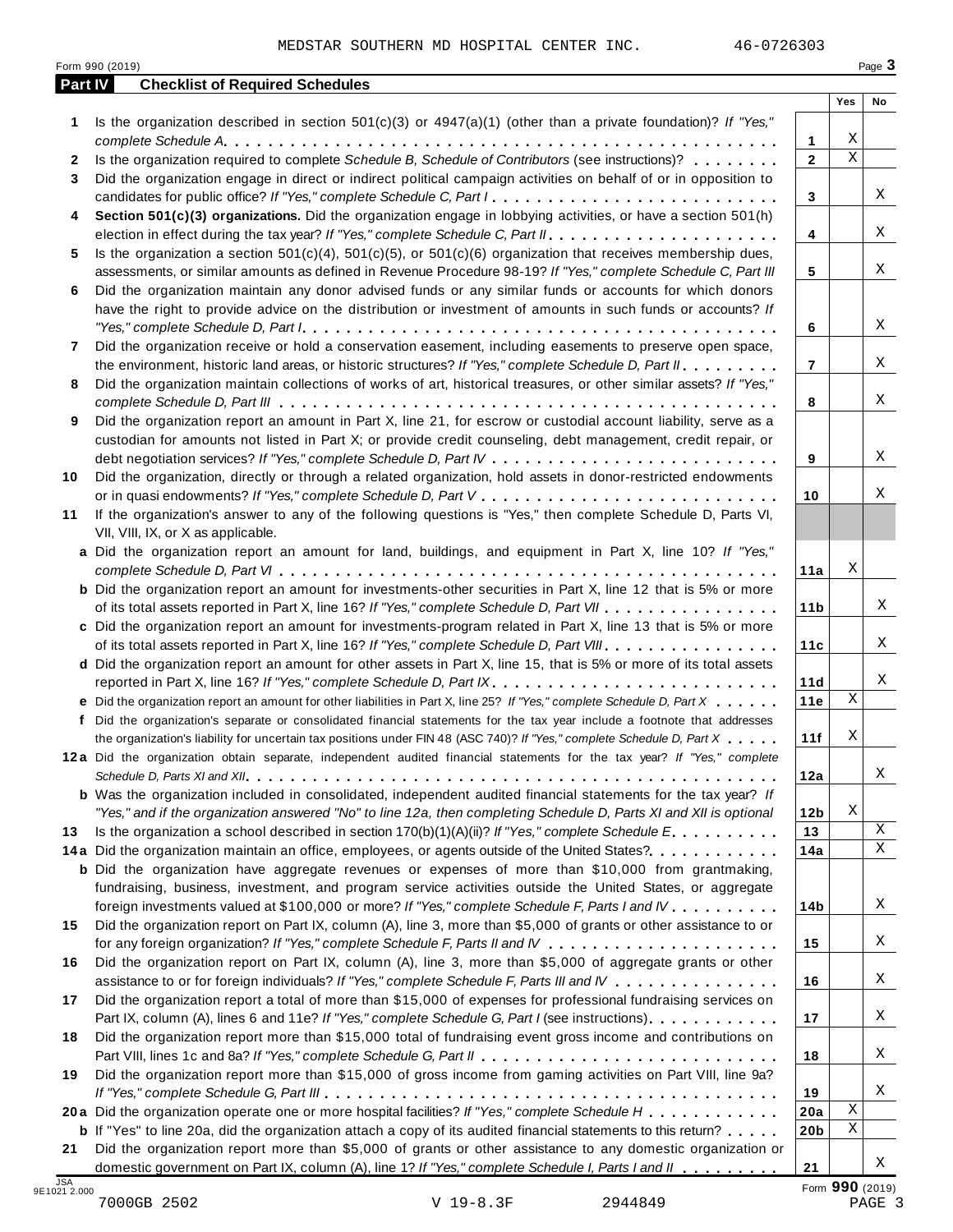|         | Form 990 (2019)                                                                                                                                                                                                                        |                 |                  | Page 3 |
|---------|----------------------------------------------------------------------------------------------------------------------------------------------------------------------------------------------------------------------------------------|-----------------|------------------|--------|
| Part IV | <b>Checklist of Required Schedules</b>                                                                                                                                                                                                 |                 | Yes              | No     |
| 1.      | Is the organization described in section $501(c)(3)$ or $4947(a)(1)$ (other than a private foundation)? If "Yes,"                                                                                                                      |                 |                  |        |
|         |                                                                                                                                                                                                                                        | $\mathbf{1}$    | Χ<br>$\mathbf X$ |        |
| 2       | Is the organization required to complete Schedule B, Schedule of Contributors (see instructions)?                                                                                                                                      | $\overline{2}$  |                  |        |
| 3       | Did the organization engage in direct or indirect political campaign activities on behalf of or in opposition to                                                                                                                       | 3               |                  | Χ      |
| 4       | Section 501(c)(3) organizations. Did the organization engage in lobbying activities, or have a section 501(h)                                                                                                                          |                 |                  |        |
|         |                                                                                                                                                                                                                                        | 4               |                  | Χ      |
| 5       | Is the organization a section $501(c)(4)$ , $501(c)(5)$ , or $501(c)(6)$ organization that receives membership dues,<br>assessments, or similar amounts as defined in Revenue Procedure 98-19? If "Yes," complete Schedule C, Part III | 5               |                  | Χ      |
| 6       | Did the organization maintain any donor advised funds or any similar funds or accounts for which donors                                                                                                                                |                 |                  |        |
|         | have the right to provide advice on the distribution or investment of amounts in such funds or accounts? If                                                                                                                            |                 |                  | Χ      |
|         |                                                                                                                                                                                                                                        | 6               |                  |        |
| 7       | Did the organization receive or hold a conservation easement, including easements to preserve open space,                                                                                                                              | $\overline{7}$  |                  | Χ      |
| 8       | the environment, historic land areas, or historic structures? If "Yes," complete Schedule D, Part II.<br>Did the organization maintain collections of works of art, historical treasures, or other similar assets? If "Yes,"           |                 |                  |        |
|         |                                                                                                                                                                                                                                        | 8               |                  | Χ      |
| 9       | Did the organization report an amount in Part X, line 21, for escrow or custodial account liability, serve as a                                                                                                                        |                 |                  |        |
|         | custodian for amounts not listed in Part X; or provide credit counseling, debt management, credit repair, or                                                                                                                           |                 |                  |        |
|         |                                                                                                                                                                                                                                        | 9               |                  | Χ      |
| 10      | Did the organization, directly or through a related organization, hold assets in donor-restricted endowments                                                                                                                           |                 |                  |        |
|         |                                                                                                                                                                                                                                        | 10              |                  | Χ      |
| 11      | If the organization's answer to any of the following questions is "Yes," then complete Schedule D, Parts VI,                                                                                                                           |                 |                  |        |
|         | VII, VIII, IX, or X as applicable.                                                                                                                                                                                                     |                 |                  |        |
|         | a Did the organization report an amount for land, buildings, and equipment in Part X, line 10? If "Yes,"                                                                                                                               |                 |                  |        |
|         |                                                                                                                                                                                                                                        | 11a             | Χ                |        |
|         | <b>b</b> Did the organization report an amount for investments-other securities in Part X, line 12 that is 5% or more                                                                                                                  |                 |                  |        |
|         | of its total assets reported in Part X, line 16? If "Yes," complete Schedule D, Part VII                                                                                                                                               | 11 <sub>b</sub> |                  | Χ      |
|         | c Did the organization report an amount for investments-program related in Part X, line 13 that is 5% or more                                                                                                                          |                 |                  |        |
|         | of its total assets reported in Part X, line 16? If "Yes," complete Schedule D, Part VIII                                                                                                                                              | 11c             |                  | Χ      |
|         | d Did the organization report an amount for other assets in Part X, line 15, that is 5% or more of its total assets                                                                                                                    |                 |                  |        |
|         | reported in Part X, line 16? If "Yes," complete Schedule D, Part IX.                                                                                                                                                                   | 11d             |                  | X      |
|         | e Did the organization report an amount for other liabilities in Part X, line 25? If "Yes," complete Schedule D, Part X                                                                                                                | 11e             | $\mathbf X$      |        |
|         | f Did the organization's separate or consolidated financial statements for the tax year include a footnote that addresses                                                                                                              |                 |                  |        |
|         | the organization's liability for uncertain tax positions under FIN 48 (ASC 740)? If "Yes," complete Schedule D, Part X                                                                                                                 | 11f             | Χ                |        |
|         | 12a Did the organization obtain separate, independent audited financial statements for the tax year? If "Yes," complete                                                                                                                |                 |                  |        |
|         |                                                                                                                                                                                                                                        | 12a             |                  | Χ      |
|         | <b>b</b> Was the organization included in consolidated, independent audited financial statements for the tax year? If                                                                                                                  |                 |                  |        |
|         | "Yes," and if the organization answered "No" to line 12a, then completing Schedule D, Parts XI and XII is optional                                                                                                                     | 12 <sub>b</sub> | Χ                |        |
| 13      | Is the organization a school described in section $170(b)(1)(A)(ii)$ ? If "Yes," complete Schedule E.                                                                                                                                  | 13              |                  | Χ<br>X |
|         | 14a Did the organization maintain an office, employees, or agents outside of the United States?.                                                                                                                                       | 14a             |                  |        |
|         | <b>b</b> Did the organization have aggregate revenues or expenses of more than \$10,000 from grantmaking,                                                                                                                              |                 |                  |        |
|         | fundraising, business, investment, and program service activities outside the United States, or aggregate<br>foreign investments valued at \$100,000 or more? If "Yes," complete Schedule F, Parts I and IV                            | 14b             |                  | Χ      |
| 15      | Did the organization report on Part IX, column (A), line 3, more than \$5,000 of grants or other assistance to or                                                                                                                      |                 |                  |        |
|         |                                                                                                                                                                                                                                        | 15              |                  | Χ      |
| 16      | Did the organization report on Part IX, column (A), line 3, more than \$5,000 of aggregate grants or other                                                                                                                             |                 |                  |        |
|         | assistance to or for foreign individuals? If "Yes," complete Schedule F, Parts III and IV                                                                                                                                              | 16              |                  | Χ      |
| 17      | Did the organization report a total of more than \$15,000 of expenses for professional fundraising services on                                                                                                                         |                 |                  |        |
|         | Part IX, column (A), lines 6 and 11e? If "Yes," complete Schedule G, Part I (see instructions)                                                                                                                                         | 17              |                  | Χ      |
| 18      | Did the organization report more than \$15,000 total of fundraising event gross income and contributions on                                                                                                                            |                 |                  |        |
|         |                                                                                                                                                                                                                                        | 18              |                  | Χ      |
| 19      | Did the organization report more than \$15,000 of gross income from gaming activities on Part VIII, line 9a?                                                                                                                           |                 |                  |        |
|         |                                                                                                                                                                                                                                        | 19              |                  | Χ      |
|         | 20a Did the organization operate one or more hospital facilities? If "Yes," complete Schedule H                                                                                                                                        | 20a             | $\mathbf X$      |        |
|         | <b>b</b> If "Yes" to line 20a, did the organization attach a copy of its audited financial statements to this return?                                                                                                                  | 20b             | Χ                |        |
| 21      | Did the organization report more than \$5,000 of grants or other assistance to any domestic organization or                                                                                                                            |                 |                  |        |
|         | domestic government on Part IX, column (A), line 1? If "Yes," complete Schedule I, Parts I and II                                                                                                                                      | 21              |                  | Χ      |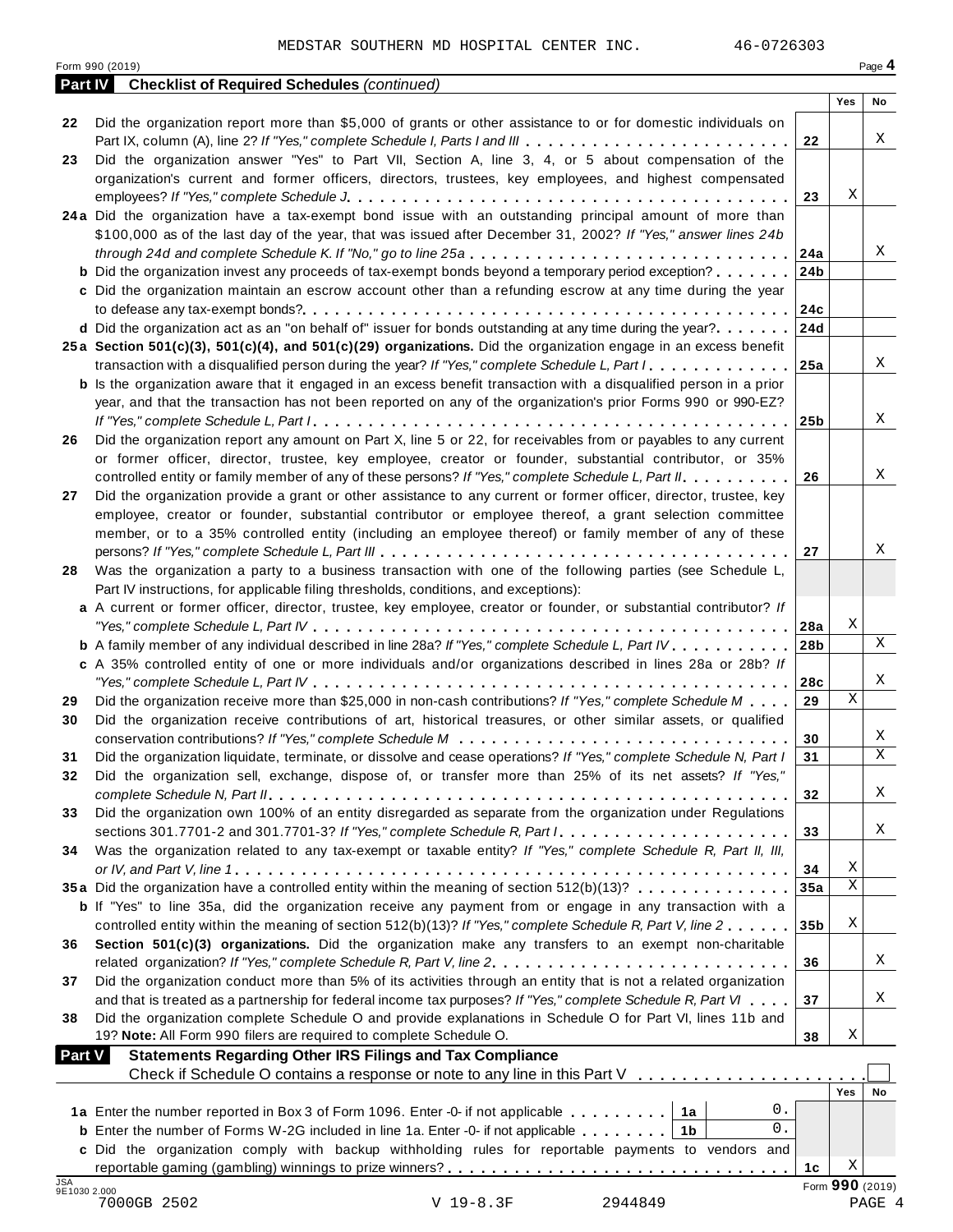| Form 990 (2019)<br><b>Checklist of Required Schedules (continued)</b><br><b>Part IV</b><br><b>Yes</b><br>No<br>Did the organization report more than \$5,000 of grants or other assistance to or for domestic individuals on<br>22<br>Part IX, column (A), line 2? If "Yes," complete Schedule I, Parts I and III<br>22<br>Did the organization answer "Yes" to Part VII, Section A, line 3, 4, or 5 about compensation of the<br>organization's current and former officers, directors, trustees, key employees, and highest compensated<br>Χ<br>23<br>24a Did the organization have a tax-exempt bond issue with an outstanding principal amount of more than<br>\$100,000 as of the last day of the year, that was issued after December 31, 2002? If "Yes," answer lines 24b<br>through 24d and complete Schedule K. If "No," go to line 25a<br>24a<br><b>b</b> Did the organization invest any proceeds of tax-exempt bonds beyond a temporary period exception?<br>24b<br>c Did the organization maintain an escrow account other than a refunding escrow at any time during the year<br>24c<br>d Did the organization act as an "on behalf of" issuer for bonds outstanding at any time during the year?<br>24d<br>25a Section 501(c)(3), 501(c)(4), and 501(c)(29) organizations. Did the organization engage in an excess benefit<br>transaction with a disqualified person during the year? If "Yes," complete Schedule L, Part I<br>25a<br><b>b</b> Is the organization aware that it engaged in an excess benefit transaction with a disqualified person in a prior<br>year, and that the transaction has not been reported on any of the organization's prior Forms 990 or 990-EZ?<br>25b<br>Did the organization report any amount on Part X, line 5 or 22, for receivables from or payables to any current<br>or former officer, director, trustee, key employee, creator or founder, substantial contributor, or 35%<br>controlled entity or family member of any of these persons? If "Yes," complete Schedule L, Part II.<br>26<br>Did the organization provide a grant or other assistance to any current or former officer, director, trustee, key<br>27<br>employee, creator or founder, substantial contributor or employee thereof, a grant selection committee<br>member, or to a 35% controlled entity (including an employee thereof) or family member of any of these<br>27<br>Was the organization a party to a business transaction with one of the following parties (see Schedule L,<br>28<br>Part IV instructions, for applicable filing thresholds, conditions, and exceptions):<br>a A current or former officer, director, trustee, key employee, creator or founder, or substantial contributor? If<br>Χ<br>28a<br><b>b</b> A family member of any individual described in line 28a? If "Yes," complete Schedule L, Part IV.<br>28b<br>c A 35% controlled entity of one or more individuals and/or organizations described in lines 28a or 28b? If<br>28c<br>$\mathbf X$<br>Did the organization receive more than \$25,000 in non-cash contributions? If "Yes," complete Schedule M<br>29<br>Did the organization receive contributions of art, historical treasures, or other similar assets, or qualified<br>30<br>Χ<br>30<br>X<br>Did the organization liquidate, terminate, or dissolve and cease operations? If "Yes," complete Schedule N, Part I<br>31<br>31<br>Did the organization sell, exchange, dispose of, or transfer more than 25% of its net assets? If "Yes,"<br>32<br>32<br>Did the organization own 100% of an entity disregarded as separate from the organization under Regulations<br>33<br>33<br>Was the organization related to any tax-exempt or taxable entity? If "Yes," complete Schedule R, Part II, III,<br>Χ<br>34<br>$\mathbf X$<br>35a Did the organization have a controlled entity within the meaning of section 512(b)(13)?<br>35a<br><b>b</b> If "Yes" to line 35a, did the organization receive any payment from or engage in any transaction with a<br>Χ<br>controlled entity within the meaning of section 512(b)(13)? If "Yes," complete Schedule R, Part V, line 2<br>35 <sub>b</sub><br>Section 501(c)(3) organizations. Did the organization make any transfers to an exempt non-charitable<br>Χ<br>36<br>Did the organization conduct more than 5% of its activities through an entity that is not a related organization<br>37<br>and that is treated as a partnership for federal income tax purposes? If "Yes," complete Schedule R, Part VI<br>37<br>Did the organization complete Schedule O and provide explanations in Schedule O for Part VI, lines 11b and<br>38<br>Χ<br>19? Note: All Form 990 filers are required to complete Schedule O.<br>38<br><b>Statements Regarding Other IRS Filings and Tax Compliance</b><br><b>Part V</b><br>Check if Schedule O contains a response or note to any line in this Part V<br><b>Yes</b><br>0.<br>1a Enter the number reported in Box 3 of Form 1096. Enter -0- if not applicable<br>1a<br>0.<br><b>b</b> Enter the number of Forms W-2G included in line 1a. Enter -0- if not applicable $\ldots \ldots \ldots$<br>1 <sub>b</sub><br>c Did the organization comply with backup withholding rules for reportable payments to vendors and<br>Χ<br>1c<br>Form 990 (2019)<br>9E1030 2.000<br>7000GB 2502<br>V 19-8.3F<br>2944849<br>PAGE 4 |            | 46-0726303<br>MEDSTAR SOUTHERN MD HOSPITAL CENTER INC. |  |        |
|------------------------------------------------------------------------------------------------------------------------------------------------------------------------------------------------------------------------------------------------------------------------------------------------------------------------------------------------------------------------------------------------------------------------------------------------------------------------------------------------------------------------------------------------------------------------------------------------------------------------------------------------------------------------------------------------------------------------------------------------------------------------------------------------------------------------------------------------------------------------------------------------------------------------------------------------------------------------------------------------------------------------------------------------------------------------------------------------------------------------------------------------------------------------------------------------------------------------------------------------------------------------------------------------------------------------------------------------------------------------------------------------------------------------------------------------------------------------------------------------------------------------------------------------------------------------------------------------------------------------------------------------------------------------------------------------------------------------------------------------------------------------------------------------------------------------------------------------------------------------------------------------------------------------------------------------------------------------------------------------------------------------------------------------------------------------------------------------------------------------------------------------------------------------------------------------------------------------------------------------------------------------------------------------------------------------------------------------------------------------------------------------------------------------------------------------------------------------------------------------------------------------------------------------------------------------------------------------------------------------------------------------------------------------------------------------------------------------------------------------------------------------------------------------------------------------------------------------------------------------------------------------------------------------------------------------------------------------------------------------------------------------------------------------------------------------------------------------------------------------------------------------------------------------------------------------------------------------------------------------------------------------------------------------------------------------------------------------------------------------------------------------------------------------------------------------------------------------------------------------------------------------------------------------------------------------------------------------------------------------------------------------------------------------------------------------------------------------------------------------------------------------------------------------------------------------------------------------------------------------------------------------------------------------------------------------------------------------------------------------------------------------------------------------------------------------------------------------------------------------------------------------------------------------------------------------------------------------------------------------------------------------------------------------------------------------------------------------------------------------------------------------------------------------------------------------------------------------------------------------------------------------------------------------------------------------------------------------------------------------------------------------------------------------------------------------------------------------------------------------------------------------------------------------------------------------------------------------------------------------------------------------------------------------------------------------------------------------------------------------------------------------------------------------------------------------------------------------------------------------------------------------------------------------------------------------------------------------------------------------------------------------------------------------------------------------------------------------------------------------------|------------|--------------------------------------------------------|--|--------|
|                                                                                                                                                                                                                                                                                                                                                                                                                                                                                                                                                                                                                                                                                                                                                                                                                                                                                                                                                                                                                                                                                                                                                                                                                                                                                                                                                                                                                                                                                                                                                                                                                                                                                                                                                                                                                                                                                                                                                                                                                                                                                                                                                                                                                                                                                                                                                                                                                                                                                                                                                                                                                                                                                                                                                                                                                                                                                                                                                                                                                                                                                                                                                                                                                                                                                                                                                                                                                                                                                                                                                                                                                                                                                                                                                                                                                                                                                                                                                                                                                                                                                                                                                                                                                                                                                                                                                                                                                                                                                                                                                                                                                                                                                                                                                                                                                                                                                                                                                                                                                                                                                                                                                                                                                                                                                                                                                                              |            |                                                        |  | Page 4 |
|                                                                                                                                                                                                                                                                                                                                                                                                                                                                                                                                                                                                                                                                                                                                                                                                                                                                                                                                                                                                                                                                                                                                                                                                                                                                                                                                                                                                                                                                                                                                                                                                                                                                                                                                                                                                                                                                                                                                                                                                                                                                                                                                                                                                                                                                                                                                                                                                                                                                                                                                                                                                                                                                                                                                                                                                                                                                                                                                                                                                                                                                                                                                                                                                                                                                                                                                                                                                                                                                                                                                                                                                                                                                                                                                                                                                                                                                                                                                                                                                                                                                                                                                                                                                                                                                                                                                                                                                                                                                                                                                                                                                                                                                                                                                                                                                                                                                                                                                                                                                                                                                                                                                                                                                                                                                                                                                                                              |            |                                                        |  |        |
|                                                                                                                                                                                                                                                                                                                                                                                                                                                                                                                                                                                                                                                                                                                                                                                                                                                                                                                                                                                                                                                                                                                                                                                                                                                                                                                                                                                                                                                                                                                                                                                                                                                                                                                                                                                                                                                                                                                                                                                                                                                                                                                                                                                                                                                                                                                                                                                                                                                                                                                                                                                                                                                                                                                                                                                                                                                                                                                                                                                                                                                                                                                                                                                                                                                                                                                                                                                                                                                                                                                                                                                                                                                                                                                                                                                                                                                                                                                                                                                                                                                                                                                                                                                                                                                                                                                                                                                                                                                                                                                                                                                                                                                                                                                                                                                                                                                                                                                                                                                                                                                                                                                                                                                                                                                                                                                                                                              |            |                                                        |  |        |
|                                                                                                                                                                                                                                                                                                                                                                                                                                                                                                                                                                                                                                                                                                                                                                                                                                                                                                                                                                                                                                                                                                                                                                                                                                                                                                                                                                                                                                                                                                                                                                                                                                                                                                                                                                                                                                                                                                                                                                                                                                                                                                                                                                                                                                                                                                                                                                                                                                                                                                                                                                                                                                                                                                                                                                                                                                                                                                                                                                                                                                                                                                                                                                                                                                                                                                                                                                                                                                                                                                                                                                                                                                                                                                                                                                                                                                                                                                                                                                                                                                                                                                                                                                                                                                                                                                                                                                                                                                                                                                                                                                                                                                                                                                                                                                                                                                                                                                                                                                                                                                                                                                                                                                                                                                                                                                                                                                              |            |                                                        |  | Χ      |
|                                                                                                                                                                                                                                                                                                                                                                                                                                                                                                                                                                                                                                                                                                                                                                                                                                                                                                                                                                                                                                                                                                                                                                                                                                                                                                                                                                                                                                                                                                                                                                                                                                                                                                                                                                                                                                                                                                                                                                                                                                                                                                                                                                                                                                                                                                                                                                                                                                                                                                                                                                                                                                                                                                                                                                                                                                                                                                                                                                                                                                                                                                                                                                                                                                                                                                                                                                                                                                                                                                                                                                                                                                                                                                                                                                                                                                                                                                                                                                                                                                                                                                                                                                                                                                                                                                                                                                                                                                                                                                                                                                                                                                                                                                                                                                                                                                                                                                                                                                                                                                                                                                                                                                                                                                                                                                                                                                              | 23         |                                                        |  |        |
|                                                                                                                                                                                                                                                                                                                                                                                                                                                                                                                                                                                                                                                                                                                                                                                                                                                                                                                                                                                                                                                                                                                                                                                                                                                                                                                                                                                                                                                                                                                                                                                                                                                                                                                                                                                                                                                                                                                                                                                                                                                                                                                                                                                                                                                                                                                                                                                                                                                                                                                                                                                                                                                                                                                                                                                                                                                                                                                                                                                                                                                                                                                                                                                                                                                                                                                                                                                                                                                                                                                                                                                                                                                                                                                                                                                                                                                                                                                                                                                                                                                                                                                                                                                                                                                                                                                                                                                                                                                                                                                                                                                                                                                                                                                                                                                                                                                                                                                                                                                                                                                                                                                                                                                                                                                                                                                                                                              |            |                                                        |  |        |
|                                                                                                                                                                                                                                                                                                                                                                                                                                                                                                                                                                                                                                                                                                                                                                                                                                                                                                                                                                                                                                                                                                                                                                                                                                                                                                                                                                                                                                                                                                                                                                                                                                                                                                                                                                                                                                                                                                                                                                                                                                                                                                                                                                                                                                                                                                                                                                                                                                                                                                                                                                                                                                                                                                                                                                                                                                                                                                                                                                                                                                                                                                                                                                                                                                                                                                                                                                                                                                                                                                                                                                                                                                                                                                                                                                                                                                                                                                                                                                                                                                                                                                                                                                                                                                                                                                                                                                                                                                                                                                                                                                                                                                                                                                                                                                                                                                                                                                                                                                                                                                                                                                                                                                                                                                                                                                                                                                              |            |                                                        |  |        |
|                                                                                                                                                                                                                                                                                                                                                                                                                                                                                                                                                                                                                                                                                                                                                                                                                                                                                                                                                                                                                                                                                                                                                                                                                                                                                                                                                                                                                                                                                                                                                                                                                                                                                                                                                                                                                                                                                                                                                                                                                                                                                                                                                                                                                                                                                                                                                                                                                                                                                                                                                                                                                                                                                                                                                                                                                                                                                                                                                                                                                                                                                                                                                                                                                                                                                                                                                                                                                                                                                                                                                                                                                                                                                                                                                                                                                                                                                                                                                                                                                                                                                                                                                                                                                                                                                                                                                                                                                                                                                                                                                                                                                                                                                                                                                                                                                                                                                                                                                                                                                                                                                                                                                                                                                                                                                                                                                                              |            |                                                        |  |        |
|                                                                                                                                                                                                                                                                                                                                                                                                                                                                                                                                                                                                                                                                                                                                                                                                                                                                                                                                                                                                                                                                                                                                                                                                                                                                                                                                                                                                                                                                                                                                                                                                                                                                                                                                                                                                                                                                                                                                                                                                                                                                                                                                                                                                                                                                                                                                                                                                                                                                                                                                                                                                                                                                                                                                                                                                                                                                                                                                                                                                                                                                                                                                                                                                                                                                                                                                                                                                                                                                                                                                                                                                                                                                                                                                                                                                                                                                                                                                                                                                                                                                                                                                                                                                                                                                                                                                                                                                                                                                                                                                                                                                                                                                                                                                                                                                                                                                                                                                                                                                                                                                                                                                                                                                                                                                                                                                                                              |            |                                                        |  |        |
|                                                                                                                                                                                                                                                                                                                                                                                                                                                                                                                                                                                                                                                                                                                                                                                                                                                                                                                                                                                                                                                                                                                                                                                                                                                                                                                                                                                                                                                                                                                                                                                                                                                                                                                                                                                                                                                                                                                                                                                                                                                                                                                                                                                                                                                                                                                                                                                                                                                                                                                                                                                                                                                                                                                                                                                                                                                                                                                                                                                                                                                                                                                                                                                                                                                                                                                                                                                                                                                                                                                                                                                                                                                                                                                                                                                                                                                                                                                                                                                                                                                                                                                                                                                                                                                                                                                                                                                                                                                                                                                                                                                                                                                                                                                                                                                                                                                                                                                                                                                                                                                                                                                                                                                                                                                                                                                                                                              |            |                                                        |  | Χ      |
|                                                                                                                                                                                                                                                                                                                                                                                                                                                                                                                                                                                                                                                                                                                                                                                                                                                                                                                                                                                                                                                                                                                                                                                                                                                                                                                                                                                                                                                                                                                                                                                                                                                                                                                                                                                                                                                                                                                                                                                                                                                                                                                                                                                                                                                                                                                                                                                                                                                                                                                                                                                                                                                                                                                                                                                                                                                                                                                                                                                                                                                                                                                                                                                                                                                                                                                                                                                                                                                                                                                                                                                                                                                                                                                                                                                                                                                                                                                                                                                                                                                                                                                                                                                                                                                                                                                                                                                                                                                                                                                                                                                                                                                                                                                                                                                                                                                                                                                                                                                                                                                                                                                                                                                                                                                                                                                                                                              |            |                                                        |  |        |
|                                                                                                                                                                                                                                                                                                                                                                                                                                                                                                                                                                                                                                                                                                                                                                                                                                                                                                                                                                                                                                                                                                                                                                                                                                                                                                                                                                                                                                                                                                                                                                                                                                                                                                                                                                                                                                                                                                                                                                                                                                                                                                                                                                                                                                                                                                                                                                                                                                                                                                                                                                                                                                                                                                                                                                                                                                                                                                                                                                                                                                                                                                                                                                                                                                                                                                                                                                                                                                                                                                                                                                                                                                                                                                                                                                                                                                                                                                                                                                                                                                                                                                                                                                                                                                                                                                                                                                                                                                                                                                                                                                                                                                                                                                                                                                                                                                                                                                                                                                                                                                                                                                                                                                                                                                                                                                                                                                              |            |                                                        |  |        |
|                                                                                                                                                                                                                                                                                                                                                                                                                                                                                                                                                                                                                                                                                                                                                                                                                                                                                                                                                                                                                                                                                                                                                                                                                                                                                                                                                                                                                                                                                                                                                                                                                                                                                                                                                                                                                                                                                                                                                                                                                                                                                                                                                                                                                                                                                                                                                                                                                                                                                                                                                                                                                                                                                                                                                                                                                                                                                                                                                                                                                                                                                                                                                                                                                                                                                                                                                                                                                                                                                                                                                                                                                                                                                                                                                                                                                                                                                                                                                                                                                                                                                                                                                                                                                                                                                                                                                                                                                                                                                                                                                                                                                                                                                                                                                                                                                                                                                                                                                                                                                                                                                                                                                                                                                                                                                                                                                                              |            |                                                        |  |        |
|                                                                                                                                                                                                                                                                                                                                                                                                                                                                                                                                                                                                                                                                                                                                                                                                                                                                                                                                                                                                                                                                                                                                                                                                                                                                                                                                                                                                                                                                                                                                                                                                                                                                                                                                                                                                                                                                                                                                                                                                                                                                                                                                                                                                                                                                                                                                                                                                                                                                                                                                                                                                                                                                                                                                                                                                                                                                                                                                                                                                                                                                                                                                                                                                                                                                                                                                                                                                                                                                                                                                                                                                                                                                                                                                                                                                                                                                                                                                                                                                                                                                                                                                                                                                                                                                                                                                                                                                                                                                                                                                                                                                                                                                                                                                                                                                                                                                                                                                                                                                                                                                                                                                                                                                                                                                                                                                                                              |            |                                                        |  |        |
|                                                                                                                                                                                                                                                                                                                                                                                                                                                                                                                                                                                                                                                                                                                                                                                                                                                                                                                                                                                                                                                                                                                                                                                                                                                                                                                                                                                                                                                                                                                                                                                                                                                                                                                                                                                                                                                                                                                                                                                                                                                                                                                                                                                                                                                                                                                                                                                                                                                                                                                                                                                                                                                                                                                                                                                                                                                                                                                                                                                                                                                                                                                                                                                                                                                                                                                                                                                                                                                                                                                                                                                                                                                                                                                                                                                                                                                                                                                                                                                                                                                                                                                                                                                                                                                                                                                                                                                                                                                                                                                                                                                                                                                                                                                                                                                                                                                                                                                                                                                                                                                                                                                                                                                                                                                                                                                                                                              |            |                                                        |  | Χ      |
|                                                                                                                                                                                                                                                                                                                                                                                                                                                                                                                                                                                                                                                                                                                                                                                                                                                                                                                                                                                                                                                                                                                                                                                                                                                                                                                                                                                                                                                                                                                                                                                                                                                                                                                                                                                                                                                                                                                                                                                                                                                                                                                                                                                                                                                                                                                                                                                                                                                                                                                                                                                                                                                                                                                                                                                                                                                                                                                                                                                                                                                                                                                                                                                                                                                                                                                                                                                                                                                                                                                                                                                                                                                                                                                                                                                                                                                                                                                                                                                                                                                                                                                                                                                                                                                                                                                                                                                                                                                                                                                                                                                                                                                                                                                                                                                                                                                                                                                                                                                                                                                                                                                                                                                                                                                                                                                                                                              |            |                                                        |  |        |
|                                                                                                                                                                                                                                                                                                                                                                                                                                                                                                                                                                                                                                                                                                                                                                                                                                                                                                                                                                                                                                                                                                                                                                                                                                                                                                                                                                                                                                                                                                                                                                                                                                                                                                                                                                                                                                                                                                                                                                                                                                                                                                                                                                                                                                                                                                                                                                                                                                                                                                                                                                                                                                                                                                                                                                                                                                                                                                                                                                                                                                                                                                                                                                                                                                                                                                                                                                                                                                                                                                                                                                                                                                                                                                                                                                                                                                                                                                                                                                                                                                                                                                                                                                                                                                                                                                                                                                                                                                                                                                                                                                                                                                                                                                                                                                                                                                                                                                                                                                                                                                                                                                                                                                                                                                                                                                                                                                              |            |                                                        |  |        |
|                                                                                                                                                                                                                                                                                                                                                                                                                                                                                                                                                                                                                                                                                                                                                                                                                                                                                                                                                                                                                                                                                                                                                                                                                                                                                                                                                                                                                                                                                                                                                                                                                                                                                                                                                                                                                                                                                                                                                                                                                                                                                                                                                                                                                                                                                                                                                                                                                                                                                                                                                                                                                                                                                                                                                                                                                                                                                                                                                                                                                                                                                                                                                                                                                                                                                                                                                                                                                                                                                                                                                                                                                                                                                                                                                                                                                                                                                                                                                                                                                                                                                                                                                                                                                                                                                                                                                                                                                                                                                                                                                                                                                                                                                                                                                                                                                                                                                                                                                                                                                                                                                                                                                                                                                                                                                                                                                                              |            |                                                        |  | Χ      |
|                                                                                                                                                                                                                                                                                                                                                                                                                                                                                                                                                                                                                                                                                                                                                                                                                                                                                                                                                                                                                                                                                                                                                                                                                                                                                                                                                                                                                                                                                                                                                                                                                                                                                                                                                                                                                                                                                                                                                                                                                                                                                                                                                                                                                                                                                                                                                                                                                                                                                                                                                                                                                                                                                                                                                                                                                                                                                                                                                                                                                                                                                                                                                                                                                                                                                                                                                                                                                                                                                                                                                                                                                                                                                                                                                                                                                                                                                                                                                                                                                                                                                                                                                                                                                                                                                                                                                                                                                                                                                                                                                                                                                                                                                                                                                                                                                                                                                                                                                                                                                                                                                                                                                                                                                                                                                                                                                                              | 26         |                                                        |  |        |
|                                                                                                                                                                                                                                                                                                                                                                                                                                                                                                                                                                                                                                                                                                                                                                                                                                                                                                                                                                                                                                                                                                                                                                                                                                                                                                                                                                                                                                                                                                                                                                                                                                                                                                                                                                                                                                                                                                                                                                                                                                                                                                                                                                                                                                                                                                                                                                                                                                                                                                                                                                                                                                                                                                                                                                                                                                                                                                                                                                                                                                                                                                                                                                                                                                                                                                                                                                                                                                                                                                                                                                                                                                                                                                                                                                                                                                                                                                                                                                                                                                                                                                                                                                                                                                                                                                                                                                                                                                                                                                                                                                                                                                                                                                                                                                                                                                                                                                                                                                                                                                                                                                                                                                                                                                                                                                                                                                              |            |                                                        |  |        |
|                                                                                                                                                                                                                                                                                                                                                                                                                                                                                                                                                                                                                                                                                                                                                                                                                                                                                                                                                                                                                                                                                                                                                                                                                                                                                                                                                                                                                                                                                                                                                                                                                                                                                                                                                                                                                                                                                                                                                                                                                                                                                                                                                                                                                                                                                                                                                                                                                                                                                                                                                                                                                                                                                                                                                                                                                                                                                                                                                                                                                                                                                                                                                                                                                                                                                                                                                                                                                                                                                                                                                                                                                                                                                                                                                                                                                                                                                                                                                                                                                                                                                                                                                                                                                                                                                                                                                                                                                                                                                                                                                                                                                                                                                                                                                                                                                                                                                                                                                                                                                                                                                                                                                                                                                                                                                                                                                                              |            |                                                        |  | Χ      |
|                                                                                                                                                                                                                                                                                                                                                                                                                                                                                                                                                                                                                                                                                                                                                                                                                                                                                                                                                                                                                                                                                                                                                                                                                                                                                                                                                                                                                                                                                                                                                                                                                                                                                                                                                                                                                                                                                                                                                                                                                                                                                                                                                                                                                                                                                                                                                                                                                                                                                                                                                                                                                                                                                                                                                                                                                                                                                                                                                                                                                                                                                                                                                                                                                                                                                                                                                                                                                                                                                                                                                                                                                                                                                                                                                                                                                                                                                                                                                                                                                                                                                                                                                                                                                                                                                                                                                                                                                                                                                                                                                                                                                                                                                                                                                                                                                                                                                                                                                                                                                                                                                                                                                                                                                                                                                                                                                                              |            |                                                        |  |        |
|                                                                                                                                                                                                                                                                                                                                                                                                                                                                                                                                                                                                                                                                                                                                                                                                                                                                                                                                                                                                                                                                                                                                                                                                                                                                                                                                                                                                                                                                                                                                                                                                                                                                                                                                                                                                                                                                                                                                                                                                                                                                                                                                                                                                                                                                                                                                                                                                                                                                                                                                                                                                                                                                                                                                                                                                                                                                                                                                                                                                                                                                                                                                                                                                                                                                                                                                                                                                                                                                                                                                                                                                                                                                                                                                                                                                                                                                                                                                                                                                                                                                                                                                                                                                                                                                                                                                                                                                                                                                                                                                                                                                                                                                                                                                                                                                                                                                                                                                                                                                                                                                                                                                                                                                                                                                                                                                                                              |            |                                                        |  |        |
|                                                                                                                                                                                                                                                                                                                                                                                                                                                                                                                                                                                                                                                                                                                                                                                                                                                                                                                                                                                                                                                                                                                                                                                                                                                                                                                                                                                                                                                                                                                                                                                                                                                                                                                                                                                                                                                                                                                                                                                                                                                                                                                                                                                                                                                                                                                                                                                                                                                                                                                                                                                                                                                                                                                                                                                                                                                                                                                                                                                                                                                                                                                                                                                                                                                                                                                                                                                                                                                                                                                                                                                                                                                                                                                                                                                                                                                                                                                                                                                                                                                                                                                                                                                                                                                                                                                                                                                                                                                                                                                                                                                                                                                                                                                                                                                                                                                                                                                                                                                                                                                                                                                                                                                                                                                                                                                                                                              |            |                                                        |  | Χ      |
|                                                                                                                                                                                                                                                                                                                                                                                                                                                                                                                                                                                                                                                                                                                                                                                                                                                                                                                                                                                                                                                                                                                                                                                                                                                                                                                                                                                                                                                                                                                                                                                                                                                                                                                                                                                                                                                                                                                                                                                                                                                                                                                                                                                                                                                                                                                                                                                                                                                                                                                                                                                                                                                                                                                                                                                                                                                                                                                                                                                                                                                                                                                                                                                                                                                                                                                                                                                                                                                                                                                                                                                                                                                                                                                                                                                                                                                                                                                                                                                                                                                                                                                                                                                                                                                                                                                                                                                                                                                                                                                                                                                                                                                                                                                                                                                                                                                                                                                                                                                                                                                                                                                                                                                                                                                                                                                                                                              |            |                                                        |  |        |
|                                                                                                                                                                                                                                                                                                                                                                                                                                                                                                                                                                                                                                                                                                                                                                                                                                                                                                                                                                                                                                                                                                                                                                                                                                                                                                                                                                                                                                                                                                                                                                                                                                                                                                                                                                                                                                                                                                                                                                                                                                                                                                                                                                                                                                                                                                                                                                                                                                                                                                                                                                                                                                                                                                                                                                                                                                                                                                                                                                                                                                                                                                                                                                                                                                                                                                                                                                                                                                                                                                                                                                                                                                                                                                                                                                                                                                                                                                                                                                                                                                                                                                                                                                                                                                                                                                                                                                                                                                                                                                                                                                                                                                                                                                                                                                                                                                                                                                                                                                                                                                                                                                                                                                                                                                                                                                                                                                              |            |                                                        |  |        |
|                                                                                                                                                                                                                                                                                                                                                                                                                                                                                                                                                                                                                                                                                                                                                                                                                                                                                                                                                                                                                                                                                                                                                                                                                                                                                                                                                                                                                                                                                                                                                                                                                                                                                                                                                                                                                                                                                                                                                                                                                                                                                                                                                                                                                                                                                                                                                                                                                                                                                                                                                                                                                                                                                                                                                                                                                                                                                                                                                                                                                                                                                                                                                                                                                                                                                                                                                                                                                                                                                                                                                                                                                                                                                                                                                                                                                                                                                                                                                                                                                                                                                                                                                                                                                                                                                                                                                                                                                                                                                                                                                                                                                                                                                                                                                                                                                                                                                                                                                                                                                                                                                                                                                                                                                                                                                                                                                                              |            |                                                        |  |        |
|                                                                                                                                                                                                                                                                                                                                                                                                                                                                                                                                                                                                                                                                                                                                                                                                                                                                                                                                                                                                                                                                                                                                                                                                                                                                                                                                                                                                                                                                                                                                                                                                                                                                                                                                                                                                                                                                                                                                                                                                                                                                                                                                                                                                                                                                                                                                                                                                                                                                                                                                                                                                                                                                                                                                                                                                                                                                                                                                                                                                                                                                                                                                                                                                                                                                                                                                                                                                                                                                                                                                                                                                                                                                                                                                                                                                                                                                                                                                                                                                                                                                                                                                                                                                                                                                                                                                                                                                                                                                                                                                                                                                                                                                                                                                                                                                                                                                                                                                                                                                                                                                                                                                                                                                                                                                                                                                                                              |            |                                                        |  |        |
|                                                                                                                                                                                                                                                                                                                                                                                                                                                                                                                                                                                                                                                                                                                                                                                                                                                                                                                                                                                                                                                                                                                                                                                                                                                                                                                                                                                                                                                                                                                                                                                                                                                                                                                                                                                                                                                                                                                                                                                                                                                                                                                                                                                                                                                                                                                                                                                                                                                                                                                                                                                                                                                                                                                                                                                                                                                                                                                                                                                                                                                                                                                                                                                                                                                                                                                                                                                                                                                                                                                                                                                                                                                                                                                                                                                                                                                                                                                                                                                                                                                                                                                                                                                                                                                                                                                                                                                                                                                                                                                                                                                                                                                                                                                                                                                                                                                                                                                                                                                                                                                                                                                                                                                                                                                                                                                                                                              |            |                                                        |  | X      |
|                                                                                                                                                                                                                                                                                                                                                                                                                                                                                                                                                                                                                                                                                                                                                                                                                                                                                                                                                                                                                                                                                                                                                                                                                                                                                                                                                                                                                                                                                                                                                                                                                                                                                                                                                                                                                                                                                                                                                                                                                                                                                                                                                                                                                                                                                                                                                                                                                                                                                                                                                                                                                                                                                                                                                                                                                                                                                                                                                                                                                                                                                                                                                                                                                                                                                                                                                                                                                                                                                                                                                                                                                                                                                                                                                                                                                                                                                                                                                                                                                                                                                                                                                                                                                                                                                                                                                                                                                                                                                                                                                                                                                                                                                                                                                                                                                                                                                                                                                                                                                                                                                                                                                                                                                                                                                                                                                                              |            |                                                        |  |        |
|                                                                                                                                                                                                                                                                                                                                                                                                                                                                                                                                                                                                                                                                                                                                                                                                                                                                                                                                                                                                                                                                                                                                                                                                                                                                                                                                                                                                                                                                                                                                                                                                                                                                                                                                                                                                                                                                                                                                                                                                                                                                                                                                                                                                                                                                                                                                                                                                                                                                                                                                                                                                                                                                                                                                                                                                                                                                                                                                                                                                                                                                                                                                                                                                                                                                                                                                                                                                                                                                                                                                                                                                                                                                                                                                                                                                                                                                                                                                                                                                                                                                                                                                                                                                                                                                                                                                                                                                                                                                                                                                                                                                                                                                                                                                                                                                                                                                                                                                                                                                                                                                                                                                                                                                                                                                                                                                                                              |            |                                                        |  | Χ      |
|                                                                                                                                                                                                                                                                                                                                                                                                                                                                                                                                                                                                                                                                                                                                                                                                                                                                                                                                                                                                                                                                                                                                                                                                                                                                                                                                                                                                                                                                                                                                                                                                                                                                                                                                                                                                                                                                                                                                                                                                                                                                                                                                                                                                                                                                                                                                                                                                                                                                                                                                                                                                                                                                                                                                                                                                                                                                                                                                                                                                                                                                                                                                                                                                                                                                                                                                                                                                                                                                                                                                                                                                                                                                                                                                                                                                                                                                                                                                                                                                                                                                                                                                                                                                                                                                                                                                                                                                                                                                                                                                                                                                                                                                                                                                                                                                                                                                                                                                                                                                                                                                                                                                                                                                                                                                                                                                                                              | 29         |                                                        |  |        |
|                                                                                                                                                                                                                                                                                                                                                                                                                                                                                                                                                                                                                                                                                                                                                                                                                                                                                                                                                                                                                                                                                                                                                                                                                                                                                                                                                                                                                                                                                                                                                                                                                                                                                                                                                                                                                                                                                                                                                                                                                                                                                                                                                                                                                                                                                                                                                                                                                                                                                                                                                                                                                                                                                                                                                                                                                                                                                                                                                                                                                                                                                                                                                                                                                                                                                                                                                                                                                                                                                                                                                                                                                                                                                                                                                                                                                                                                                                                                                                                                                                                                                                                                                                                                                                                                                                                                                                                                                                                                                                                                                                                                                                                                                                                                                                                                                                                                                                                                                                                                                                                                                                                                                                                                                                                                                                                                                                              |            |                                                        |  |        |
|                                                                                                                                                                                                                                                                                                                                                                                                                                                                                                                                                                                                                                                                                                                                                                                                                                                                                                                                                                                                                                                                                                                                                                                                                                                                                                                                                                                                                                                                                                                                                                                                                                                                                                                                                                                                                                                                                                                                                                                                                                                                                                                                                                                                                                                                                                                                                                                                                                                                                                                                                                                                                                                                                                                                                                                                                                                                                                                                                                                                                                                                                                                                                                                                                                                                                                                                                                                                                                                                                                                                                                                                                                                                                                                                                                                                                                                                                                                                                                                                                                                                                                                                                                                                                                                                                                                                                                                                                                                                                                                                                                                                                                                                                                                                                                                                                                                                                                                                                                                                                                                                                                                                                                                                                                                                                                                                                                              |            |                                                        |  |        |
|                                                                                                                                                                                                                                                                                                                                                                                                                                                                                                                                                                                                                                                                                                                                                                                                                                                                                                                                                                                                                                                                                                                                                                                                                                                                                                                                                                                                                                                                                                                                                                                                                                                                                                                                                                                                                                                                                                                                                                                                                                                                                                                                                                                                                                                                                                                                                                                                                                                                                                                                                                                                                                                                                                                                                                                                                                                                                                                                                                                                                                                                                                                                                                                                                                                                                                                                                                                                                                                                                                                                                                                                                                                                                                                                                                                                                                                                                                                                                                                                                                                                                                                                                                                                                                                                                                                                                                                                                                                                                                                                                                                                                                                                                                                                                                                                                                                                                                                                                                                                                                                                                                                                                                                                                                                                                                                                                                              |            |                                                        |  |        |
|                                                                                                                                                                                                                                                                                                                                                                                                                                                                                                                                                                                                                                                                                                                                                                                                                                                                                                                                                                                                                                                                                                                                                                                                                                                                                                                                                                                                                                                                                                                                                                                                                                                                                                                                                                                                                                                                                                                                                                                                                                                                                                                                                                                                                                                                                                                                                                                                                                                                                                                                                                                                                                                                                                                                                                                                                                                                                                                                                                                                                                                                                                                                                                                                                                                                                                                                                                                                                                                                                                                                                                                                                                                                                                                                                                                                                                                                                                                                                                                                                                                                                                                                                                                                                                                                                                                                                                                                                                                                                                                                                                                                                                                                                                                                                                                                                                                                                                                                                                                                                                                                                                                                                                                                                                                                                                                                                                              |            |                                                        |  | Χ      |
|                                                                                                                                                                                                                                                                                                                                                                                                                                                                                                                                                                                                                                                                                                                                                                                                                                                                                                                                                                                                                                                                                                                                                                                                                                                                                                                                                                                                                                                                                                                                                                                                                                                                                                                                                                                                                                                                                                                                                                                                                                                                                                                                                                                                                                                                                                                                                                                                                                                                                                                                                                                                                                                                                                                                                                                                                                                                                                                                                                                                                                                                                                                                                                                                                                                                                                                                                                                                                                                                                                                                                                                                                                                                                                                                                                                                                                                                                                                                                                                                                                                                                                                                                                                                                                                                                                                                                                                                                                                                                                                                                                                                                                                                                                                                                                                                                                                                                                                                                                                                                                                                                                                                                                                                                                                                                                                                                                              |            |                                                        |  |        |
|                                                                                                                                                                                                                                                                                                                                                                                                                                                                                                                                                                                                                                                                                                                                                                                                                                                                                                                                                                                                                                                                                                                                                                                                                                                                                                                                                                                                                                                                                                                                                                                                                                                                                                                                                                                                                                                                                                                                                                                                                                                                                                                                                                                                                                                                                                                                                                                                                                                                                                                                                                                                                                                                                                                                                                                                                                                                                                                                                                                                                                                                                                                                                                                                                                                                                                                                                                                                                                                                                                                                                                                                                                                                                                                                                                                                                                                                                                                                                                                                                                                                                                                                                                                                                                                                                                                                                                                                                                                                                                                                                                                                                                                                                                                                                                                                                                                                                                                                                                                                                                                                                                                                                                                                                                                                                                                                                                              |            |                                                        |  | Χ      |
|                                                                                                                                                                                                                                                                                                                                                                                                                                                                                                                                                                                                                                                                                                                                                                                                                                                                                                                                                                                                                                                                                                                                                                                                                                                                                                                                                                                                                                                                                                                                                                                                                                                                                                                                                                                                                                                                                                                                                                                                                                                                                                                                                                                                                                                                                                                                                                                                                                                                                                                                                                                                                                                                                                                                                                                                                                                                                                                                                                                                                                                                                                                                                                                                                                                                                                                                                                                                                                                                                                                                                                                                                                                                                                                                                                                                                                                                                                                                                                                                                                                                                                                                                                                                                                                                                                                                                                                                                                                                                                                                                                                                                                                                                                                                                                                                                                                                                                                                                                                                                                                                                                                                                                                                                                                                                                                                                                              | 34         |                                                        |  |        |
|                                                                                                                                                                                                                                                                                                                                                                                                                                                                                                                                                                                                                                                                                                                                                                                                                                                                                                                                                                                                                                                                                                                                                                                                                                                                                                                                                                                                                                                                                                                                                                                                                                                                                                                                                                                                                                                                                                                                                                                                                                                                                                                                                                                                                                                                                                                                                                                                                                                                                                                                                                                                                                                                                                                                                                                                                                                                                                                                                                                                                                                                                                                                                                                                                                                                                                                                                                                                                                                                                                                                                                                                                                                                                                                                                                                                                                                                                                                                                                                                                                                                                                                                                                                                                                                                                                                                                                                                                                                                                                                                                                                                                                                                                                                                                                                                                                                                                                                                                                                                                                                                                                                                                                                                                                                                                                                                                                              |            |                                                        |  |        |
|                                                                                                                                                                                                                                                                                                                                                                                                                                                                                                                                                                                                                                                                                                                                                                                                                                                                                                                                                                                                                                                                                                                                                                                                                                                                                                                                                                                                                                                                                                                                                                                                                                                                                                                                                                                                                                                                                                                                                                                                                                                                                                                                                                                                                                                                                                                                                                                                                                                                                                                                                                                                                                                                                                                                                                                                                                                                                                                                                                                                                                                                                                                                                                                                                                                                                                                                                                                                                                                                                                                                                                                                                                                                                                                                                                                                                                                                                                                                                                                                                                                                                                                                                                                                                                                                                                                                                                                                                                                                                                                                                                                                                                                                                                                                                                                                                                                                                                                                                                                                                                                                                                                                                                                                                                                                                                                                                                              |            |                                                        |  |        |
|                                                                                                                                                                                                                                                                                                                                                                                                                                                                                                                                                                                                                                                                                                                                                                                                                                                                                                                                                                                                                                                                                                                                                                                                                                                                                                                                                                                                                                                                                                                                                                                                                                                                                                                                                                                                                                                                                                                                                                                                                                                                                                                                                                                                                                                                                                                                                                                                                                                                                                                                                                                                                                                                                                                                                                                                                                                                                                                                                                                                                                                                                                                                                                                                                                                                                                                                                                                                                                                                                                                                                                                                                                                                                                                                                                                                                                                                                                                                                                                                                                                                                                                                                                                                                                                                                                                                                                                                                                                                                                                                                                                                                                                                                                                                                                                                                                                                                                                                                                                                                                                                                                                                                                                                                                                                                                                                                                              |            |                                                        |  |        |
|                                                                                                                                                                                                                                                                                                                                                                                                                                                                                                                                                                                                                                                                                                                                                                                                                                                                                                                                                                                                                                                                                                                                                                                                                                                                                                                                                                                                                                                                                                                                                                                                                                                                                                                                                                                                                                                                                                                                                                                                                                                                                                                                                                                                                                                                                                                                                                                                                                                                                                                                                                                                                                                                                                                                                                                                                                                                                                                                                                                                                                                                                                                                                                                                                                                                                                                                                                                                                                                                                                                                                                                                                                                                                                                                                                                                                                                                                                                                                                                                                                                                                                                                                                                                                                                                                                                                                                                                                                                                                                                                                                                                                                                                                                                                                                                                                                                                                                                                                                                                                                                                                                                                                                                                                                                                                                                                                                              |            |                                                        |  |        |
|                                                                                                                                                                                                                                                                                                                                                                                                                                                                                                                                                                                                                                                                                                                                                                                                                                                                                                                                                                                                                                                                                                                                                                                                                                                                                                                                                                                                                                                                                                                                                                                                                                                                                                                                                                                                                                                                                                                                                                                                                                                                                                                                                                                                                                                                                                                                                                                                                                                                                                                                                                                                                                                                                                                                                                                                                                                                                                                                                                                                                                                                                                                                                                                                                                                                                                                                                                                                                                                                                                                                                                                                                                                                                                                                                                                                                                                                                                                                                                                                                                                                                                                                                                                                                                                                                                                                                                                                                                                                                                                                                                                                                                                                                                                                                                                                                                                                                                                                                                                                                                                                                                                                                                                                                                                                                                                                                                              | 36         |                                                        |  |        |
|                                                                                                                                                                                                                                                                                                                                                                                                                                                                                                                                                                                                                                                                                                                                                                                                                                                                                                                                                                                                                                                                                                                                                                                                                                                                                                                                                                                                                                                                                                                                                                                                                                                                                                                                                                                                                                                                                                                                                                                                                                                                                                                                                                                                                                                                                                                                                                                                                                                                                                                                                                                                                                                                                                                                                                                                                                                                                                                                                                                                                                                                                                                                                                                                                                                                                                                                                                                                                                                                                                                                                                                                                                                                                                                                                                                                                                                                                                                                                                                                                                                                                                                                                                                                                                                                                                                                                                                                                                                                                                                                                                                                                                                                                                                                                                                                                                                                                                                                                                                                                                                                                                                                                                                                                                                                                                                                                                              |            |                                                        |  |        |
|                                                                                                                                                                                                                                                                                                                                                                                                                                                                                                                                                                                                                                                                                                                                                                                                                                                                                                                                                                                                                                                                                                                                                                                                                                                                                                                                                                                                                                                                                                                                                                                                                                                                                                                                                                                                                                                                                                                                                                                                                                                                                                                                                                                                                                                                                                                                                                                                                                                                                                                                                                                                                                                                                                                                                                                                                                                                                                                                                                                                                                                                                                                                                                                                                                                                                                                                                                                                                                                                                                                                                                                                                                                                                                                                                                                                                                                                                                                                                                                                                                                                                                                                                                                                                                                                                                                                                                                                                                                                                                                                                                                                                                                                                                                                                                                                                                                                                                                                                                                                                                                                                                                                                                                                                                                                                                                                                                              |            |                                                        |  | Χ      |
|                                                                                                                                                                                                                                                                                                                                                                                                                                                                                                                                                                                                                                                                                                                                                                                                                                                                                                                                                                                                                                                                                                                                                                                                                                                                                                                                                                                                                                                                                                                                                                                                                                                                                                                                                                                                                                                                                                                                                                                                                                                                                                                                                                                                                                                                                                                                                                                                                                                                                                                                                                                                                                                                                                                                                                                                                                                                                                                                                                                                                                                                                                                                                                                                                                                                                                                                                                                                                                                                                                                                                                                                                                                                                                                                                                                                                                                                                                                                                                                                                                                                                                                                                                                                                                                                                                                                                                                                                                                                                                                                                                                                                                                                                                                                                                                                                                                                                                                                                                                                                                                                                                                                                                                                                                                                                                                                                                              |            |                                                        |  |        |
|                                                                                                                                                                                                                                                                                                                                                                                                                                                                                                                                                                                                                                                                                                                                                                                                                                                                                                                                                                                                                                                                                                                                                                                                                                                                                                                                                                                                                                                                                                                                                                                                                                                                                                                                                                                                                                                                                                                                                                                                                                                                                                                                                                                                                                                                                                                                                                                                                                                                                                                                                                                                                                                                                                                                                                                                                                                                                                                                                                                                                                                                                                                                                                                                                                                                                                                                                                                                                                                                                                                                                                                                                                                                                                                                                                                                                                                                                                                                                                                                                                                                                                                                                                                                                                                                                                                                                                                                                                                                                                                                                                                                                                                                                                                                                                                                                                                                                                                                                                                                                                                                                                                                                                                                                                                                                                                                                                              |            |                                                        |  |        |
|                                                                                                                                                                                                                                                                                                                                                                                                                                                                                                                                                                                                                                                                                                                                                                                                                                                                                                                                                                                                                                                                                                                                                                                                                                                                                                                                                                                                                                                                                                                                                                                                                                                                                                                                                                                                                                                                                                                                                                                                                                                                                                                                                                                                                                                                                                                                                                                                                                                                                                                                                                                                                                                                                                                                                                                                                                                                                                                                                                                                                                                                                                                                                                                                                                                                                                                                                                                                                                                                                                                                                                                                                                                                                                                                                                                                                                                                                                                                                                                                                                                                                                                                                                                                                                                                                                                                                                                                                                                                                                                                                                                                                                                                                                                                                                                                                                                                                                                                                                                                                                                                                                                                                                                                                                                                                                                                                                              |            |                                                        |  |        |
|                                                                                                                                                                                                                                                                                                                                                                                                                                                                                                                                                                                                                                                                                                                                                                                                                                                                                                                                                                                                                                                                                                                                                                                                                                                                                                                                                                                                                                                                                                                                                                                                                                                                                                                                                                                                                                                                                                                                                                                                                                                                                                                                                                                                                                                                                                                                                                                                                                                                                                                                                                                                                                                                                                                                                                                                                                                                                                                                                                                                                                                                                                                                                                                                                                                                                                                                                                                                                                                                                                                                                                                                                                                                                                                                                                                                                                                                                                                                                                                                                                                                                                                                                                                                                                                                                                                                                                                                                                                                                                                                                                                                                                                                                                                                                                                                                                                                                                                                                                                                                                                                                                                                                                                                                                                                                                                                                                              |            |                                                        |  |        |
|                                                                                                                                                                                                                                                                                                                                                                                                                                                                                                                                                                                                                                                                                                                                                                                                                                                                                                                                                                                                                                                                                                                                                                                                                                                                                                                                                                                                                                                                                                                                                                                                                                                                                                                                                                                                                                                                                                                                                                                                                                                                                                                                                                                                                                                                                                                                                                                                                                                                                                                                                                                                                                                                                                                                                                                                                                                                                                                                                                                                                                                                                                                                                                                                                                                                                                                                                                                                                                                                                                                                                                                                                                                                                                                                                                                                                                                                                                                                                                                                                                                                                                                                                                                                                                                                                                                                                                                                                                                                                                                                                                                                                                                                                                                                                                                                                                                                                                                                                                                                                                                                                                                                                                                                                                                                                                                                                                              |            |                                                        |  | No     |
|                                                                                                                                                                                                                                                                                                                                                                                                                                                                                                                                                                                                                                                                                                                                                                                                                                                                                                                                                                                                                                                                                                                                                                                                                                                                                                                                                                                                                                                                                                                                                                                                                                                                                                                                                                                                                                                                                                                                                                                                                                                                                                                                                                                                                                                                                                                                                                                                                                                                                                                                                                                                                                                                                                                                                                                                                                                                                                                                                                                                                                                                                                                                                                                                                                                                                                                                                                                                                                                                                                                                                                                                                                                                                                                                                                                                                                                                                                                                                                                                                                                                                                                                                                                                                                                                                                                                                                                                                                                                                                                                                                                                                                                                                                                                                                                                                                                                                                                                                                                                                                                                                                                                                                                                                                                                                                                                                                              |            |                                                        |  |        |
|                                                                                                                                                                                                                                                                                                                                                                                                                                                                                                                                                                                                                                                                                                                                                                                                                                                                                                                                                                                                                                                                                                                                                                                                                                                                                                                                                                                                                                                                                                                                                                                                                                                                                                                                                                                                                                                                                                                                                                                                                                                                                                                                                                                                                                                                                                                                                                                                                                                                                                                                                                                                                                                                                                                                                                                                                                                                                                                                                                                                                                                                                                                                                                                                                                                                                                                                                                                                                                                                                                                                                                                                                                                                                                                                                                                                                                                                                                                                                                                                                                                                                                                                                                                                                                                                                                                                                                                                                                                                                                                                                                                                                                                                                                                                                                                                                                                                                                                                                                                                                                                                                                                                                                                                                                                                                                                                                                              |            |                                                        |  |        |
|                                                                                                                                                                                                                                                                                                                                                                                                                                                                                                                                                                                                                                                                                                                                                                                                                                                                                                                                                                                                                                                                                                                                                                                                                                                                                                                                                                                                                                                                                                                                                                                                                                                                                                                                                                                                                                                                                                                                                                                                                                                                                                                                                                                                                                                                                                                                                                                                                                                                                                                                                                                                                                                                                                                                                                                                                                                                                                                                                                                                                                                                                                                                                                                                                                                                                                                                                                                                                                                                                                                                                                                                                                                                                                                                                                                                                                                                                                                                                                                                                                                                                                                                                                                                                                                                                                                                                                                                                                                                                                                                                                                                                                                                                                                                                                                                                                                                                                                                                                                                                                                                                                                                                                                                                                                                                                                                                                              |            |                                                        |  |        |
|                                                                                                                                                                                                                                                                                                                                                                                                                                                                                                                                                                                                                                                                                                                                                                                                                                                                                                                                                                                                                                                                                                                                                                                                                                                                                                                                                                                                                                                                                                                                                                                                                                                                                                                                                                                                                                                                                                                                                                                                                                                                                                                                                                                                                                                                                                                                                                                                                                                                                                                                                                                                                                                                                                                                                                                                                                                                                                                                                                                                                                                                                                                                                                                                                                                                                                                                                                                                                                                                                                                                                                                                                                                                                                                                                                                                                                                                                                                                                                                                                                                                                                                                                                                                                                                                                                                                                                                                                                                                                                                                                                                                                                                                                                                                                                                                                                                                                                                                                                                                                                                                                                                                                                                                                                                                                                                                                                              | <b>JSA</b> |                                                        |  |        |
|                                                                                                                                                                                                                                                                                                                                                                                                                                                                                                                                                                                                                                                                                                                                                                                                                                                                                                                                                                                                                                                                                                                                                                                                                                                                                                                                                                                                                                                                                                                                                                                                                                                                                                                                                                                                                                                                                                                                                                                                                                                                                                                                                                                                                                                                                                                                                                                                                                                                                                                                                                                                                                                                                                                                                                                                                                                                                                                                                                                                                                                                                                                                                                                                                                                                                                                                                                                                                                                                                                                                                                                                                                                                                                                                                                                                                                                                                                                                                                                                                                                                                                                                                                                                                                                                                                                                                                                                                                                                                                                                                                                                                                                                                                                                                                                                                                                                                                                                                                                                                                                                                                                                                                                                                                                                                                                                                                              |            |                                                        |  |        |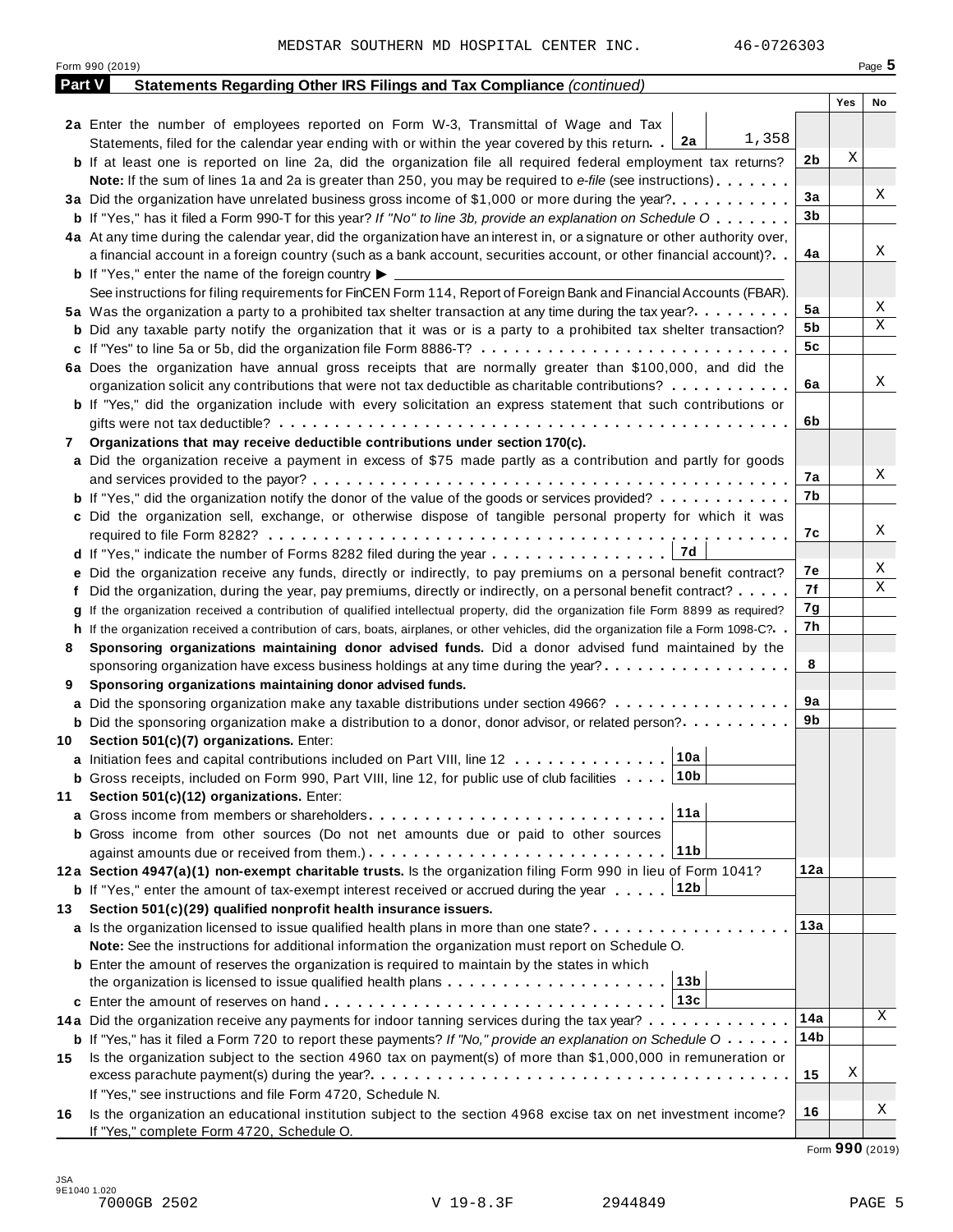|               | 46-0726303<br>MEDSTAR SOUTHERN MD HOSPITAL CENTER INC.<br>Form 990 (2019)                                                                    |                |     | Page $5$    |
|---------------|----------------------------------------------------------------------------------------------------------------------------------------------|----------------|-----|-------------|
| <b>Part V</b> | Statements Regarding Other IRS Filings and Tax Compliance (continued)                                                                        |                |     |             |
|               |                                                                                                                                              |                | Yes | No          |
|               | 2a Enter the number of employees reported on Form W-3, Transmittal of Wage and Tax                                                           |                |     |             |
|               | 1,358<br>Statements, filed for the calendar year ending with or within the year covered by this return. 2a                                   |                |     |             |
|               | <b>b</b> If at least one is reported on line 2a, did the organization file all required federal employment tax returns?                      | 2b             | Χ   |             |
|               | Note: If the sum of lines 1a and 2a is greater than 250, you may be required to e-file (see instructions)                                    |                |     |             |
|               |                                                                                                                                              | 3a             |     | Χ           |
|               | <b>b</b> If "Yes," has it filed a Form 990-T for this year? If "No" to line 3b, provide an explanation on Schedule O                         | 3 <sub>b</sub> |     |             |
|               |                                                                                                                                              |                |     |             |
|               | 4a At any time during the calendar year, did the organization have an interest in, or a signature or other authority over,                   | 4a             |     | Χ           |
|               | a financial account in a foreign country (such as a bank account, securities account, or other financial account)?                           |                |     |             |
|               | <b>b</b> If "Yes," enter the name of the foreign country $\blacktriangleright$                                                               |                |     |             |
|               | See instructions for filing requirements for FinCEN Form 114, Report of Foreign Bank and Financial Accounts (FBAR).                          | 5a             |     | Χ           |
|               | 5a Was the organization a party to a prohibited tax shelter transaction at any time during the tax year?                                     | 5b             |     | Χ           |
|               | <b>b</b> Did any taxable party notify the organization that it was or is a party to a prohibited tax shelter transaction?                    | 5 <sub>c</sub> |     |             |
|               |                                                                                                                                              |                |     |             |
|               | 6a Does the organization have annual gross receipts that are normally greater than \$100,000, and did the                                    |                |     | Χ           |
|               | organization solicit any contributions that were not tax deductible as charitable contributions? $\dots \dots \dots$                         | 6a             |     |             |
|               | <b>b</b> If "Yes," did the organization include with every solicitation an express statement that such contributions or                      |                |     |             |
|               |                                                                                                                                              | 6b             |     |             |
| 7             | Organizations that may receive deductible contributions under section 170(c).                                                                |                |     |             |
|               | a Did the organization receive a payment in excess of \$75 made partly as a contribution and partly for goods                                |                |     |             |
|               |                                                                                                                                              | 7а             |     | Χ           |
|               | <b>b</b> If "Yes," did the organization notify the donor of the value of the goods or services provided?                                     | 7b             |     |             |
|               | c Did the organization sell, exchange, or otherwise dispose of tangible personal property for which it was                                   |                |     |             |
|               |                                                                                                                                              | 7с             |     | Χ           |
|               | ∣ 7d<br>d If "Yes," indicate the number of Forms 8282 filed during the year                                                                  |                |     |             |
|               | e Did the organization receive any funds, directly or indirectly, to pay premiums on a personal benefit contract?                            | 7е             |     | Χ           |
|               | f Did the organization, during the year, pay premiums, directly or indirectly, on a personal benefit contract?                               | 7f             |     | $\mathbf X$ |
| q             | If the organization received a contribution of qualified intellectual property, did the organization file Form 8899 as required?             | 7g             |     |             |
|               | h If the organization received a contribution of cars, boats, airplanes, or other vehicles, did the organization file a Form 1098-C?. .      | 7h             |     |             |
| 8             | Sponsoring organizations maintaining donor advised funds. Did a donor advised fund maintained by the                                         |                |     |             |
|               | sponsoring organization have excess business holdings at any time during the year?                                                           | 8              |     |             |
| 9             | Sponsoring organizations maintaining donor advised funds.                                                                                    |                |     |             |
|               | a Did the sponsoring organization make any taxable distributions under section 4966?                                                         | 9a             |     |             |
|               | <b>b</b> Did the sponsoring organization make a distribution to a donor, donor advisor, or related person?                                   | 9b             |     |             |
| 10            | Section 501(c)(7) organizations. Enter:                                                                                                      |                |     |             |
|               | 10a<br>a Initiation fees and capital contributions included on Part VIII, line 12                                                            |                |     |             |
|               | 10 <sub>b</sub><br><b>b</b> Gross receipts, included on Form 990, Part VIII, line 12, for public use of club facilities                      |                |     |             |
| 11            | Section 501(c)(12) organizations. Enter:                                                                                                     |                |     |             |
|               | 11a                                                                                                                                          |                |     |             |
|               | <b>b</b> Gross income from other sources (Do not net amounts due or paid to other sources                                                    |                |     |             |
|               | 11b                                                                                                                                          |                |     |             |
|               | 12a Section 4947(a)(1) non-exempt charitable trusts. Is the organization filing Form 990 in lieu of Form 1041?                               | 12a            |     |             |
|               | <b>b</b> If "Yes," enter the amount of tax-exempt interest received or accrued during the year 12b                                           |                |     |             |
| 13            | Section 501(c)(29) qualified nonprofit health insurance issuers.                                                                             |                |     |             |
|               | a Is the organization licensed to issue qualified health plans in more than one state?                                                       | 13a            |     |             |
|               | Note: See the instructions for additional information the organization must report on Schedule O.                                            |                |     |             |
|               | <b>b</b> Enter the amount of reserves the organization is required to maintain by the states in which                                        |                |     |             |
|               | 13 <sub>b</sub>                                                                                                                              |                |     |             |
|               | 13c                                                                                                                                          |                |     |             |
|               | 14a Did the organization receive any payments for indoor tanning services during the tax year?                                               | 14a            |     | Χ           |
|               | <b>b</b> If "Yes," has it filed a Form 720 to report these payments? If "No," provide an explanation on Schedule $0 \cdot \cdot \cdot \cdot$ | 14b            |     |             |
| 15            | Is the organization subject to the section 4960 tax on payment(s) of more than \$1,000,000 in remuneration or                                |                |     |             |
|               |                                                                                                                                              | 15             | Χ   |             |
|               | If "Yes," see instructions and file Form 4720, Schedule N.                                                                                   |                |     |             |
| 16            | Is the organization an educational institution subject to the section 4968 excise tax on net investment income?                              | 16             |     | Χ           |
|               | If "Yes," complete Form 4720, Schedule O.                                                                                                    |                |     |             |

Form **990** (2019)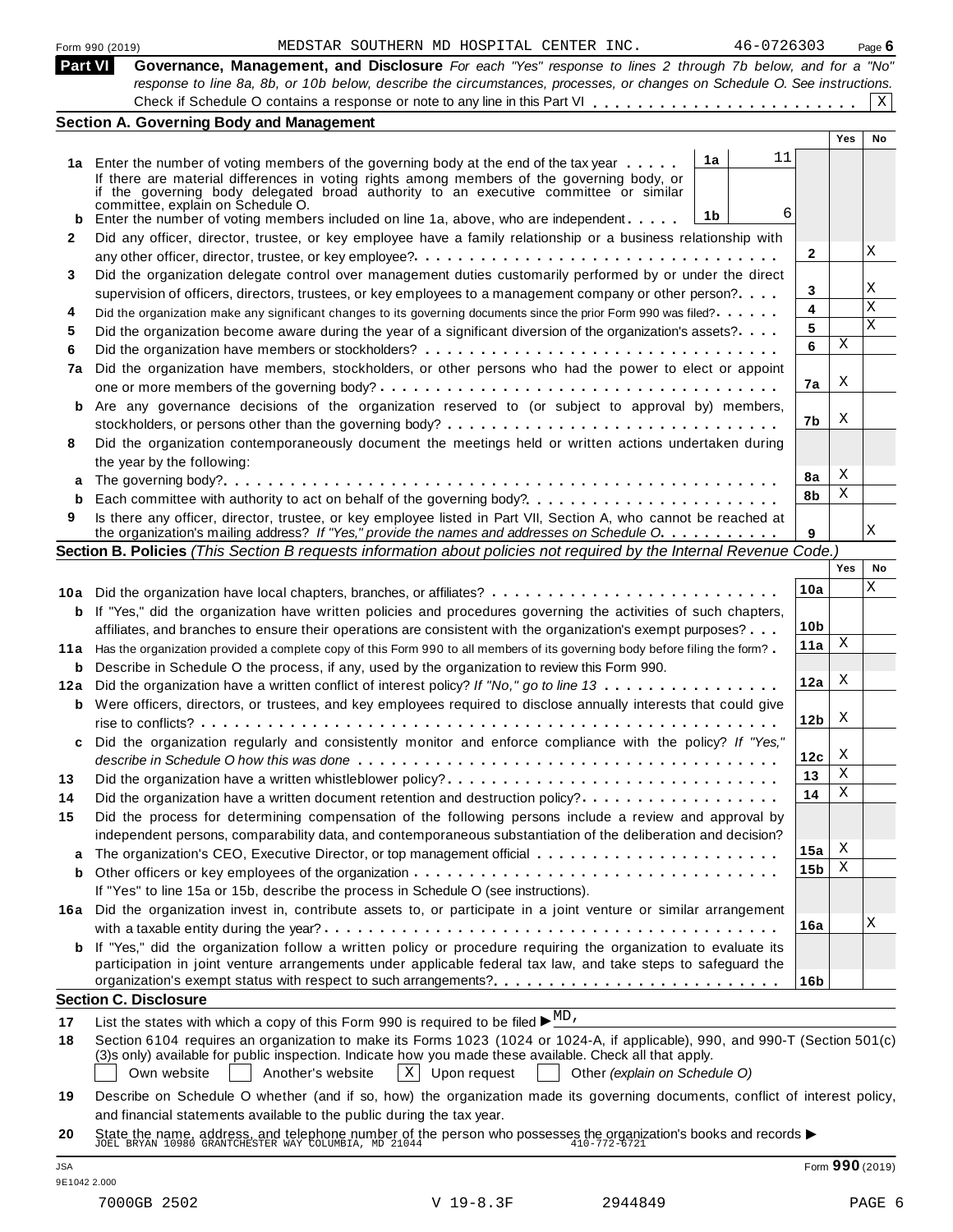|                | 46-0726303<br>MEDSTAR SOUTHERN MD HOSPITAL CENTER INC.<br>Form 990 (2019)                                                                                                                                                               |                 |     | Page $6$ |
|----------------|-----------------------------------------------------------------------------------------------------------------------------------------------------------------------------------------------------------------------------------------|-----------------|-----|----------|
| <b>Part VI</b> | Governance, Management, and Disclosure For each "Yes" response to lines 2 through 7b below, and for a "No"<br>response to line 8a, 8b, or 10b below, describe the circumstances, processes, or changes on Schedule O. See instructions. |                 |     |          |
|                |                                                                                                                                                                                                                                         |                 |     | X        |
|                | <b>Section A. Governing Body and Management</b>                                                                                                                                                                                         |                 |     |          |
|                |                                                                                                                                                                                                                                         |                 | Yes | No       |
|                | 11<br>1a<br>1a Enter the number of voting members of the governing body at the end of the tax year                                                                                                                                      |                 |     |          |
|                | If there are material differences in voting rights among members of the governing body, or                                                                                                                                              |                 |     |          |
|                | if the governing body delegated broad authority to an executive committee or similar                                                                                                                                                    |                 |     |          |
|                | committée, explain on Schedule O.<br>6<br>1b<br><b>b</b> Enter the number of voting members included on line 1a, above, who are independent                                                                                             |                 |     |          |
| 2              | Did any officer, director, trustee, or key employee have a family relationship or a business relationship with                                                                                                                          |                 |     |          |
|                |                                                                                                                                                                                                                                         | 2               |     | Χ        |
| 3              | Did the organization delegate control over management duties customarily performed by or under the direct                                                                                                                               |                 |     |          |
|                | supervision of officers, directors, trustees, or key employees to a management company or other person?                                                                                                                                 | 3               |     | Χ        |
| 4              | Did the organization make any significant changes to its governing documents since the prior Form 990 was filed?                                                                                                                        | 4               |     | X        |
| 5              | Did the organization become aware during the year of a significant diversion of the organization's assets?                                                                                                                              | 5               |     | X        |
| 6              |                                                                                                                                                                                                                                         | 6               | Χ   |          |
| 7a             | Did the organization have members, stockholders, or other persons who had the power to elect or appoint                                                                                                                                 |                 |     |          |
|                |                                                                                                                                                                                                                                         | 7a              | X   |          |
| b              | Are any governance decisions of the organization reserved to (or subject to approval by) members,                                                                                                                                       |                 |     |          |
|                |                                                                                                                                                                                                                                         | 7b              | Χ   |          |
| 8              | Did the organization contemporaneously document the meetings held or written actions undertaken during                                                                                                                                  |                 |     |          |
|                | the year by the following:                                                                                                                                                                                                              |                 |     |          |
|                |                                                                                                                                                                                                                                         | 8а              | X   |          |
| b              | Each committee with authority to act on behalf of the governing body?                                                                                                                                                                   | 8b              | Χ   |          |
| 9              | Is there any officer, director, trustee, or key employee listed in Part VII, Section A, who cannot be reached at                                                                                                                        |                 |     | Χ        |
|                | the organization's mailing address? If "Yes," provide the names and addresses on Schedule O.                                                                                                                                            | 9               |     |          |
|                | Section B. Policies (This Section B requests information about policies not required by the Internal Revenue Code.)                                                                                                                     |                 | Yes | No       |
|                |                                                                                                                                                                                                                                         | 10a             |     | Χ        |
|                | 10a Did the organization have local chapters, branches, or affiliates?                                                                                                                                                                  |                 |     |          |
|                | <b>b</b> If "Yes," did the organization have written policies and procedures governing the activities of such chapters,                                                                                                                 | 10 <sub>b</sub> |     |          |
|                | affiliates, and branches to ensure their operations are consistent with the organization's exempt purposes?                                                                                                                             | 11a             | X   |          |
|                | 11a Has the organization provided a complete copy of this Form 990 to all members of its governing body before filing the form?                                                                                                         |                 |     |          |
|                | <b>b</b> Describe in Schedule O the process, if any, used by the organization to review this Form 990.<br>12a Did the organization have a written conflict of interest policy? If "No," go to line 13                                   | 12a             | X   |          |
|                |                                                                                                                                                                                                                                         |                 |     |          |
|                | <b>b</b> Were officers, directors, or trustees, and key employees required to disclose annually interests that could give                                                                                                               | 12 <sub>b</sub> | X   |          |
| c              | Did the organization regularly and consistently monitor and enforce compliance with the policy? If "Yes,"                                                                                                                               |                 |     |          |
|                |                                                                                                                                                                                                                                         | 12с             | X   |          |
| 13             | Did the organization have a written whistleblower policy?                                                                                                                                                                               | 13              | Χ   |          |
| 14             |                                                                                                                                                                                                                                         | 14              | Χ   |          |
| 15             | Did the process for determining compensation of the following persons include a review and approval by                                                                                                                                  |                 |     |          |
|                | independent persons, comparability data, and contemporaneous substantiation of the deliberation and decision?                                                                                                                           |                 |     |          |
|                |                                                                                                                                                                                                                                         | 15a             | Х   |          |
| b              |                                                                                                                                                                                                                                         | 15 <sub>b</sub> | Χ   |          |
|                | If "Yes" to line 15a or 15b, describe the process in Schedule O (see instructions).                                                                                                                                                     |                 |     |          |
| 16a            | Did the organization invest in, contribute assets to, or participate in a joint venture or similar arrangement                                                                                                                          |                 |     |          |
|                |                                                                                                                                                                                                                                         | 16a             |     | Χ        |
| b              | If "Yes," did the organization follow a written policy or procedure requiring the organization to evaluate its                                                                                                                          |                 |     |          |
|                | participation in joint venture arrangements under applicable federal tax law, and take steps to safeguard the                                                                                                                           |                 |     |          |
|                |                                                                                                                                                                                                                                         | 16b             |     |          |
|                | <b>Section C. Disclosure</b>                                                                                                                                                                                                            |                 |     |          |
| 17             | List the states with which a copy of this Form 990 is required to be filed $\blacktriangleright \frac{MD}{ }$ ,                                                                                                                         |                 |     |          |
| 18             | Section 6104 requires an organization to make its Forms 1023 (1024 or 1024-A, if applicable), 990, and 990-T (Section 501(c)                                                                                                            |                 |     |          |
|                | (3)s only) available for public inspection. Indicate how you made these available. Check all that apply.                                                                                                                                |                 |     |          |
|                | Own website<br>Another's website<br>$ X $ Upon request<br>Other (explain on Schedule O)                                                                                                                                                 |                 |     |          |
| 19             | Describe on Schedule O whether (and if so, how) the organization made its governing documents, conflict of interest policy,                                                                                                             |                 |     |          |
|                | and financial statements available to the public during the tax year.                                                                                                                                                                   |                 |     |          |
| 20             | State the name, address, and telephone number of the person who possesses the organization's books and records $\blacktriangleright$ JOEL BRYAN 10980 GRANTCHESTER WAY COLUMBIA, MD 21044                                               |                 |     |          |

|  | DSTAR SOUTHERN MD HOSPITAL CENTER INC. |  |
|--|----------------------------------------|--|
|  |                                        |  |

| 1<br>$\sim$<br>$\sim$<br>$\sim$<br>$\sim$<br>., |
|-------------------------------------------------|
|-------------------------------------------------|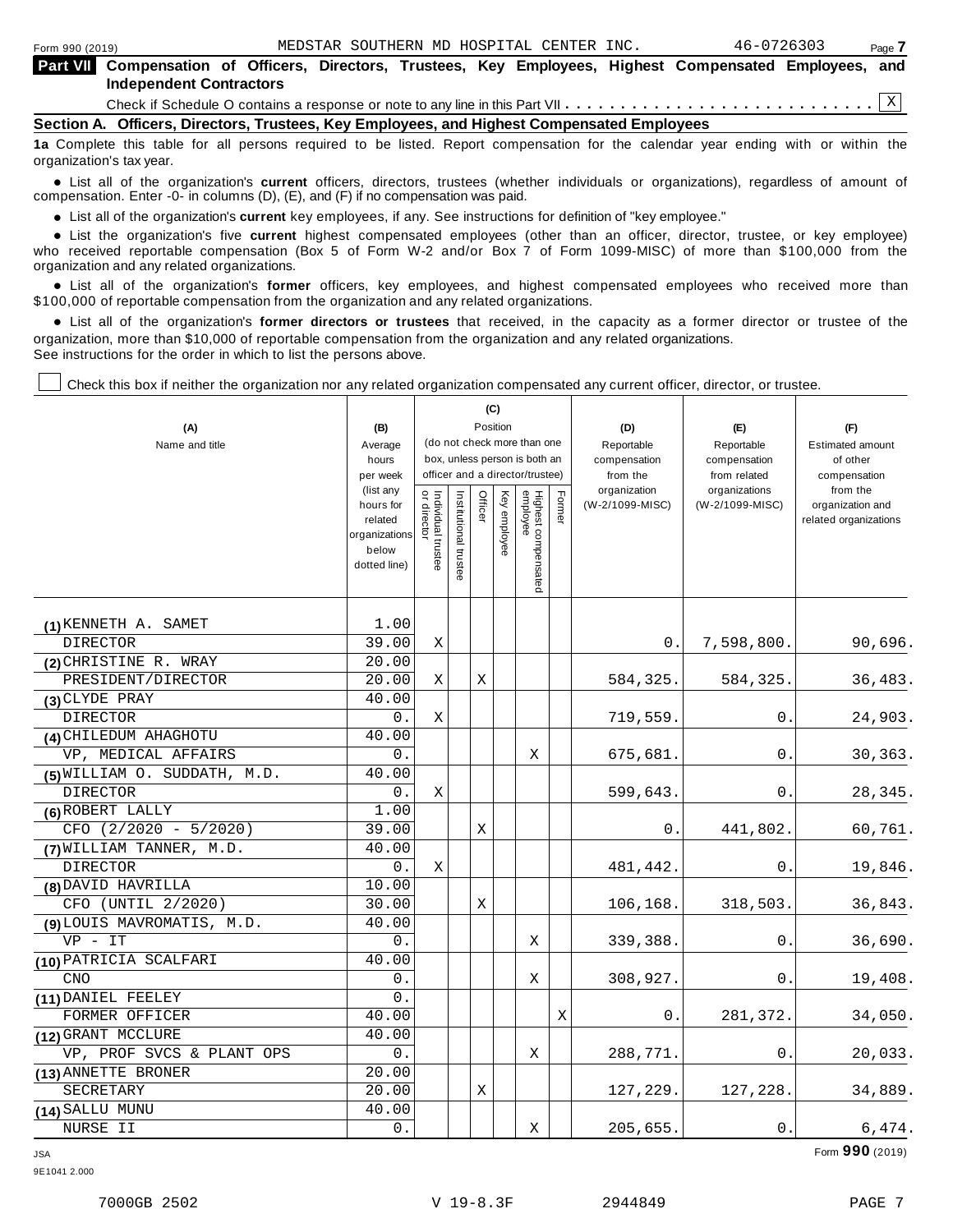| Form 990 (2019)                                                                                                                             |  |  |  | MEDSTAR SOUTHERN MD HOSPITAL CENTER INC. |  | 46-0726303 |  | Page 7 |  |  |
|---------------------------------------------------------------------------------------------------------------------------------------------|--|--|--|------------------------------------------|--|------------|--|--------|--|--|
| Part VII Compensation of Officers, Directors, Trustees, Key Employees, Highest Compensated Employees, and<br><b>Independent Contractors</b> |  |  |  |                                          |  |            |  |        |  |  |
|                                                                                                                                             |  |  |  |                                          |  |            |  |        |  |  |
| Section A. Officers, Directors, Trustees, Key Employees, and Highest Compensated Employees                                                  |  |  |  |                                          |  |            |  |        |  |  |
| 12 Complete this table for all persons required to be listed. Report compensation for the calendar year ending with or within the           |  |  |  |                                          |  |            |  |        |  |  |

**Iisted. Report compensation for the calendar year ending with** organization's tax year.

anization's lax year.<br>● List all of the organization's **current** officers, directors, trustees (whether individuals or organizations), regardless of amount of<br>nnensation Enter -0- in columns (D) (E) and (E) if no compensa compensation. Enter -0- in columns (D), (E), and (F) if no compensation was paid.

**■** List all of the organization's **current** key employees, if any. See instructions for definition of "key employee."<br>■ List the experimentals five expect highest expressed explores (other than an efficer director t

**Example in the organization's current** key employees, if any. See instructions for definition of key employee.<br>• List the organization's five **current** highest compensated employees (other than an officer, director, trust who received reportable compensation (Box 5 of Form W-2 and/or Box 7 of Form 1099-MISC) of more than \$100,000 from the

organization and any related organizations.<br>• List all of the organization's **former** officers, key employees, and highest compensated employees who received more than<br>\$1.00.000 of reportable componention from the erganiza \$100,000 of reportable compensation from the organization and any related organizations.

% List all of the organization's **former directors or trustees** that received, in the capacity as a former director or trustee of the organization, more than \$10,000 of reportable compensation from the organization and any related organizations. See instructions for the order in which to list the persons above.

 $\mathbf{C}$ 

T

Check this box if neither the organization nor any related organization compensated any current officer, director, or trustee.

|                              |                       |                                                              |                       |         | (G)          |                                 |        |                          |                              |                          |
|------------------------------|-----------------------|--------------------------------------------------------------|-----------------------|---------|--------------|---------------------------------|--------|--------------------------|------------------------------|--------------------------|
| (A)                          | (B)                   |                                                              |                       |         | Position     |                                 |        | (D)                      | (E)                          | (F)                      |
| Name and title               | Average               | (do not check more than one<br>box, unless person is both an |                       |         |              |                                 |        | Reportable               | Reportable                   | <b>Estimated amount</b>  |
|                              | hours<br>per week     |                                                              |                       |         |              | officer and a director/trustee) |        | compensation<br>from the | compensation<br>from related | of other                 |
|                              | (list any             |                                                              |                       |         |              |                                 |        | organization             | organizations                | compensation<br>from the |
|                              | hours for             | Individual trustee<br>or director                            | Institutional trustee | Officer | Key employee |                                 | Former | (W-2/1099-MISC)          | (W-2/1099-MISC)              | organization and         |
|                              | related               |                                                              |                       |         |              |                                 |        |                          |                              | related organizations    |
|                              | organizations         |                                                              |                       |         |              |                                 |        |                          |                              |                          |
|                              | below<br>dotted line) |                                                              |                       |         |              |                                 |        |                          |                              |                          |
|                              |                       |                                                              |                       |         |              | Highest compensated<br>employee |        |                          |                              |                          |
|                              |                       |                                                              |                       |         |              |                                 |        |                          |                              |                          |
| (1) KENNETH A. SAMET         | 1.00                  |                                                              |                       |         |              |                                 |        |                          |                              |                          |
| DIRECTOR                     | 39.00                 | X                                                            |                       |         |              |                                 |        | 0.                       | 7,598,800.                   | 90,696.                  |
| (2) CHRISTINE R. WRAY        | 20.00                 |                                                              |                       |         |              |                                 |        |                          |                              |                          |
| PRESIDENT/DIRECTOR           | 20.00                 | X                                                            |                       | Χ       |              |                                 |        | 584,325.                 | 584,325.                     | 36,483.                  |
| (3) CLYDE PRAY               | 40.00                 |                                                              |                       |         |              |                                 |        |                          |                              |                          |
| DIRECTOR                     | 0.                    | Χ                                                            |                       |         |              |                                 |        | 719,559.                 | 0.                           | 24,903.                  |
| (4) CHILEDUM AHAGHOTU        | 40.00                 |                                                              |                       |         |              |                                 |        |                          |                              |                          |
| VP, MEDICAL AFFAIRS          | 0.                    |                                                              |                       |         |              | Χ                               |        | 675,681.                 | 0.                           | 30,363.                  |
| (5) WILLIAM O. SUDDATH, M.D. | 40.00                 |                                                              |                       |         |              |                                 |        |                          |                              |                          |
| DIRECTOR                     | 0.                    | Χ                                                            |                       |         |              |                                 |        | 599,643.                 | 0.                           | 28,345.                  |
| (6) ROBERT LALLY             | 1.00                  |                                                              |                       |         |              |                                 |        |                          |                              |                          |
| CFO (2/2020 - 5/2020)        | 39.00                 |                                                              |                       | Χ       |              |                                 |        | 0.                       | 441,802.                     | 60,761.                  |
| (7) WILLIAM TANNER, M.D.     | 40.00                 |                                                              |                       |         |              |                                 |        |                          |                              |                          |
| <b>DIRECTOR</b>              | $0$ .                 | X                                                            |                       |         |              |                                 |        | 481,442.                 | 0.                           | 19,846.                  |
| (8) DAVID HAVRILLA           | 10.00                 |                                                              |                       |         |              |                                 |        |                          |                              |                          |
| CFO (UNTIL 2/2020)           | 30.00                 |                                                              |                       | Χ       |              |                                 |        | 106,168.                 | 318,503.                     | 36,843.                  |
| (9) LOUIS MAVROMATIS, M.D.   | 40.00                 |                                                              |                       |         |              |                                 |        |                          |                              |                          |
| $VP - IT$                    | 0.                    |                                                              |                       |         |              | Χ                               |        | 339,388.                 | 0.                           | 36,690.                  |
| (10) PATRICIA SCALFARI       | 40.00                 |                                                              |                       |         |              |                                 |        |                          |                              |                          |
| <b>CNO</b>                   | 0.                    |                                                              |                       |         |              | Χ                               |        | 308,927.                 | 0.                           | 19,408.                  |
| (11) DANIEL FEELEY           | 0.                    |                                                              |                       |         |              |                                 |        |                          |                              |                          |
| FORMER OFFICER               | 40.00                 |                                                              |                       |         |              |                                 | Χ      | 0.                       | 281,372.                     | 34,050.                  |
| (12) GRANT MCCLURE           | 40.00                 |                                                              |                       |         |              |                                 |        |                          |                              |                          |
| VP, PROF SVCS & PLANT OPS    | 0.                    |                                                              |                       |         |              | Χ                               |        | 288,771.                 | 0.                           | 20,033.                  |
| (13) ANNETTE BRONER          | 20.00                 |                                                              |                       |         |              |                                 |        |                          |                              |                          |
| SECRETARY                    | 20.00                 |                                                              |                       | Χ       |              |                                 |        | 127,229.                 | 127,228.                     | 34,889.                  |
| (14) SALLU MUNU              | 40.00                 |                                                              |                       |         |              |                                 |        |                          |                              |                          |
| NURSE II                     | $0$ .                 |                                                              |                       |         |              | Χ                               |        | 205,655.                 | $0$ .                        | 6,474.                   |

JSA Form **990** (2019)

9E1041 2.000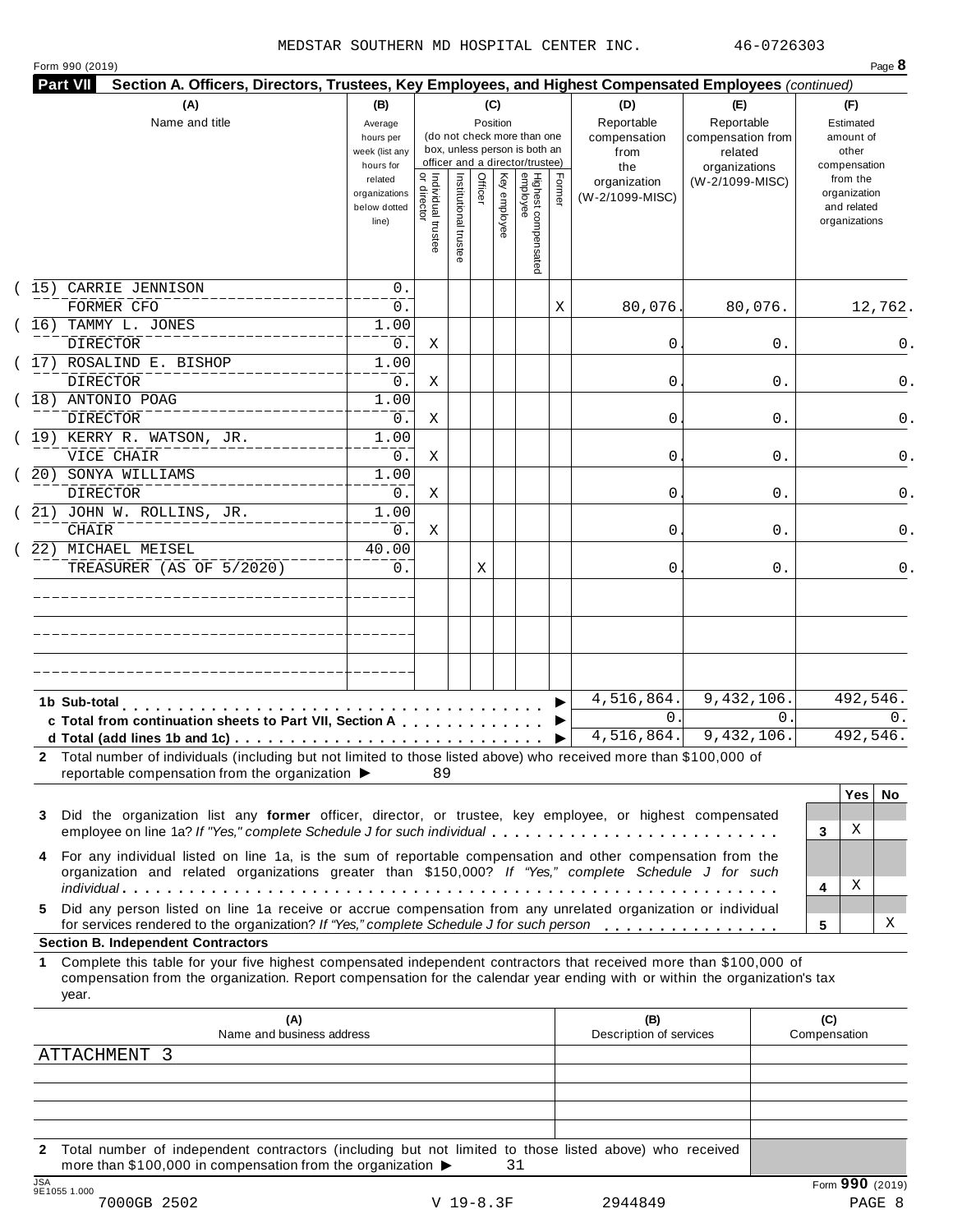| Form 990 (2019) |
|-----------------|
|                 |

|      | (A)<br>Name and title                                                                                                                                                                                                                                     | (B)<br>Average<br>hours per<br>week (list any<br>hours for |                                           |                       |         | (C)<br>Position | (do not check more than one<br>box, unless person is both an<br>officer and a director/trustee) |        | (D)<br>Reportable<br>compensation<br>from<br>the | (E)<br>Reportable<br>compensation from<br>related<br>organizations | (F)<br>Estimated<br>amount of<br>other<br>compensation   |
|------|-----------------------------------------------------------------------------------------------------------------------------------------------------------------------------------------------------------------------------------------------------------|------------------------------------------------------------|-------------------------------------------|-----------------------|---------|-----------------|-------------------------------------------------------------------------------------------------|--------|--------------------------------------------------|--------------------------------------------------------------------|----------------------------------------------------------|
|      |                                                                                                                                                                                                                                                           | related<br>organizations<br>below dotted<br>line)          | <br>  Individual trustee<br>  or director | Institutional trustee | Officer | Key employee    | Highest compensated<br>employee                                                                 | Former | organization<br>(W-2/1099-MISC)                  | (W-2/1099-MISC)                                                    | from the<br>organization<br>and related<br>organizations |
| (15) | CARRIE JENNISON<br>FORMER CFO                                                                                                                                                                                                                             | 0.<br>0.                                                   |                                           |                       |         |                 |                                                                                                 | Χ      | 80,076.                                          | 80,076.                                                            | 12,762.                                                  |
|      | (16) TAMMY L. JONES<br><b>DIRECTOR</b>                                                                                                                                                                                                                    | 1.00<br>0.                                                 | Χ                                         |                       |         |                 |                                                                                                 |        | 0                                                | 0.                                                                 | 0.                                                       |
|      | (17) ROSALIND E. BISHOP<br><b>DIRECTOR</b>                                                                                                                                                                                                                | 1.00<br>0.                                                 | Χ                                         |                       |         |                 |                                                                                                 |        | 0                                                | 0.                                                                 | 0.                                                       |
|      | (18) ANTONIO POAG<br><b>DIRECTOR</b>                                                                                                                                                                                                                      | 1.00<br>0.                                                 | Χ                                         |                       |         |                 |                                                                                                 |        | 0                                                | 0.                                                                 | 0.                                                       |
|      | (19) KERRY R. WATSON, JR.<br>VICE CHAIR                                                                                                                                                                                                                   | 1.00<br>$0$ .                                              | Χ                                         |                       |         |                 |                                                                                                 |        | 0                                                | 0.                                                                 | 0.                                                       |
|      | (20) SONYA WILLIAMS<br><b>DIRECTOR</b>                                                                                                                                                                                                                    | 1.00<br>$0$ .                                              | Χ                                         |                       |         |                 |                                                                                                 |        | 0                                                | 0.                                                                 | 0.                                                       |
|      | (21) JOHN W. ROLLINS, JR.<br><b>CHAIR</b>                                                                                                                                                                                                                 | 1.00<br>0.                                                 | Χ                                         |                       |         |                 |                                                                                                 |        | 0                                                | 0.                                                                 | 0.                                                       |
|      | 22) MICHAEL MEISEL<br>TREASURER (AS OF 5/2020)                                                                                                                                                                                                            | 40.00<br>0.                                                |                                           |                       | Χ       |                 |                                                                                                 |        | 0                                                | 0.                                                                 | 0.                                                       |
|      |                                                                                                                                                                                                                                                           |                                                            |                                           |                       |         |                 |                                                                                                 |        |                                                  |                                                                    |                                                          |
|      |                                                                                                                                                                                                                                                           |                                                            |                                           |                       |         |                 |                                                                                                 |        |                                                  |                                                                    |                                                          |
|      | 1b Sub-total<br>c Total from continuation sheets to Part VII, Section A                                                                                                                                                                                   |                                                            |                                           |                       |         |                 |                                                                                                 |        | 4,516,864.<br>$\mathbf 0$ .                      | 9,432,106.<br>$\Omega$ .                                           | 492,546.<br>0.                                           |
|      | 2 Total number of individuals (including but not limited to those listed above) who received more than \$100,000 of<br>reportable compensation from the organization ▶                                                                                    |                                                            | 89                                        |                       |         |                 |                                                                                                 |        | 4,516,864.                                       | 9,432,106.                                                         | 492,546.                                                 |
| 3    | Did the organization list any former officer, director, or trustee, key employee, or highest compensated<br>employee on line 1a? If "Yes," complete Schedule J for such individual                                                                        |                                                            |                                           |                       |         |                 |                                                                                                 |        |                                                  |                                                                    | Yes<br>No.<br>Χ<br>3                                     |
| 4    | For any individual listed on line 1a, is the sum of reportable compensation and other compensation from the<br>organization and related organizations greater than \$150,000? If "Yes," complete Schedule J for such                                      |                                                            |                                           |                       |         |                 |                                                                                                 |        |                                                  |                                                                    | Χ<br>4                                                   |
| 5.   | Did any person listed on line 1a receive or accrue compensation from any unrelated organization or individual<br>for services rendered to the organization? If "Yes," complete Schedule J for such person                                                 |                                                            |                                           |                       |         |                 |                                                                                                 |        |                                                  |                                                                    | Χ<br>5                                                   |
|      | <b>Section B. Independent Contractors</b>                                                                                                                                                                                                                 |                                                            |                                           |                       |         |                 |                                                                                                 |        |                                                  |                                                                    |                                                          |
| 1    | Complete this table for your five highest compensated independent contractors that received more than \$100,000 of<br>compensation from the organization. Report compensation for the calendar year ending with or within the organization's tax<br>year. |                                                            |                                           |                       |         |                 |                                                                                                 |        |                                                  |                                                                    |                                                          |
|      | (A)<br>Name and business address                                                                                                                                                                                                                          |                                                            |                                           |                       |         |                 |                                                                                                 |        | (B)<br>Description of services                   |                                                                    | (C)<br>Compensation                                      |
|      | ATTACHMENT 3                                                                                                                                                                                                                                              |                                                            |                                           |                       |         |                 |                                                                                                 |        |                                                  |                                                                    |                                                          |
|      |                                                                                                                                                                                                                                                           |                                                            |                                           |                       |         |                 |                                                                                                 |        |                                                  |                                                                    |                                                          |
|      |                                                                                                                                                                                                                                                           |                                                            |                                           |                       |         |                 |                                                                                                 |        |                                                  |                                                                    |                                                          |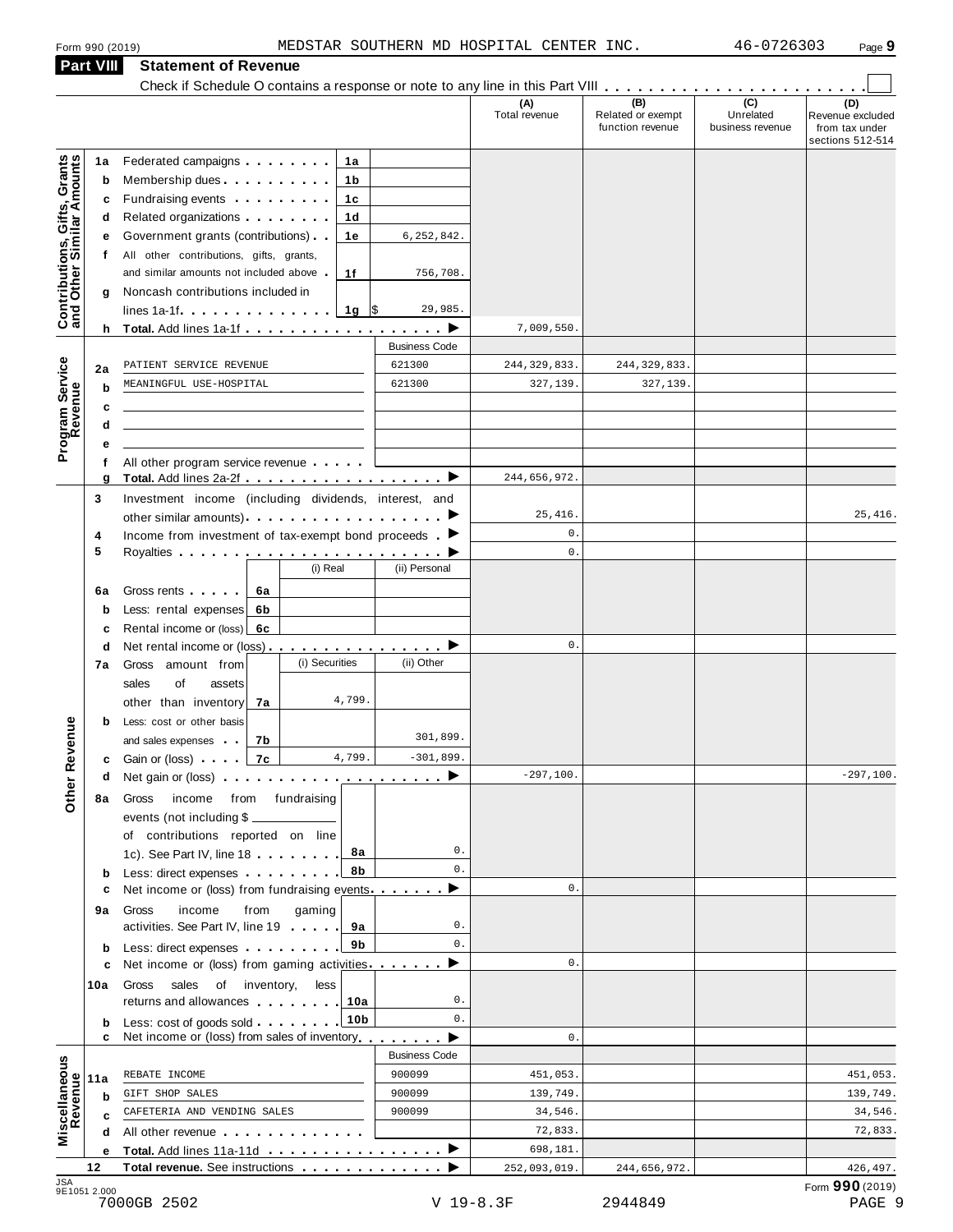|                                                           | Form 990 (2019)                                                                                                                                                                                                                                 |                      | MEDSTAR SOUTHERN MD HOSPITAL CENTER INC. |                                              | 46-0726303                                        | Page 9                                                        |
|-----------------------------------------------------------|-------------------------------------------------------------------------------------------------------------------------------------------------------------------------------------------------------------------------------------------------|----------------------|------------------------------------------|----------------------------------------------|---------------------------------------------------|---------------------------------------------------------------|
| Part VIII                                                 | <b>Statement of Revenue</b>                                                                                                                                                                                                                     |                      |                                          |                                              |                                                   |                                                               |
|                                                           |                                                                                                                                                                                                                                                 |                      |                                          |                                              |                                                   |                                                               |
|                                                           |                                                                                                                                                                                                                                                 |                      | (A)<br>Total revenue                     | (B)<br>Related or exempt<br>function revenue | $\overline{(c)}$<br>Unrelated<br>business revenue | (D)<br>Revenue excluded<br>from tax under<br>sections 512-514 |
| 1a                                                        | Federated campaigns <b>Federated</b><br>1a                                                                                                                                                                                                      |                      |                                          |                                              |                                                   |                                                               |
| b                                                         | Membership dues <b>All Accords</b> Membership dues<br>1b                                                                                                                                                                                        |                      |                                          |                                              |                                                   |                                                               |
|                                                           | Fundraising events <b>Fundraising</b><br>1c<br>c                                                                                                                                                                                                |                      |                                          |                                              |                                                   |                                                               |
|                                                           | Related organizations <b>and the set of the set of the set of the set of the set of the set of the set of the set of the set of the set of the set of the set of the set of the set of the set of the set of the set of the set </b><br>1d<br>d |                      |                                          |                                              |                                                   |                                                               |
|                                                           | Government grants (contributions).<br>1e<br>е                                                                                                                                                                                                   | 6,252,842.           |                                          |                                              |                                                   |                                                               |
| f                                                         | All other contributions, gifts, grants,                                                                                                                                                                                                         |                      |                                          |                                              |                                                   |                                                               |
|                                                           | and similar amounts not included above.<br>1f                                                                                                                                                                                                   | 756,708.             |                                          |                                              |                                                   |                                                               |
| g                                                         | Noncash contributions included in<br>lines $1a-1f$ $\ldots$ $\ldots$ $\ldots$ $\ldots$                                                                                                                                                          | 29,985.              |                                          |                                              |                                                   |                                                               |
| Contributions, Gifts, Grants<br>and Other Similar Amounts | 1g $\sqrt{5}$                                                                                                                                                                                                                                   |                      | 7,009,550.                               |                                              |                                                   |                                                               |
|                                                           |                                                                                                                                                                                                                                                 | <b>Business Code</b> |                                          |                                              |                                                   |                                                               |
| 2a                                                        | PATIENT SERVICE REVENUE                                                                                                                                                                                                                         | 621300               | 244, 329, 833.                           | 244, 329, 833.                               |                                                   |                                                               |
| b                                                         | MEANINGFUL USE-HOSPITAL                                                                                                                                                                                                                         | 621300               | 327,139.                                 | 327,139.                                     |                                                   |                                                               |
|                                                           | c                                                                                                                                                                                                                                               |                      |                                          |                                              |                                                   |                                                               |
|                                                           | d                                                                                                                                                                                                                                               |                      |                                          |                                              |                                                   |                                                               |
| Program Service<br>Revenue<br>е                           |                                                                                                                                                                                                                                                 |                      |                                          |                                              |                                                   |                                                               |
| f                                                         | All other program service revenue                                                                                                                                                                                                               |                      |                                          |                                              |                                                   |                                                               |
| g                                                         |                                                                                                                                                                                                                                                 |                      | 244,656,972.                             |                                              |                                                   |                                                               |
| 3                                                         | Investment income (including dividends, interest, and                                                                                                                                                                                           |                      |                                          |                                              |                                                   |                                                               |
|                                                           |                                                                                                                                                                                                                                                 |                      | 25,416.<br>0.                            |                                              |                                                   | 25,416.                                                       |
| 4<br>5                                                    | Income from investment of tax-exempt bond proceeds $\blacktriangleright$                                                                                                                                                                        |                      | $\mathbf{0}$ .                           |                                              |                                                   |                                                               |
|                                                           | (i) Real                                                                                                                                                                                                                                        | (ii) Personal        |                                          |                                              |                                                   |                                                               |
| 6a                                                        | Gross rents<br>6а                                                                                                                                                                                                                               |                      |                                          |                                              |                                                   |                                                               |
| b                                                         | Less: rental expenses<br>6b                                                                                                                                                                                                                     |                      |                                          |                                              |                                                   |                                                               |
| c                                                         | Rental income or (loss)<br>6с                                                                                                                                                                                                                   |                      |                                          |                                              |                                                   |                                                               |
| d                                                         | Net rental income or (loss) $\ldots$ , $\ldots$ , $\ldots$ , $\blacktriangleright$                                                                                                                                                              |                      | 0.                                       |                                              |                                                   |                                                               |
| 7a                                                        | (i) Securities<br>Gross amount from                                                                                                                                                                                                             | (ii) Other           |                                          |                                              |                                                   |                                                               |
|                                                           | sales<br>of<br>assets                                                                                                                                                                                                                           |                      |                                          |                                              |                                                   |                                                               |
|                                                           | 4,799.<br>other than inventory<br>7a                                                                                                                                                                                                            |                      |                                          |                                              |                                                   |                                                               |
| b                                                         | Less: cost or other basis                                                                                                                                                                                                                       | 301,899.             |                                          |                                              |                                                   |                                                               |
|                                                           | and sales expenses<br>7b<br>4,799.<br>7c<br>Gain or (loss) [1999]                                                                                                                                                                               | $-301,899.$          |                                          |                                              |                                                   |                                                               |
| <b>Other Revenue</b><br>d                                 | c<br>Net gain or (loss) $\cdots$ $\cdots$ $\cdots$ $\cdots$ $\cdots$ $\cdots$                                                                                                                                                                   |                      | $-297,100.$                              |                                              |                                                   | $-297,100.$                                                   |
| 8а                                                        | income from fundraising<br>Gross                                                                                                                                                                                                                |                      |                                          |                                              |                                                   |                                                               |
|                                                           | events (not including \$                                                                                                                                                                                                                        |                      |                                          |                                              |                                                   |                                                               |
|                                                           | of contributions reported on line                                                                                                                                                                                                               |                      |                                          |                                              |                                                   |                                                               |
|                                                           | 1c). See Part IV, line 18<br>8а                                                                                                                                                                                                                 | 0.                   |                                          |                                              |                                                   |                                                               |
|                                                           | 8b<br>Less: direct expenses<br>b                                                                                                                                                                                                                | 0.                   |                                          |                                              |                                                   |                                                               |
| с                                                         | Net income or (loss) from fundraising events                                                                                                                                                                                                    | ▸                    | 0.                                       |                                              |                                                   |                                                               |
| 9а                                                        | Gross<br>income<br>gaming<br>from                                                                                                                                                                                                               |                      |                                          |                                              |                                                   |                                                               |
|                                                           | activities. See Part IV, line 19<br>9а                                                                                                                                                                                                          | 0.<br>0.             |                                          |                                              |                                                   |                                                               |
| b                                                         | 9b<br>Less: direct expenses                                                                                                                                                                                                                     |                      | 0.                                       |                                              |                                                   |                                                               |
|                                                           | Net income or (loss) from gaming activities. $\blacksquare$<br>c                                                                                                                                                                                |                      |                                          |                                              |                                                   |                                                               |
| 10a                                                       | sales<br>of inventory,<br>Gross<br>less<br>returns and allowances<br>10a                                                                                                                                                                        | 0.                   |                                          |                                              |                                                   |                                                               |
| b                                                         | 10 <sub>b</sub><br>Less: cost of goods sold                                                                                                                                                                                                     | $\mathbf{0}$ .       |                                          |                                              |                                                   |                                                               |
|                                                           | Net income or (loss) from sales of inventory $\blacktriangleright$<br>c                                                                                                                                                                         |                      | 0.                                       |                                              |                                                   |                                                               |
|                                                           |                                                                                                                                                                                                                                                 | <b>Business Code</b> |                                          |                                              |                                                   |                                                               |
| Miscellaneous<br>Revenue<br>11a                           | REBATE INCOME                                                                                                                                                                                                                                   | 900099               | 451,053.                                 |                                              |                                                   | 451,053.                                                      |
| b                                                         | GIFT SHOP SALES                                                                                                                                                                                                                                 | 900099               | 139,749.                                 |                                              |                                                   | 139,749.                                                      |
| C                                                         | CAFETERIA AND VENDING SALES                                                                                                                                                                                                                     | 900099               | 34,546.                                  |                                              |                                                   | 34,546.                                                       |
| d                                                         | All other revenue example and the set of the set of the set of the set of the set of the set of the set of the                                                                                                                                  |                      | 72,833.                                  |                                              |                                                   | 72,833.                                                       |
|                                                           | Total. Add lines 11a-11d ▶<br>е                                                                                                                                                                                                                 |                      | 698,181.                                 |                                              |                                                   |                                                               |
| 12                                                        | <b>Total revenue.</b> See instructions                                                                                                                                                                                                          |                      | 252,093,019.                             | 244,656,972.                                 |                                                   | 426, 497.                                                     |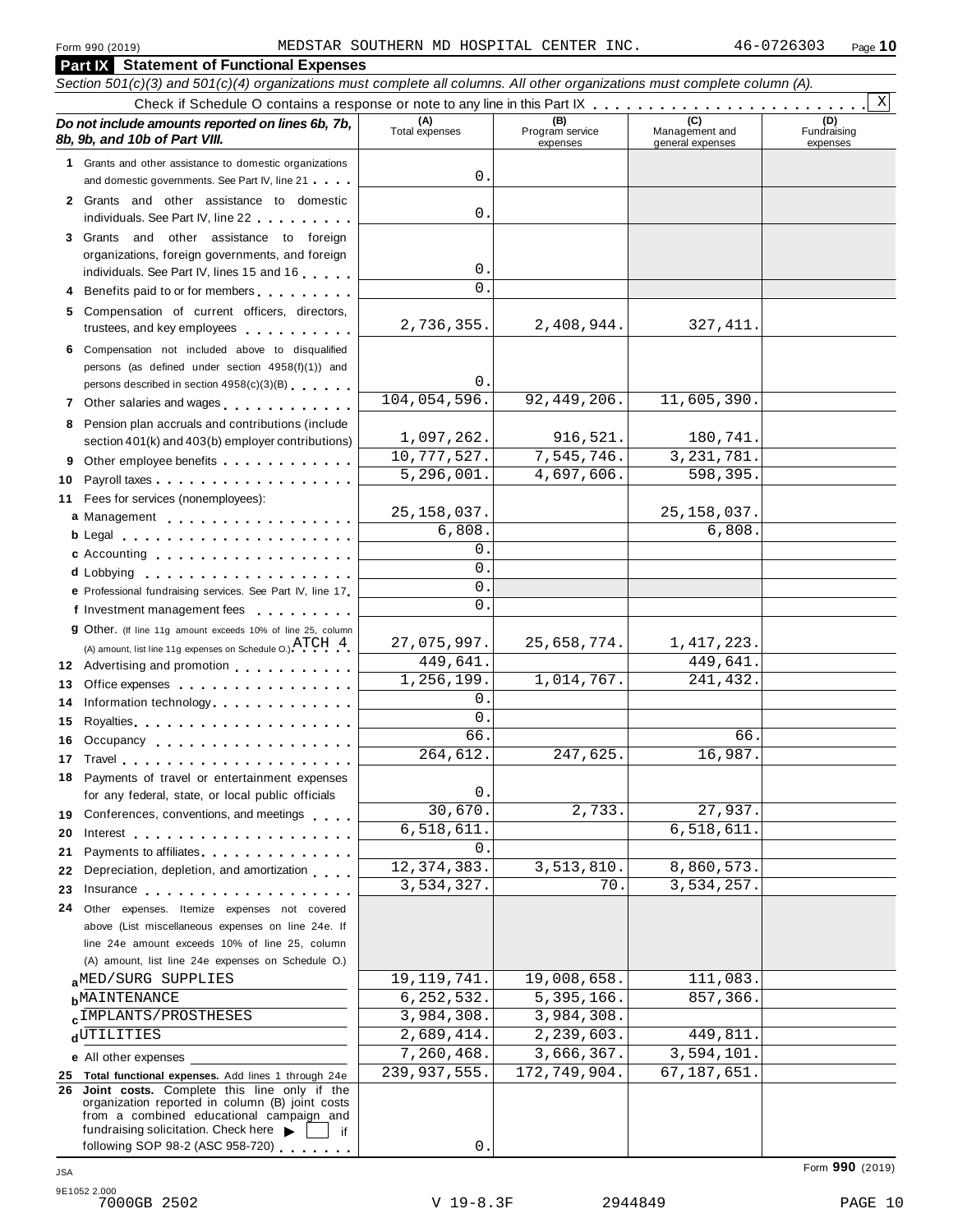#### **Part IX Statement of Functional Expenses** Section 501(c)(3) and 501(c)(4) organizations must complete all columns. All other organizations must complete column (A). Check if Schedule O contains a response or note to any line in this Part  $\begin{array}{c|c|c|c|c} \hline \text{Check if Schedule O contains a response or note to any line in this Part } \mathbb{R} & \text{and} & \text{.} & \text{.} & \text{.} & \text{.} & \text{.} & \text{.} & \text{.} & \text{.} & \text{.} & \text{.} & \text{.} & \text{.} & \text{.} & \text{.} & \text{.} & \text{.} & \$ *Do no* **(A) (B) (C) (D)** *t include amounts reported on lines 6b, 7b,* **8b, 9b, and 10b of Part VIII.** The construction of *B***, 9b, and 10b of Part VIII.** expenses Management and general expenses Fundraising expenses **1** Grants and other assistance to domestic organizations and domestic governments. See Part IV, line 21 m m m **2** Grants and other assistance to domestic individuals. See Part IV, line 22 **3** Grants and other assistance to foreign organizations, foreign governments, and foreign individuals. See Part IV, lines <sup>15</sup> and <sup>16</sup> <sup>m</sup> <sup>m</sup> <sup>m</sup> <sup>m</sup> <sup>m</sup> **<sup>4</sup>** Benefits paid to or for members <sup>m</sup> <sup>m</sup> <sup>m</sup> <sup>m</sup> <sup>m</sup> <sup>m</sup> <sup>m</sup> <sup>m</sup> <sup>m</sup> **5** Compensation of current officers, directors, trustees, and key employees m m m m m m m m m m **6** Compensation not included above to disqualified persons (as defined under section 4958(f)(1)) and persons described in section 4958(c)(3)(B) <sup>m</sup> <sup>m</sup> <sup>m</sup> <sup>m</sup> <sup>m</sup> <sup>m</sup> **<sup>7</sup>** Other salaries and wages <sup>m</sup> <sup>m</sup> <sup>m</sup> <sup>m</sup> <sup>m</sup> <sup>m</sup> <sup>m</sup> <sup>m</sup> <sup>m</sup> <sup>m</sup> <sup>m</sup> <sup>m</sup> **8** Pension plan accruals and contributions (include section 401(k) and 403(b) employer contributions) **9** Section 401(k) and 403(b) employer contributions<br>9 Other employee benefits 9 Other employee benefits **10** Payroll taxes **10** Fees for services (nonemployees): **11** (A) amount, list line 11g expenses on Schedule O.)  $A + C + 1$ <br>**12** Advertising and promotion **13** Office expenses **13** Office expenses<br>**14** Information technology............. **15 16** Occupancy m m m m m m m m m m m m m m m m m m **16** Occupancy ...................<br>17 Travel..................... **18** Payments of travel or entertainment expenses for any federal, state, or local public officials<br>**19** Conferences, conventions, and meetings **19** Conferences, conventions, and meetings **endorship.**<br>20 Interest **manual meeting 21** 21 Payments to affiliates<br>22 Depreciation, depletion, and amortization <sub>1</sub> . . . **22** Depreciation, depletion, and amortization **manufation**<br>23 Insurance 24 Other expenses. Itemize expenses not covered | Fees for services (nonemployees):<br>**a** Management ..................<br>**b** Legal ......................... **cd** Lobbying m m m m m m m m m m m m m m m m m m m **e** Professional fundraising services. See Part IV, line <sup>17</sup> m **P** Professional fundraising services. See Part IV, line 17<br>**f** Investment management fees **g** Other. (If line 11g amount exceeds 10% of line 25, column Legal m m m m m m m m m m m m m m m m m m m m m Accounting m m m m m m m m m m m m m m m m m m (A) amount, list line 11g expenses on Schedule O.)  $\text{ATCH} \quad 4$ m m m m m m m m m m m m m m m m Royalties m m m m m m m m m m m m m m m m m m m m for any federal, state, or local public officials Payments to affiliates m m m m m m m m m m m m m m above (List miscellaneous expenses on line 24e. If line 24e amount exceeds 10% of line 25, column (A) amount, list line 24e expenses on Schedule O.) **a**<sup>MED/SORG SUPPLIES 19,119,741. 19,008,658. 111,083.<br>**b**MAINTENANCE 6,252,532. 5,395,166. 857,366.</sup> **c**<sup>IMPLANIS/PROSTHESES 2,584,308. 3,984,308.<br>d<sup>UTILITIES 2,689,414. 2,239,603. 449,811.</sup></sup> **e** All other expenses **25 Total functional expenses.** Add lines 1 through 24e **26 Joint costs.** Complete this line only if the organization reported in column (B) joint costs from a combined educational campaign and from a combined educational campaign and<br>fundraising solicitation. Check here  $\blacktriangleright$  if<br>following SOP 98-2 (ASC 958-720) X 0. 0. 0.  $\Omega$ 2,736,355. 2,408,944. 327,411. 0. 104,054,596. 92,449,206. 11,605,390. 1,097,262. 916,521. 180,741 10,777,527. 7,545,746. 3,231,781. 5,296,001. 4,697,606. 598,395. 25,158,037. 25,158,037. 6,808. 6,808. 0.  $\overline{0}$ . 0.  $\overline{0}$  $27,075,997.$  25,658,774. 1,417,223 449,641. 449,641. 1,256,199. 1,014,767. 241,432.  $\mathbf{0}$ .  $\Omega$ 66. 66. 264,612. 247,625. 16,987. 0. 30,670. 2,733. 27,937. 6,518,611.  $\Omega$ 12,374,383. 3,513,810. 8,860,573. 3,534,257. 70. 3,534,257. aMED/SURG SUPPLIES 19,119,741. 19,008,658. 111,083.  $\mathbf{c}$  IMPLANTS/PROSTHESES 3,984,308. 3,984,308. 7,260,468. 3,666,367. 3,594,101. 239,937,555. 172,749,904. 67,187,651.

0.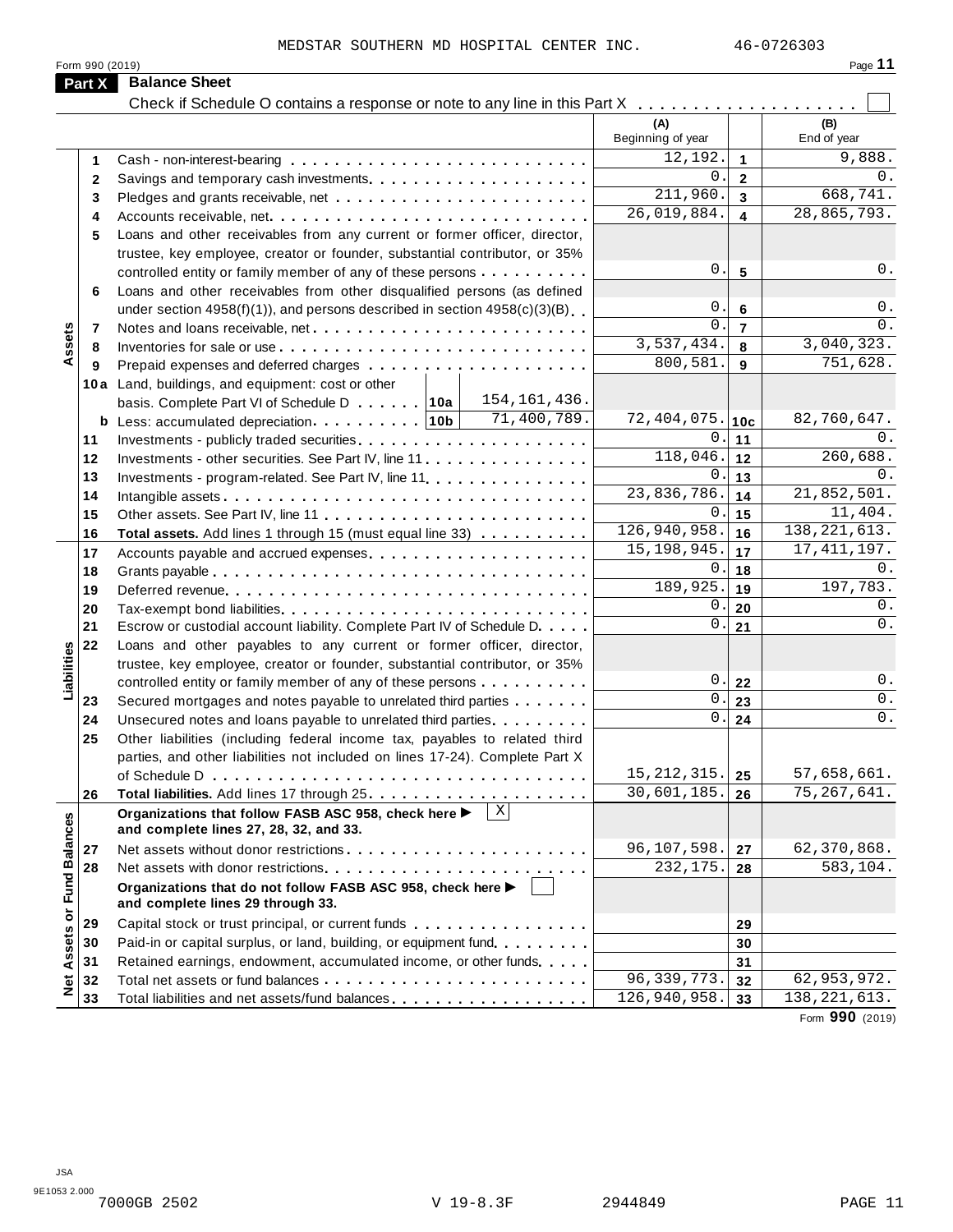| ı<br>٠ |  |  |
|--------|--|--|
|        |  |  |

|              | MEDSTAR SOUTHERN MD HOSPITAL CENTER INC.<br>Form 990 (2019)                                      |                    |                | 46-0726303<br>Page 11 |
|--------------|--------------------------------------------------------------------------------------------------|--------------------|----------------|-----------------------|
| Part X       | <b>Balance Sheet</b>                                                                             |                    |                |                       |
|              | Check if Schedule O contains a response or note to any line in this Part X                       |                    |                |                       |
|              |                                                                                                  | (A)                |                | (B)                   |
|              |                                                                                                  | Beginning of year  |                | End of year           |
| 1.           |                                                                                                  | 12,192.            | $\mathbf{1}$   | 9,888.                |
| $\mathbf{2}$ |                                                                                                  | 0                  | $\mathbf{2}$   | 0.                    |
| 3            |                                                                                                  | 211,960.           | 3              | 668,741.              |
| 4            |                                                                                                  | 26,019,884.        | 4              | 28,865,793.           |
| 5            | Loans and other receivables from any current or former officer, director,                        |                    |                |                       |
|              | trustee, key employee, creator or founder, substantial contributor, or 35%                       |                    |                |                       |
|              | controlled entity or family member of any of these persons                                       | 0.                 | 5              | 0.                    |
| 6            | Loans and other receivables from other disqualified persons (as defined                          |                    |                |                       |
|              | under section $4958(f)(1)$ , and persons described in section $4958(c)(3)(B)$                    | 0.                 | 6              | $0$ .                 |
| 7            |                                                                                                  | $\Omega$           | $\overline{7}$ | 0.                    |
| 8            |                                                                                                  | 3,537,434.         | 8              | 3,040,323.            |
| 9            |                                                                                                  | 800,581.           | 9              | 751,628.              |
|              | 10a Land, buildings, and equipment: cost or other                                                |                    |                |                       |
|              | 154, 161, 436.<br>basis. Complete Part VI of Schedule D 10a                                      |                    |                |                       |
|              | 71,400,789.                                                                                      | 72,404,075.        | 10c            | 82,760,647.           |
| 11           |                                                                                                  | 0.                 | 11             | 0.                    |
| 12           | Investments - other securities. See Part IV, line 11                                             | 118,046.           | 12             | 260,688.              |
| 13           | Investments - program-related. See Part IV, line 11 <b>All and Street Barnetts</b> - program-    | 0                  | 13             | 0.                    |
| 14           |                                                                                                  | 23,836,786.        | 14             | 21,852,501.           |
| 15           |                                                                                                  | 0                  | 15             | 11,404.               |
| 16           | Total assets. Add lines 1 through 15 (must equal line 33)                                        | 126,940,958.       | 16             | 138, 221, 613.        |
| 17           | Accounts payable and accrued expenses                                                            | 15, 198, 945.      | 17             | 17, 411, 197.         |
| 18           |                                                                                                  | 0.                 | 18             | $0$ .                 |
| 19           |                                                                                                  | 189,925.           | 19             | 197,783.              |
| 20           |                                                                                                  | 0.                 | 20             | 0.                    |
| 21           | Escrow or custodial account liability. Complete Part IV of Schedule D.                           | $\mathsf{O}$ .     | 21             | $0$ .                 |
| 22           | Loans and other payables to any current or former officer, director,                             |                    |                |                       |
|              | trustee, key employee, creator or founder, substantial contributor, or 35%                       |                    |                |                       |
|              | controlled entity or family member of any of these persons                                       | $\boldsymbol{0}$ . | 22             | 0.                    |
| 23           | Secured mortgages and notes payable to unrelated third parties                                   | О.                 | 23             | $0$ .                 |
| 24           | Unsecured notes and loans payable to unrelated third parties.                                    | $0$ .              | 24             | $0$ .                 |
| 25           | Other liabilities (including federal income tax, payables to related third                       |                    |                |                       |
|              | parties, and other liabilities not included on lines 17-24). Complete Part X                     |                    |                |                       |
|              |                                                                                                  | 15, 212, 315.      | 25             | 57,658,661.           |
| 26           |                                                                                                  | 30,601,185.        | 26             | 75, 267, 641.         |
|              | Organizations that follow FASB ASC 958, check here ▶<br>and complete lines 27, 28, 32, and 33.   |                    |                |                       |
| 27           |                                                                                                  | 96,107,598.        | 27             | 62,370,868.           |
| 28           |                                                                                                  | 232, 175.          | 28             | 583, 104.             |
|              | Organizations that do not follow FASB ASC 958, check here ▶<br>and complete lines 29 through 33. |                    |                |                       |
| 29           |                                                                                                  |                    | 29             |                       |
| 30           | Paid-in or capital surplus, or land, building, or equipment fund.                                |                    | 30             |                       |
| 31           | Retained earnings, endowment, accumulated income, or other funds                                 |                    | 31             |                       |
| 32           |                                                                                                  | 96, 339, 773.      | 32             | 62, 953, 972.         |
| 33           |                                                                                                  | 126,940,958.       | 33             | 138, 221, 613.        |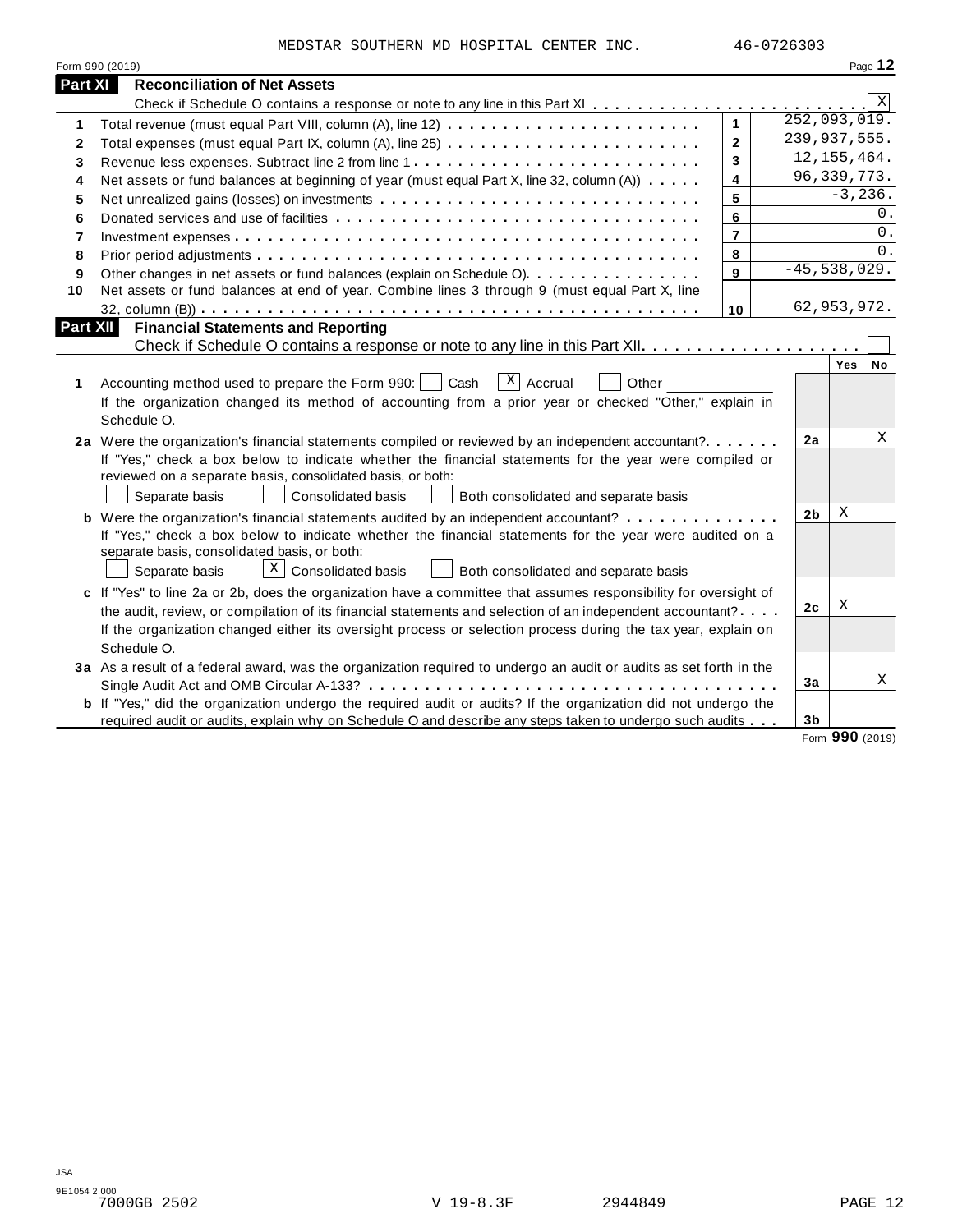|                | MEDSTAR SOUTHERN MD HOSPITAL CENTER INC.                                                                                                                                                                                                                                                                                                                   |                         | 46-0726303     |               |            |
|----------------|------------------------------------------------------------------------------------------------------------------------------------------------------------------------------------------------------------------------------------------------------------------------------------------------------------------------------------------------------------|-------------------------|----------------|---------------|------------|
|                | Form 990 (2019)                                                                                                                                                                                                                                                                                                                                            |                         |                |               | Page 12    |
| <b>Part XI</b> | <b>Reconciliation of Net Assets</b>                                                                                                                                                                                                                                                                                                                        |                         |                |               |            |
|                |                                                                                                                                                                                                                                                                                                                                                            |                         |                |               | Χ          |
| 1              |                                                                                                                                                                                                                                                                                                                                                            | $\mathbf{1}$            | 252,093,019.   |               |            |
| 2              |                                                                                                                                                                                                                                                                                                                                                            | $\overline{2}$          | 239,937,555.   |               |            |
| 3              | Revenue less expenses. Subtract line 2 from line 1                                                                                                                                                                                                                                                                                                         | $\mathbf{3}$            |                | 12, 155, 464. |            |
| 4              | Net assets or fund balances at beginning of year (must equal Part X, line 32, column (A))                                                                                                                                                                                                                                                                  | $\overline{\mathbf{4}}$ |                | 96, 339, 773. |            |
| 5              |                                                                                                                                                                                                                                                                                                                                                            | 5                       |                | $-3, 236.$    |            |
| 6              |                                                                                                                                                                                                                                                                                                                                                            | 6                       |                |               | 0.         |
| $\overline{7}$ |                                                                                                                                                                                                                                                                                                                                                            | $\overline{7}$          |                |               | $0$ .      |
| 8              |                                                                                                                                                                                                                                                                                                                                                            | 8                       |                |               | $\Omega$ . |
| 9              | Other changes in net assets or fund balances (explain on Schedule O).                                                                                                                                                                                                                                                                                      | 9                       | $-45,538,029.$ |               |            |
| 10             | Net assets or fund balances at end of year. Combine lines 3 through 9 (must equal Part X, line                                                                                                                                                                                                                                                             |                         |                |               |            |
|                |                                                                                                                                                                                                                                                                                                                                                            | 10                      |                | 62,953,972.   |            |
| 1              | $\vert X \vert$<br>Accrual<br>Accounting method used to prepare the Form 990:<br>Cash<br>Other<br>If the organization changed its method of accounting from a prior year or checked "Other," explain in<br>Schedule O.                                                                                                                                     |                         |                | Yes           | No         |
|                |                                                                                                                                                                                                                                                                                                                                                            |                         |                |               | Χ          |
|                | 2a Were the organization's financial statements compiled or reviewed by an independent accountant?<br>If "Yes," check a box below to indicate whether the financial statements for the year were compiled or<br>reviewed on a separate basis, consolidated basis, or both:<br>Separate basis<br>Consolidated basis<br>Both consolidated and separate basis |                         | 2a             |               |            |
|                | <b>b</b> Were the organization's financial statements audited by an independent accountant?                                                                                                                                                                                                                                                                |                         | 2 <sub>b</sub> | X             |            |
|                | If "Yes," check a box below to indicate whether the financial statements for the year were audited on a<br>separate basis, consolidated basis, or both:<br>$X$ Consolidated basis<br>Separate basis<br>Both consolidated and separate basis                                                                                                                |                         |                |               |            |
|                | c If "Yes" to line 2a or 2b, does the organization have a committee that assumes responsibility for oversight of                                                                                                                                                                                                                                           |                         |                |               |            |
|                | the audit, review, or compilation of its financial statements and selection of an independent accountant?                                                                                                                                                                                                                                                  |                         | 2 <sub>c</sub> | Χ             |            |
|                | If the organization changed either its oversight process or selection process during the tax year, explain on                                                                                                                                                                                                                                              |                         |                |               |            |
|                | Schedule O.                                                                                                                                                                                                                                                                                                                                                |                         |                |               |            |
|                | 3a As a result of a federal award, was the organization required to undergo an audit or audits as set forth in the                                                                                                                                                                                                                                         |                         |                |               |            |
|                |                                                                                                                                                                                                                                                                                                                                                            |                         | 3a             |               |            |
|                | <b>b</b> If "Yes," did the organization undergo the required audit or audits? If the organization did not undergo the<br>required audit or audits, explain why on Schedule O and describe any steps taken to undergo such audits                                                                                                                           |                         | 3 <sub>b</sub> |               | X          |

 $\overline{a}$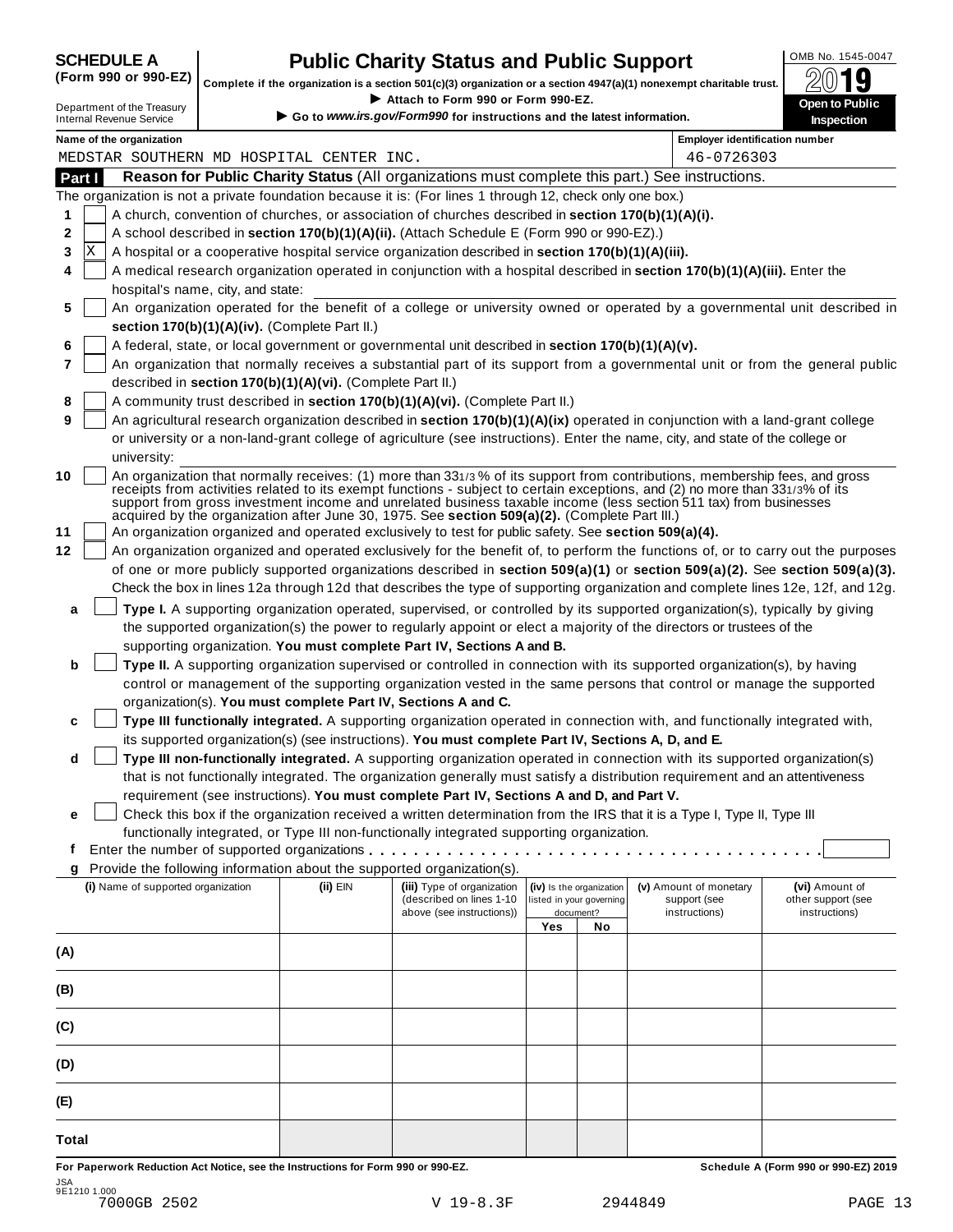| <b>SCHEDULE A</b> |  |                               |  |
|-------------------|--|-------------------------------|--|
|                   |  | $\sqrt{2}$ and and $\sqrt{2}$ |  |

## **CHEDULE A Public Charity Status and Public Support**  $\frac{100\text{dB No. }1545-0047}{000\text{dB}}$

(Form 990 or 990-EZ) complete if the organization is a section 501(c)(3) organization or a section 4947(a)(1) nonexempt charitable trust.  $2019$ 

|                |                                                                                                           | Complete if the organization is a section 501(c)(3) organization or a section 4947(a)(1) nonexempt charitable trust.                                                                                                                                                                                                                                                                                                                                                             |                                                                                                              |                                                                   |    |                                                         | ZW IJ                                                 |
|----------------|-----------------------------------------------------------------------------------------------------------|----------------------------------------------------------------------------------------------------------------------------------------------------------------------------------------------------------------------------------------------------------------------------------------------------------------------------------------------------------------------------------------------------------------------------------------------------------------------------------|--------------------------------------------------------------------------------------------------------------|-------------------------------------------------------------------|----|---------------------------------------------------------|-------------------------------------------------------|
|                | Department of the Treasury<br><b>Internal Revenue Service</b>                                             |                                                                                                                                                                                                                                                                                                                                                                                                                                                                                  | Attach to Form 990 or Form 990-EZ.<br>Go to www.irs.gov/Form990 for instructions and the latest information. |                                                                   |    |                                                         | Open to Public<br>Inspection                          |
|                | Name of the organization                                                                                  |                                                                                                                                                                                                                                                                                                                                                                                                                                                                                  |                                                                                                              |                                                                   |    | <b>Employer identification number</b>                   |                                                       |
|                | MEDSTAR SOUTHERN MD HOSPITAL CENTER INC.                                                                  |                                                                                                                                                                                                                                                                                                                                                                                                                                                                                  |                                                                                                              |                                                                   |    | 46-0726303                                              |                                                       |
| Part I         |                                                                                                           | Reason for Public Charity Status (All organizations must complete this part.) See instructions.                                                                                                                                                                                                                                                                                                                                                                                  |                                                                                                              |                                                                   |    |                                                         |                                                       |
|                | The organization is not a private foundation because it is: (For lines 1 through 12, check only one box.) |                                                                                                                                                                                                                                                                                                                                                                                                                                                                                  |                                                                                                              |                                                                   |    |                                                         |                                                       |
| 1              |                                                                                                           | A church, convention of churches, or association of churches described in section 170(b)(1)(A)(i).                                                                                                                                                                                                                                                                                                                                                                               |                                                                                                              |                                                                   |    |                                                         |                                                       |
| 2              |                                                                                                           | A school described in section 170(b)(1)(A)(ii). (Attach Schedule E (Form 990 or 990-EZ).)                                                                                                                                                                                                                                                                                                                                                                                        |                                                                                                              |                                                                   |    |                                                         |                                                       |
| 3              | ΙX                                                                                                        | A hospital or a cooperative hospital service organization described in section 170(b)(1)(A)(iii).                                                                                                                                                                                                                                                                                                                                                                                |                                                                                                              |                                                                   |    |                                                         |                                                       |
| 4              | hospital's name, city, and state:                                                                         | A medical research organization operated in conjunction with a hospital described in section 170(b)(1)(A)(iii). Enter the                                                                                                                                                                                                                                                                                                                                                        |                                                                                                              |                                                                   |    |                                                         |                                                       |
| 5              |                                                                                                           | An organization operated for the benefit of a college or university owned or operated by a governmental unit described in                                                                                                                                                                                                                                                                                                                                                        |                                                                                                              |                                                                   |    |                                                         |                                                       |
|                | section 170(b)(1)(A)(iv). (Complete Part II.)                                                             |                                                                                                                                                                                                                                                                                                                                                                                                                                                                                  |                                                                                                              |                                                                   |    |                                                         |                                                       |
| 6              |                                                                                                           | A federal, state, or local government or governmental unit described in section 170(b)(1)(A)(v).                                                                                                                                                                                                                                                                                                                                                                                 |                                                                                                              |                                                                   |    |                                                         |                                                       |
| $\overline{7}$ |                                                                                                           | An organization that normally receives a substantial part of its support from a governmental unit or from the general public                                                                                                                                                                                                                                                                                                                                                     |                                                                                                              |                                                                   |    |                                                         |                                                       |
|                |                                                                                                           | described in section 170(b)(1)(A)(vi). (Complete Part II.)                                                                                                                                                                                                                                                                                                                                                                                                                       |                                                                                                              |                                                                   |    |                                                         |                                                       |
| 8              |                                                                                                           | A community trust described in section 170(b)(1)(A)(vi). (Complete Part II.)                                                                                                                                                                                                                                                                                                                                                                                                     |                                                                                                              |                                                                   |    |                                                         |                                                       |
| 9              |                                                                                                           | An agricultural research organization described in section 170(b)(1)(A)(ix) operated in conjunction with a land-grant college                                                                                                                                                                                                                                                                                                                                                    |                                                                                                              |                                                                   |    |                                                         |                                                       |
|                |                                                                                                           | or university or a non-land-grant college of agriculture (see instructions). Enter the name, city, and state of the college or                                                                                                                                                                                                                                                                                                                                                   |                                                                                                              |                                                                   |    |                                                         |                                                       |
|                | university:                                                                                               |                                                                                                                                                                                                                                                                                                                                                                                                                                                                                  |                                                                                                              |                                                                   |    |                                                         |                                                       |
| 10             |                                                                                                           | An organization that normally receives: (1) more than 331/3% of its support from contributions, membership fees, and gross<br>receipts from activities related to its exempt functions - subject to certain exceptions, and (2) no more than 331/3% of its<br>support from gross investment income and unrelated business taxable income (less section 511 tax) from businesses<br>acquired by the organization after June 30, 1975. See section 509(a)(2). (Complete Part III.) |                                                                                                              |                                                                   |    |                                                         |                                                       |
| 11             |                                                                                                           | An organization organized and operated exclusively to test for public safety. See section 509(a)(4).                                                                                                                                                                                                                                                                                                                                                                             |                                                                                                              |                                                                   |    |                                                         |                                                       |
| 12             |                                                                                                           | An organization organized and operated exclusively for the benefit of, to perform the functions of, or to carry out the purposes                                                                                                                                                                                                                                                                                                                                                 |                                                                                                              |                                                                   |    |                                                         |                                                       |
|                |                                                                                                           | of one or more publicly supported organizations described in section 509(a)(1) or section 509(a)(2). See section 509(a)(3).                                                                                                                                                                                                                                                                                                                                                      |                                                                                                              |                                                                   |    |                                                         |                                                       |
|                |                                                                                                           | Check the box in lines 12a through 12d that describes the type of supporting organization and complete lines 12e, 12f, and 12g.                                                                                                                                                                                                                                                                                                                                                  |                                                                                                              |                                                                   |    |                                                         |                                                       |
| a              |                                                                                                           | Type I. A supporting organization operated, supervised, or controlled by its supported organization(s), typically by giving                                                                                                                                                                                                                                                                                                                                                      |                                                                                                              |                                                                   |    |                                                         |                                                       |
|                |                                                                                                           | the supported organization(s) the power to regularly appoint or elect a majority of the directors or trustees of the                                                                                                                                                                                                                                                                                                                                                             |                                                                                                              |                                                                   |    |                                                         |                                                       |
|                |                                                                                                           | supporting organization. You must complete Part IV, Sections A and B.                                                                                                                                                                                                                                                                                                                                                                                                            |                                                                                                              |                                                                   |    |                                                         |                                                       |
| b              |                                                                                                           | Type II. A supporting organization supervised or controlled in connection with its supported organization(s), by having                                                                                                                                                                                                                                                                                                                                                          |                                                                                                              |                                                                   |    |                                                         |                                                       |
|                |                                                                                                           | control or management of the supporting organization vested in the same persons that control or manage the supported                                                                                                                                                                                                                                                                                                                                                             |                                                                                                              |                                                                   |    |                                                         |                                                       |
|                |                                                                                                           | organization(s). You must complete Part IV, Sections A and C.                                                                                                                                                                                                                                                                                                                                                                                                                    |                                                                                                              |                                                                   |    |                                                         |                                                       |
| c              |                                                                                                           | Type III functionally integrated. A supporting organization operated in connection with, and functionally integrated with,                                                                                                                                                                                                                                                                                                                                                       |                                                                                                              |                                                                   |    |                                                         |                                                       |
|                |                                                                                                           | its supported organization(s) (see instructions). You must complete Part IV, Sections A, D, and E.                                                                                                                                                                                                                                                                                                                                                                               |                                                                                                              |                                                                   |    |                                                         |                                                       |
| d              |                                                                                                           | Type III non-functionally integrated. A supporting organization operated in connection with its supported organization(s)                                                                                                                                                                                                                                                                                                                                                        |                                                                                                              |                                                                   |    |                                                         |                                                       |
|                |                                                                                                           | that is not functionally integrated. The organization generally must satisfy a distribution requirement and an attentiveness                                                                                                                                                                                                                                                                                                                                                     |                                                                                                              |                                                                   |    |                                                         |                                                       |
|                |                                                                                                           | requirement (see instructions). You must complete Part IV, Sections A and D, and Part V.                                                                                                                                                                                                                                                                                                                                                                                         |                                                                                                              |                                                                   |    |                                                         |                                                       |
| е              |                                                                                                           | Check this box if the organization received a written determination from the IRS that it is a Type I, Type II, Type III                                                                                                                                                                                                                                                                                                                                                          |                                                                                                              |                                                                   |    |                                                         |                                                       |
|                |                                                                                                           | functionally integrated, or Type III non-functionally integrated supporting organization.                                                                                                                                                                                                                                                                                                                                                                                        |                                                                                                              |                                                                   |    |                                                         |                                                       |
| f              |                                                                                                           |                                                                                                                                                                                                                                                                                                                                                                                                                                                                                  |                                                                                                              |                                                                   |    |                                                         |                                                       |
| g              | Provide the following information about the supported organization(s).                                    |                                                                                                                                                                                                                                                                                                                                                                                                                                                                                  |                                                                                                              |                                                                   |    |                                                         |                                                       |
|                | (i) Name of supported organization                                                                        | (ii) EIN                                                                                                                                                                                                                                                                                                                                                                                                                                                                         | (iii) Type of organization<br>(described on lines 1-10<br>above (see instructions))                          | (iv) Is the organization<br>listed in your governing<br>document? |    | (v) Amount of monetary<br>support (see<br>instructions) | (vi) Amount of<br>other support (see<br>instructions) |
|                |                                                                                                           |                                                                                                                                                                                                                                                                                                                                                                                                                                                                                  |                                                                                                              | Yes                                                               | No |                                                         |                                                       |
| (A)            |                                                                                                           |                                                                                                                                                                                                                                                                                                                                                                                                                                                                                  |                                                                                                              |                                                                   |    |                                                         |                                                       |
| (B)            |                                                                                                           |                                                                                                                                                                                                                                                                                                                                                                                                                                                                                  |                                                                                                              |                                                                   |    |                                                         |                                                       |
| (C)            |                                                                                                           |                                                                                                                                                                                                                                                                                                                                                                                                                                                                                  |                                                                                                              |                                                                   |    |                                                         |                                                       |
| (D)            |                                                                                                           |                                                                                                                                                                                                                                                                                                                                                                                                                                                                                  |                                                                                                              |                                                                   |    |                                                         |                                                       |
| (E)            |                                                                                                           |                                                                                                                                                                                                                                                                                                                                                                                                                                                                                  |                                                                                                              |                                                                   |    |                                                         |                                                       |
| <b>Total</b>   |                                                                                                           |                                                                                                                                                                                                                                                                                                                                                                                                                                                                                  |                                                                                                              |                                                                   |    |                                                         |                                                       |

For Paperwork Reduction Act Notice, see the Instructions for Form 990 or 990-EZ. Schedule A (Form 990 or 990-EZ) 2019 JSA 9E1210 1.000 7000GB 2502 V 19-8.3F 2944849 PAGE 13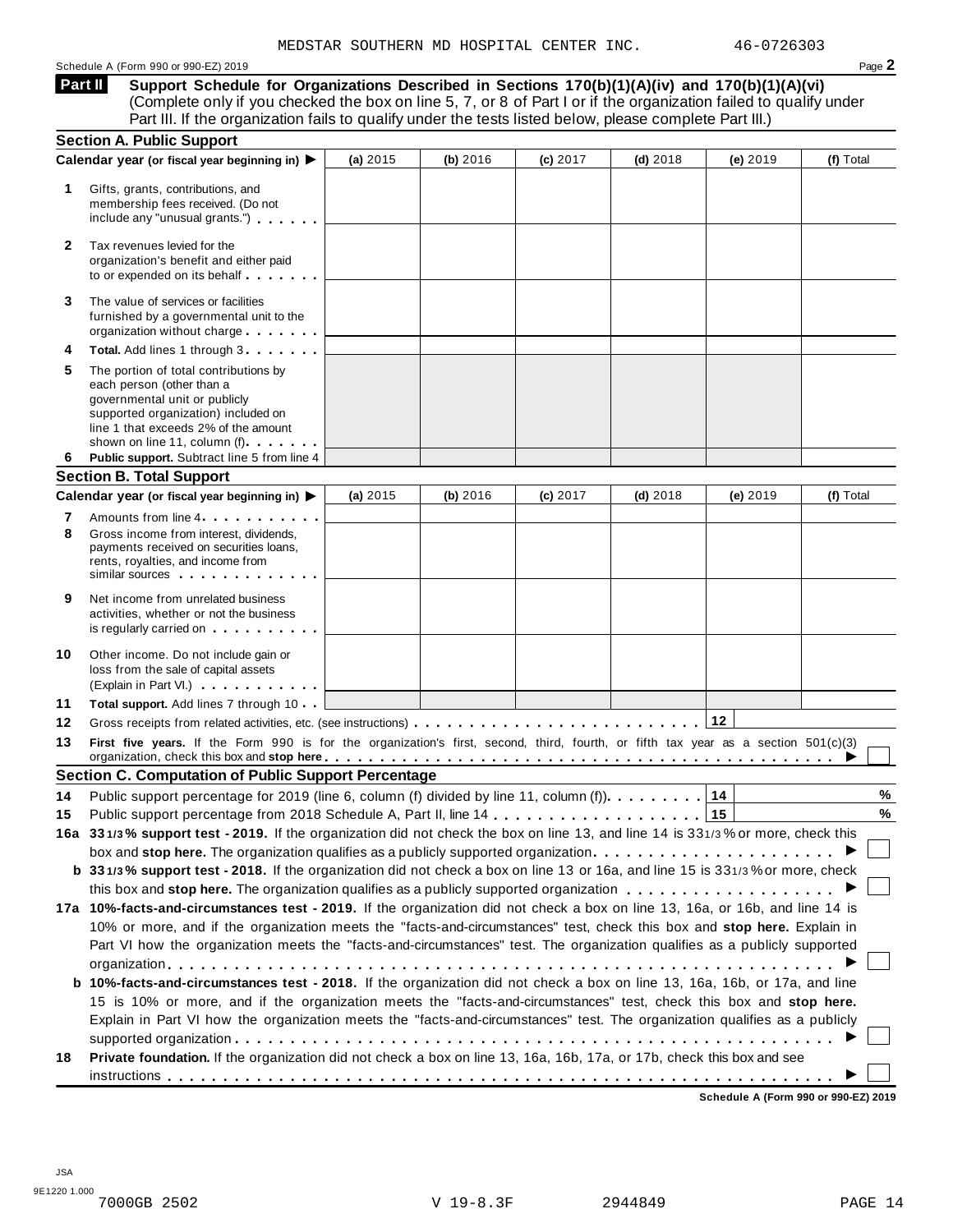#### Schedule A (Form 990 or 990-EZ) 2019 Page **2**

**Support Schedule for Organizations Described in Sections 170(b)(1)(A)(iv) and 170(b)(1)(A)(vi)** (Complete only if you checked the box on line 5, 7, or 8 of Part I or if the organization failed to qualify under **Part II** 

|              | Part III. If the organization fails to qualify under the tests listed below, please complete Part III.)                                                                                                                                                                                                                                                                              |          |          |          |            |            |           |
|--------------|--------------------------------------------------------------------------------------------------------------------------------------------------------------------------------------------------------------------------------------------------------------------------------------------------------------------------------------------------------------------------------------|----------|----------|----------|------------|------------|-----------|
|              | <b>Section A. Public Support</b>                                                                                                                                                                                                                                                                                                                                                     |          |          |          |            |            |           |
| 1.           | Calendar year (or fiscal year beginning in) ▶<br>Gifts, grants, contributions, and<br>membership fees received. (Do not<br>include any "unusual grants.")                                                                                                                                                                                                                            | (a) 2015 | (b) 2016 | (c) 2017 | $(d)$ 2018 | (e) $2019$ | (f) Total |
| $\mathbf{2}$ | Tax revenues levied for the<br>organization's benefit and either paid<br>to or expended on its behalf                                                                                                                                                                                                                                                                                |          |          |          |            |            |           |
| 3            | The value of services or facilities<br>furnished by a governmental unit to the<br>organization without charge                                                                                                                                                                                                                                                                        |          |          |          |            |            |           |
| 4            | Total. Add lines 1 through 3                                                                                                                                                                                                                                                                                                                                                         |          |          |          |            |            |           |
| 5            | The portion of total contributions by<br>each person (other than a<br>governmental unit or publicly<br>supported organization) included on<br>line 1 that exceeds 2% of the amount<br>shown on line 11, column (f) <b>Shown</b> on line 11, column (f)                                                                                                                               |          |          |          |            |            |           |
| 6            | Public support. Subtract line 5 from line 4                                                                                                                                                                                                                                                                                                                                          |          |          |          |            |            |           |
|              | <b>Section B. Total Support</b>                                                                                                                                                                                                                                                                                                                                                      | (a) 2015 | (b) 2016 | (c) 2017 | $(d)$ 2018 | (e) 2019   | (f) Total |
|              | Calendar year (or fiscal year beginning in) ▶                                                                                                                                                                                                                                                                                                                                        |          |          |          |            |            |           |
| 7<br>8       | Amounts from line 4<br>Gross income from interest, dividends,<br>payments received on securities loans,<br>rents, royalties, and income from<br>similar sources experiences                                                                                                                                                                                                          |          |          |          |            |            |           |
| 9            | Net income from unrelated business<br>activities, whether or not the business<br>is regularly carried on the control of the set of the set of the set of the set of the set of the set of the s                                                                                                                                                                                      |          |          |          |            |            |           |
| 10           | Other income. Do not include gain or<br>loss from the sale of capital assets<br>(Explain in Part VI.) <b>COMPLAINER</b>                                                                                                                                                                                                                                                              |          |          |          |            |            |           |
| 11           | Total support. Add lines 7 through 10                                                                                                                                                                                                                                                                                                                                                |          |          |          |            |            |           |
| 12           |                                                                                                                                                                                                                                                                                                                                                                                      |          |          |          |            | 12         |           |
| 13           | First five years. If the Form 990 is for the organization's first, second, third, fourth, or fifth tax year as a section 501(c)(3)<br>organization, check this box and stop here entired and state and state and state and state and state and state and state and state and state and state and state and state and state and state and state and state and state                   |          |          |          |            |            |           |
|              | <b>Section C. Computation of Public Support Percentage</b>                                                                                                                                                                                                                                                                                                                           |          |          |          |            |            |           |
| 14           | Public support percentage for 2019 (line 6, column (f) divided by line 11, column (f)).                                                                                                                                                                                                                                                                                              |          |          |          |            | 14         | $\%$      |
| 15           |                                                                                                                                                                                                                                                                                                                                                                                      |          |          |          |            |            | %         |
|              | 16a 331/3% support test - 2019. If the organization did not check the box on line 13, and line 14 is 331/3% or more, check this                                                                                                                                                                                                                                                      |          |          |          |            |            |           |
|              | box and stop here. The organization qualifies as a publicly supported organization                                                                                                                                                                                                                                                                                                   |          |          |          |            |            |           |
|              | b 331/3% support test - 2018. If the organization did not check a box on line 13 or 16a, and line 15 is 331/3% or more, check                                                                                                                                                                                                                                                        |          |          |          |            |            |           |
|              |                                                                                                                                                                                                                                                                                                                                                                                      |          |          |          |            |            |           |
|              | 17a 10%-facts-and-circumstances test - 2019. If the organization did not check a box on line 13, 16a, or 16b, and line 14 is<br>10% or more, and if the organization meets the "facts-and-circumstances" test, check this box and stop here. Explain in<br>Part VI how the organization meets the "facts-and-circumstances" test. The organization qualifies as a publicly supported |          |          |          |            |            |           |
|              | <b>b 10%-facts-and-circumstances test - 2018.</b> If the organization did not check a box on line 13, 16a, 16b, or 17a, and line<br>15 is 10% or more, and if the organization meets the "facts-and-circumstances" test, check this box and stop here.                                                                                                                               |          |          |          |            |            |           |
|              | Explain in Part VI how the organization meets the "facts-and-circumstances" test. The organization qualifies as a publicly                                                                                                                                                                                                                                                           |          |          |          |            |            |           |
|              |                                                                                                                                                                                                                                                                                                                                                                                      |          |          |          |            |            |           |
| 18           | Private foundation. If the organization did not check a box on line 13, 16a, 16b, 17a, or 17b, check this box and see                                                                                                                                                                                                                                                                |          |          |          |            |            |           |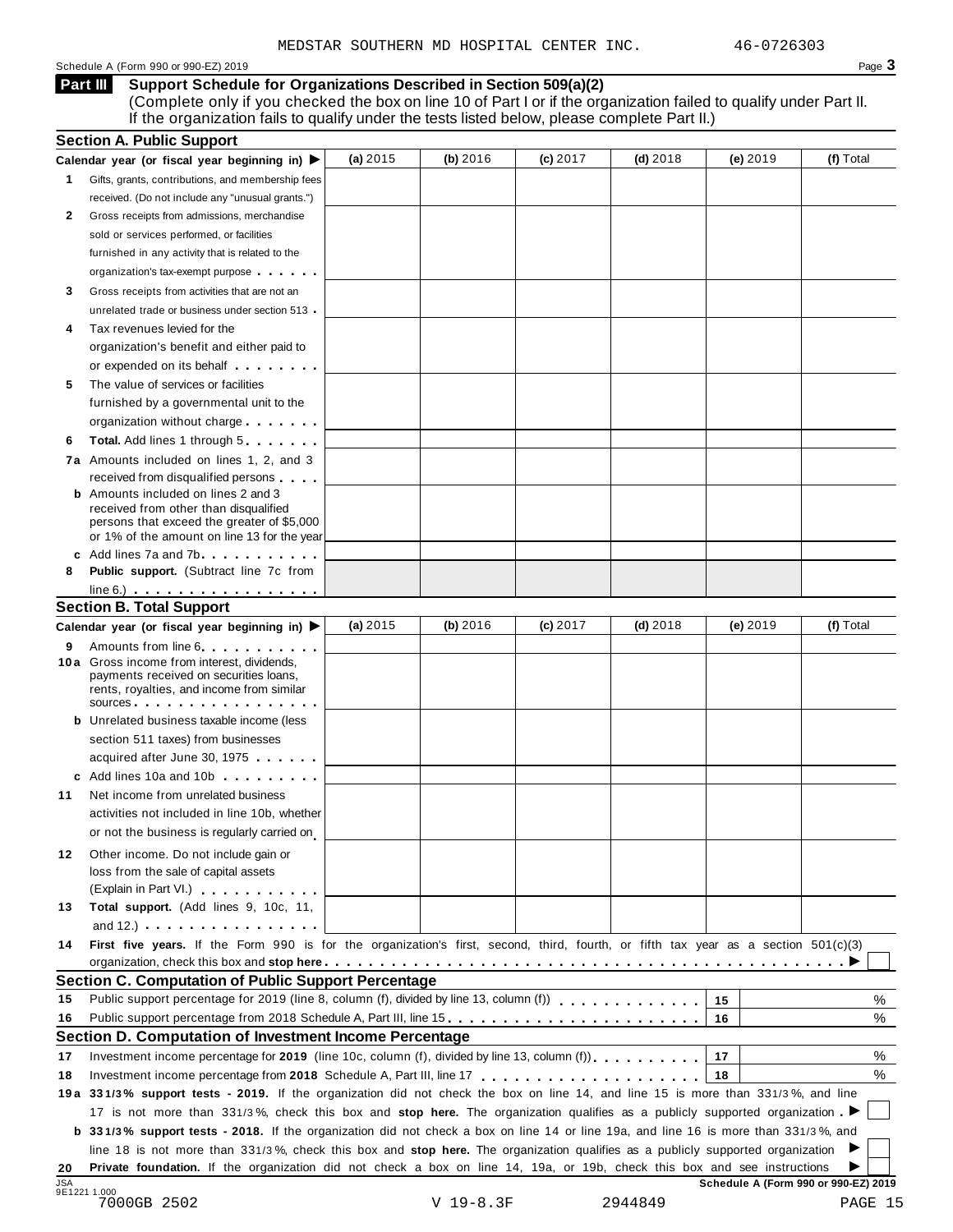#### Schedule A (Form 990 or 990-EZ) 2019 Page **3**

**Support Schedule for Organizations Described in Section 509(a)(2) Part III** 

(Complete only if you checked the box on line 10 of Part I or if the organization failed to qualify under Part II. If the organization fails to qualify under the tests listed below, please complete Part II.)

|            | <b>Section A. Public Support</b>                                                                                                                                                                                                                                                                                                                                     |            |             |            |            |                                      |           |
|------------|----------------------------------------------------------------------------------------------------------------------------------------------------------------------------------------------------------------------------------------------------------------------------------------------------------------------------------------------------------------------|------------|-------------|------------|------------|--------------------------------------|-----------|
|            | Calendar year (or fiscal year beginning in) $\blacktriangleright$                                                                                                                                                                                                                                                                                                    | (a) $2015$ | (b) 2016    | $(c)$ 2017 | $(d)$ 2018 | $(e)$ 2019                           | (f) Total |
| 1.         | Gifts, grants, contributions, and membership fees                                                                                                                                                                                                                                                                                                                    |            |             |            |            |                                      |           |
|            | received. (Do not include any "unusual grants.")                                                                                                                                                                                                                                                                                                                     |            |             |            |            |                                      |           |
| 2          | Gross receipts from admissions, merchandise                                                                                                                                                                                                                                                                                                                          |            |             |            |            |                                      |           |
|            | sold or services performed, or facilities                                                                                                                                                                                                                                                                                                                            |            |             |            |            |                                      |           |
|            | furnished in any activity that is related to the                                                                                                                                                                                                                                                                                                                     |            |             |            |            |                                      |           |
|            | organization's tax-exempt purpose                                                                                                                                                                                                                                                                                                                                    |            |             |            |            |                                      |           |
| 3          | Gross receipts from activities that are not an                                                                                                                                                                                                                                                                                                                       |            |             |            |            |                                      |           |
|            | unrelated trade or business under section 513                                                                                                                                                                                                                                                                                                                        |            |             |            |            |                                      |           |
| 4          | Tax revenues levied for the                                                                                                                                                                                                                                                                                                                                          |            |             |            |            |                                      |           |
|            | organization's benefit and either paid to                                                                                                                                                                                                                                                                                                                            |            |             |            |            |                                      |           |
|            | or expended on its behalf <b>contained</b> by the set of the set of the set of the set of the set of the set of the set of the set of the set of the set of the set of the set of the set of the set of the set of the set of the s                                                                                                                                  |            |             |            |            |                                      |           |
| 5          | The value of services or facilities                                                                                                                                                                                                                                                                                                                                  |            |             |            |            |                                      |           |
|            | furnished by a governmental unit to the                                                                                                                                                                                                                                                                                                                              |            |             |            |            |                                      |           |
|            | organization without charge                                                                                                                                                                                                                                                                                                                                          |            |             |            |            |                                      |           |
| 6          | <b>Total.</b> Add lines 1 through 5                                                                                                                                                                                                                                                                                                                                  |            |             |            |            |                                      |           |
|            |                                                                                                                                                                                                                                                                                                                                                                      |            |             |            |            |                                      |           |
|            | 7a Amounts included on lines 1, 2, and 3                                                                                                                                                                                                                                                                                                                             |            |             |            |            |                                      |           |
|            | received from disqualified persons<br><b>b</b> Amounts included on lines 2 and 3                                                                                                                                                                                                                                                                                     |            |             |            |            |                                      |           |
|            | received from other than disqualified                                                                                                                                                                                                                                                                                                                                |            |             |            |            |                                      |           |
|            | persons that exceed the greater of \$5,000                                                                                                                                                                                                                                                                                                                           |            |             |            |            |                                      |           |
|            | or 1% of the amount on line 13 for the year                                                                                                                                                                                                                                                                                                                          |            |             |            |            |                                      |           |
|            | c Add lines 7a and 7b                                                                                                                                                                                                                                                                                                                                                |            |             |            |            |                                      |           |
| 8          | <b>Public support.</b> (Subtract line 7c from                                                                                                                                                                                                                                                                                                                        |            |             |            |            |                                      |           |
|            | $line 6.)$                                                                                                                                                                                                                                                                                                                                                           |            |             |            |            |                                      |           |
|            | <b>Section B. Total Support</b>                                                                                                                                                                                                                                                                                                                                      |            |             |            |            |                                      |           |
|            | Calendar year (or fiscal year beginning in) ▶                                                                                                                                                                                                                                                                                                                        | (a) $2015$ | (b) 2016    | $(c)$ 2017 | $(d)$ 2018 | $(e)$ 2019                           | (f) Total |
| 9          | Amounts from line 6                                                                                                                                                                                                                                                                                                                                                  |            |             |            |            |                                      |           |
|            | <b>10a</b> Gross income from interest, dividends,<br>payments received on securities loans,                                                                                                                                                                                                                                                                          |            |             |            |            |                                      |           |
|            | rents, royalties, and income from similar                                                                                                                                                                                                                                                                                                                            |            |             |            |            |                                      |           |
|            | SOUICES                                                                                                                                                                                                                                                                                                                                                              |            |             |            |            |                                      |           |
|            | <b>b</b> Unrelated business taxable income (less                                                                                                                                                                                                                                                                                                                     |            |             |            |            |                                      |           |
|            | section 511 taxes) from businesses                                                                                                                                                                                                                                                                                                                                   |            |             |            |            |                                      |           |
|            | acquired after June 30, 1975                                                                                                                                                                                                                                                                                                                                         |            |             |            |            |                                      |           |
|            | c Add lines 10a and 10b                                                                                                                                                                                                                                                                                                                                              |            |             |            |            |                                      |           |
| 11         | Net income from unrelated business                                                                                                                                                                                                                                                                                                                                   |            |             |            |            |                                      |           |
|            | activities not included in line 10b, whether                                                                                                                                                                                                                                                                                                                         |            |             |            |            |                                      |           |
|            | or not the business is regularly carried on                                                                                                                                                                                                                                                                                                                          |            |             |            |            |                                      |           |
| 12.        |                                                                                                                                                                                                                                                                                                                                                                      |            |             |            |            |                                      |           |
|            | Other income. Do not include gain or<br>loss from the sale of capital assets                                                                                                                                                                                                                                                                                         |            |             |            |            |                                      |           |
|            | (Explain in Part VI.) <b>All Accords</b>                                                                                                                                                                                                                                                                                                                             |            |             |            |            |                                      |           |
| 13         | Total support. (Add lines 9, 10c, 11,                                                                                                                                                                                                                                                                                                                                |            |             |            |            |                                      |           |
|            | and $12.$ ) $\qquad \qquad \qquad$ $\qquad \qquad$ $\qquad \qquad$ $\qquad \qquad$ $\qquad \qquad$ $\qquad \qquad$ $\qquad \qquad$ $\qquad \qquad$ $\qquad \qquad$ $\qquad \qquad$ $\qquad$ $\qquad \qquad$ $\qquad$ $\qquad$ $\qquad$ $\qquad$ $\qquad$ $\qquad$ $\qquad$ $\qquad$ $\qquad$ $\qquad$ $\qquad$ $\qquad$ $\qquad$ $\qquad$ $\qquad$ $\qquad$ $\qquad$ |            |             |            |            |                                      |           |
| 14         | First five years. If the Form 990 is for the organization's first, second, third, fourth, or fifth tax year as a section 501(c)(3)                                                                                                                                                                                                                                   |            |             |            |            |                                      |           |
|            |                                                                                                                                                                                                                                                                                                                                                                      |            |             |            |            |                                      |           |
|            | Section C. Computation of Public Support Percentage                                                                                                                                                                                                                                                                                                                  |            |             |            |            |                                      |           |
| 15         | Public support percentage for 2019 (line 8, column (f), divided by line 13, column (f)                                                                                                                                                                                                                                                                               |            |             |            |            | 15                                   | %         |
| 16         |                                                                                                                                                                                                                                                                                                                                                                      |            |             |            |            |                                      |           |
|            |                                                                                                                                                                                                                                                                                                                                                                      |            |             |            |            | 16                                   | %         |
|            | Section D. Computation of Investment Income Percentage                                                                                                                                                                                                                                                                                                               |            |             |            |            |                                      |           |
| 17         | Investment income percentage for 2019 (line 10c, column (f), divided by line 13, column (f)).                                                                                                                                                                                                                                                                        |            |             |            |            | 17                                   | %         |
| 18         |                                                                                                                                                                                                                                                                                                                                                                      |            |             |            |            | 18                                   | %         |
|            | 19a 331/3% support tests - 2019. If the organization did not check the box on line 14, and line 15 is more than 331/3%, and line                                                                                                                                                                                                                                     |            |             |            |            |                                      |           |
|            | 17 is not more than 331/3%, check this box and stop here. The organization qualifies as a publicly supported organization                                                                                                                                                                                                                                            |            |             |            |            |                                      |           |
|            | <b>b</b> 331/3% support tests - 2018. If the organization did not check a box on line 14 or line 19a, and line 16 is more than 331/3%, and                                                                                                                                                                                                                           |            |             |            |            |                                      |           |
|            | line 18 is not more than 331/3%, check this box and stop here. The organization qualifies as a publicly supported organization                                                                                                                                                                                                                                       |            |             |            |            |                                      |           |
| 20         | Private foundation. If the organization did not check a box on line 14, 19a, or 19b, check this box and see instructions                                                                                                                                                                                                                                             |            |             |            |            |                                      |           |
| <b>JSA</b> | 9E1221 1.000                                                                                                                                                                                                                                                                                                                                                         |            |             |            |            | Schedule A (Form 990 or 990-EZ) 2019 |           |
|            | 7000GB 2502                                                                                                                                                                                                                                                                                                                                                          |            | $V 19-8.3F$ |            | 2944849    |                                      | PAGE 15   |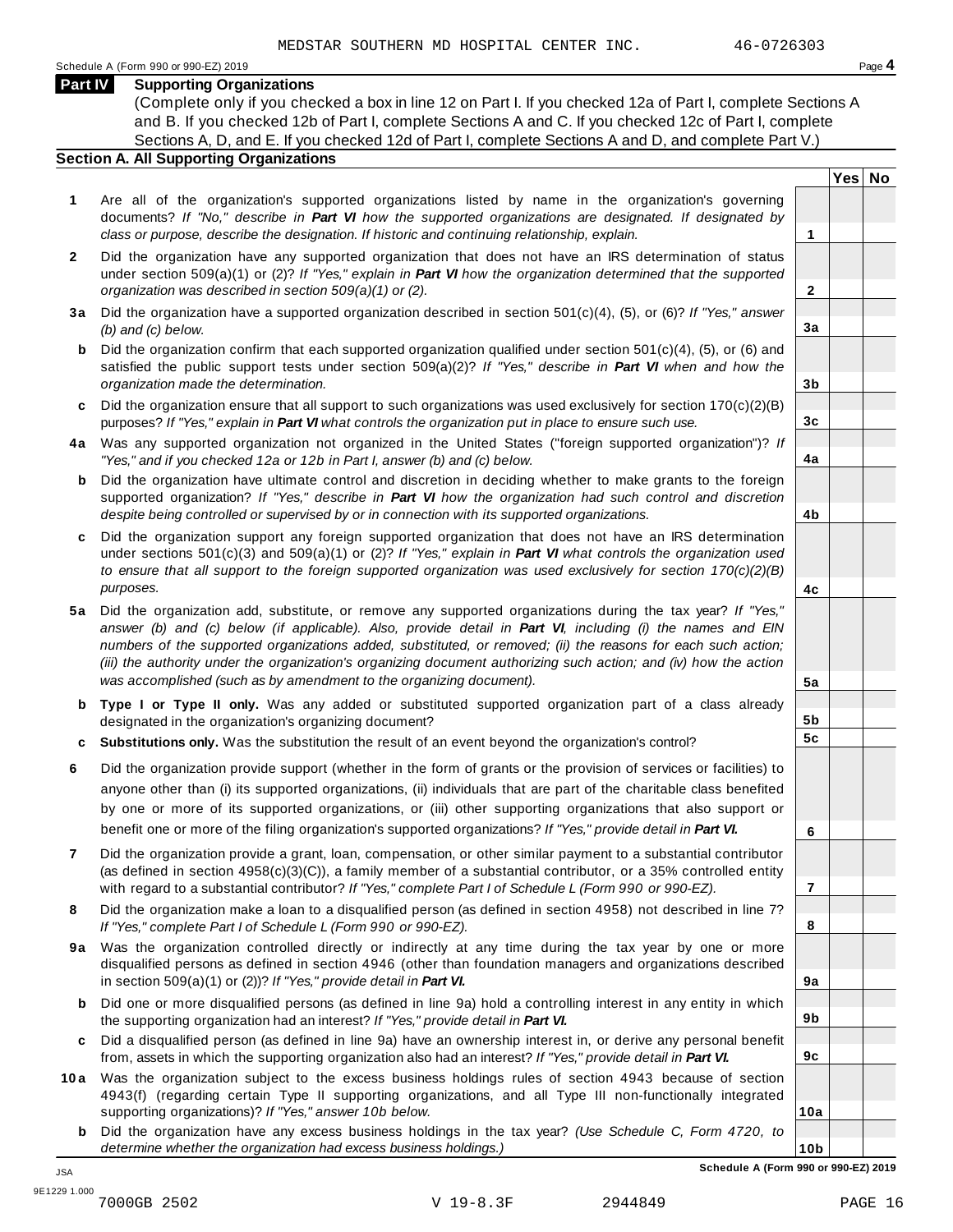#### **Part IV Supporting Organizations**

(Complete only if you checked a box in line 12 on Part I. If you checked 12a of Part I, complete Sections A and B. If you checked 12b of Part I, complete Sections A and C. If you checked 12c of Part I, complete Sections A, D, and E. If you checked 12d of Part I, complete Sections A and D, and complete Part V.)

#### **Section A. All Supporting Organizations**

- **1** Are all of the organization's supported organizations listed by name in the organization's governing documents? *If "No," describe in Part VI how the supported organizations are designated. If designated by class or purpose, describe the designation. If historic and continuing relationship, explain.* **1**
- **2** Did the organization have any supported organization that does not have an IRS determination of status under section 509(a)(1) or (2)? *If"Yes," explain in Part VI how the organization determined that the supported organization was described in section 509(a)(1) or (2).*
- **3 a** Did the organization have a supported organization described in section 501(c)(4), (5), or (6)? *If "Yes," answer (b) and (c) below.*
- **b** Did the organization confirm that each supported organization qualified under section 501(c)(4), (5), or (6) and | satisfied the public support tests under section 509(a)(2)? *If "Yes," describe in Part VI when and how the organization made the determination.*
- **c** Did the organization ensure that all support to such organizations was used exclusively for section 170(c)(2)(B) purposes? *If"Yes," explain in Part VI what controls the organization put in place to ensure such use.*
- **4 a** Was any supported organization not organized in the United States ("foreign supported organization")? *If "Yes," and if you checked 12a or 12b in Part I, answer (b) and (c) below.*
- **b** Did the organization have ultimate control and discretion in deciding whether to make grants to the foreign | supported organization? *If "Yes," describe in Part VI how the organization had such control and discretion despite being controlled or supervised by or in connection with its supported organizations.*
- **c** Did the organization support any foreign supported organization that does not have an IRS determination | under sections 501(c)(3) and 509(a)(1) or (2)? *If "Yes," explain in Part VI what controls the organization used to ensure that all support to the foreign supported organization was used exclusively for section 170(c)(2)(B) purposes.*
- **5 a** Did the organization add, substitute, or remove any supported organizations during the tax year? *If "Yes,"* answer (b) and (c) below (if applicable). Also, provide detail in Part VI, including (i) the names and EIN *numbers of the supported organizations added, substituted, or removed; (ii) the reasons for each such action;* (iii) the authority under the organization's organizing document authorizing such action; and (iv) how the action *was accomplished (such as by amendment to the organizing document).*
- **b Type I or Type II only.** Was any added or substituted supported organization part of a class already designated in the organization's organizing document?
- **c Substitutions only.** Was the substitution the result of an event beyond the organization's control?
- **6** Did the organization provide support (whether in the form of grants or the provision of services or facilities) to anyone other than (i) its supported organizations, (ii) individuals that are part of the charitable class benefited by one or more of its supported organizations, or (iii) other supporting organizations that also support or benefit one or more of the filing organization's supported organizations? *If"Yes," provide detail in Part VI.*
- **7** Did the organization provide a grant, loan, compensation, or other similar payment to a substantial contributor (as defined in section 4958(c)(3)(C)), a family member of a substantial contributor, or a 35% controlled entity with regard to a substantial contributor? *If"Yes," complete Part I of Schedule L (Form 990 or 990-EZ).*
- **8** Did the organization make a loan to a disqualified person (as defined in section 4958) not described in line 7? *If "Yes," complete Part I of Schedule L (Form 990 or 990-EZ).*
- **9a** Was the organization controlled directly or indirectly at any time during the tax year by one or more | disqualified persons as defined in section 4946 (other than foundation managers and organizations described in section 509(a)(1) or (2))? *If"Yes," provide detail in Part VI.*
- **b** Did one or more disqualified persons (as defined in line 9a) hold a controlling interest in any entity in which | the supporting organization had an interest? *If"Yes," provide detail in Part VI.*
- **c** Did a disqualified person (as defined in line 9a) have an ownership interest in, or derive any personal benefit from, assets in which the supporting organization also had an interest? *If"Yes," provide detail in Part VI.*
- **10a** Was the organization subject to the excess business holdings rules of section 4943 because of section | 4943(f) (regarding certain Type II supporting organizations, and all Type III non-functionally integrated supporting organizations)? *If"Yes," answer 10b below.*
	- **b** Did the organization have any excess business holdings in the tax year? *(Use Schedule C, Form 4720, to determine whether the organization had excess business holdings.)*

**2**

**3a**

**3b**

**3c**

**4a**

**4b**

**4c**

**5a**

**5b 5c**

**Yes No**

| 6                     |      |    |
|-----------------------|------|----|
|                       |      |    |
| 7                     |      |    |
|                       |      |    |
| 8                     |      |    |
|                       |      |    |
| 9а                    |      |    |
|                       |      |    |
| 9b                    |      |    |
| $9\underline{c}$      |      |    |
|                       |      |    |
| 10a                   |      |    |
|                       |      |    |
| 10b                   |      |    |
| 1 990 or 990-EZ) 2019 |      |    |
|                       | DACF | 16 |

**Schedule A (Form** 

JSA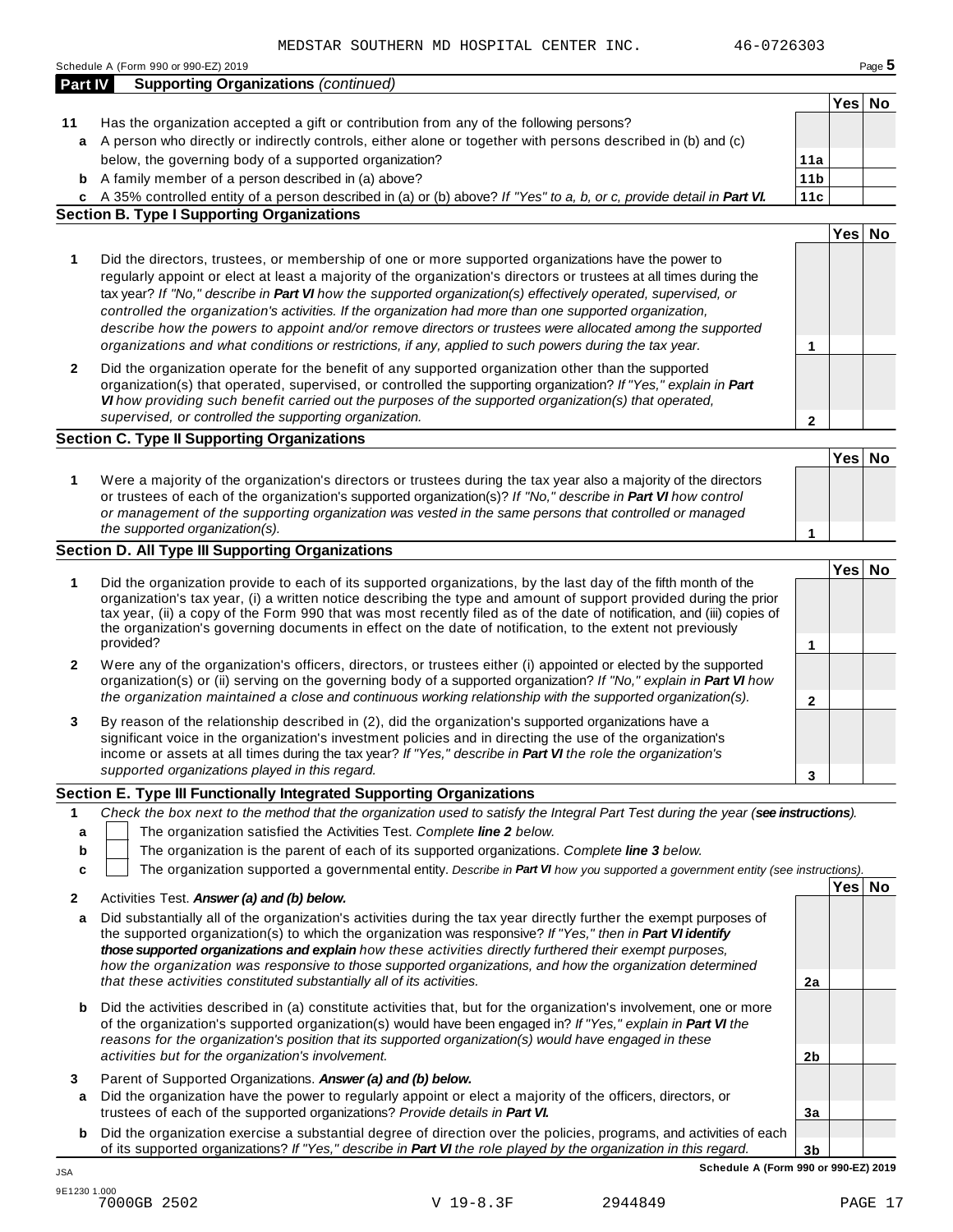|                  | 46-0726303<br>MEDSTAR SOUTHERN MD HOSPITAL CENTER INC.                                                                                                                                                                                                                                                                                                                                                                                                                                                                                                                                                                                                                       |                 |        |        |
|------------------|------------------------------------------------------------------------------------------------------------------------------------------------------------------------------------------------------------------------------------------------------------------------------------------------------------------------------------------------------------------------------------------------------------------------------------------------------------------------------------------------------------------------------------------------------------------------------------------------------------------------------------------------------------------------------|-----------------|--------|--------|
|                  | Schedule A (Form 990 or 990-EZ) 2019                                                                                                                                                                                                                                                                                                                                                                                                                                                                                                                                                                                                                                         |                 |        | Page 5 |
| <b>Part IV</b>   | <b>Supporting Organizations (continued)</b>                                                                                                                                                                                                                                                                                                                                                                                                                                                                                                                                                                                                                                  |                 |        |        |
| 11               | Has the organization accepted a gift or contribution from any of the following persons?                                                                                                                                                                                                                                                                                                                                                                                                                                                                                                                                                                                      |                 | Yes No |        |
| a                | A person who directly or indirectly controls, either alone or together with persons described in (b) and (c)<br>below, the governing body of a supported organization?                                                                                                                                                                                                                                                                                                                                                                                                                                                                                                       | 11a             |        |        |
|                  | <b>b</b> A family member of a person described in (a) above?                                                                                                                                                                                                                                                                                                                                                                                                                                                                                                                                                                                                                 | 11 <sub>b</sub> |        |        |
| c                | A 35% controlled entity of a person described in (a) or (b) above? If "Yes" to a, b, or c, provide detail in Part VI.                                                                                                                                                                                                                                                                                                                                                                                                                                                                                                                                                        | 11c             |        |        |
|                  | <b>Section B. Type I Supporting Organizations</b>                                                                                                                                                                                                                                                                                                                                                                                                                                                                                                                                                                                                                            |                 |        |        |
|                  |                                                                                                                                                                                                                                                                                                                                                                                                                                                                                                                                                                                                                                                                              |                 | Yes No |        |
| 1                | Did the directors, trustees, or membership of one or more supported organizations have the power to<br>regularly appoint or elect at least a majority of the organization's directors or trustees at all times during the<br>tax year? If "No," describe in Part VI how the supported organization(s) effectively operated, supervised, or<br>controlled the organization's activities. If the organization had more than one supported organization,<br>describe how the powers to appoint and/or remove directors or trustees were allocated among the supported<br>organizations and what conditions or restrictions, if any, applied to such powers during the tax year. | 1               |        |        |
| 2                | Did the organization operate for the benefit of any supported organization other than the supported<br>organization(s) that operated, supervised, or controlled the supporting organization? If "Yes," explain in Part<br>VI how providing such benefit carried out the purposes of the supported organization(s) that operated,<br>supervised, or controlled the supporting organization.                                                                                                                                                                                                                                                                                   | $\mathbf{2}$    |        |        |
|                  | <b>Section C. Type II Supporting Organizations</b>                                                                                                                                                                                                                                                                                                                                                                                                                                                                                                                                                                                                                           |                 |        |        |
|                  |                                                                                                                                                                                                                                                                                                                                                                                                                                                                                                                                                                                                                                                                              |                 | Yes No |        |
| 1                | Were a majority of the organization's directors or trustees during the tax year also a majority of the directors<br>or trustees of each of the organization's supported organization(s)? If "No," describe in Part VI how control<br>or management of the supporting organization was vested in the same persons that controlled or managed<br>the supported organization(s).                                                                                                                                                                                                                                                                                                | 1               |        |        |
|                  | Section D. All Type III Supporting Organizations                                                                                                                                                                                                                                                                                                                                                                                                                                                                                                                                                                                                                             |                 |        |        |
|                  |                                                                                                                                                                                                                                                                                                                                                                                                                                                                                                                                                                                                                                                                              |                 | Yes No |        |
| 1                | Did the organization provide to each of its supported organizations, by the last day of the fifth month of the<br>organization's tax year, (i) a written notice describing the type and amount of support provided during the prior<br>tax year, (ii) a copy of the Form 990 that was most recently filed as of the date of notification, and (iii) copies of<br>the organization's governing documents in effect on the date of notification, to the extent not previously<br>provided?                                                                                                                                                                                     | 1               |        |        |
| $\mathbf{2}$     | Were any of the organization's officers, directors, or trustees either (i) appointed or elected by the supported                                                                                                                                                                                                                                                                                                                                                                                                                                                                                                                                                             |                 |        |        |
|                  | organization(s) or (ii) serving on the governing body of a supported organization? If "No," explain in Part VI how<br>the organization maintained a close and continuous working relationship with the supported organization(s).                                                                                                                                                                                                                                                                                                                                                                                                                                            | $\mathbf{2}$    |        |        |
| 3                | By reason of the relationship described in (2), did the organization's supported organizations have a<br>significant voice in the organization's investment policies and in directing the use of the organization's<br>income or assets at all times during the tax year? If "Yes," describe in Part VI the role the organization's                                                                                                                                                                                                                                                                                                                                          |                 |        |        |
|                  | supported organizations played in this regard.                                                                                                                                                                                                                                                                                                                                                                                                                                                                                                                                                                                                                               | 3               |        |        |
|                  | Section E. Type III Functionally Integrated Supporting Organizations                                                                                                                                                                                                                                                                                                                                                                                                                                                                                                                                                                                                         |                 |        |        |
| 1<br>a<br>b<br>C | Check the box next to the method that the organization used to satisfy the Integral Part Test during the year (see instructions).<br>The organization satisfied the Activities Test. Complete line 2 below.<br>The organization is the parent of each of its supported organizations. Complete line 3 below.<br>The organization supported a governmental entity. Describe in Part VI how you supported a government entity (see instructions).                                                                                                                                                                                                                              |                 |        |        |
| 2                | Activities Test. Answer (a) and (b) below.                                                                                                                                                                                                                                                                                                                                                                                                                                                                                                                                                                                                                                   |                 | Yes No |        |
| а                | Did substantially all of the organization's activities during the tax year directly further the exempt purposes of<br>the supported organization(s) to which the organization was responsive? If "Yes," then in Part VI identify<br>those supported organizations and explain how these activities directly furthered their exempt purposes,<br>how the organization was responsive to those supported organizations, and how the organization determined<br>that these activities constituted substantially all of its activities.                                                                                                                                          | 2a              |        |        |
| b                | Did the activities described in (a) constitute activities that, but for the organization's involvement, one or more<br>of the organization's supported organization(s) would have been engaged in? If "Yes," explain in Part VI the                                                                                                                                                                                                                                                                                                                                                                                                                                          |                 |        |        |

**3** Parent of Supported Organizations. *Answer (a) and (b) below.*

*activities but for the organization's involvement.*

**a** Did the organization have the power to regularly appoint or elect a majority of the officers, directors, or trustees of each of the supported organizations? *Provide details in Part VI.*

*reasons for the organization's position that its supported organization(s) would have engaged in these*

**b** Did the organization exercise a substantial degree of direction over the policies, programs, and activities of each of its supported organizations? *If "Yes," describe in Part VI the role played by the organization in this regard.*

**3b Schedule A (Form 990 or 990-EZ) 2019** JSA

**2b**

**3a**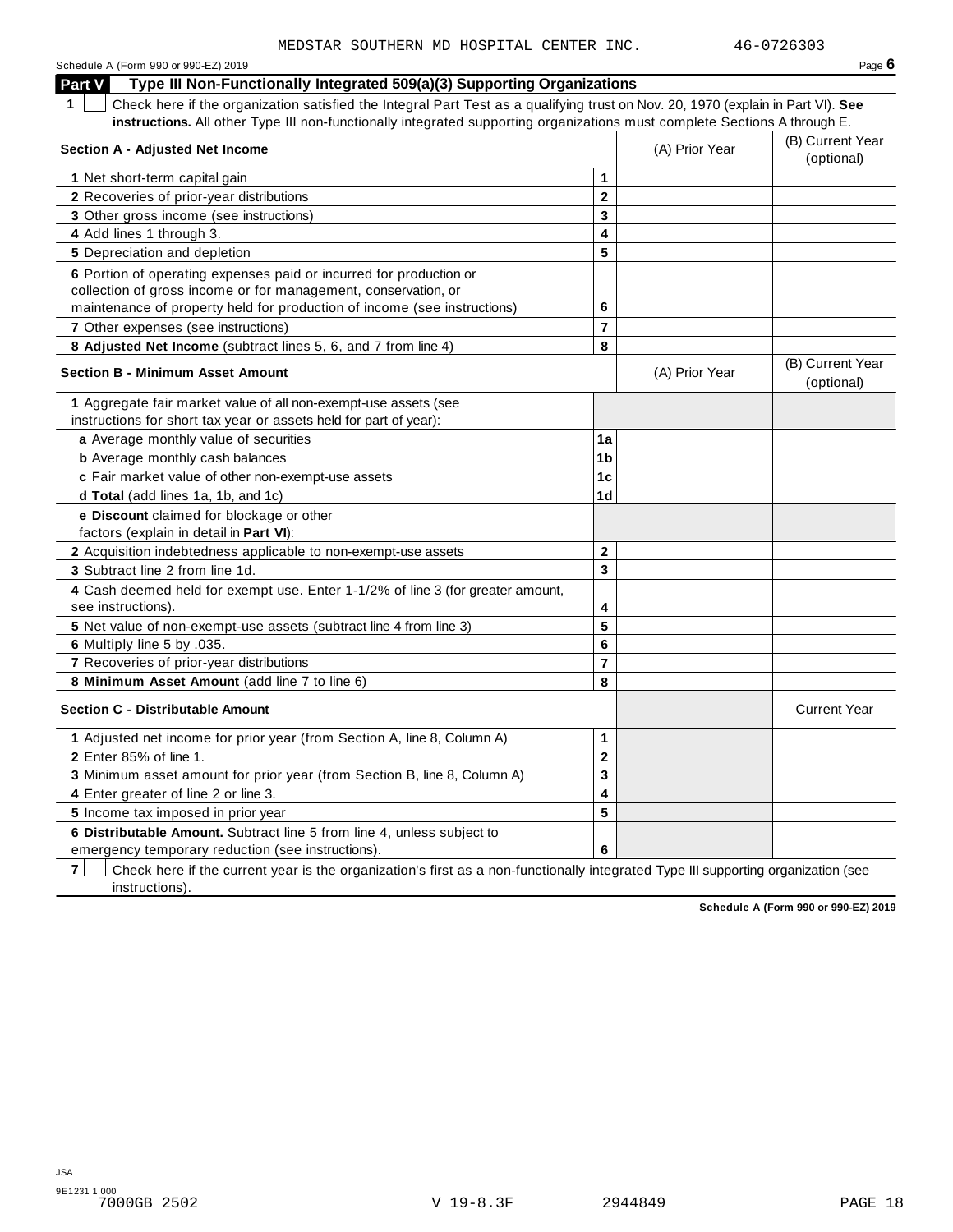| Schedule A (Form 990 or 990-EZ) 2019 | Page $6$ |
|--------------------------------------|----------|
|--------------------------------------|----------|

**Part V Type III Non-Functionally Integrated 509(a)(3) Supporting Organizations**

**1** Check here if the organization satisfied the Integral Part Test as a qualifying trust on Nov. 20, 1970 (explain in Part VI). **See instructions.** All other Type III non-functionally integrated supporting organizations must complete Sections A through E.

| <b>Section A - Adjusted Net Income</b>                                                               |                         | (A) Prior Year | (B) Current Year<br>(optional) |
|------------------------------------------------------------------------------------------------------|-------------------------|----------------|--------------------------------|
| 1 Net short-term capital gain                                                                        | 1                       |                |                                |
| 2 Recoveries of prior-year distributions                                                             | $\overline{\mathbf{2}}$ |                |                                |
| 3 Other gross income (see instructions)                                                              | 3                       |                |                                |
| 4 Add lines 1 through 3.                                                                             | $\overline{\mathbf{4}}$ |                |                                |
| 5 Depreciation and depletion                                                                         | 5                       |                |                                |
| 6 Portion of operating expenses paid or incurred for production or                                   |                         |                |                                |
| collection of gross income or for management, conservation, or                                       |                         |                |                                |
| maintenance of property held for production of income (see instructions)                             | 6                       |                |                                |
| 7 Other expenses (see instructions)                                                                  | $\overline{7}$          |                |                                |
| 8 Adjusted Net Income (subtract lines 5, 6, and 7 from line 4)                                       | 8                       |                |                                |
| <b>Section B - Minimum Asset Amount</b>                                                              |                         | (A) Prior Year | (B) Current Year<br>(optional) |
| 1 Aggregate fair market value of all non-exempt-use assets (see                                      |                         |                |                                |
| instructions for short tax year or assets held for part of year):                                    |                         |                |                                |
| a Average monthly value of securities                                                                | 1a                      |                |                                |
| <b>b</b> Average monthly cash balances                                                               | 1 <sub>b</sub>          |                |                                |
| c Fair market value of other non-exempt-use assets                                                   | 1 <sub>c</sub>          |                |                                |
| d Total (add lines 1a, 1b, and 1c)                                                                   | 1 <sub>d</sub>          |                |                                |
| e Discount claimed for blockage or other                                                             |                         |                |                                |
| factors (explain in detail in Part VI):                                                              |                         |                |                                |
| 2 Acquisition indebtedness applicable to non-exempt-use assets                                       | $\mathbf{2}$            |                |                                |
| 3 Subtract line 2 from line 1d.                                                                      | 3                       |                |                                |
| 4 Cash deemed held for exempt use. Enter 1-1/2% of line 3 (for greater amount,<br>see instructions). | 4                       |                |                                |
| 5 Net value of non-exempt-use assets (subtract line 4 from line 3)                                   | 5                       |                |                                |
| 6 Multiply line 5 by .035.                                                                           | 6                       |                |                                |
| 7 Recoveries of prior-year distributions                                                             | $\overline{7}$          |                |                                |
| 8 Minimum Asset Amount (add line 7 to line 6)                                                        | 8                       |                |                                |
| <b>Section C - Distributable Amount</b>                                                              |                         |                | <b>Current Year</b>            |
| 1 Adjusted net income for prior year (from Section A, line 8, Column A)                              | 1                       |                |                                |
| 2 Enter 85% of line 1.                                                                               | $\mathbf{2}$            |                |                                |
| 3 Minimum asset amount for prior year (from Section B, line 8, Column A)                             | 3                       |                |                                |
| 4 Enter greater of line 2 or line 3.                                                                 | $\overline{\mathbf{4}}$ |                |                                |
| 5 Income tax imposed in prior year                                                                   | 5                       |                |                                |
| 6 Distributable Amount. Subtract line 5 from line 4, unless subject to                               |                         |                |                                |
| emergency temporary reduction (see instructions).                                                    | 6                       |                |                                |

**7** Check here if the current year is the organization's first as a non-functionally integrated Type III supporting organization (see instructions).

**Schedule A (Form 990 or 990-EZ) 2019**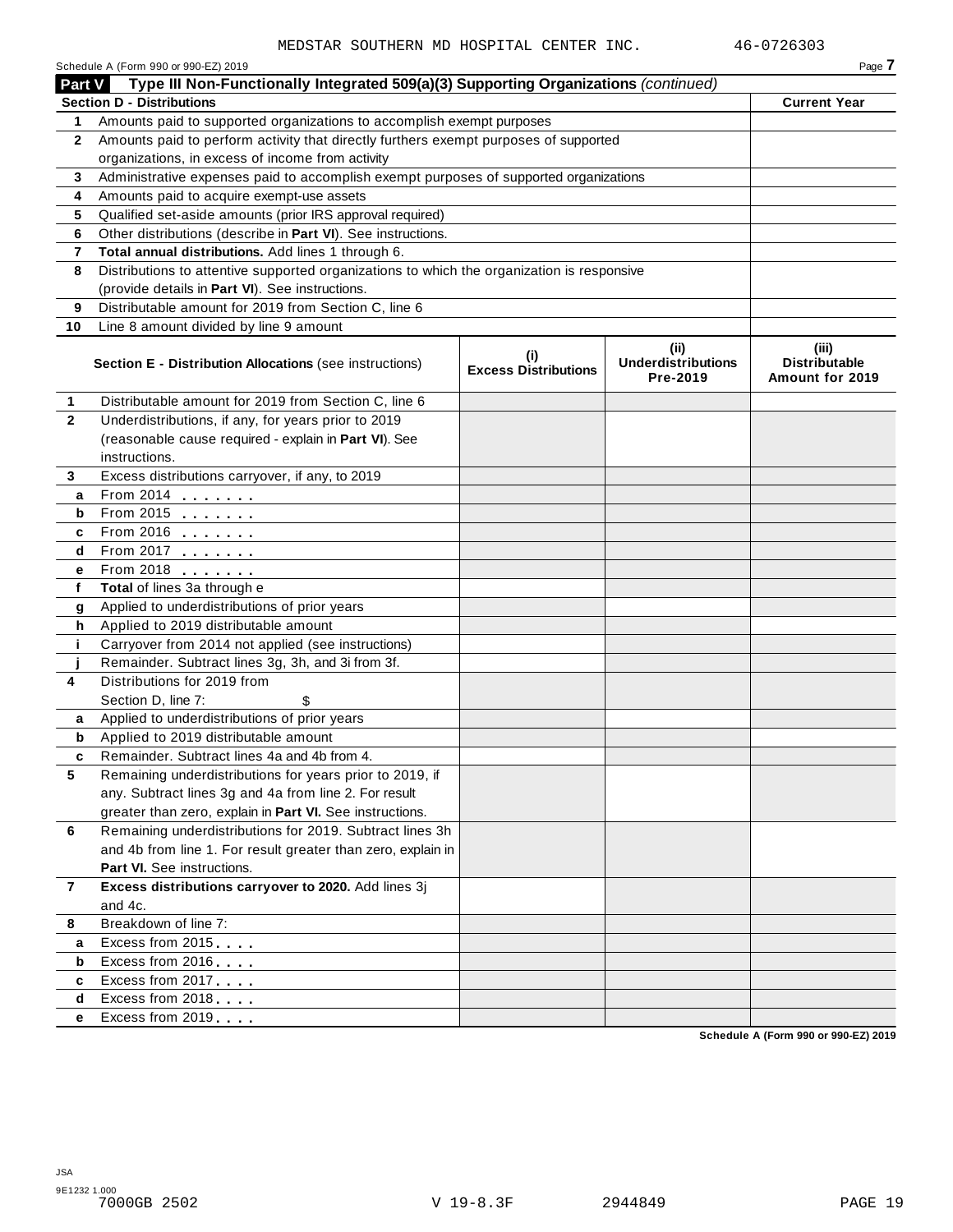|                | Schedule A (Form 990 or 990-EZ) 2019                                                       |                                    |                                               | Page 7                                           |
|----------------|--------------------------------------------------------------------------------------------|------------------------------------|-----------------------------------------------|--------------------------------------------------|
| Part V         | Type III Non-Functionally Integrated 509(a)(3) Supporting Organizations (continued)        |                                    |                                               |                                                  |
|                | <b>Section D - Distributions</b>                                                           |                                    |                                               | <b>Current Year</b>                              |
| 1              | Amounts paid to supported organizations to accomplish exempt purposes                      |                                    |                                               |                                                  |
| 2              | Amounts paid to perform activity that directly furthers exempt purposes of supported       |                                    |                                               |                                                  |
|                | organizations, in excess of income from activity                                           |                                    |                                               |                                                  |
| 3              | Administrative expenses paid to accomplish exempt purposes of supported organizations      |                                    |                                               |                                                  |
| 4              | Amounts paid to acquire exempt-use assets                                                  |                                    |                                               |                                                  |
| 5              | Qualified set-aside amounts (prior IRS approval required)                                  |                                    |                                               |                                                  |
| 6              | Other distributions (describe in Part VI). See instructions.                               |                                    |                                               |                                                  |
| 7              | Total annual distributions. Add lines 1 through 6.                                         |                                    |                                               |                                                  |
| 8              | Distributions to attentive supported organizations to which the organization is responsive |                                    |                                               |                                                  |
|                | (provide details in Part VI). See instructions.                                            |                                    |                                               |                                                  |
| 9              | Distributable amount for 2019 from Section C, line 6                                       |                                    |                                               |                                                  |
| 10             | Line 8 amount divided by line 9 amount                                                     |                                    |                                               |                                                  |
|                | <b>Section E - Distribution Allocations (see instructions)</b>                             | (i)<br><b>Excess Distributions</b> | (ii)<br><b>Underdistributions</b><br>Pre-2019 | (iii)<br><b>Distributable</b><br>Amount for 2019 |
| 1              | Distributable amount for 2019 from Section C, line 6                                       |                                    |                                               |                                                  |
| $\mathbf{2}$   | Underdistributions, if any, for years prior to 2019                                        |                                    |                                               |                                                  |
|                | (reasonable cause required - explain in Part VI). See                                      |                                    |                                               |                                                  |
|                | instructions.                                                                              |                                    |                                               |                                                  |
| 3              | Excess distributions carryover, if any, to 2019                                            |                                    |                                               |                                                  |
| a              | From 2014                                                                                  |                                    |                                               |                                                  |
| b              |                                                                                            |                                    |                                               |                                                  |
| c              | From 2016                                                                                  |                                    |                                               |                                                  |
| d              | From 2017                                                                                  |                                    |                                               |                                                  |
| е              | From 2018                                                                                  |                                    |                                               |                                                  |
| f              | Total of lines 3a through e                                                                |                                    |                                               |                                                  |
| g              | Applied to underdistributions of prior years                                               |                                    |                                               |                                                  |
| h              | Applied to 2019 distributable amount                                                       |                                    |                                               |                                                  |
| i.             | Carryover from 2014 not applied (see instructions)                                         |                                    |                                               |                                                  |
|                | Remainder. Subtract lines 3g, 3h, and 3i from 3f.                                          |                                    |                                               |                                                  |
| 4              | Distributions for 2019 from                                                                |                                    |                                               |                                                  |
|                | Section D, line 7:<br>\$                                                                   |                                    |                                               |                                                  |
| a              | Applied to underdistributions of prior years                                               |                                    |                                               |                                                  |
| b              | Applied to 2019 distributable amount                                                       |                                    |                                               |                                                  |
|                | Remainder. Subtract lines 4a and 4b from 4                                                 |                                    |                                               |                                                  |
| 5              | Remaining underdistributions for years prior to 2019, if                                   |                                    |                                               |                                                  |
|                | any. Subtract lines 3g and 4a from line 2. For result                                      |                                    |                                               |                                                  |
|                | greater than zero, explain in Part VI. See instructions.                                   |                                    |                                               |                                                  |
| 6              | Remaining underdistributions for 2019. Subtract lines 3h                                   |                                    |                                               |                                                  |
|                | and 4b from line 1. For result greater than zero, explain in                               |                                    |                                               |                                                  |
|                | Part VI. See instructions.                                                                 |                                    |                                               |                                                  |
| $\overline{7}$ | Excess distributions carryover to 2020. Add lines 3j                                       |                                    |                                               |                                                  |
|                | and 4c.<br>Breakdown of line 7:                                                            |                                    |                                               |                                                  |
| 8              |                                                                                            |                                    |                                               |                                                  |
| а              | Excess from 2015                                                                           |                                    |                                               |                                                  |
| b              | Excess from 2016                                                                           |                                    |                                               |                                                  |
| c              | Excess from 2017                                                                           |                                    |                                               |                                                  |
| d              | Excess from 2018                                                                           |                                    |                                               |                                                  |
| е              | Excess from 2019                                                                           |                                    |                                               |                                                  |
|                |                                                                                            |                                    |                                               | Schedule A (Form 990 or 990-EZ) 2019             |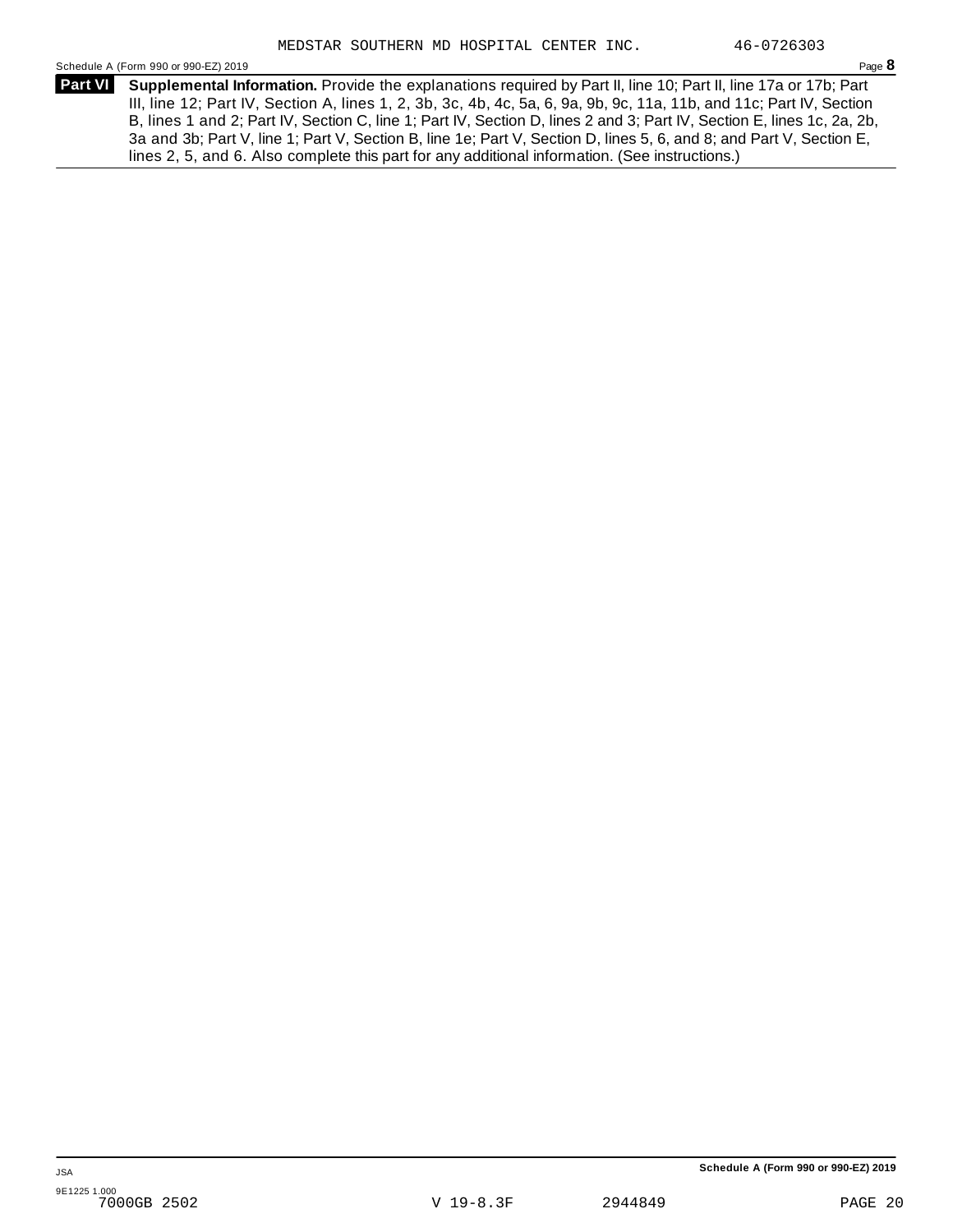Schedule A (Form 990 or 990-EZ) 2019 Page **8**

**Supplemental Information.** Provide the explanations required by Part II, line 10; Part II, line 17a or 17b; Part **Part VI**  III, line 12; Part IV, Section A, lines 1, 2, 3b, 3c, 4b, 4c, 5a, 6, 9a, 9b, 9c, 11a, 11b, and 11c; Part IV, Section B, lines 1 and 2; Part IV, Section C, line 1; Part IV, Section D, lines 2 and 3; Part IV, Section E, lines 1c, 2a, 2b, 3a and 3b; Part V, line 1; Part V, Section B, line 1e; Part V, Section D, lines 5, 6, and 8; and Part V, Section E, lines 2, 5, and 6. Also complete this part for any additional information. (See instructions.)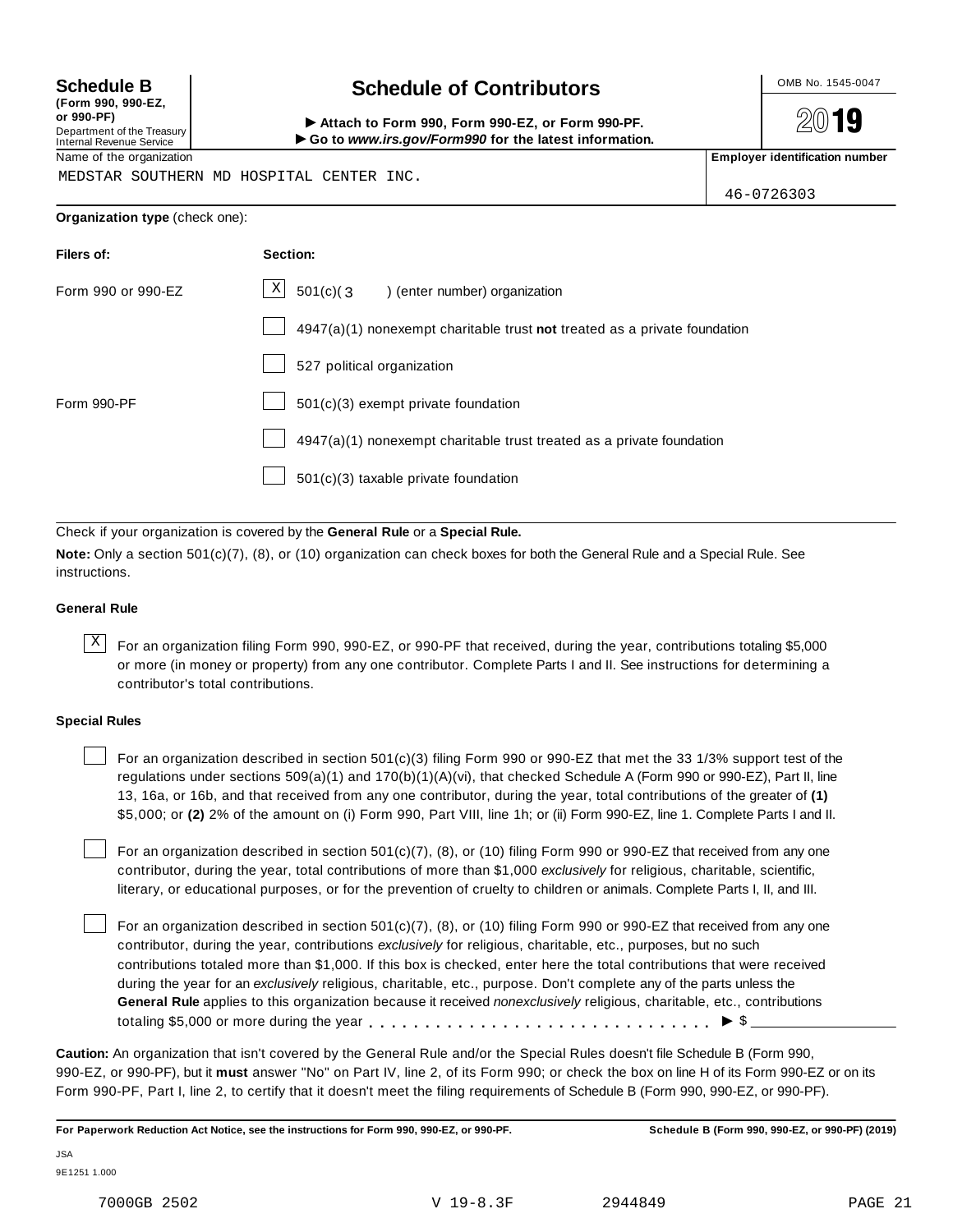**(Form 990, 990-EZ, or 990-PF)** Department of the Treasury Internal Revenue Service

## Schedule B **Schedule of Contributors**

Attach to Form 990, Form 990-EZ, or Form 990-PF. I**Go to** *www.irs.gov/Form990* **for the latest information.**

2019

Name of the organization **Employer identification number Employer identification number** 

MEDSTAR SOUTHERN MD HOSPITAL CENTER INC.

46-0726303

**Organization type** (check one):

| Filers of:         | Section:                                                                  |
|--------------------|---------------------------------------------------------------------------|
| Form 990 or 990-EZ | $\mathbf{X}$<br>$501(c)$ (3<br>) (enter number) organization              |
|                    | 4947(a)(1) nonexempt charitable trust not treated as a private foundation |
|                    | 527 political organization                                                |
| Form 990-PF        | 501(c)(3) exempt private foundation                                       |
|                    | 4947(a)(1) nonexempt charitable trust treated as a private foundation     |
|                    | 501(c)(3) taxable private foundation                                      |

Check if your organization is covered by the **General Rule** or a **Special Rule.**

**Note:** Only a section 501(c)(7), (8), or (10) organization can check boxes for both the General Rule and a Special Rule. See instructions.

#### **General Rule**

 $\overline{X}$  For an organization filing Form 990, 990-EZ, or 990-PF that received, during the year, contributions totaling \$5,000 or more (in money or property) from any one contributor. Complete Parts I and II. See instructions for determining a contributor's total contributions.

#### **Special Rules**

For an organization described in section 501(c)(3) filing Form 990 or 990-EZ that met the 33 1/3% support test of the regulations under sections 509(a)(1) and 170(b)(1)(A)(vi), that checked Schedule A (Form 990 or 990-EZ), Part II, line 13, 16a, or 16b, and that received from any one contributor, during the year, total contributions of the greater of **(1)** \$5,000; or **(2)** 2% of the amount on (i) Form 990, Part VIII, line 1h; or (ii) Form 990-EZ, line 1. Complete Parts I and II.

For an organization described in section 501(c)(7), (8), or (10) filing Form 990 or 990-EZ that received from any one contributor, during the year, total contributions of more than \$1,000 *exclusively* for religious, charitable, scientific, literary, or educational purposes, or for the prevention of cruelty to children or animals. Complete Parts I, II, and III.

For an organization described in section 501(c)(7), (8), or (10) filing Form 990 or 990-EZ that received from any one contributor, during the year, contributions *exclusively* for religious, charitable, etc., purposes, but no such contributions totaled more than \$1,000. If this box is checked, enter here the total contributions that were received during the year for an *exclusively* religious, charitable, etc., purpose. Don't complete any of the parts unless the **General Rule** applies to this organization because it received *nonexclusively* religious, charitable, etc., contributions totaling \$5,000 or more during the year  $\ldots \ldots \ldots \ldots \ldots \ldots \ldots \ldots \ldots \vdots \bullet$   $\mathcal{S}$ 

**Caution:** An organization that isn't covered by the General Rule and/or the Special Rules doesn't file Schedule B (Form 990, 990-EZ, or 990-PF), but it **must** answer "No" on Part IV, line 2, of its Form 990; or check the box on line H of its Form 990-EZ or on its Form 990-PF, Part I, line 2, to certify that it doesn't meet the filing requirements of Schedule B (Form 990, 990-EZ, or 990-PF).

**For Paperwork Reduction Act Notice, see the instructions for Form 990, 990-EZ, or 990-PF. Schedule B (Form 990, 990-EZ, or 990-PF) (2019)**

JSA 9E1251 1.000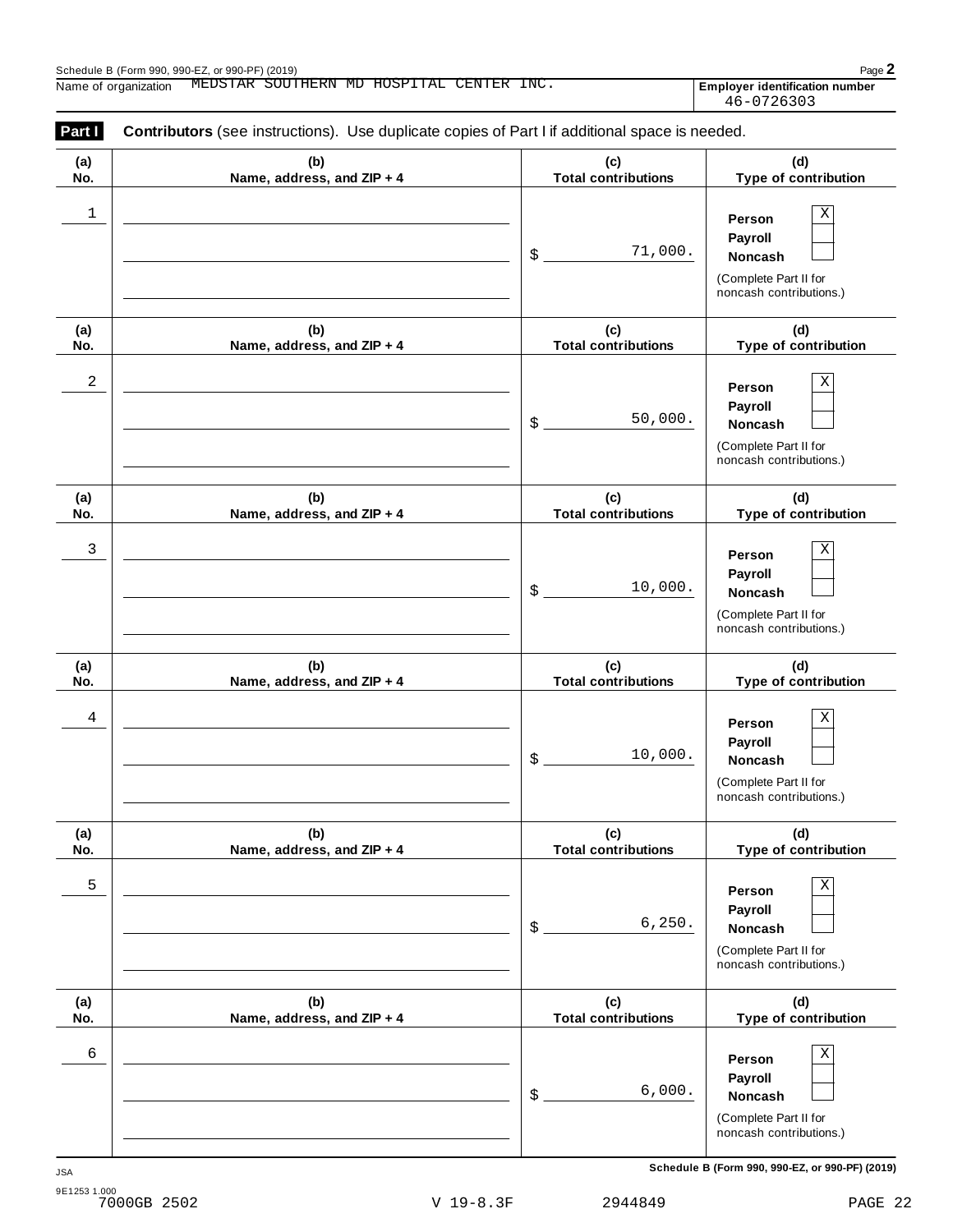| (a) | (b)                        | (c)                        | (d)                                                                                          |
|-----|----------------------------|----------------------------|----------------------------------------------------------------------------------------------|
| No. | Name, address, and ZIP + 4 | <b>Total contributions</b> | Type of contribution                                                                         |
| 1   |                            | 71,000.<br>\$              | Χ<br>Person<br>Payroll<br>Noncash<br>(Complete Part II for<br>noncash contributions.)        |
| (a) | (b)                        | (c)                        | (d)                                                                                          |
| No. | Name, address, and ZIP + 4 | <b>Total contributions</b> | Type of contribution                                                                         |
| 2   |                            | 50,000.<br>\$              | Χ<br>Person<br>Payroll<br>Noncash<br>(Complete Part II for<br>noncash contributions.)        |
| (a) | (b)                        | (c)                        | (d)                                                                                          |
| No. | Name, address, and ZIP + 4 | <b>Total contributions</b> | Type of contribution                                                                         |
| 3   |                            | 10,000.<br>\$              | Χ<br>Person<br>Payroll<br>Noncash<br>(Complete Part II for<br>noncash contributions.)        |
| (a) | (b)                        | (c)                        | (d)                                                                                          |
| No. | Name, address, and ZIP + 4 | <b>Total contributions</b> | Type of contribution                                                                         |
| 4   |                            | 10,000.<br>\$              | Χ<br>Person<br>Payroll<br>Noncash<br>(Complete Part II for<br>noncash contributions.)        |
| (a) | (b)                        | (c)                        | (d)                                                                                          |
| No. | Name, address, and ZIP + 4 | <b>Total contributions</b> | Type of contribution                                                                         |
| 5   |                            | 6, 250.<br>\$              | Χ<br>Person<br>Payroll<br><b>Noncash</b><br>(Complete Part II for<br>noncash contributions.) |
| (a) | (b)                        | (c)                        | (d)                                                                                          |
| No. | Name, address, and ZIP + 4 | <b>Total contributions</b> | Type of contribution                                                                         |
| 6   |                            | 6,000.<br>\$               | Χ<br>Person<br>Payroll<br>Noncash<br>(Complete Part II for<br>noncash contributions.)        |

**Schedule B (Form 990, 990-EZ, or 990-PF) (2019)** JSA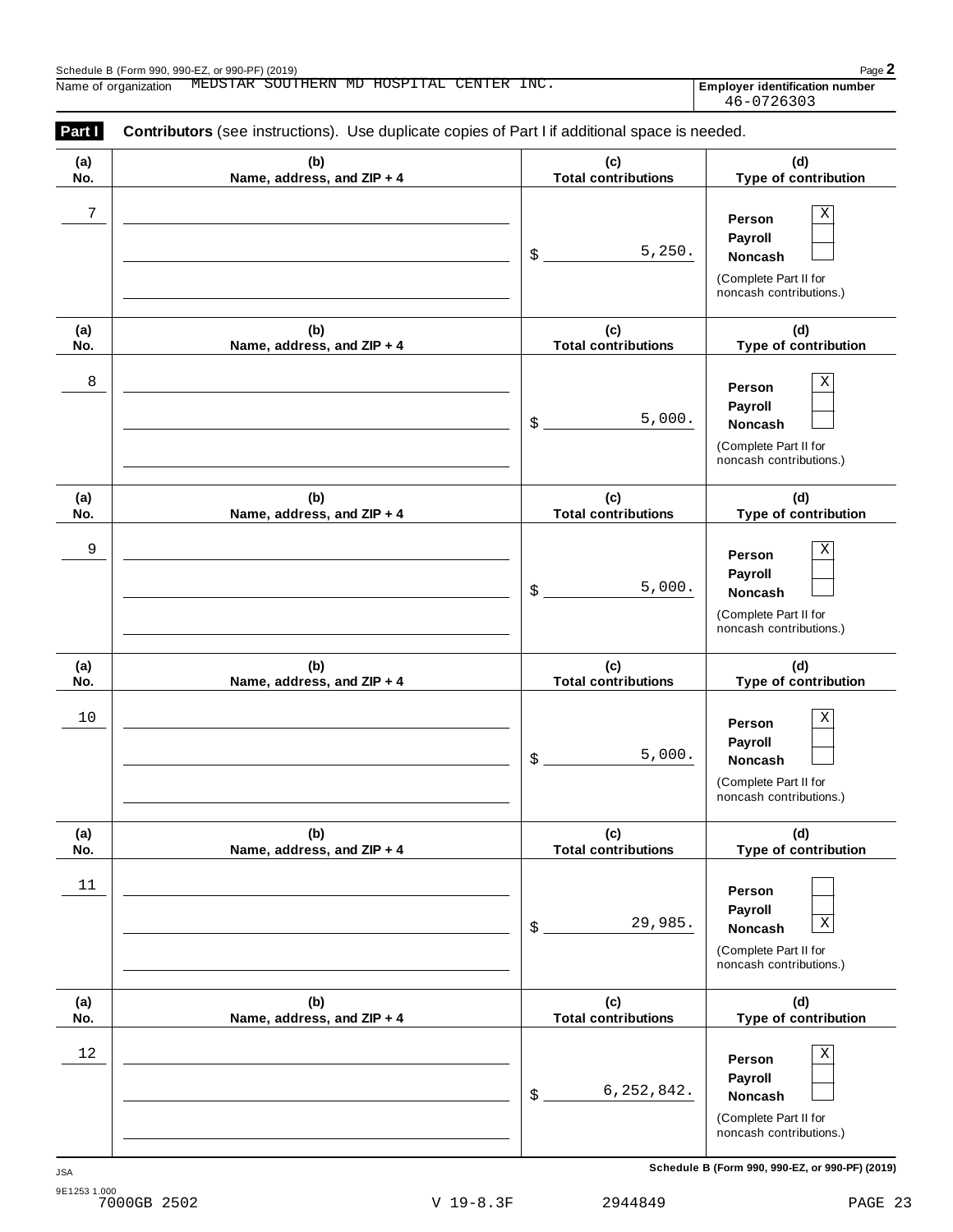| Part I     | <b>Contributors</b> (see instructions). Use duplicate copies of Part I if additional space is needed. |                                   |                                                                                                 |
|------------|-------------------------------------------------------------------------------------------------------|-----------------------------------|-------------------------------------------------------------------------------------------------|
| (a)<br>No. | (b)<br>Name, address, and ZIP + 4                                                                     | (c)<br><b>Total contributions</b> | (d)<br>Type of contribution                                                                     |
| 7          |                                                                                                       | 5,250.<br>\$                      | Χ<br>Person<br>Payroll<br>Noncash<br>(Complete Part II for<br>noncash contributions.)           |
| (a)<br>No. | (b)<br>Name, address, and ZIP + 4                                                                     | (c)<br><b>Total contributions</b> | (d)<br>Type of contribution                                                                     |
| 8          |                                                                                                       | 5,000.<br>\$                      | Χ<br>Person<br>Payroll<br>Noncash<br>(Complete Part II for<br>noncash contributions.)           |
| (a)<br>No. | (b)<br>Name, address, and ZIP + 4                                                                     | (c)<br><b>Total contributions</b> | (d)<br>Type of contribution                                                                     |
| 9          |                                                                                                       | 5,000.<br>\$                      | Χ<br>Person<br>Payroll<br>Noncash<br>(Complete Part II for<br>noncash contributions.)           |
| (a)<br>No. | (b)<br>Name, address, and ZIP + 4                                                                     | (c)<br><b>Total contributions</b> | (d)<br>Type of contribution                                                                     |
| 10         |                                                                                                       | 5,000.<br>\$                      | Χ<br>Person<br>Payroll<br>Noncash<br>(Complete Part II for<br>noncash contributions.)           |
| (a)<br>No. | (b)<br>Name, address, and ZIP + 4                                                                     | (c)<br><b>Total contributions</b> | (d)<br>Type of contribution                                                                     |
| 11         |                                                                                                       | 29,985.<br>\$                     | Person<br>Payroll<br>$\mathbf X$<br>Noncash<br>(Complete Part II for<br>noncash contributions.) |
| (a)<br>No. | (b)<br>Name, address, and ZIP + 4                                                                     | (c)<br><b>Total contributions</b> | (d)<br>Type of contribution                                                                     |
| 12         |                                                                                                       | 6, 252, 842.<br>\$                | Χ<br>Person<br>Payroll<br>Noncash<br>(Complete Part II for<br>noncash contributions.)           |

**Schedule B (Form 990, 990-EZ, or 990-PF) (2019)** JSA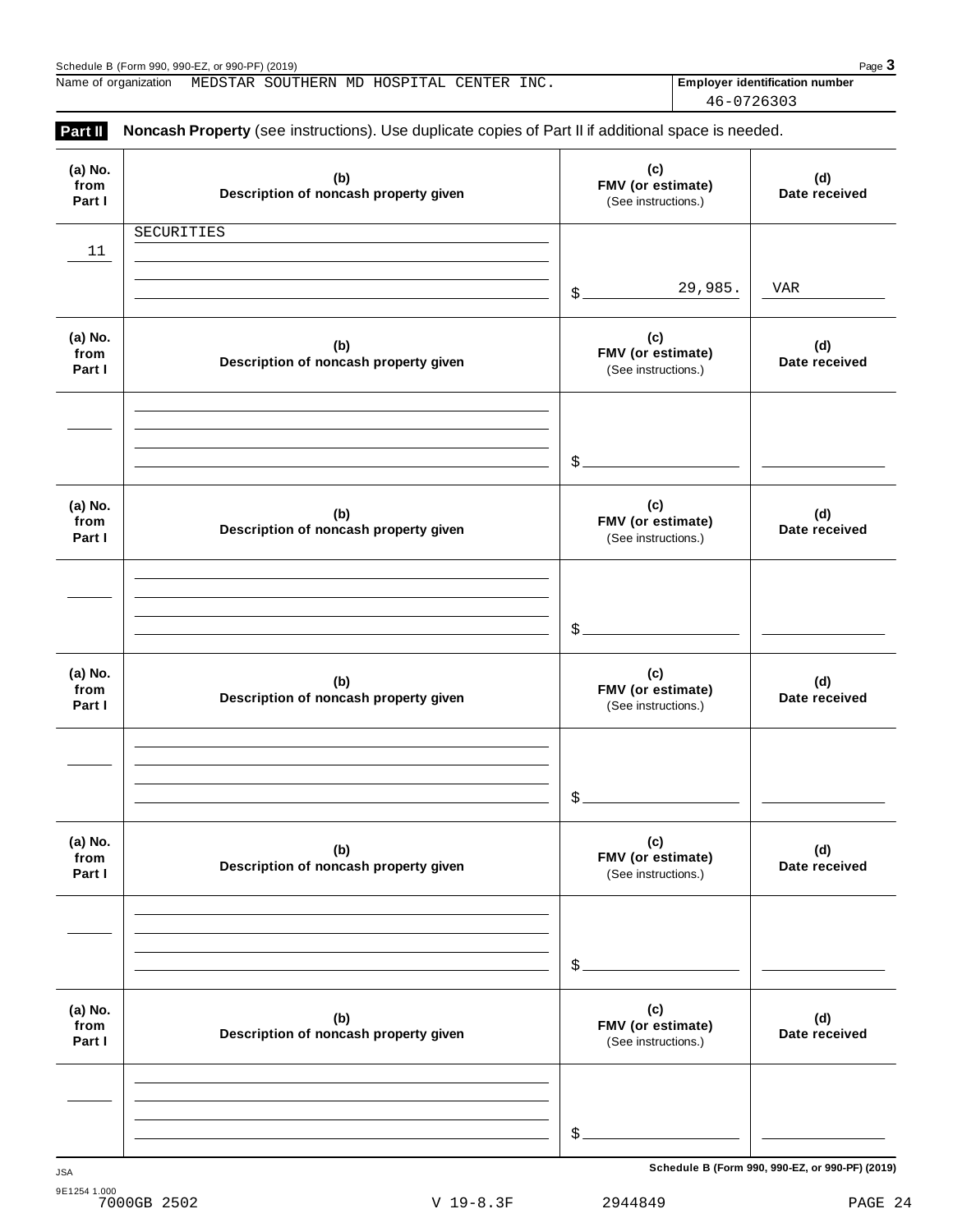| Schedule B (Form 990, 990-EZ, or 990-PF) (2019) |  |                                          |  | Page 3                                |  |
|-------------------------------------------------|--|------------------------------------------|--|---------------------------------------|--|
| Name of organization                            |  | MEDSTAR SOUTHERN MD HOSPITAL CENTER INC. |  | <b>Employer identification number</b> |  |
|                                                 |  |                                          |  | 46-0726303                            |  |

| (a) No.<br>from<br>Part I | (b)<br>Description of noncash property given | (c)<br>FMV (or estimate)<br>(See instructions.) | (d)<br>Date received |
|---------------------------|----------------------------------------------|-------------------------------------------------|----------------------|
| 11                        | SECURITIES                                   |                                                 |                      |
|                           |                                              | 29,985.<br>\$                                   | <b>VAR</b>           |
| (a) No.<br>from           | (b)<br>Description of noncash property given | (c)<br>FMV (or estimate)                        | (d)<br>Date received |
| Part I                    |                                              | (See instructions.)                             |                      |
|                           |                                              |                                                 |                      |
|                           |                                              | $$^{\circ}$                                     |                      |
| (a) No.<br>from<br>Part I | (b)<br>Description of noncash property given | (c)<br>FMV (or estimate)<br>(See instructions.) | (d)<br>Date received |
|                           |                                              |                                                 |                      |
|                           |                                              | \$                                              |                      |
| (a) No.<br>from<br>Part I | (b)<br>Description of noncash property given | (c)<br>FMV (or estimate)<br>(See instructions.) | (d)<br>Date received |
|                           |                                              |                                                 |                      |
|                           |                                              | \$                                              |                      |
| (a) No.<br>from<br>Part I | (b)<br>Description of noncash property given | (c)<br>FMV (or estimate)<br>(See instructions.) | (d)<br>Date received |
|                           |                                              |                                                 |                      |
|                           |                                              | \$                                              |                      |
| (a) No.<br>from<br>Part I | (b)<br>Description of noncash property given | (c)<br>FMV (or estimate)<br>(See instructions.) | (d)<br>Date received |
|                           |                                              |                                                 |                      |
|                           |                                              | \$                                              |                      |

9E1254 1.000 7000GB 2502 V 19-8.3F 2944849 PAGE 24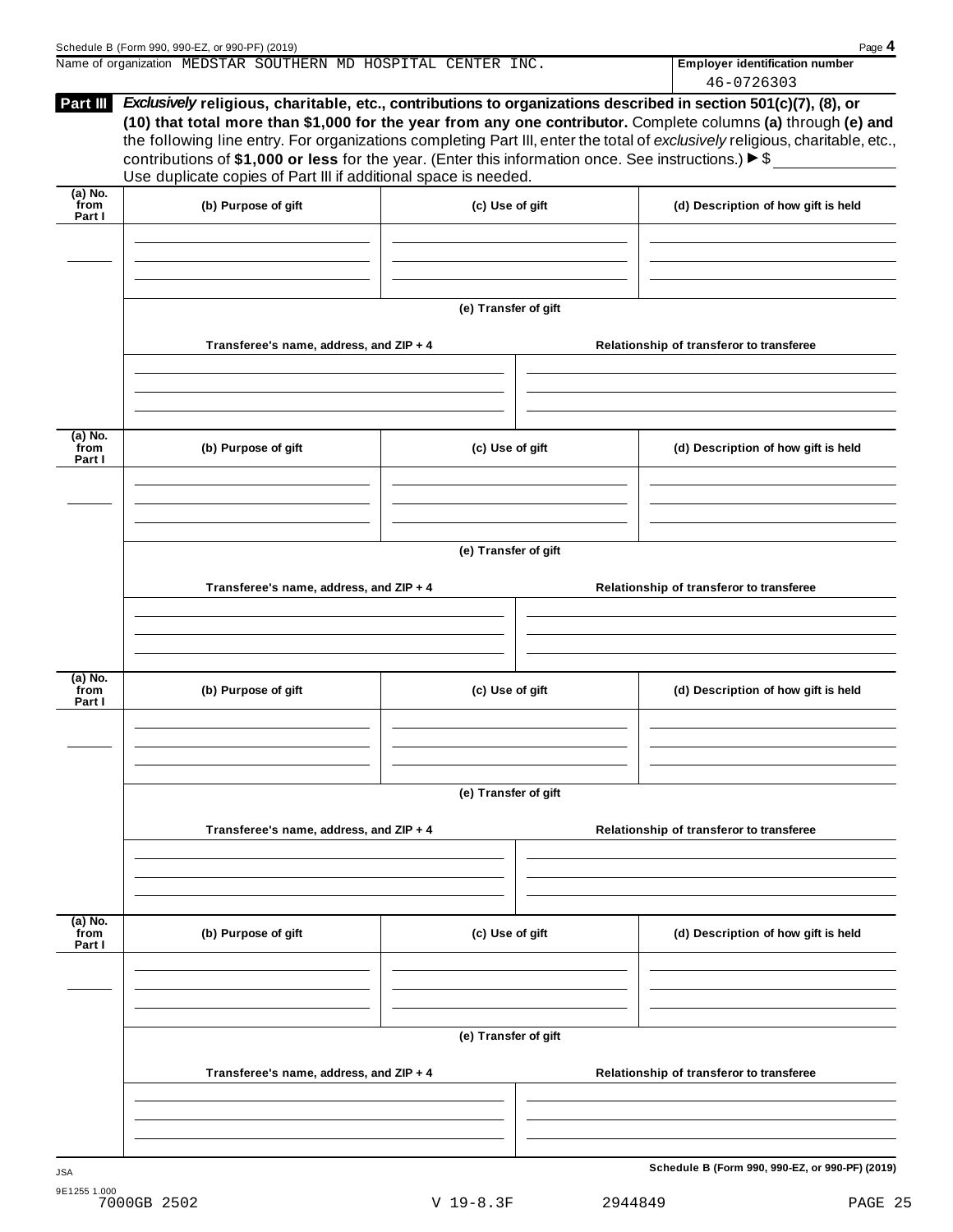|                           | Name of organization MEDSTAR SOUTHERN MD HOSPITAL CENTER INC.                                                                                                                               |                      | <b>Employer identification number</b><br>46-0726303                                                                                                                                                                                                                                                                                                              |
|---------------------------|---------------------------------------------------------------------------------------------------------------------------------------------------------------------------------------------|----------------------|------------------------------------------------------------------------------------------------------------------------------------------------------------------------------------------------------------------------------------------------------------------------------------------------------------------------------------------------------------------|
| Part III                  | contributions of \$1,000 or less for the year. (Enter this information once. See instructions.) $\blacktriangleright$ \$<br>Use duplicate copies of Part III if additional space is needed. |                      | Exclusively religious, charitable, etc., contributions to organizations described in section 501(c)(7), (8), or<br>(10) that total more than \$1,000 for the year from any one contributor. Complete columns (a) through (e) and<br>the following line entry. For organizations completing Part III, enter the total of exclusively religious, charitable, etc., |
| (a) No.<br>from<br>Part I | (b) Purpose of gift                                                                                                                                                                         | (c) Use of gift      | (d) Description of how gift is held                                                                                                                                                                                                                                                                                                                              |
|                           |                                                                                                                                                                                             |                      |                                                                                                                                                                                                                                                                                                                                                                  |
|                           | Transferee's name, address, and ZIP + 4                                                                                                                                                     | (e) Transfer of gift | Relationship of transferor to transferee                                                                                                                                                                                                                                                                                                                         |
|                           |                                                                                                                                                                                             |                      |                                                                                                                                                                                                                                                                                                                                                                  |
| (a) No.<br>from<br>Part I | (b) Purpose of gift                                                                                                                                                                         | (c) Use of gift      | (d) Description of how gift is held                                                                                                                                                                                                                                                                                                                              |

**(e) Transfer of gift**

|                             | Transferee's name, address, and ZIP + 4 |                      | Relationship of transferor to transferee |
|-----------------------------|-----------------------------------------|----------------------|------------------------------------------|
|                             |                                         |                      |                                          |
| $(a)$ No.<br>from<br>Part I | (b) Purpose of gift                     | (c) Use of gift      | (d) Description of how gift is held      |
|                             |                                         |                      |                                          |
|                             |                                         | (e) Transfer of gift |                                          |
|                             | Transferee's name, address, and ZIP + 4 |                      | Relationship of transferor to transferee |
|                             |                                         |                      |                                          |
|                             |                                         |                      |                                          |
| $(a)$ No.<br>from<br>Part I | (b) Purpose of gift                     | (c) Use of gift      | (d) Description of how gift is held      |
|                             |                                         |                      |                                          |
|                             |                                         |                      |                                          |
|                             |                                         | (e) Transfer of gift |                                          |
|                             | Transferee's name, address, and ZIP + 4 |                      | Relationship of transferor to transferee |
|                             |                                         |                      |                                          |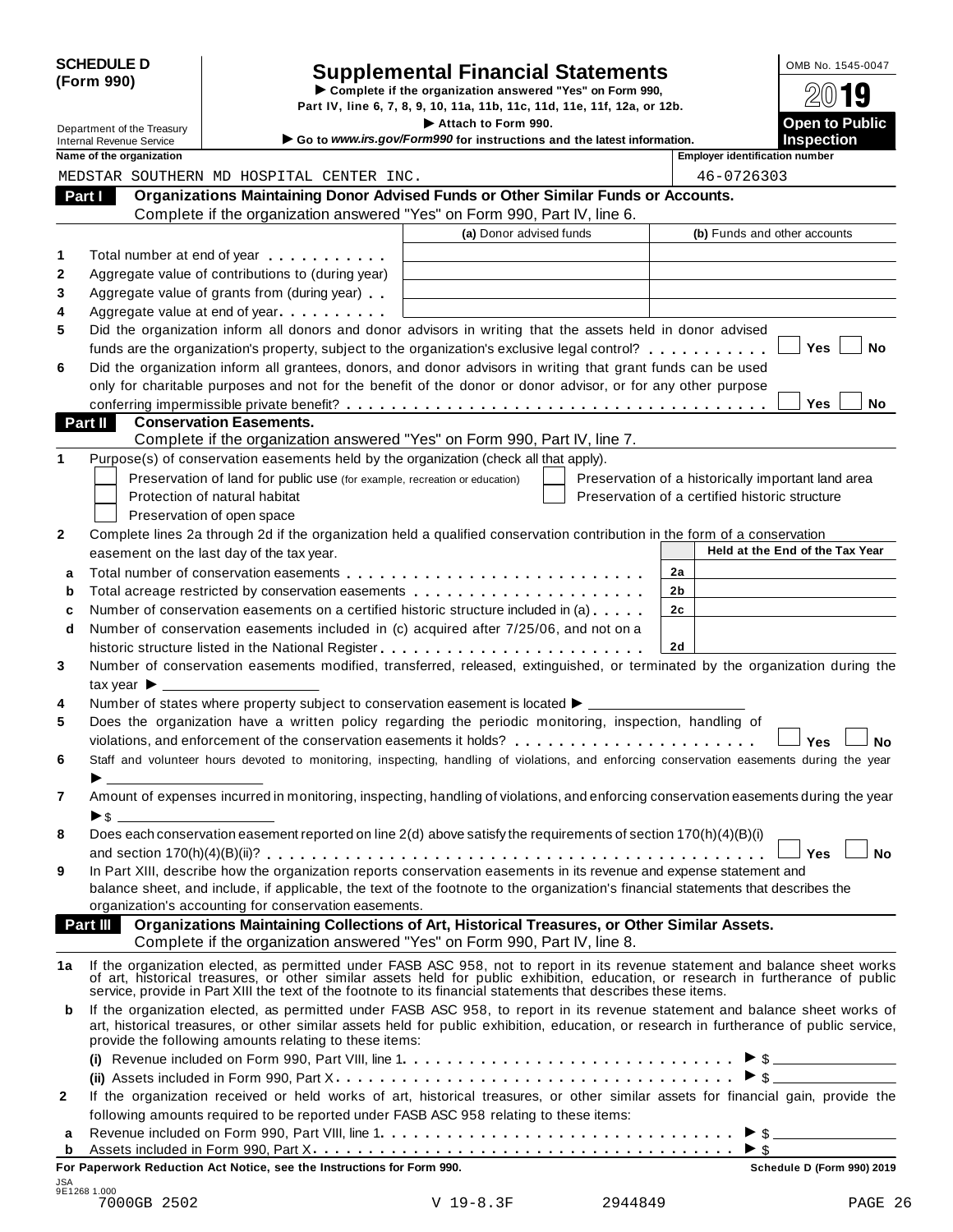| <b>SCHEDULE D</b> |  |
|-------------------|--|
| (Form 990)        |  |

# SCHEDULE D<br>
Supplemental Financial Statements<br>
Form 990) Part IV, line 6, 7, 8, 9, 10, 11a, 11b, 11c, 11d, 11e, 11f, 12a, or 12b.

Part IV, line 6, 7, 8, 9, 10, 11a, 11b, 11c, 11d, 11e, 11f, 12a, or 12b.<br>
Department of the Treasury<br> **Co to Hanny irs 201/Form000 for instructions and the Intervations** 

|         | Department of the Treasury      |                                                                            | Attach to Form 990.                                                                                                                                                                                                                                               |                                                    | <b>Open to Public</b>           |
|---------|---------------------------------|----------------------------------------------------------------------------|-------------------------------------------------------------------------------------------------------------------------------------------------------------------------------------------------------------------------------------------------------------------|----------------------------------------------------|---------------------------------|
|         | <b>Internal Revenue Service</b> |                                                                            | Go to www.irs.gov/Form990 for instructions and the latest information.                                                                                                                                                                                            |                                                    | <b>Inspection</b>               |
|         | Name of the organization        |                                                                            |                                                                                                                                                                                                                                                                   | <b>Employer identification number</b>              |                                 |
|         |                                 | MEDSTAR SOUTHERN MD HOSPITAL CENTER INC.                                   |                                                                                                                                                                                                                                                                   | 46-0726303                                         |                                 |
| Part I  |                                 |                                                                            | Organizations Maintaining Donor Advised Funds or Other Similar Funds or Accounts.                                                                                                                                                                                 |                                                    |                                 |
|         |                                 |                                                                            | Complete if the organization answered "Yes" on Form 990, Part IV, line 6.                                                                                                                                                                                         |                                                    |                                 |
|         |                                 |                                                                            | (a) Donor advised funds                                                                                                                                                                                                                                           | (b) Funds and other accounts                       |                                 |
| 1       |                                 | Total number at end of year manufacturers and the Total number             |                                                                                                                                                                                                                                                                   |                                                    |                                 |
| 2       |                                 | Aggregate value of contributions to (during year)                          |                                                                                                                                                                                                                                                                   |                                                    |                                 |
| 3       |                                 | Aggregate value of grants from (during year)                               |                                                                                                                                                                                                                                                                   |                                                    |                                 |
| 4       |                                 | Aggregate value at end of year                                             |                                                                                                                                                                                                                                                                   |                                                    |                                 |
| 5       |                                 |                                                                            | Did the organization inform all donors and donor advisors in writing that the assets held in donor advised                                                                                                                                                        |                                                    |                                 |
|         |                                 |                                                                            | funds are the organization's property, subject to the organization's exclusive legal control?                                                                                                                                                                     |                                                    | Yes<br>No                       |
| 6       |                                 |                                                                            | Did the organization inform all grantees, donors, and donor advisors in writing that grant funds can be used                                                                                                                                                      |                                                    |                                 |
|         |                                 |                                                                            | only for charitable purposes and not for the benefit of the donor or donor advisor, or for any other purpose                                                                                                                                                      |                                                    |                                 |
|         |                                 |                                                                            |                                                                                                                                                                                                                                                                   |                                                    | Yes<br>No                       |
| Part II |                                 | <b>Conservation Easements.</b>                                             |                                                                                                                                                                                                                                                                   |                                                    |                                 |
|         |                                 |                                                                            | Complete if the organization answered "Yes" on Form 990, Part IV, line 7.                                                                                                                                                                                         |                                                    |                                 |
| 1       |                                 |                                                                            | Purpose(s) of conservation easements held by the organization (check all that apply).                                                                                                                                                                             |                                                    |                                 |
|         |                                 | Preservation of land for public use (for example, recreation or education) |                                                                                                                                                                                                                                                                   | Preservation of a historically important land area |                                 |
|         |                                 | Protection of natural habitat                                              |                                                                                                                                                                                                                                                                   | Preservation of a certified historic structure     |                                 |
|         |                                 | Preservation of open space                                                 |                                                                                                                                                                                                                                                                   |                                                    |                                 |
| 2       |                                 |                                                                            | Complete lines 2a through 2d if the organization held a qualified conservation contribution in the form of a conservation                                                                                                                                         |                                                    |                                 |
|         |                                 | easement on the last day of the tax year.                                  |                                                                                                                                                                                                                                                                   |                                                    | Held at the End of the Tax Year |
| a       |                                 |                                                                            |                                                                                                                                                                                                                                                                   | 2a                                                 |                                 |
| b       |                                 |                                                                            | Total acreage restricted by conservation easements                                                                                                                                                                                                                | 2b                                                 |                                 |
| c       |                                 |                                                                            | Number of conservation easements on a certified historic structure included in (a)                                                                                                                                                                                | 2 <sub>c</sub>                                     |                                 |
| d       |                                 |                                                                            | Number of conservation easements included in (c) acquired after 7/25/06, and not on a                                                                                                                                                                             |                                                    |                                 |
|         |                                 |                                                                            |                                                                                                                                                                                                                                                                   | 2d                                                 |                                 |
| 3       |                                 |                                                                            | Number of conservation easements modified, transferred, released, extinguished, or terminated by the organization during the                                                                                                                                      |                                                    |                                 |
|         |                                 |                                                                            |                                                                                                                                                                                                                                                                   |                                                    |                                 |
| 4       |                                 |                                                                            | Number of states where property subject to conservation easement is located $\blacktriangleright$ _______                                                                                                                                                         |                                                    |                                 |
| 5       |                                 |                                                                            | Does the organization have a written policy regarding the periodic monitoring, inspection, handling of                                                                                                                                                            |                                                    |                                 |
|         |                                 |                                                                            |                                                                                                                                                                                                                                                                   |                                                    | Yes<br>No                       |
| 6       |                                 |                                                                            | Staff and volunteer hours devoted to monitoring, inspecting, handling of violations, and enforcing conservation easements during the year                                                                                                                         |                                                    |                                 |
|         |                                 |                                                                            |                                                                                                                                                                                                                                                                   |                                                    |                                 |
| 7       |                                 |                                                                            | Amount of expenses incurred in monitoring, inspecting, handling of violations, and enforcing conservation easements during the year                                                                                                                               |                                                    |                                 |
|         | ▶\$                             |                                                                            |                                                                                                                                                                                                                                                                   |                                                    |                                 |
| 8       |                                 |                                                                            | Does each conservation easement reported on line $2(d)$ above satisfy the requirements of section 170(h)(4)(B)(i)                                                                                                                                                 |                                                    |                                 |
|         |                                 |                                                                            |                                                                                                                                                                                                                                                                   |                                                    | <b>No</b><br>Yes                |
| 9       |                                 |                                                                            | In Part XIII, describe how the organization reports conservation easements in its revenue and expense statement and                                                                                                                                               |                                                    |                                 |
|         |                                 |                                                                            | balance sheet, and include, if applicable, the text of the footnote to the organization's financial statements that describes the                                                                                                                                 |                                                    |                                 |
|         | Part III                        | organization's accounting for conservation easements.                      | Organizations Maintaining Collections of Art, Historical Treasures, or Other Similar Assets.                                                                                                                                                                      |                                                    |                                 |
|         |                                 |                                                                            | Complete if the organization answered "Yes" on Form 990, Part IV, line 8.                                                                                                                                                                                         |                                                    |                                 |
|         |                                 |                                                                            |                                                                                                                                                                                                                                                                   |                                                    |                                 |
| 1a      |                                 |                                                                            | If the organization elected, as permitted under FASB ASC 958, not to report in its revenue statement and balance sheet works<br>of art, historical treasures, or other similar assets held for public exhibition, education, or research in furtherance of public |                                                    |                                 |
|         |                                 |                                                                            | service, provide in Part XIII the text of the footnote to its financial statements that describes these items.                                                                                                                                                    |                                                    |                                 |
| b       |                                 |                                                                            | If the organization elected, as permitted under FASB ASC 958, to report in its revenue statement and balance sheet works of                                                                                                                                       |                                                    |                                 |
|         |                                 |                                                                            | art, historical treasures, or other similar assets held for public exhibition, education, or research in furtherance of public service,                                                                                                                           |                                                    |                                 |
|         |                                 | provide the following amounts relating to these items:                     |                                                                                                                                                                                                                                                                   |                                                    |                                 |
|         |                                 |                                                                            | (i) Revenue included on Form 990, Part VIII, line $1, \ldots, \ldots, \ldots, \ldots, \ldots, \ldots, \ldots, \ldots, \ldots$                                                                                                                                     |                                                    | $\triangleright$ \$             |
|         |                                 |                                                                            |                                                                                                                                                                                                                                                                   |                                                    | $\triangleright$ \$             |
| 2       |                                 |                                                                            | If the organization received or held works of art, historical treasures, or other similar assets for financial gain, provide the                                                                                                                                  |                                                    |                                 |
|         |                                 |                                                                            | following amounts required to be reported under FASB ASC 958 relating to these items:                                                                                                                                                                             |                                                    |                                 |
| а       |                                 |                                                                            |                                                                                                                                                                                                                                                                   |                                                    | $\triangleright$ \$             |
| b       |                                 |                                                                            |                                                                                                                                                                                                                                                                   | $\triangleright$ \$                                |                                 |
|         |                                 | For Paperwork Reduction Act Notice, see the Instructions for Form 990.     |                                                                                                                                                                                                                                                                   |                                                    | Schedule D (Form 990) 2019      |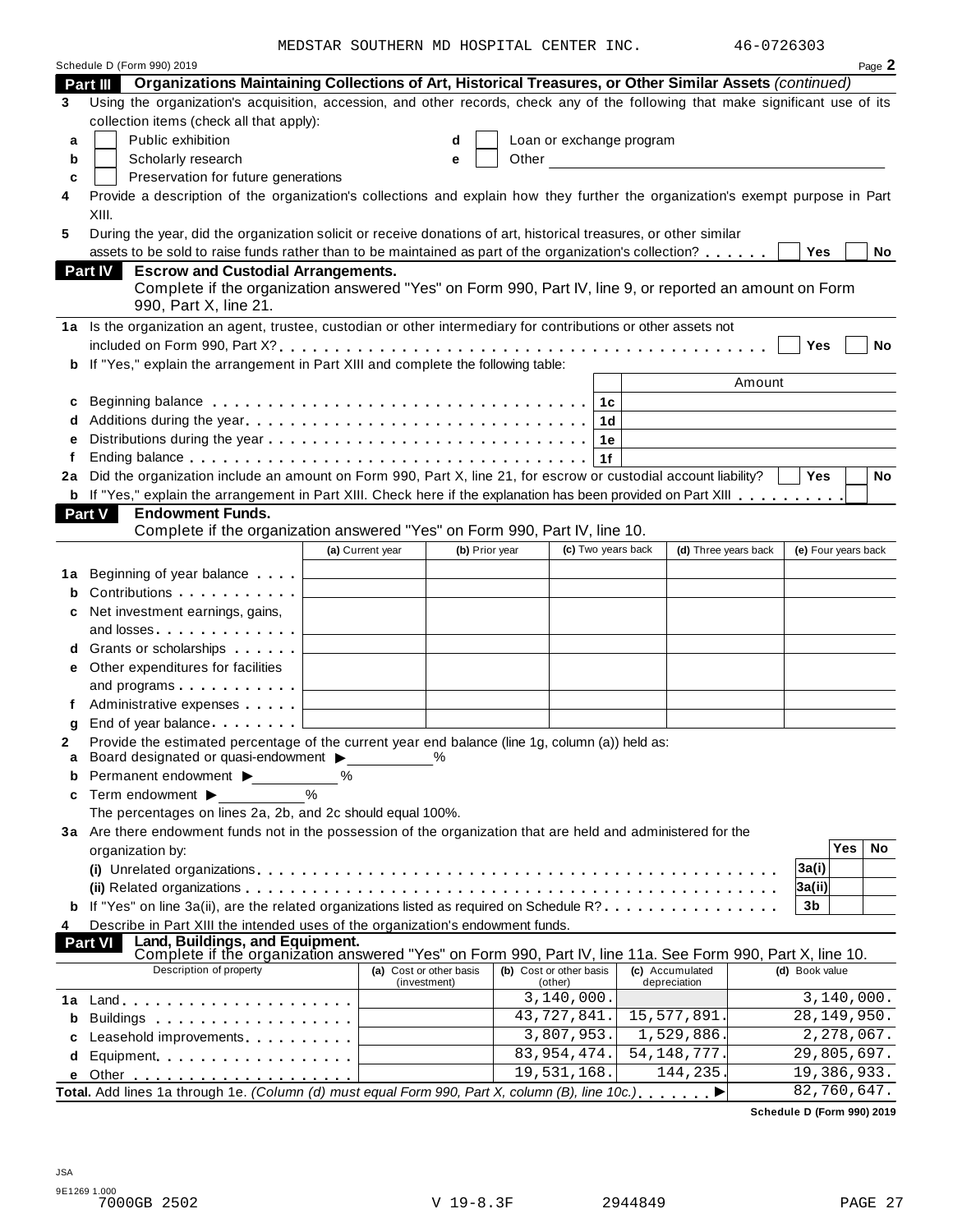MEDSTAR SOUTHERN MD HOSPITAL CENTER INC. 46-0726303

|                       | Schedule D (Form 990) 2019                                                                                                                                                                                                     |                                                             |                         |                                              |                    |    |                                                                                                                                                                                                                               |                      |                            |            | Page 2    |
|-----------------------|--------------------------------------------------------------------------------------------------------------------------------------------------------------------------------------------------------------------------------|-------------------------------------------------------------|-------------------------|----------------------------------------------|--------------------|----|-------------------------------------------------------------------------------------------------------------------------------------------------------------------------------------------------------------------------------|----------------------|----------------------------|------------|-----------|
|                       | Organizations Maintaining Collections of Art, Historical Treasures, or Other Similar Assets (continued)<br><b>Part III</b>                                                                                                     |                                                             |                         |                                              |                    |    |                                                                                                                                                                                                                               |                      |                            |            |           |
| 3                     | Using the organization's acquisition, accession, and other records, check any of the following that make significant use of its                                                                                                |                                                             |                         |                                              |                    |    |                                                                                                                                                                                                                               |                      |                            |            |           |
|                       | collection items (check all that apply):                                                                                                                                                                                       |                                                             |                         |                                              |                    |    |                                                                                                                                                                                                                               |                      |                            |            |           |
| a                     | Public exhibition                                                                                                                                                                                                              |                                                             | d                       |                                              |                    |    | Loan or exchange program                                                                                                                                                                                                      |                      |                            |            |           |
| b                     | Scholarly research                                                                                                                                                                                                             |                                                             | е                       |                                              |                    |    | Other and the contract of the contract of the contract of the contract of the contract of the contract of the contract of the contract of the contract of the contract of the contract of the contract of the contract of the |                      |                            |            |           |
| c                     | Preservation for future generations                                                                                                                                                                                            |                                                             |                         |                                              |                    |    |                                                                                                                                                                                                                               |                      |                            |            |           |
|                       | Provide a description of the organization's collections and explain how they further the organization's exempt purpose in Part                                                                                                 |                                                             |                         |                                              |                    |    |                                                                                                                                                                                                                               |                      |                            |            |           |
|                       | XIII.                                                                                                                                                                                                                          |                                                             |                         |                                              |                    |    |                                                                                                                                                                                                                               |                      |                            |            |           |
|                       | During the year, did the organization solicit or receive donations of art, historical treasures, or other similar                                                                                                              |                                                             |                         |                                              |                    |    |                                                                                                                                                                                                                               |                      |                            |            |           |
|                       | assets to be sold to raise funds rather than to be maintained as part of the organization's collection?                                                                                                                        |                                                             |                         |                                              |                    |    |                                                                                                                                                                                                                               |                      | <b>Yes</b>                 |            | No        |
|                       | <b>Part IV</b><br><b>Escrow and Custodial Arrangements.</b>                                                                                                                                                                    |                                                             |                         |                                              |                    |    |                                                                                                                                                                                                                               |                      |                            |            |           |
|                       | Complete if the organization answered "Yes" on Form 990, Part IV, line 9, or reported an amount on Form                                                                                                                        |                                                             |                         |                                              |                    |    |                                                                                                                                                                                                                               |                      |                            |            |           |
|                       | 990, Part X, line 21.                                                                                                                                                                                                          |                                                             |                         |                                              |                    |    |                                                                                                                                                                                                                               |                      |                            |            |           |
|                       | 1a Is the organization an agent, trustee, custodian or other intermediary for contributions or other assets not                                                                                                                |                                                             |                         |                                              |                    |    |                                                                                                                                                                                                                               |                      |                            |            |           |
|                       |                                                                                                                                                                                                                                |                                                             |                         |                                              |                    |    |                                                                                                                                                                                                                               |                      | Yes                        |            | <b>No</b> |
| b                     | If "Yes," explain the arrangement in Part XIII and complete the following table:                                                                                                                                               |                                                             |                         |                                              |                    |    |                                                                                                                                                                                                                               |                      |                            |            |           |
|                       |                                                                                                                                                                                                                                |                                                             |                         |                                              |                    |    |                                                                                                                                                                                                                               | Amount               |                            |            |           |
| c                     | Beginning balance enterpreteration of the contract of the contract of the contract of the contract of the contr                                                                                                                |                                                             |                         |                                              |                    | 1c |                                                                                                                                                                                                                               |                      |                            |            |           |
| d                     |                                                                                                                                                                                                                                |                                                             |                         |                                              |                    | 1d |                                                                                                                                                                                                                               |                      |                            |            |           |
| e                     |                                                                                                                                                                                                                                |                                                             |                         |                                              |                    | 1е |                                                                                                                                                                                                                               |                      |                            |            |           |
| f                     |                                                                                                                                                                                                                                |                                                             |                         |                                              |                    | 1f |                                                                                                                                                                                                                               |                      |                            |            |           |
| 2a                    | Did the organization include an amount on Form 990, Part X, line 21, for escrow or custodial account liability?                                                                                                                |                                                             |                         |                                              |                    |    |                                                                                                                                                                                                                               |                      | Yes                        |            | No        |
| b                     | If "Yes," explain the arrangement in Part XIII. Check here if the explanation has been provided on Part XIII                                                                                                                   |                                                             |                         |                                              |                    |    |                                                                                                                                                                                                                               |                      |                            |            |           |
|                       | Part V<br><b>Endowment Funds.</b>                                                                                                                                                                                              |                                                             |                         |                                              |                    |    |                                                                                                                                                                                                                               |                      |                            |            |           |
|                       | Complete if the organization answered "Yes" on Form 990, Part IV, line 10.                                                                                                                                                     |                                                             |                         |                                              |                    |    |                                                                                                                                                                                                                               |                      |                            |            |           |
|                       |                                                                                                                                                                                                                                | (a) Current year                                            |                         | (b) Prior year                               | (c) Two years back |    |                                                                                                                                                                                                                               | (d) Three years back | (e) Four years back        |            |           |
|                       |                                                                                                                                                                                                                                |                                                             |                         |                                              |                    |    |                                                                                                                                                                                                                               |                      |                            |            |           |
| 1a                    | Beginning of year balance                                                                                                                                                                                                      | the control of the control of the control of                |                         |                                              |                    |    |                                                                                                                                                                                                                               |                      |                            |            |           |
|                       | Contributions                                                                                                                                                                                                                  |                                                             |                         |                                              |                    |    |                                                                                                                                                                                                                               |                      |                            |            |           |
| с                     | Net investment earnings, gains,                                                                                                                                                                                                |                                                             |                         |                                              |                    |    |                                                                                                                                                                                                                               |                      |                            |            |           |
|                       | and losses                                                                                                                                                                                                                     | the control of the control of the control of the control of |                         |                                              |                    |    |                                                                                                                                                                                                                               |                      |                            |            |           |
| d                     | Grants or scholarships                                                                                                                                                                                                         |                                                             |                         |                                              |                    |    |                                                                                                                                                                                                                               |                      |                            |            |           |
| е                     | Other expenditures for facilities                                                                                                                                                                                              |                                                             |                         |                                              |                    |    |                                                                                                                                                                                                                               |                      |                            |            |           |
|                       | and programs $\ldots \ldots \ldots$ $\qquad \qquad$                                                                                                                                                                            |                                                             |                         | the control of the control of the control of |                    |    |                                                                                                                                                                                                                               |                      |                            |            |           |
| f                     |                                                                                                                                                                                                                                |                                                             |                         |                                              |                    |    |                                                                                                                                                                                                                               |                      |                            |            |           |
| g                     | End of year balance                                                                                                                                                                                                            |                                                             |                         |                                              |                    |    |                                                                                                                                                                                                                               |                      |                            |            |           |
|                       | Provide the estimated percentage of the current year end balance (line 1g, column (a)) held as:                                                                                                                                |                                                             |                         |                                              |                    |    |                                                                                                                                                                                                                               |                      |                            |            |           |
|                       | Board designated or quasi-endowment > %                                                                                                                                                                                        |                                                             |                         |                                              |                    |    |                                                                                                                                                                                                                               |                      |                            |            |           |
| b                     | Permanent endowment >                                                                                                                                                                                                          | $\%$<br>$\frac{0}{0}$                                       |                         |                                              |                    |    |                                                                                                                                                                                                                               |                      |                            |            |           |
| C                     | Term endowment >                                                                                                                                                                                                               |                                                             |                         |                                              |                    |    |                                                                                                                                                                                                                               |                      |                            |            |           |
|                       | The percentages on lines 2a, 2b, and 2c should equal 100%.                                                                                                                                                                     |                                                             |                         |                                              |                    |    |                                                                                                                                                                                                                               |                      |                            |            |           |
|                       | 3a Are there endowment funds not in the possession of the organization that are held and administered for the                                                                                                                  |                                                             |                         |                                              |                    |    |                                                                                                                                                                                                                               |                      |                            | <b>Yes</b> | No        |
|                       | organization by:                                                                                                                                                                                                               |                                                             |                         |                                              |                    |    |                                                                                                                                                                                                                               |                      |                            |            |           |
|                       |                                                                                                                                                                                                                                |                                                             |                         |                                              |                    |    |                                                                                                                                                                                                                               |                      | 3a(i)                      |            |           |
|                       |                                                                                                                                                                                                                                |                                                             |                         |                                              |                    |    |                                                                                                                                                                                                                               |                      | 3a(ii)                     |            |           |
|                       | If "Yes" on line 3a(ii), are the related organizations listed as required on Schedule R?                                                                                                                                       |                                                             |                         |                                              |                    |    |                                                                                                                                                                                                                               |                      | 3b                         |            |           |
|                       | Describe in Part XIII the intended uses of the organization's endowment funds.                                                                                                                                                 |                                                             |                         |                                              |                    |    |                                                                                                                                                                                                                               |                      |                            |            |           |
|                       |                                                                                                                                                                                                                                |                                                             |                         |                                              |                    |    |                                                                                                                                                                                                                               |                      |                            |            |           |
|                       | Land, Buildings, and Equipment.<br><b>Part VI</b>                                                                                                                                                                              |                                                             |                         |                                              |                    |    | (c) Accumulated                                                                                                                                                                                                               |                      | (d) Book value             |            |           |
|                       | Complete if the organization answered "Yes" on Form 990, Part IV, line 11a. See Form 990, Part X, line 10.<br>Description of property                                                                                          |                                                             | (a) Cost or other basis | (b) Cost or other basis                      |                    |    |                                                                                                                                                                                                                               |                      |                            |            |           |
|                       |                                                                                                                                                                                                                                |                                                             | (investment)            |                                              | (other)            |    | depreciation                                                                                                                                                                                                                  |                      |                            |            |           |
|                       |                                                                                                                                                                                                                                |                                                             |                         |                                              | 3, 140, 000.       |    |                                                                                                                                                                                                                               |                      | $\overline{3,140,000}$ .   |            |           |
|                       |                                                                                                                                                                                                                                |                                                             |                         |                                              | 43,727,841.        |    | 15,577,891.                                                                                                                                                                                                                   |                      | 28, 149, 950.              |            |           |
|                       | Leasehold improvements entitled and the set of the set of the set of the set of the set of the set of the set of the set of the set of the set of the set of the set of the set of the set of the set of the set of the set of |                                                             |                         |                                              | 3,807,953.         |    | 1,529,886.                                                                                                                                                                                                                    |                      | 2,278,067.                 |            |           |
|                       | Equipment                                                                                                                                                                                                                      |                                                             |                         |                                              | 83, 954, 474.      |    | 54, 148, 777.                                                                                                                                                                                                                 |                      | 29,805,697.                |            |           |
| b<br>4<br>b<br>C<br>d | Total. Add lines 1a through 1e. (Column (d) must equal Form 990, Part X, column (B), line 10c.),  ▶                                                                                                                            |                                                             |                         |                                              | 19,531,168.        |    | 144,235.                                                                                                                                                                                                                      |                      | 19,386,933.<br>82,760,647. |            |           |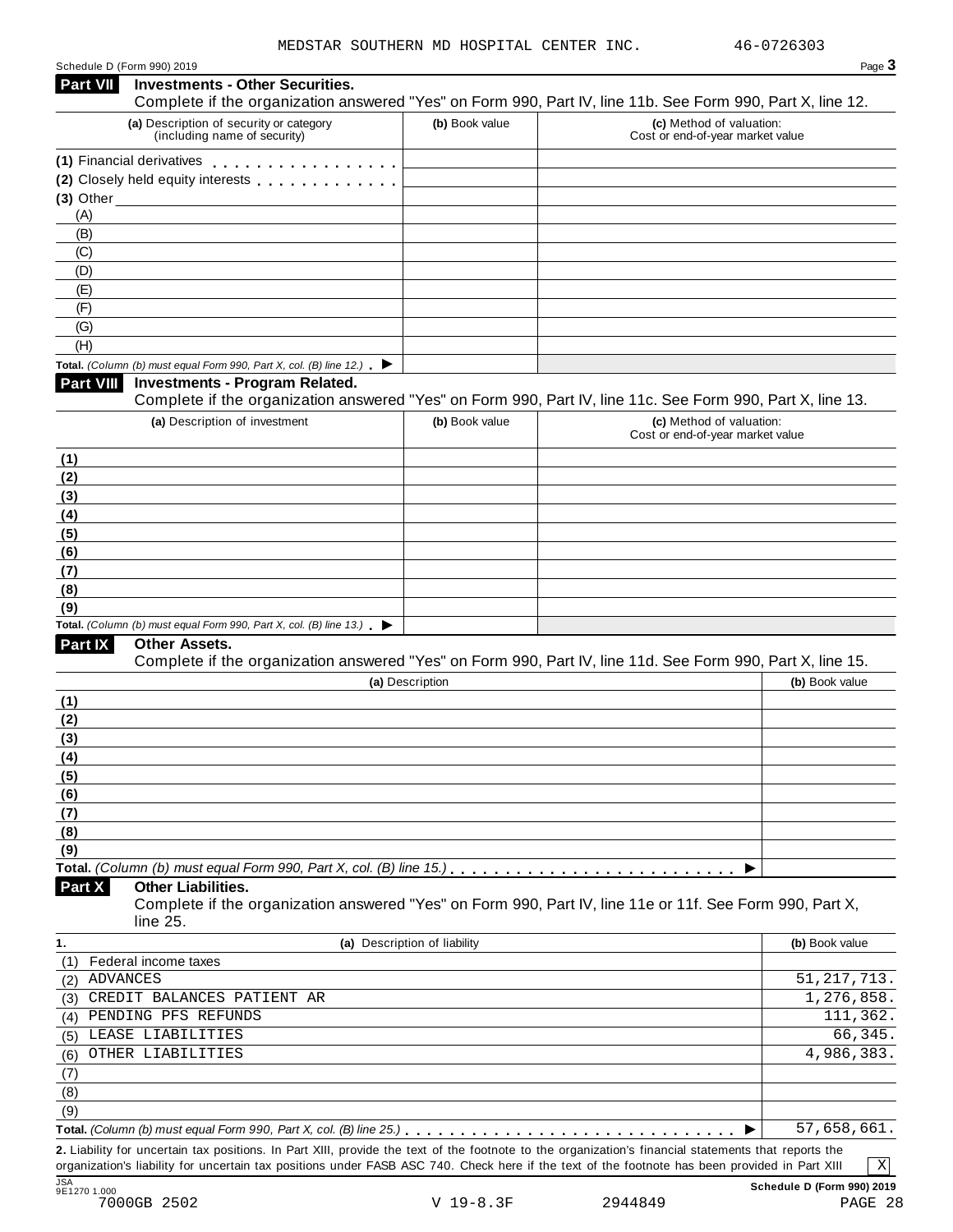#### Schedule D (Form 990) 2019 Page **3 Investments - Other Securities.** Complete if the organization answered "Yes" on Form 990, Part IV, line 11b. See Form 990, Part X, line 12. **Part VII (a)** Description of security or category (including name of security) **(b)** Book value **(c)** Method of valuation: Cost or end-of-year market value Schedule D (Form 990) 2019<br> **Part VII Investments - Other Securities.**<br>
Complete if the organization answered<br>
(a) Description of security or category<br>
(including name of security)<br>
(1) Financial derivatives<br>
(2) Closely h **Part VII** Investments - Other Securities.<br>
Complete if the organization answered<br>
(a) Description of security or category<br>
(including name of security)<br>
(1) Financial derivatives<br>
(2) Closely held equity interests<br>
(3) Ot **(3)** Other (A) (B) (C) (D) (E) (F) (G) (H) **Total.** *(Column (b) must equal Form 990, Part X, col. (B) line 12.)* **Investments - Program Related.**  Complete if the organization answered "Yes" on Form 990, Part IV, line 11c. See Form 990, Part X, line 13. **Part VIII (a)** Description of investment **(b)** Book value **(c)** Method of valuation: Cost or end-of-year market value **(1) (2) (3) (4) (5) (6) (7) (8) (9) Total.** *(Column (b) must equal Form 990, Part X, col.*  $(B)$  line 13.)  $\blacktriangleright$ **Other Assets.**  Complete if the organization answered "Yes" on Form 990, Part IV, line 11d. See Form 990, Part X, line 15. **Part IX (a)** Description **(b)** Book value **(1) (2) (3) (4) (5) (6) (7) (8) (9) Total.** *(Column (b) must equal Form 990, Part X, col. (B) line 15.)* m m m m m m m m m m m m m m m m m m m m m m m m m m <sup>I</sup> **Other Liabilities.**  Complete if the organization answered "Yes" on Form 990, Part IV, line 11e or 11f. See Form 990, Part X, line 25. **Part X 1. (a)** Description of liability **(b)** Book value (1) Federal income taxes (2) ADVANCES (3) (4) PENDING PFS REFUNDS 111,362. (5) (6) (7) (8) (9) **Total.** *(Column (b) must equal Form 990, Part X, col. (B) line 25.)*<br> **Total.** *(Column (b) must equal Form 990, Part X, col. (B) line 25.)*<br> **Dotal.** *(Column (b) must equal Form 990, Part X, col. (B) line 25.)*<br> **Dota 2.** Liability for uncertain tax positions. In Part XIII, provide the text of the footnote to the organization's financial statements that reports the organization's liability for uncertain tax positions under FASB ASC 740. Check here if the text of the footnote has been provided in Part XIII 51,217,713. CREDIT BALANCES PATIENT AR 1,276,858. LEASE LIABILITIES 66,345. OTHER LIABILITIES 4,986,383. 57,658,661. X

JSA **Schedule D (Form 990) 2019** 9E1270 1.000 7000GB 2502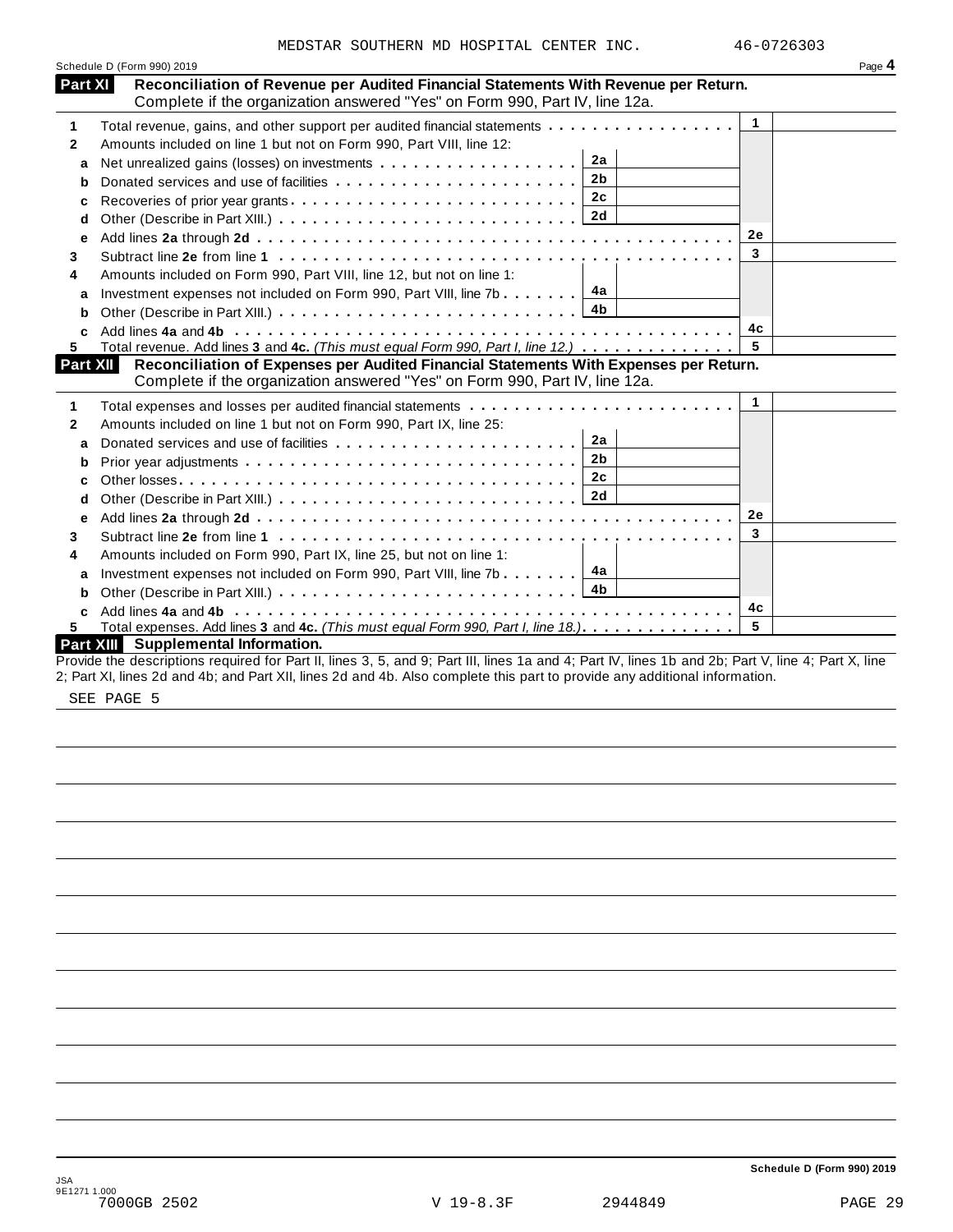|                | MEDSTAR SOUTHERN MD HOSPITAL CENTER INC.                                                                                                           | 46-0726303   |        |
|----------------|----------------------------------------------------------------------------------------------------------------------------------------------------|--------------|--------|
|                | Schedule D (Form 990) 2019                                                                                                                         |              | Page 4 |
| <b>Part XI</b> | Reconciliation of Revenue per Audited Financial Statements With Revenue per Return.                                                                |              |        |
|                | Complete if the organization answered "Yes" on Form 990, Part IV, line 12a.                                                                        |              |        |
| 1              | Total revenue, gains, and other support per audited financial statements                                                                           | $\mathbf{1}$ |        |
| $\mathbf{2}$   | Amounts included on line 1 but not on Form 990, Part VIII, line 12:                                                                                |              |        |
| a              | 2a                                                                                                                                                 |              |        |
|                | 2 <sub>b</sub>                                                                                                                                     |              |        |
| c              | 2c                                                                                                                                                 |              |        |
| d              | 2d                                                                                                                                                 |              |        |
| е              |                                                                                                                                                    | 2e           |        |
| 3              |                                                                                                                                                    | 3            |        |
| 4              | Amounts included on Form 990, Part VIII, line 12, but not on line 1:                                                                               |              |        |
| a              | 4a<br>Investment expenses not included on Form 990, Part VIII, line 7b                                                                             |              |        |
| b              | 4b                                                                                                                                                 |              |        |
|                |                                                                                                                                                    | 4с           |        |
| 5              | Total revenue. Add lines 3 and 4c. (This must equal Form 990, Part I, line 12.)                                                                    | 5            |        |
| Part XII       | Reconciliation of Expenses per Audited Financial Statements With Expenses per Return.                                                              |              |        |
|                | Complete if the organization answered "Yes" on Form 990, Part IV, line 12a.                                                                        |              |        |
| 1              |                                                                                                                                                    | $\mathbf{1}$ |        |
| 2              | Amounts included on line 1 but not on Form 990, Part IX, line 25:                                                                                  |              |        |
| a              | 2a<br>Donated services and use of facilities                                                                                                       |              |        |
| b              | 2 <sub>b</sub>                                                                                                                                     |              |        |
|                | 2c                                                                                                                                                 |              |        |
| d              |                                                                                                                                                    |              |        |
| е              |                                                                                                                                                    | 2e           |        |
| 3              |                                                                                                                                                    | 3            |        |
| 4              | Amounts included on Form 990, Part IX, line 25, but not on line 1:                                                                                 |              |        |
| a              | 4a<br>Investment expenses not included on Form 990, Part VIII, line 7b                                                                             |              |        |
| b              | 4b                                                                                                                                                 |              |        |
| C              |                                                                                                                                                    | 4c           |        |
| 5.             | Total expenses. Add lines 3 and 4c. (This must equal Form 990, Part I, line 18.)                                                                   | 5            |        |
|                | Part XIII Supplemental Information.                                                                                                                |              |        |
|                | Provide the descriptions required for Part II, lines 3, 5, and 9; Part III, lines 1a and 4; Part IV, lines 1b and 2b; Part V, line 4; Part X, line |              |        |

2; Part XI, lines 2d and 4b; and Part XII, lines 2d and 4b. Also complete this part to provide any additional information.

SEE PAGE 5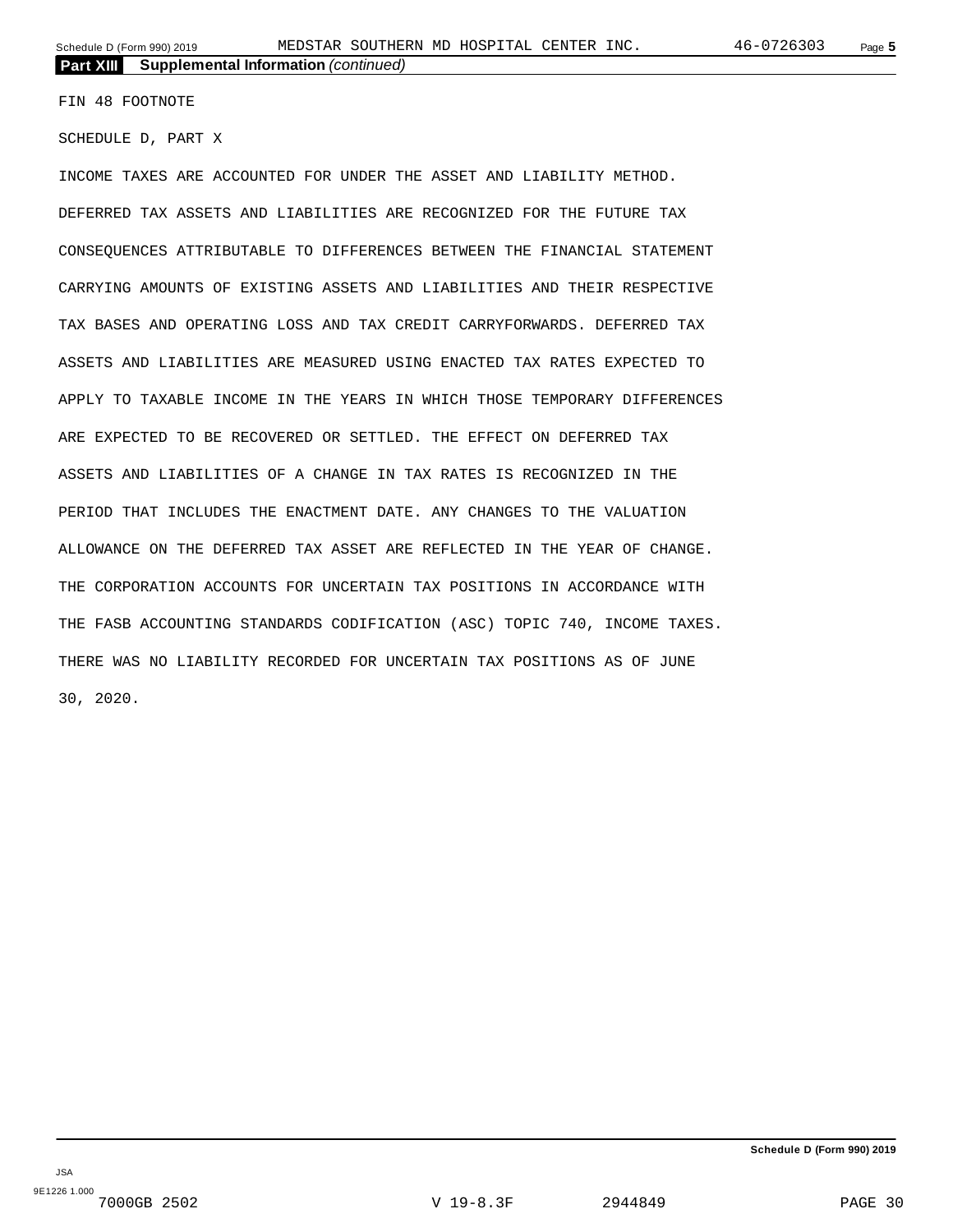FIN 48 FOOTNOTE

SCHEDULE D, PART X

INCOME TAXES ARE ACCOUNTED FOR UNDER THE ASSET AND LIABILITY METHOD. DEFERRED TAX ASSETS AND LIABILITIES ARE RECOGNIZED FOR THE FUTURE TAX CONSEQUENCES ATTRIBUTABLE TO DIFFERENCES BETWEEN THE FINANCIAL STATEMENT CARRYING AMOUNTS OF EXISTING ASSETS AND LIABILITIES AND THEIR RESPECTIVE TAX BASES AND OPERATING LOSS AND TAX CREDIT CARRYFORWARDS. DEFERRED TAX ASSETS AND LIABILITIES ARE MEASURED USING ENACTED TAX RATES EXPECTED TO APPLY TO TAXABLE INCOME IN THE YEARS IN WHICH THOSE TEMPORARY DIFFERENCES ARE EXPECTED TO BE RECOVERED OR SETTLED. THE EFFECT ON DEFERRED TAX ASSETS AND LIABILITIES OF A CHANGE IN TAX RATES IS RECOGNIZED IN THE PERIOD THAT INCLUDES THE ENACTMENT DATE. ANY CHANGES TO THE VALUATION ALLOWANCE ON THE DEFERRED TAX ASSET ARE REFLECTED IN THE YEAR OF CHANGE. THE CORPORATION ACCOUNTS FOR UNCERTAIN TAX POSITIONS IN ACCORDANCE WITH THE FASB ACCOUNTING STANDARDS CODIFICATION (ASC) TOPIC 740, INCOME TAXES. THERE WAS NO LIABILITY RECORDED FOR UNCERTAIN TAX POSITIONS AS OF JUNE 30, 2020.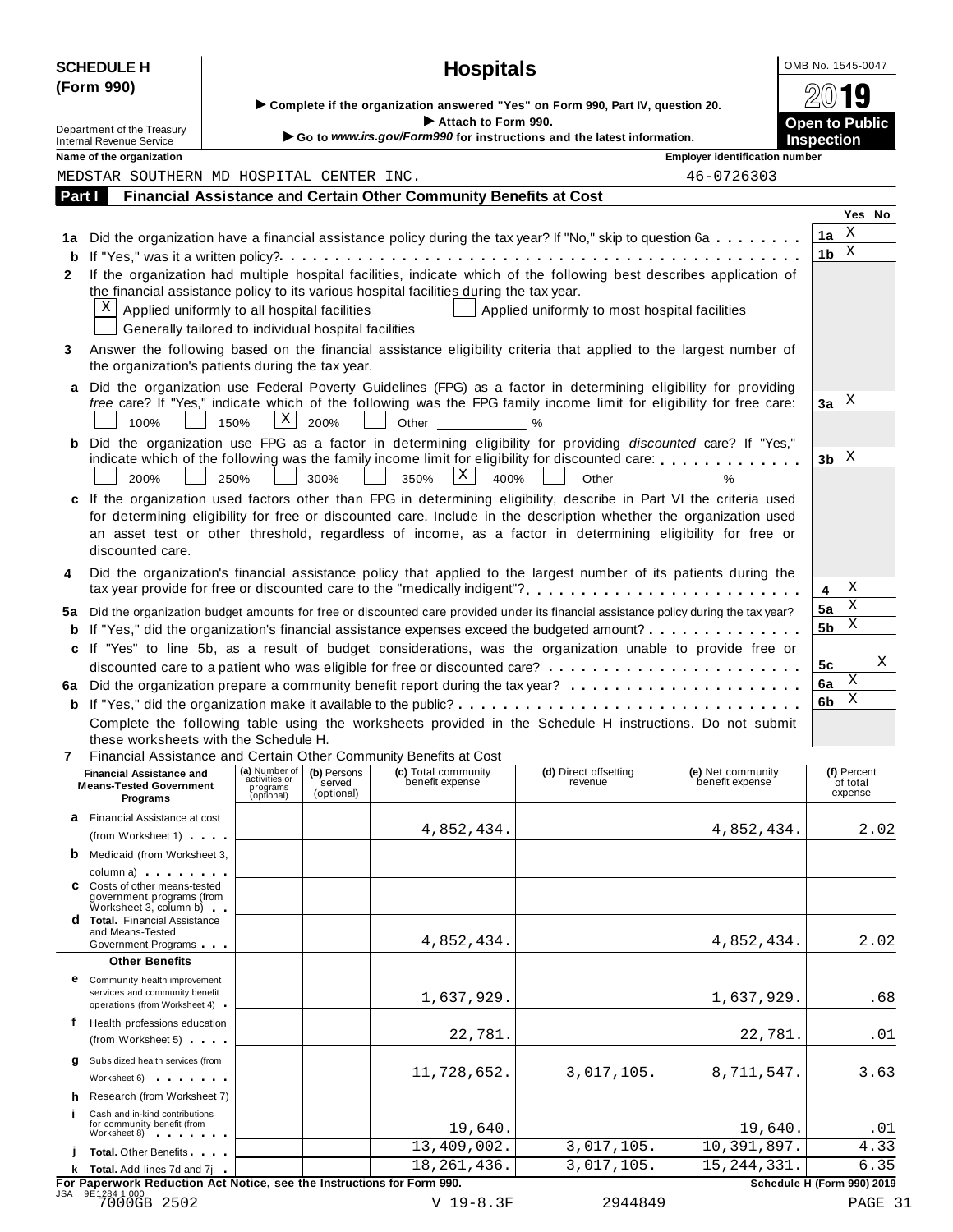|                                                                                                                                                                                                                                            | <b>SCHEDULE H</b>                                                                                                                                                                                                                                                 |                                                          |                                     | <b>Hospitals</b>                                                                                                                                                                                                                                                                                                                                       |                                               |                                       | OMB No. 1545-0047     |                                    |              |  |  |  |
|--------------------------------------------------------------------------------------------------------------------------------------------------------------------------------------------------------------------------------------------|-------------------------------------------------------------------------------------------------------------------------------------------------------------------------------------------------------------------------------------------------------------------|----------------------------------------------------------|-------------------------------------|--------------------------------------------------------------------------------------------------------------------------------------------------------------------------------------------------------------------------------------------------------------------------------------------------------------------------------------------------------|-----------------------------------------------|---------------------------------------|-----------------------|------------------------------------|--------------|--|--|--|
|                                                                                                                                                                                                                                            | (Form 990)                                                                                                                                                                                                                                                        |                                                          |                                     | Complete if the organization answered "Yes" on Form 990, Part IV, question 20.<br>Attach to Form 990.                                                                                                                                                                                                                                                  |                                               |                                       | <b>Open to Public</b> | )19                                |              |  |  |  |
|                                                                                                                                                                                                                                            | Department of the Treasury<br><b>Internal Revenue Service</b>                                                                                                                                                                                                     |                                                          |                                     | Go to www.irs.gov/Form990 for instructions and the latest information.                                                                                                                                                                                                                                                                                 |                                               |                                       | <b>Inspection</b>     |                                    |              |  |  |  |
|                                                                                                                                                                                                                                            | Name of the organization                                                                                                                                                                                                                                          |                                                          |                                     |                                                                                                                                                                                                                                                                                                                                                        |                                               | <b>Employer identification number</b> |                       |                                    |              |  |  |  |
|                                                                                                                                                                                                                                            | MEDSTAR SOUTHERN MD HOSPITAL CENTER INC.                                                                                                                                                                                                                          |                                                          |                                     |                                                                                                                                                                                                                                                                                                                                                        |                                               | 46-0726303                            |                       |                                    |              |  |  |  |
|                                                                                                                                                                                                                                            | Part I                                                                                                                                                                                                                                                            |                                                          |                                     | Financial Assistance and Certain Other Community Benefits at Cost                                                                                                                                                                                                                                                                                      |                                               |                                       |                       |                                    |              |  |  |  |
|                                                                                                                                                                                                                                            |                                                                                                                                                                                                                                                                   |                                                          |                                     |                                                                                                                                                                                                                                                                                                                                                        |                                               |                                       |                       | Yes                                | No           |  |  |  |
|                                                                                                                                                                                                                                            |                                                                                                                                                                                                                                                                   |                                                          |                                     | 1a Did the organization have a financial assistance policy during the tax year? If "No," skip to question 6a                                                                                                                                                                                                                                           |                                               |                                       | 1a                    | Χ<br>X                             |              |  |  |  |
| 2                                                                                                                                                                                                                                          | X<br>Applied uniformly to all hospital facilities                                                                                                                                                                                                                 |                                                          |                                     | If the organization had multiple hospital facilities, indicate which of the following best describes application of<br>the financial assistance policy to its various hospital facilities during the tax year.                                                                                                                                         | Applied uniformly to most hospital facilities |                                       | 1b                    |                                    |              |  |  |  |
| 3                                                                                                                                                                                                                                          | the organization's patients during the tax year.                                                                                                                                                                                                                  | Generally tailored to individual hospital facilities     |                                     | Answer the following based on the financial assistance eligibility criteria that applied to the largest number of                                                                                                                                                                                                                                      |                                               |                                       |                       |                                    |              |  |  |  |
|                                                                                                                                                                                                                                            | 100%                                                                                                                                                                                                                                                              | $\vert X \vert$<br>150%                                  | 200%                                | Did the organization use Federal Poverty Guidelines (FPG) as a factor in determining eligibility for providing<br>free care? If "Yes," indicate which of the following was the FPG family income limit for eligibility for free care:<br>Other                                                                                                         | %                                             |                                       | За                    | Χ                                  |              |  |  |  |
|                                                                                                                                                                                                                                            | 200%                                                                                                                                                                                                                                                              | 250%                                                     | 300%                                | b Did the organization use FPG as a factor in determining eligibility for providing discounted care? If "Yes,"<br>indicate which of the following was the family income limit for eligibility for discounted care:<br>X<br>350%<br>400%                                                                                                                | Other                                         | $\sim$ %                              | 3b                    | X                                  |              |  |  |  |
|                                                                                                                                                                                                                                            | discounted care.                                                                                                                                                                                                                                                  |                                                          |                                     | c If the organization used factors other than FPG in determining eligibility, describe in Part VI the criteria used<br>for determining eligibility for free or discounted care. Include in the description whether the organization used<br>an asset test or other threshold, regardless of income, as a factor in determining eligibility for free or |                                               |                                       |                       |                                    |              |  |  |  |
| 4                                                                                                                                                                                                                                          | Did the organization's financial assistance policy that applied to the largest number of its patients during the<br>tax year provide for free or discounted care to the "medically indigent"?                                                                     |                                                          |                                     |                                                                                                                                                                                                                                                                                                                                                        |                                               |                                       |                       |                                    |              |  |  |  |
| 5а                                                                                                                                                                                                                                         |                                                                                                                                                                                                                                                                   |                                                          |                                     |                                                                                                                                                                                                                                                                                                                                                        |                                               |                                       | 5a<br>5b              | Χ<br>Χ                             |              |  |  |  |
| Did the organization budget amounts for free or discounted care provided under its financial assistance policy during the tax year?<br><b>b</b> If "Yes," did the organization's financial assistance expenses exceed the budgeted amount? |                                                                                                                                                                                                                                                                   |                                                          |                                     |                                                                                                                                                                                                                                                                                                                                                        |                                               |                                       |                       |                                    |              |  |  |  |
|                                                                                                                                                                                                                                            |                                                                                                                                                                                                                                                                   |                                                          |                                     | c If "Yes" to line 5b, as a result of budget considerations, was the organization unable to provide free or                                                                                                                                                                                                                                            |                                               |                                       | 5c                    |                                    | Χ            |  |  |  |
|                                                                                                                                                                                                                                            |                                                                                                                                                                                                                                                                   |                                                          |                                     |                                                                                                                                                                                                                                                                                                                                                        |                                               |                                       | 6a                    | Χ                                  |              |  |  |  |
|                                                                                                                                                                                                                                            |                                                                                                                                                                                                                                                                   |                                                          |                                     | Complete the following table using the worksheets provided in the Schedule H instructions. Do not submit                                                                                                                                                                                                                                               |                                               |                                       | 6b                    | Χ                                  |              |  |  |  |
|                                                                                                                                                                                                                                            | these worksheets with the Schedule H.                                                                                                                                                                                                                             |                                                          |                                     | Financial Assistance and Certain Other Community Benefits at Cost                                                                                                                                                                                                                                                                                      |                                               |                                       |                       |                                    |              |  |  |  |
|                                                                                                                                                                                                                                            | <b>Financial Assistance and</b><br><b>Means-Tested Government</b><br>Programs                                                                                                                                                                                     | (a) Number of<br>activities or<br>programs<br>(optional) | (b) Persons<br>served<br>(optional) | (c) Total community<br>benefit expense                                                                                                                                                                                                                                                                                                                 | (d) Direct offsetting<br>revenue              | (e) Net community<br>benefit expense  |                       | (f) Percent<br>of total<br>expense |              |  |  |  |
|                                                                                                                                                                                                                                            | <b>a</b> Financial Assistance at cost<br>(from Worksheet 1)                                                                                                                                                                                                       |                                                          |                                     | 4,852,434.                                                                                                                                                                                                                                                                                                                                             |                                               | 4,852,434.                            |                       |                                    | 2.02         |  |  |  |
|                                                                                                                                                                                                                                            | <b>b</b> Medicaid (from Worksheet 3,<br>column a) column a                                                                                                                                                                                                        |                                                          |                                     |                                                                                                                                                                                                                                                                                                                                                        |                                               |                                       |                       |                                    |              |  |  |  |
|                                                                                                                                                                                                                                            | C Costs of other means-tested<br>government programs (from<br>$W$ orksheet 3, column b) $\Box$<br><b>d</b> Total. Financial Assistance                                                                                                                            |                                                          |                                     |                                                                                                                                                                                                                                                                                                                                                        |                                               |                                       |                       |                                    |              |  |  |  |
|                                                                                                                                                                                                                                            | and Means-Tested<br>Government Programs                                                                                                                                                                                                                           |                                                          |                                     | 4,852,434.                                                                                                                                                                                                                                                                                                                                             |                                               | 4,852,434.                            |                       |                                    | 2.02         |  |  |  |
|                                                                                                                                                                                                                                            | <b>Other Benefits</b>                                                                                                                                                                                                                                             |                                                          |                                     |                                                                                                                                                                                                                                                                                                                                                        |                                               |                                       |                       |                                    |              |  |  |  |
|                                                                                                                                                                                                                                            | <b>e</b> Community health improvement<br>services and community benefit<br>operations (from Worksheet 4)                                                                                                                                                          |                                                          |                                     | 1,637,929.                                                                                                                                                                                                                                                                                                                                             |                                               | 1,637,929.                            |                       |                                    | .68          |  |  |  |
| f                                                                                                                                                                                                                                          | Health professions education<br>(from Worksheet 5)                                                                                                                                                                                                                |                                                          |                                     | 22,781.                                                                                                                                                                                                                                                                                                                                                |                                               | 22,781.                               |                       |                                    | .01          |  |  |  |
| q                                                                                                                                                                                                                                          | Subsidized health services (from<br>Worksheet 6) and the material control of the material control of the material control of the material control of the material control of the material control of the material control of the material control of the material |                                                          |                                     | 11,728,652.                                                                                                                                                                                                                                                                                                                                            | 3,017,105.                                    | 8,711,547.                            |                       |                                    | 3.63         |  |  |  |
| h.                                                                                                                                                                                                                                         | Research (from Worksheet 7)                                                                                                                                                                                                                                       |                                                          |                                     |                                                                                                                                                                                                                                                                                                                                                        |                                               |                                       |                       |                                    |              |  |  |  |
|                                                                                                                                                                                                                                            | Cash and in-kind contributions<br>for community benefit (from<br>Worksheet 8)                                                                                                                                                                                     |                                                          |                                     | 19,640.                                                                                                                                                                                                                                                                                                                                                |                                               | 19,640.                               |                       |                                    | .01          |  |  |  |
|                                                                                                                                                                                                                                            | <b>Total.</b> Other Benefits                                                                                                                                                                                                                                      |                                                          |                                     | 13,409,002.                                                                                                                                                                                                                                                                                                                                            | 3,017,105.                                    | 10,391,897.                           |                       |                                    | 4.33<br>6.35 |  |  |  |
|                                                                                                                                                                                                                                            |                                                                                                                                                                                                                                                                   |                                                          |                                     | 18, 261, 436.                                                                                                                                                                                                                                                                                                                                          | 3,017,105.                                    | 15, 244, 331.                         |                       |                                    |              |  |  |  |

 $\frac{1}{100}$ <br>  $\frac{1}{100}$ <br>  $\frac{1}{100}$ <br>  $\frac{1}{100}$ <br>  $\frac{1}{100}$ <br>  $\frac{1}{100}$ <br>  $\frac{1}{100}$ <br>  $\frac{1}{100}$ <br>  $\frac{1}{100}$ <br>  $\frac{1}{100}$ <br>  $\frac{1}{100}$ <br>  $\frac{1}{100}$ <br>  $\frac{1}{100}$ <br>  $\frac{1}{100}$ <br>  $\frac{1}{100}$ <br>  $\frac{1}{100}$ <br>  $\frac{1}{100}$ <br>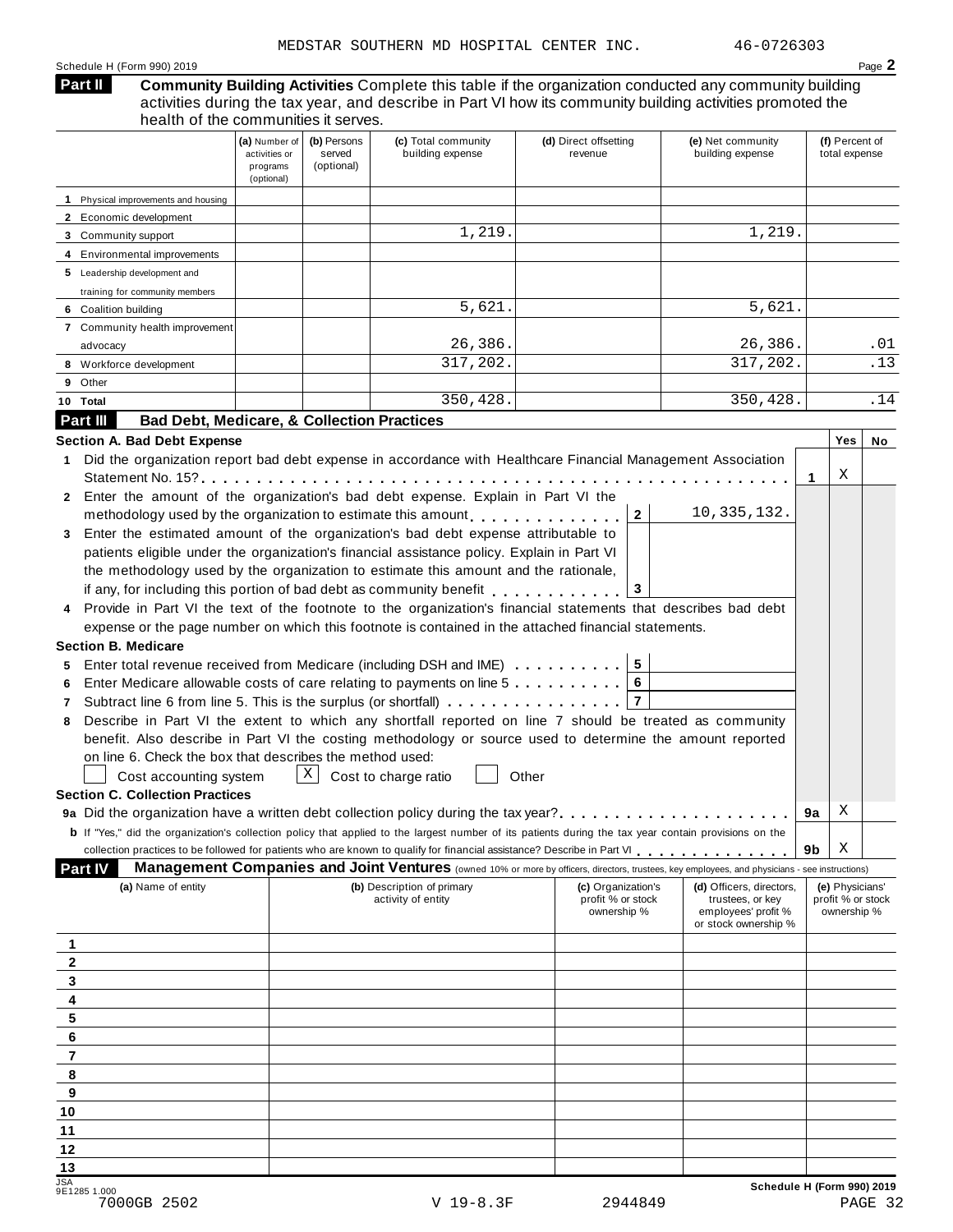#### Schedule H (Form 990) 2019 Page **2**

#### **Community Building Activities** Complete this table if the organization conducted any community building activities during the tax year, and describe in Part VI how its community building activities promoted the health of the communities it serves. **Part II**

|              |                                                                   | (a) Number of<br>activities or<br>programs<br>(optional) | (b) Persons<br>served<br>(optional) | (c) Total community<br>building expense                                                                                                                      | (d) Direct offsetting<br>revenue        | (e) Net community<br>building expense        |    | (f) Percent of<br>total expense      |     |
|--------------|-------------------------------------------------------------------|----------------------------------------------------------|-------------------------------------|--------------------------------------------------------------------------------------------------------------------------------------------------------------|-----------------------------------------|----------------------------------------------|----|--------------------------------------|-----|
|              | 1 Physical improvements and housing                               |                                                          |                                     |                                                                                                                                                              |                                         |                                              |    |                                      |     |
|              | 2 Economic development                                            |                                                          |                                     |                                                                                                                                                              |                                         |                                              |    |                                      |     |
|              | 3 Community support                                               |                                                          |                                     | 1,219.                                                                                                                                                       |                                         | 1,219.                                       |    |                                      |     |
|              | 4 Environmental improvements                                      |                                                          |                                     |                                                                                                                                                              |                                         |                                              |    |                                      |     |
|              | 5 Leadership development and                                      |                                                          |                                     |                                                                                                                                                              |                                         |                                              |    |                                      |     |
|              | training for community members                                    |                                                          |                                     |                                                                                                                                                              |                                         |                                              |    |                                      |     |
|              | 6 Coalition building                                              |                                                          |                                     | 5,621.                                                                                                                                                       |                                         | 5,621.                                       |    |                                      |     |
|              | 7 Community health improvement                                    |                                                          |                                     |                                                                                                                                                              |                                         |                                              |    |                                      |     |
|              | advocacy                                                          |                                                          |                                     | 26,386.                                                                                                                                                      |                                         | 26,386.                                      |    |                                      | .01 |
|              | 8 Workforce development                                           |                                                          |                                     | 317,202.                                                                                                                                                     |                                         | 317, 202.                                    |    |                                      | .13 |
| 9            | Other                                                             |                                                          |                                     |                                                                                                                                                              |                                         |                                              |    |                                      |     |
|              | 10 Total                                                          |                                                          |                                     | 350,428.                                                                                                                                                     |                                         | 350,428.                                     |    |                                      | .14 |
|              | <b>Bad Debt, Medicare, &amp; Collection Practices</b><br>Part III |                                                          |                                     |                                                                                                                                                              |                                         |                                              |    |                                      |     |
|              | <b>Section A. Bad Debt Expense</b>                                |                                                          |                                     |                                                                                                                                                              |                                         |                                              |    | Yes                                  | No  |
| $\mathbf 1$  |                                                                   |                                                          |                                     | Did the organization report bad debt expense in accordance with Healthcare Financial Management Association                                                  |                                         |                                              |    |                                      |     |
|              |                                                                   |                                                          |                                     |                                                                                                                                                              |                                         |                                              | 1  | Χ                                    |     |
| $\mathbf{2}$ |                                                                   |                                                          |                                     | Enter the amount of the organization's bad debt expense. Explain in Part VI the                                                                              |                                         |                                              |    |                                      |     |
|              |                                                                   |                                                          |                                     | methodology used by the organization to estimate this amount                                                                                                 | $\mathbf{2}$                            | 10, 335, 132.                                |    |                                      |     |
| 3            |                                                                   |                                                          |                                     | Enter the estimated amount of the organization's bad debt expense attributable to                                                                            |                                         |                                              |    |                                      |     |
|              |                                                                   |                                                          |                                     | patients eligible under the organization's financial assistance policy. Explain in Part VI                                                                   |                                         |                                              |    |                                      |     |
|              |                                                                   |                                                          |                                     | the methodology used by the organization to estimate this amount and the rationale,                                                                          |                                         |                                              |    |                                      |     |
|              |                                                                   |                                                          |                                     | if any, for including this portion of bad debt as community benefit                                                                                          | 3                                       |                                              |    |                                      |     |
|              |                                                                   |                                                          |                                     | Provide in Part VI the text of the footnote to the organization's financial statements that describes bad debt                                               |                                         |                                              |    |                                      |     |
|              |                                                                   |                                                          |                                     | expense or the page number on which this footnote is contained in the attached financial statements.                                                         |                                         |                                              |    |                                      |     |
|              | <b>Section B. Medicare</b>                                        |                                                          |                                     |                                                                                                                                                              |                                         |                                              |    |                                      |     |
| 5            |                                                                   |                                                          |                                     | Enter total revenue received from Medicare (including DSH and IME)                                                                                           | $5\phantom{.0}$                         |                                              |    |                                      |     |
| 6            |                                                                   |                                                          |                                     | Enter Medicare allowable costs of care relating to payments on line 5                                                                                        |                                         |                                              |    |                                      |     |
| 7            |                                                                   |                                                          |                                     | Subtract line 6 from line 5. This is the surplus (or shortfall)                                                                                              | $\overline{7}$                          |                                              |    |                                      |     |
| 8            |                                                                   |                                                          |                                     | Describe in Part VI the extent to which any shortfall reported on line 7 should be treated as community                                                      |                                         |                                              |    |                                      |     |
|              |                                                                   |                                                          |                                     | benefit. Also describe in Part VI the costing methodology or source used to determine the amount reported                                                    |                                         |                                              |    |                                      |     |
|              | on line 6. Check the box that describes the method used:          |                                                          |                                     |                                                                                                                                                              |                                         |                                              |    |                                      |     |
|              | Cost accounting system                                            |                                                          | X                                   | Cost to charge ratio                                                                                                                                         | Other                                   |                                              |    |                                      |     |
|              | <b>Section C. Collection Practices</b>                            |                                                          |                                     |                                                                                                                                                              |                                         |                                              |    |                                      |     |
|              |                                                                   |                                                          |                                     | 9a Did the organization have a written debt collection policy during the tax year?                                                                           |                                         |                                              | 9a | Χ                                    |     |
|              |                                                                   |                                                          |                                     | <b>b</b> If "Yes," did the organization's collection policy that applied to the largest number of its patients during the tax year contain provisions on the |                                         |                                              |    |                                      |     |
|              |                                                                   |                                                          |                                     |                                                                                                                                                              |                                         |                                              | 9b | Χ                                    |     |
|              | <b>Part IV</b>                                                    |                                                          |                                     | <b>Management Companies and Joint Ventures</b> (owned 10% or more by officers, directors, trustees, key employees, and physicians - see instructions)        |                                         |                                              |    |                                      |     |
|              | (a) Name of entity                                                |                                                          |                                     | (b) Description of primary<br>activity of entity                                                                                                             | (c) Organization's<br>profit % or stock | (d) Officers, directors,<br>trustees, or key |    | (e) Physicians'<br>profit % or stock |     |
|              |                                                                   |                                                          |                                     |                                                                                                                                                              | ownership %                             | employees' profit %                          |    | ownership %                          |     |
|              |                                                                   |                                                          |                                     |                                                                                                                                                              |                                         | or stock ownership %                         |    |                                      |     |
| 1            |                                                                   |                                                          |                                     |                                                                                                                                                              |                                         |                                              |    |                                      |     |
| 2            |                                                                   |                                                          |                                     |                                                                                                                                                              |                                         |                                              |    |                                      |     |
| 3            |                                                                   |                                                          |                                     |                                                                                                                                                              |                                         |                                              |    |                                      |     |
| 4            |                                                                   |                                                          |                                     |                                                                                                                                                              |                                         |                                              |    |                                      |     |
| 5            |                                                                   |                                                          |                                     |                                                                                                                                                              |                                         |                                              |    |                                      |     |
| 6            |                                                                   |                                                          |                                     |                                                                                                                                                              |                                         |                                              |    |                                      |     |
| 7            |                                                                   |                                                          |                                     |                                                                                                                                                              |                                         |                                              |    |                                      |     |
| 8            |                                                                   |                                                          |                                     |                                                                                                                                                              |                                         |                                              |    |                                      |     |
| 9            |                                                                   |                                                          |                                     |                                                                                                                                                              |                                         |                                              |    |                                      |     |
| 10           |                                                                   |                                                          |                                     |                                                                                                                                                              |                                         |                                              |    |                                      |     |
| 11           |                                                                   |                                                          |                                     |                                                                                                                                                              |                                         |                                              |    |                                      |     |
| 12           |                                                                   |                                                          |                                     |                                                                                                                                                              |                                         |                                              |    |                                      |     |
| 13           |                                                                   |                                                          |                                     |                                                                                                                                                              |                                         |                                              |    |                                      |     |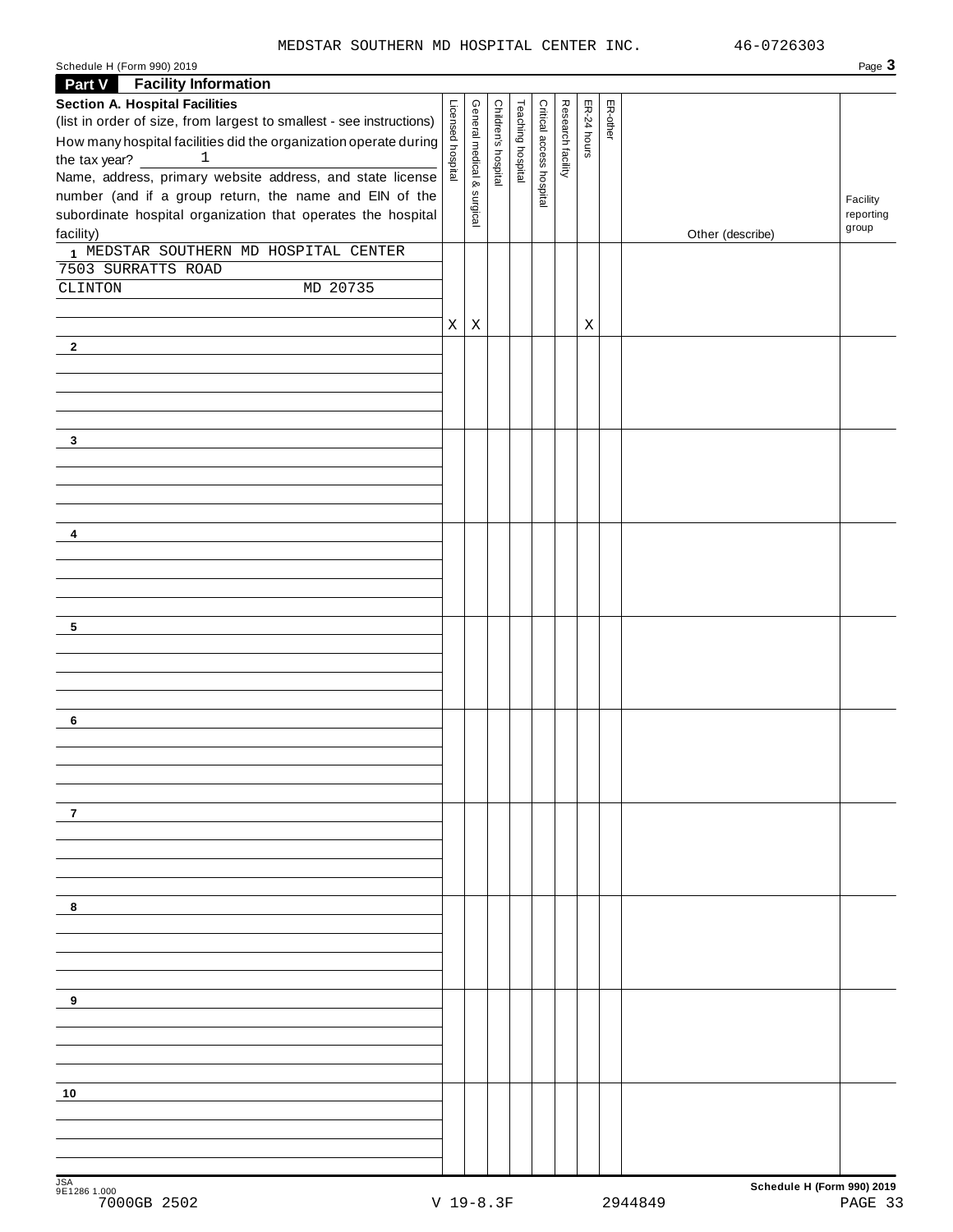#### MEDSTAR SOUTHERN MD HOSPITAL CENTER INC. 46-0726303

| Schedule H<br>990) 2019<br>$\sqrt{2}$<br>(Form<br>. | Page |
|-----------------------------------------------------|------|
|-----------------------------------------------------|------|

| <b>Part V</b> Facility Information                                                                                     |                   |                            |                     |                   |                          |                   |             |          |                  |                       |
|------------------------------------------------------------------------------------------------------------------------|-------------------|----------------------------|---------------------|-------------------|--------------------------|-------------------|-------------|----------|------------------|-----------------------|
| <b>Section A. Hospital Facilities</b>                                                                                  |                   |                            |                     |                   |                          |                   |             |          |                  |                       |
| (list in order of size, from largest to smallest - see instructions)                                                   |                   |                            |                     |                   |                          |                   |             | ER-other |                  |                       |
| How many hospital facilities did the organization operate during                                                       |                   |                            |                     |                   |                          |                   | ER-24 hours |          |                  |                       |
| the tax year?<br>$\mathbf{1}$                                                                                          | Licensed hospital | General medical & surgical | Children's hospital | Teaching hospital | Critical access hospital | Research facility |             |          |                  |                       |
| Name, address, primary website address, and state license                                                              |                   |                            |                     |                   |                          |                   |             |          |                  |                       |
| number (and if a group return, the name and EIN of the<br>subordinate hospital organization that operates the hospital |                   |                            |                     |                   |                          |                   |             |          |                  | Facility<br>reporting |
| facility)                                                                                                              |                   |                            |                     |                   |                          |                   |             |          | Other (describe) | group                 |
| 1 MEDSTAR SOUTHERN MD HOSPITAL CENTER                                                                                  |                   |                            |                     |                   |                          |                   |             |          |                  |                       |
| 7503 SURRATTS ROAD                                                                                                     |                   |                            |                     |                   |                          |                   |             |          |                  |                       |
| MD 20735<br>CLINTON                                                                                                    |                   |                            |                     |                   |                          |                   |             |          |                  |                       |
|                                                                                                                        |                   |                            |                     |                   |                          |                   |             |          |                  |                       |
|                                                                                                                        | X                 | $\mathbf X$                |                     |                   |                          |                   | X           |          |                  |                       |
| $\mathbf{2}$                                                                                                           |                   |                            |                     |                   |                          |                   |             |          |                  |                       |
|                                                                                                                        |                   |                            |                     |                   |                          |                   |             |          |                  |                       |
|                                                                                                                        |                   |                            |                     |                   |                          |                   |             |          |                  |                       |
|                                                                                                                        |                   |                            |                     |                   |                          |                   |             |          |                  |                       |
|                                                                                                                        |                   |                            |                     |                   |                          |                   |             |          |                  |                       |
| $\mathbf{3}$                                                                                                           |                   |                            |                     |                   |                          |                   |             |          |                  |                       |
|                                                                                                                        |                   |                            |                     |                   |                          |                   |             |          |                  |                       |
|                                                                                                                        |                   |                            |                     |                   |                          |                   |             |          |                  |                       |
|                                                                                                                        |                   |                            |                     |                   |                          |                   |             |          |                  |                       |
| 4                                                                                                                      |                   |                            |                     |                   |                          |                   |             |          |                  |                       |
|                                                                                                                        |                   |                            |                     |                   |                          |                   |             |          |                  |                       |
|                                                                                                                        |                   |                            |                     |                   |                          |                   |             |          |                  |                       |
|                                                                                                                        |                   |                            |                     |                   |                          |                   |             |          |                  |                       |
| 5                                                                                                                      |                   |                            |                     |                   |                          |                   |             |          |                  |                       |
|                                                                                                                        |                   |                            |                     |                   |                          |                   |             |          |                  |                       |
|                                                                                                                        |                   |                            |                     |                   |                          |                   |             |          |                  |                       |
|                                                                                                                        |                   |                            |                     |                   |                          |                   |             |          |                  |                       |
|                                                                                                                        |                   |                            |                     |                   |                          |                   |             |          |                  |                       |
| 6                                                                                                                      |                   |                            |                     |                   |                          |                   |             |          |                  |                       |
|                                                                                                                        |                   |                            |                     |                   |                          |                   |             |          |                  |                       |
|                                                                                                                        |                   |                            |                     |                   |                          |                   |             |          |                  |                       |
|                                                                                                                        |                   |                            |                     |                   |                          |                   |             |          |                  |                       |
| 7                                                                                                                      |                   |                            |                     |                   |                          |                   |             |          |                  |                       |
|                                                                                                                        |                   |                            |                     |                   |                          |                   |             |          |                  |                       |
|                                                                                                                        |                   |                            |                     |                   |                          |                   |             |          |                  |                       |
|                                                                                                                        |                   |                            |                     |                   |                          |                   |             |          |                  |                       |
|                                                                                                                        |                   |                            |                     |                   |                          |                   |             |          |                  |                       |
| 8                                                                                                                      |                   |                            |                     |                   |                          |                   |             |          |                  |                       |
|                                                                                                                        |                   |                            |                     |                   |                          |                   |             |          |                  |                       |
|                                                                                                                        |                   |                            |                     |                   |                          |                   |             |          |                  |                       |
|                                                                                                                        |                   |                            |                     |                   |                          |                   |             |          |                  |                       |
| 9                                                                                                                      |                   |                            |                     |                   |                          |                   |             |          |                  |                       |
|                                                                                                                        |                   |                            |                     |                   |                          |                   |             |          |                  |                       |
|                                                                                                                        |                   |                            |                     |                   |                          |                   |             |          |                  |                       |
|                                                                                                                        |                   |                            |                     |                   |                          |                   |             |          |                  |                       |
|                                                                                                                        |                   |                            |                     |                   |                          |                   |             |          |                  |                       |
| 10                                                                                                                     |                   |                            |                     |                   |                          |                   |             |          |                  |                       |
|                                                                                                                        |                   |                            |                     |                   |                          |                   |             |          |                  |                       |
|                                                                                                                        |                   |                            |                     |                   |                          |                   |             |          |                  |                       |
|                                                                                                                        |                   |                            |                     |                   |                          |                   |             |          |                  |                       |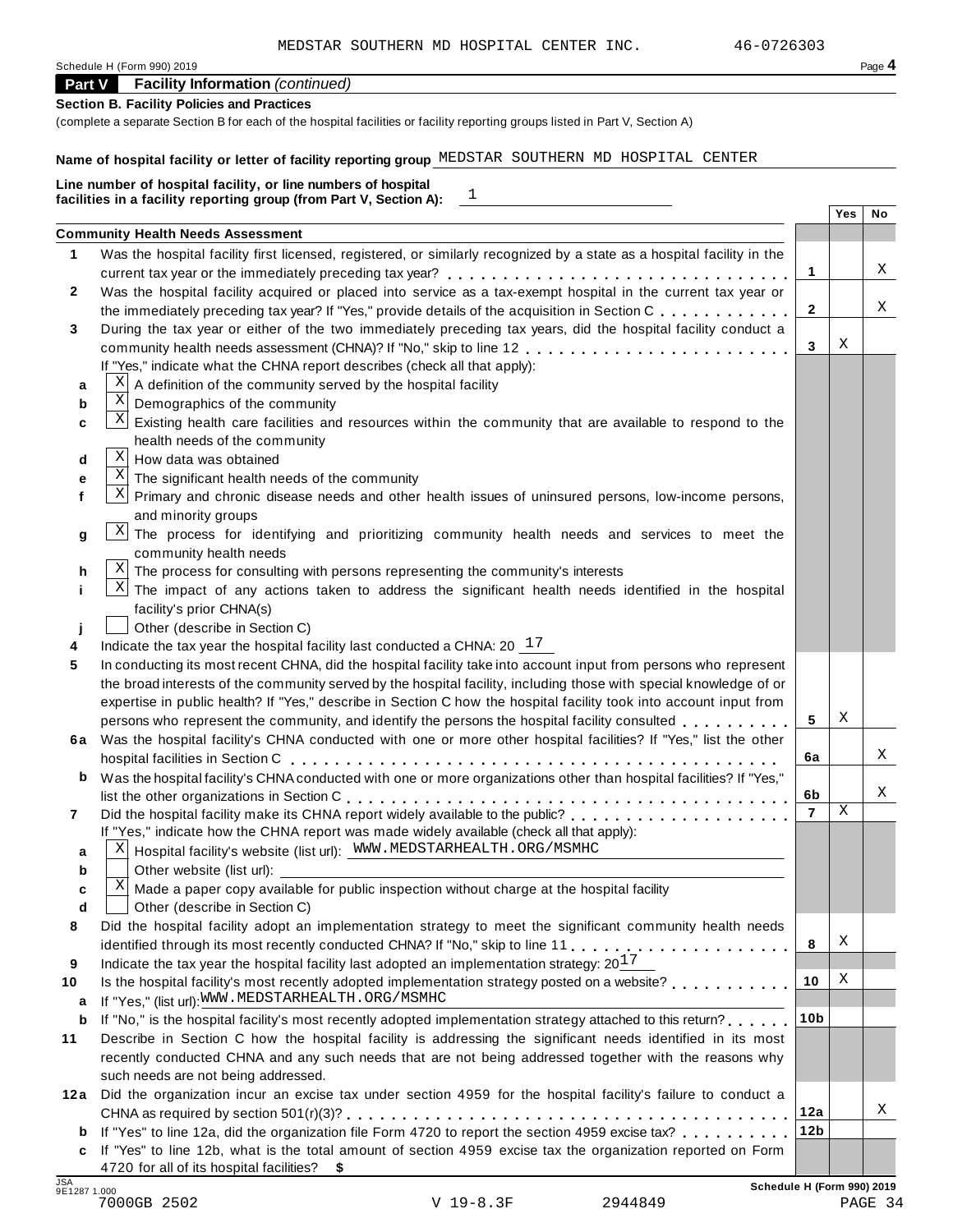| Schedule H (Form 990) 2019 | Page 4 |
|----------------------------|--------|
|----------------------------|--------|

### **Part V Facility Information** *(continued)*

#### **Section B. Facility Policies and Practices**

(complete a separate Section B for each of the hospital facilities or facility reporting groups listed in Part V, Section A)

#### **Name of hospital facility or letter of facility reporting group** MEDSTAR SOUTHERN MD HOSPITAL CENTER

|        | $\begin{array}{c} 1 \end{array}$<br>facilities in a facility reporting group (from Part V, Section A):                 |                 | Yes |    |
|--------|------------------------------------------------------------------------------------------------------------------------|-----------------|-----|----|
|        |                                                                                                                        |                 |     | No |
|        | <b>Community Health Needs Assessment</b>                                                                               |                 |     |    |
|        | Was the hospital facility first licensed, registered, or similarly recognized by a state as a hospital facility in the |                 |     | Χ  |
|        |                                                                                                                        | 1               |     |    |
|        | Was the hospital facility acquired or placed into service as a tax-exempt hospital in the current tax year or          |                 |     | Χ  |
|        | the immediately preceding tax year? If "Yes," provide details of the acquisition in Section C.                         | $\mathbf{2}$    |     |    |
|        | During the tax year or either of the two immediately preceding tax years, did the hospital facility conduct a          |                 | X   |    |
|        | community health needs assessment (CHNA)? If "No," skip to line 12                                                     | 3               |     |    |
|        | If "Yes," indicate what the CHNA report describes (check all that apply):                                              |                 |     |    |
| а      | A definition of the community served by the hospital facility                                                          |                 |     |    |
| b      | $\mathbf X$<br>Demographics of the community                                                                           |                 |     |    |
| C      | ΧJ<br>Existing health care facilities and resources within the community that are available to respond to the          |                 |     |    |
|        | health needs of the community                                                                                          |                 |     |    |
| d      | Χ<br>How data was obtained                                                                                             |                 |     |    |
| е      | $\mathbf X$<br>The significant health needs of the community                                                           |                 |     |    |
|        | $\mathbf{x}$<br>Primary and chronic disease needs and other health issues of uninsured persons, low-income persons,    |                 |     |    |
|        | and minority groups                                                                                                    |                 |     |    |
| g      | Χļ<br>The process for identifying and prioritizing community health needs and services to meet the                     |                 |     |    |
|        | community health needs                                                                                                 |                 |     |    |
| h      | $X$ The process for consulting with persons representing the community's interests                                     |                 |     |    |
|        | Χļ<br>The impact of any actions taken to address the significant health needs identified in the hospital               |                 |     |    |
|        | facility's prior CHNA(s)                                                                                               |                 |     |    |
|        | Other (describe in Section C)                                                                                          |                 |     |    |
|        | Indicate the tax year the hospital facility last conducted a CHNA: $20^{-17}$                                          |                 |     |    |
|        | In conducting its most recent CHNA, did the hospital facility take into account input from persons who represent       |                 |     |    |
|        | the broad interests of the community served by the hospital facility, including those with special knowledge of or     |                 |     |    |
|        | expertise in public health? If "Yes," describe in Section C how the hospital facility took into account input from     |                 |     |    |
|        | persons who represent the community, and identify the persons the hospital facility consulted                          | 5               | X   |    |
|        | 6a Was the hospital facility's CHNA conducted with one or more other hospital facilities? If "Yes," list the other     |                 |     |    |
|        |                                                                                                                        | 6a              |     | Χ  |
| b      | Was the hospital facility's CHNA conducted with one or more organizations other than hospital facilities? If "Yes,"    |                 |     |    |
|        |                                                                                                                        | 6b              |     | Χ  |
|        |                                                                                                                        | $\overline{7}$  | Χ   |    |
|        | If "Yes," indicate how the CHNA report was made widely available (check all that apply):                               |                 |     |    |
|        | Hospital facility's website (list url): WWW.MEDSTARHEALTH.ORG/MSMHC<br>Χ                                               |                 |     |    |
| b      | Other website (list url):                                                                                              |                 |     |    |
|        | Χ<br>Made a paper copy available for public inspection without charge at the hospital facility                         |                 |     |    |
|        | Other (describe in Section C)                                                                                          |                 |     |    |
|        | Did the hospital facility adopt an implementation strategy to meet the significant community health needs              |                 |     |    |
|        |                                                                                                                        | 8               | Χ   |    |
|        | Indicate the tax year the hospital facility last adopted an implementation strategy: $20^{17}$                         |                 |     |    |
|        | Is the hospital facility's most recently adopted implementation strategy posted on a website?                          | 10              | Χ   |    |
| a<br>b | If "Yes," (list url): WWW.MEDSTARHEALTH.ORG/MSMHC                                                                      |                 |     |    |
|        | If "No," is the hospital facility's most recently adopted implementation strategy attached to this return?             | 10 <sub>b</sub> |     |    |
|        | Describe in Section C how the hospital facility is addressing the significant needs identified in its most             |                 |     |    |
|        | recently conducted CHNA and any such needs that are not being addressed together with the reasons why                  |                 |     |    |
|        | such needs are not being addressed.                                                                                    |                 |     |    |
|        | 12a Did the organization incur an excise tax under section 4959 for the hospital facility's failure to conduct a       |                 |     |    |
|        |                                                                                                                        | 12a             |     | Χ  |
|        | <b>b</b> If "Yes" to line 12a, did the organization file Form 4720 to report the section 4959 excise tax?              | 12 <sub>b</sub> |     |    |
|        | c If "Yes" to line 12b, what is the total amount of section 4959 excise tax the organization reported on Form          |                 |     |    |
|        | 4720 for all of its hospital facilities? \$                                                                            |                 |     |    |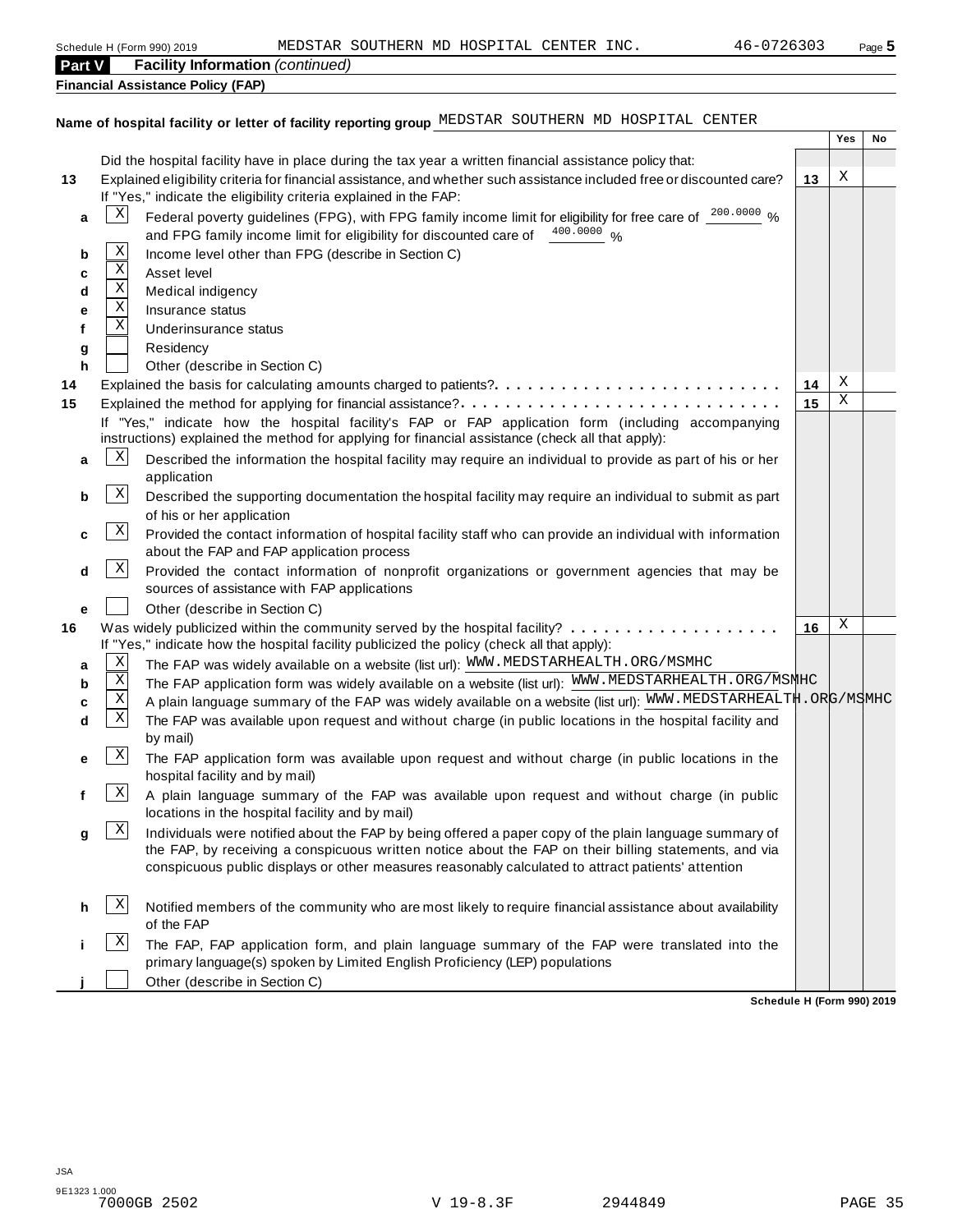| <b>Part V</b> |              | <b>Facility Information (continued)</b>                                                                                                                                                                                                                                                                               |    |        |    |
|---------------|--------------|-----------------------------------------------------------------------------------------------------------------------------------------------------------------------------------------------------------------------------------------------------------------------------------------------------------------------|----|--------|----|
|               |              | <b>Financial Assistance Policy (FAP)</b>                                                                                                                                                                                                                                                                              |    |        |    |
|               |              |                                                                                                                                                                                                                                                                                                                       |    |        |    |
|               |              | Name of hospital facility or letter of facility reporting group MEDSTAR SOUTHERN MD HOSPITAL CENTER                                                                                                                                                                                                                   |    |        |    |
|               |              |                                                                                                                                                                                                                                                                                                                       |    | Yes    | No |
|               |              | Did the hospital facility have in place during the tax year a written financial assistance policy that:                                                                                                                                                                                                               |    |        |    |
| 13            |              | Explained eligibility criteria for financial assistance, and whether such assistance included free or discounted care?                                                                                                                                                                                                | 13 | Х      |    |
|               |              | If "Yes," indicate the eligibility criteria explained in the FAP:                                                                                                                                                                                                                                                     |    |        |    |
| a             | Χ            | Federal poverty guidelines (FPG), with FPG family income limit for eligibility for free care of 200.0000 %                                                                                                                                                                                                            |    |        |    |
|               |              | and FPG family income limit for eligibility for discounted care of 400.0000 %                                                                                                                                                                                                                                         |    |        |    |
| b             | Χ            | Income level other than FPG (describe in Section C)                                                                                                                                                                                                                                                                   |    |        |    |
| с             | $\mathbf X$  | Asset level                                                                                                                                                                                                                                                                                                           |    |        |    |
| d             | $\mathbf X$  | Medical indigency                                                                                                                                                                                                                                                                                                     |    |        |    |
| е             | Χ            | Insurance status                                                                                                                                                                                                                                                                                                      |    |        |    |
| f             | Χ            | Underinsurance status                                                                                                                                                                                                                                                                                                 |    |        |    |
| g             |              | Residency                                                                                                                                                                                                                                                                                                             |    |        |    |
| h             |              | Other (describe in Section C)                                                                                                                                                                                                                                                                                         |    |        |    |
| 14            |              | Explained the basis for calculating amounts charged to patients?                                                                                                                                                                                                                                                      | 14 | X<br>Χ |    |
| 15            |              | Explained the method for applying for financial assistance?                                                                                                                                                                                                                                                           | 15 |        |    |
|               |              | If "Yes," indicate how the hospital facility's FAP or FAP application form (including accompanying<br>instructions) explained the method for applying for financial assistance (check all that apply):                                                                                                                |    |        |    |
| a             | X            | Described the information the hospital facility may require an individual to provide as part of his or her                                                                                                                                                                                                            |    |        |    |
|               |              | application                                                                                                                                                                                                                                                                                                           |    |        |    |
| b             | $\mathbf{x}$ | Described the supporting documentation the hospital facility may require an individual to submit as part                                                                                                                                                                                                              |    |        |    |
|               |              | of his or her application                                                                                                                                                                                                                                                                                             |    |        |    |
| с             | $\mathbf{x}$ | Provided the contact information of hospital facility staff who can provide an individual with information                                                                                                                                                                                                            |    |        |    |
|               |              | about the FAP and FAP application process                                                                                                                                                                                                                                                                             |    |        |    |
| d             | $\mathbf{x}$ | Provided the contact information of nonprofit organizations or government agencies that may be<br>sources of assistance with FAP applications                                                                                                                                                                         |    |        |    |
| е             |              | Other (describe in Section C)                                                                                                                                                                                                                                                                                         |    |        |    |
| 16            |              |                                                                                                                                                                                                                                                                                                                       | 16 | Χ      |    |
|               |              | If "Yes," indicate how the hospital facility publicized the policy (check all that apply):                                                                                                                                                                                                                            |    |        |    |
| а             | Χ            | The FAP was widely available on a website (list url): WWW. MEDSTARHEALTH. ORG/MSMHC                                                                                                                                                                                                                                   |    |        |    |
| b             | Χ            | The FAP application form was widely available on a website (list url): WWW.MEDSTARHEALTH.ORG/MSNHC                                                                                                                                                                                                                    |    |        |    |
| C             | Χ            | A plain language summary of the FAP was widely available on a website (list url): WWW.MEDSTARHEALTH.ORG/MSMHC                                                                                                                                                                                                         |    |        |    |
| d             | Χ            | The FAP was available upon request and without charge (in public locations in the hospital facility and                                                                                                                                                                                                               |    |        |    |
|               |              | by mail)                                                                                                                                                                                                                                                                                                              |    |        |    |
| е             | $\mathbf{x}$ | The FAP application form was available upon request and without charge (in public locations in the                                                                                                                                                                                                                    |    |        |    |
|               |              | hospital facility and by mail)                                                                                                                                                                                                                                                                                        |    |        |    |
| f             | $\mathbf{x}$ | A plain language summary of the FAP was available upon request and without charge (in public                                                                                                                                                                                                                          |    |        |    |
|               |              | locations in the hospital facility and by mail)                                                                                                                                                                                                                                                                       |    |        |    |
| g             | $\mathbf{x}$ | Individuals were notified about the FAP by being offered a paper copy of the plain language summary of<br>the FAP, by receiving a conspicuous written notice about the FAP on their billing statements, and via<br>conspicuous public displays or other measures reasonably calculated to attract patients' attention |    |        |    |
| h             | X            | Notified members of the community who are most likely to require financial assistance about availability<br>of the FAP                                                                                                                                                                                                |    |        |    |
|               | Χ            | The FAP, FAP application form, and plain language summary of the FAP were translated into the                                                                                                                                                                                                                         |    |        |    |

**Schedule H (Form 990) 2019**

**Other (describe in Section C)** 

primary language(s) spoken by Limited English Proficiency (LEP) populations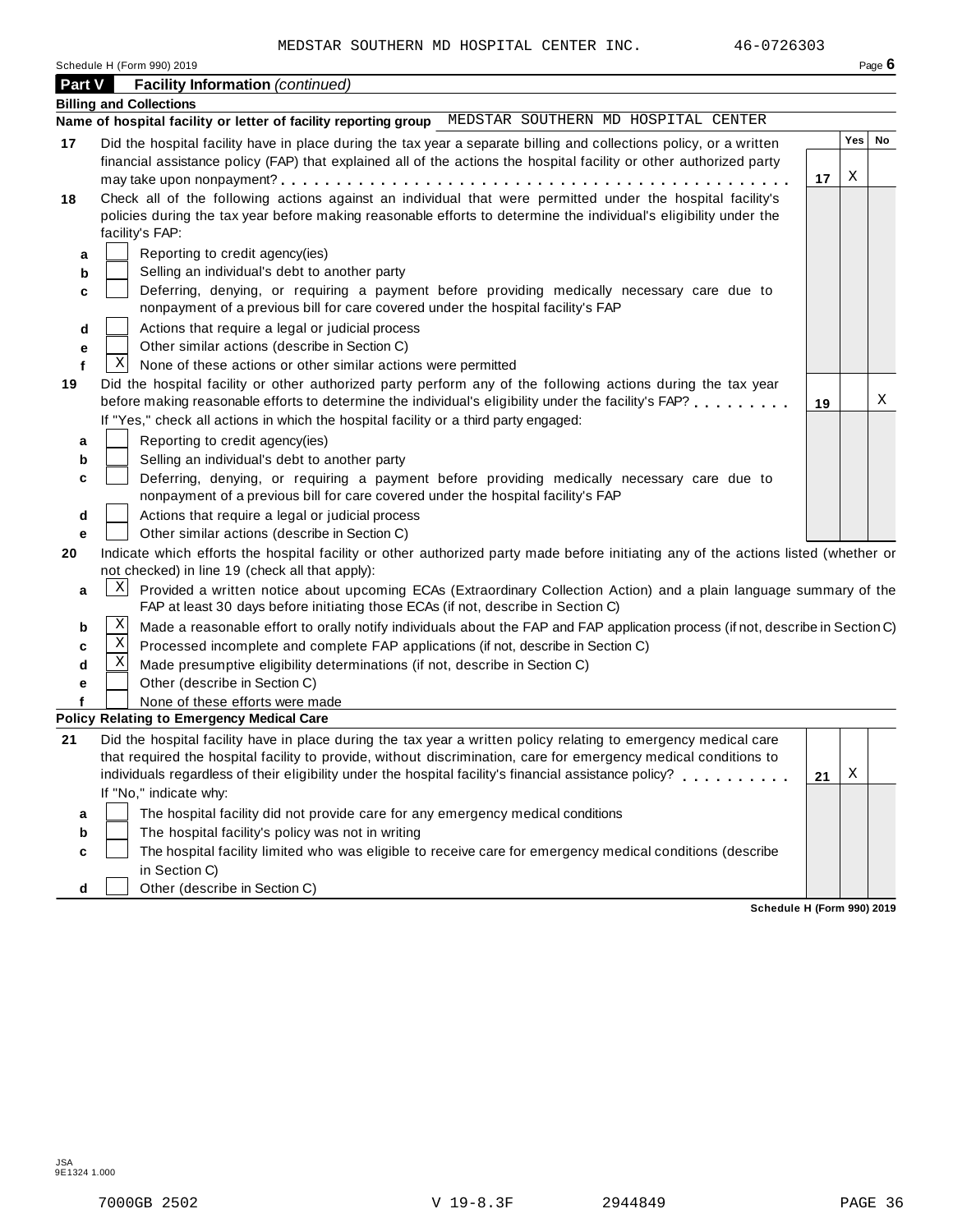| Schedule H (Form 990) 2019 | Page 6 |
|----------------------------|--------|
|----------------------------|--------|

| <b>Part V</b> |   | <b>Facility Information (continued)</b>                                                                                                                                                                                    |    |            | . ugo s |
|---------------|---|----------------------------------------------------------------------------------------------------------------------------------------------------------------------------------------------------------------------------|----|------------|---------|
|               |   | <b>Billing and Collections</b>                                                                                                                                                                                             |    |            |         |
|               |   | Name of hospital facility or letter of facility reporting group MEDSTAR SOUTHERN MD HOSPITAL CENTER                                                                                                                        |    |            |         |
| 17            |   | Did the hospital facility have in place during the tax year a separate billing and collections policy, or a written                                                                                                        |    | <b>Yes</b> | No      |
|               |   | financial assistance policy (FAP) that explained all of the actions the hospital facility or other authorized party                                                                                                        |    |            |         |
|               |   |                                                                                                                                                                                                                            | 17 | Χ          |         |
| 18            |   | Check all of the following actions against an individual that were permitted under the hospital facility's                                                                                                                 |    |            |         |
|               |   | policies during the tax year before making reasonable efforts to determine the individual's eligibility under the                                                                                                          |    |            |         |
|               |   | facility's FAP:                                                                                                                                                                                                            |    |            |         |
| a             |   | Reporting to credit agency(ies)                                                                                                                                                                                            |    |            |         |
| b             |   | Selling an individual's debt to another party<br>Deferring, denying, or requiring a payment before providing medically necessary care due to                                                                               |    |            |         |
| c             |   | nonpayment of a previous bill for care covered under the hospital facility's FAP                                                                                                                                           |    |            |         |
| d             |   | Actions that require a legal or judicial process                                                                                                                                                                           |    |            |         |
| е             |   | Other similar actions (describe in Section C)                                                                                                                                                                              |    |            |         |
| f             | Χ | None of these actions or other similar actions were permitted                                                                                                                                                              |    |            |         |
| 19            |   | Did the hospital facility or other authorized party perform any of the following actions during the tax year                                                                                                               |    |            |         |
|               |   | before making reasonable efforts to determine the individual's eligibility under the facility's FAP?                                                                                                                       | 19 |            | Χ       |
|               |   | If "Yes," check all actions in which the hospital facility or a third party engaged:                                                                                                                                       |    |            |         |
| a             |   | Reporting to credit agency(ies)                                                                                                                                                                                            |    |            |         |
| b             |   | Selling an individual's debt to another party                                                                                                                                                                              |    |            |         |
| c             |   | Deferring, denying, or requiring a payment before providing medically necessary care due to                                                                                                                                |    |            |         |
|               |   | nonpayment of a previous bill for care covered under the hospital facility's FAP                                                                                                                                           |    |            |         |
| d             |   | Actions that require a legal or judicial process                                                                                                                                                                           |    |            |         |
| е<br>20       |   | Other similar actions (describe in Section C)<br>Indicate which efforts the hospital facility or other authorized party made before initiating any of the actions listed (whether or                                       |    |            |         |
|               |   | not checked) in line 19 (check all that apply):                                                                                                                                                                            |    |            |         |
| а             | Χ | Provided a written notice about upcoming ECAs (Extraordinary Collection Action) and a plain language summary of the                                                                                                        |    |            |         |
|               |   | FAP at least 30 days before initiating those ECAs (if not, describe in Section C)                                                                                                                                          |    |            |         |
| b             | Χ | Made a reasonable effort to orally notify individuals about the FAP and FAP application process (if not, describe in Section C)                                                                                            |    |            |         |
| с             | Χ | Processed incomplete and complete FAP applications (if not, describe in Section C)                                                                                                                                         |    |            |         |
| d             | Χ | Made presumptive eligibility determinations (if not, describe in Section C)                                                                                                                                                |    |            |         |
| е             |   | Other (describe in Section C)                                                                                                                                                                                              |    |            |         |
|               |   | None of these efforts were made                                                                                                                                                                                            |    |            |         |
|               |   | <b>Policy Relating to Emergency Medical Care</b>                                                                                                                                                                           |    |            |         |
| 21            |   | Did the hospital facility have in place during the tax year a written policy relating to emergency medical care                                                                                                            |    |            |         |
|               |   | that required the hospital facility to provide, without discrimination, care for emergency medical conditions to<br>individuals regardless of their eligibility under the hospital facility's financial assistance policy? |    | Х          |         |
|               |   | If "No," indicate why:                                                                                                                                                                                                     | 21 |            |         |
|               |   | The hospital facility did not provide care for any emergency medical conditions                                                                                                                                            |    |            |         |
| а<br>b        |   | The hospital facility's policy was not in writing                                                                                                                                                                          |    |            |         |
| c             |   | The hospital facility limited who was eligible to receive care for emergency medical conditions (describe                                                                                                                  |    |            |         |
|               |   | in Section C)                                                                                                                                                                                                              |    |            |         |
| d             |   | Other (describe in Section C)                                                                                                                                                                                              |    |            |         |

**Schedule H (Form 990) 2019**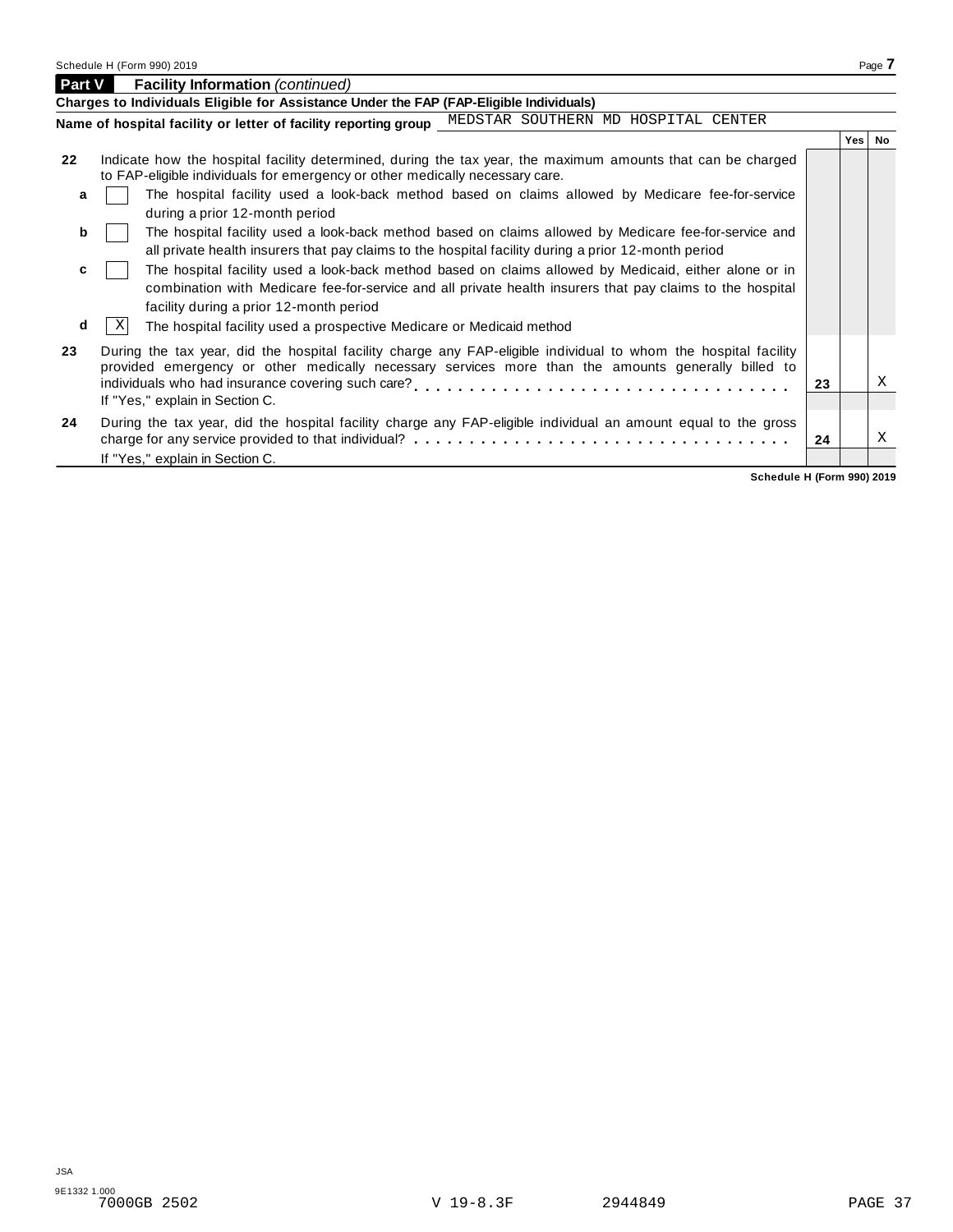|    | Charges to Individuals Eligible for Assistance Under the FAP (FAP-Eligible Individuals)                                                                                                                                                                       |    |     |           |
|----|---------------------------------------------------------------------------------------------------------------------------------------------------------------------------------------------------------------------------------------------------------------|----|-----|-----------|
|    |                                                                                                                                                                                                                                                               |    |     |           |
|    | Name of hospital facility or letter of facility reporting group MEDSTAR SOUTHERN MD HOSPITAL CENTER                                                                                                                                                           |    |     |           |
|    |                                                                                                                                                                                                                                                               |    | Yes | <b>No</b> |
| 22 | Indicate how the hospital facility determined, during the tax year, the maximum amounts that can be charged<br>to FAP-eligible individuals for emergency or other medically necessary care.                                                                   |    |     |           |
| a  | The hospital facility used a look-back method based on claims allowed by Medicare fee-for-service<br>during a prior 12-month period                                                                                                                           |    |     |           |
| b  | The hospital facility used a look-back method based on claims allowed by Medicare fee-for-service and<br>all private health insurers that pay claims to the hospital facility during a prior 12-month period                                                  |    |     |           |
| c  | The hospital facility used a look-back method based on claims allowed by Medicaid, either alone or in<br>combination with Medicare fee-for-service and all private health insurers that pay claims to the hospital<br>facility during a prior 12-month period |    |     |           |
| d  | -XI<br>The hospital facility used a prospective Medicare or Medicaid method                                                                                                                                                                                   |    |     |           |
| 23 | During the tax year, did the hospital facility charge any FAP-eligible individual to whom the hospital facility<br>provided emergency or other medically necessary services more than the amounts generally billed to                                         | 23 |     | X         |
|    | If "Yes," explain in Section C.                                                                                                                                                                                                                               |    |     |           |
| 24 | During the tax year, did the hospital facility charge any FAP-eligible individual an amount equal to the gross<br>If "Yes," explain in Section C.                                                                                                             | 24 |     | Χ         |

**Schedule H (Form 990) 2019**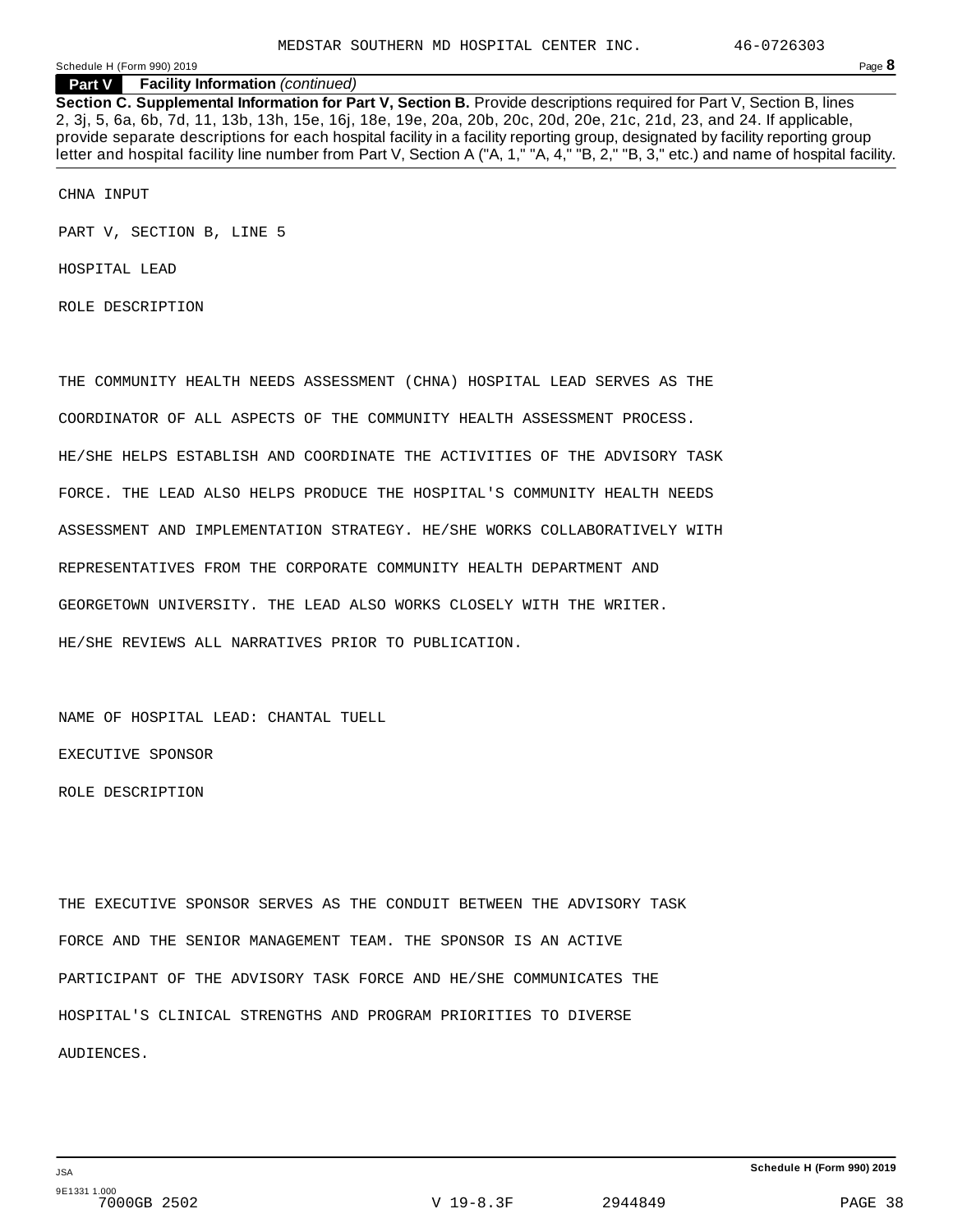**Part V Facility Information** *(continued)*

**Section C. Supplemental Information for Part V, Section B.** Provide descriptions required for Part V, Section B, lines 2, 3j, 5, 6a, 6b, 7d, 11, 13b, 13h, 15e, 16j, 18e, 19e, 20a, 20b, 20c, 20d, 20e, 21c, 21d, 23, and 24. If applicable, provide separate descriptions for each hospital facility in a facility reporting group, designated by facility reporting group letter and hospital facility line number from Part V, Section A ("A, 1," "A, 4," "B, 2," "B, 3," etc.) and name of hospital facility.

CHNA INPUT

PART V, SECTION B, LINE 5

HOSPITAL LEAD

ROLE DESCRIPTION

THE COMMUNITY HEALTH NEEDS ASSESSMENT (CHNA) HOSPITAL LEAD SERVES AS THE COORDINATOR OF ALL ASPECTS OF THE COMMUNITY HEALTH ASSESSMENT PROCESS. HE/SHE HELPS ESTABLISH AND COORDINATE THE ACTIVITIES OF THE ADVISORY TASK FORCE. THE LEAD ALSO HELPS PRODUCE THE HOSPITAL'S COMMUNITY HEALTH NEEDS ASSESSMENT AND IMPLEMENTATION STRATEGY. HE/SHE WORKS COLLABORATIVELY WITH REPRESENTATIVES FROM THE CORPORATE COMMUNITY HEALTH DEPARTMENT AND GEORGETOWN UNIVERSITY. THE LEAD ALSO WORKS CLOSELY WITH THE WRITER. HE/SHE REVIEWS ALL NARRATIVES PRIOR TO PUBLICATION.

NAME OF HOSPITAL LEAD: CHANTAL TUELL EXECUTIVE SPONSOR ROLE DESCRIPTION

THE EXECUTIVE SPONSOR SERVES AS THE CONDUIT BETWEEN THE ADVISORY TASK FORCE AND THE SENIOR MANAGEMENT TEAM. THE SPONSOR IS AN ACTIVE PARTICIPANT OF THE ADVISORY TASK FORCE AND HE/SHE COMMUNICATES THE HOSPITAL'S CLINICAL STRENGTHS AND PROGRAM PRIORITIES TO DIVERSE AUDIENCES.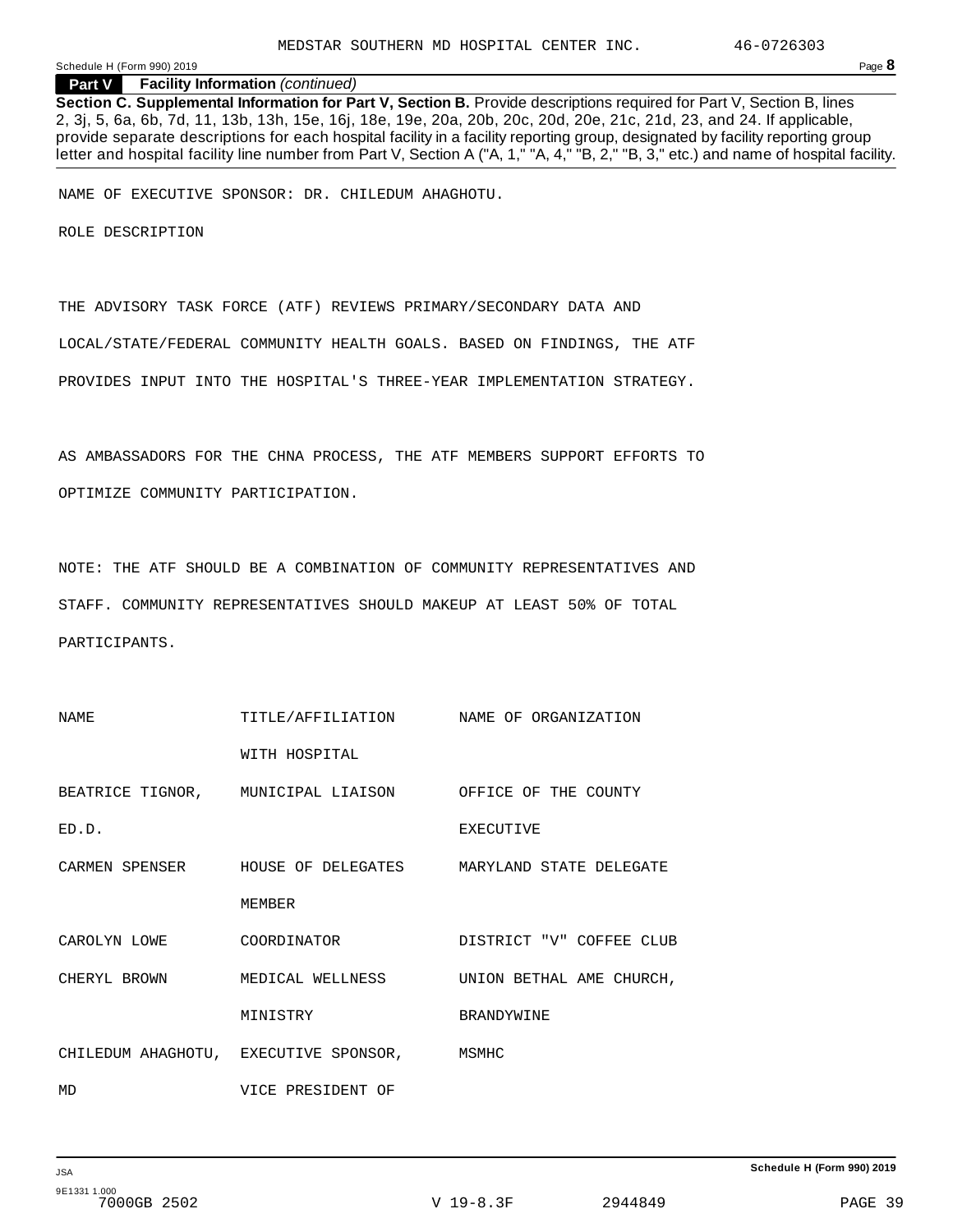**Part V Facility Information** *(continued)*

**Section C. Supplemental Information for Part V, Section B.** Provide descriptions required for Part V, Section B, lines 2, 3j, 5, 6a, 6b, 7d, 11, 13b, 13h, 15e, 16j, 18e, 19e, 20a, 20b, 20c, 20d, 20e, 21c, 21d, 23, and 24. If applicable, provide separate descriptions for each hospital facility in a facility reporting group, designated by facility reporting group letter and hospital facility line number from Part V, Section A ("A, 1," "A, 4," "B, 2," "B, 3," etc.) and name of hospital facility.

NAME OF EXECUTIVE SPONSOR: DR. CHILEDUM AHAGHOTU.

ROLE DESCRIPTION

THE ADVISORY TASK FORCE (ATF) REVIEWS PRIMARY/SECONDARY DATA AND LOCAL/STATE/FEDERAL COMMUNITY HEALTH GOALS. BASED ON FINDINGS, THE ATF PROVIDES INPUT INTO THE HOSPITAL'S THREE-YEAR IMPLEMENTATION STRATEGY.

AS AMBASSADORS FOR THE CHNA PROCESS, THE ATF MEMBERS SUPPORT EFFORTS TO OPTIMIZE COMMUNITY PARTICIPATION.

NOTE: THE ATF SHOULD BE A COMBINATION OF COMMUNITY REPRESENTATIVES AND STAFF. COMMUNITY REPRESENTATIVES SHOULD MAKEUP AT LEAST 50% OF TOTAL PARTICIPANTS.

| NAME         | TITLE/AFFILIATION NAME OF ORGANIZATION                  |                                                                    |
|--------------|---------------------------------------------------------|--------------------------------------------------------------------|
|              | WITH HOSPITAL                                           |                                                                    |
|              | BEATRICE TIGNOR, MUNICIPAL LIAISON OFFICE OF THE COUNTY |                                                                    |
| ED.D.        |                                                         | <b>EXECUTIVE</b>                                                   |
|              |                                                         | CARMEN SPENSER      HOUSE OF DELEGATES     MARYLAND STATE DELEGATE |
|              | <b>MEMBER</b>                                           |                                                                    |
|              | CAROLYN LOWE COORDINATOR                                | DISTRICT "V" COFFEE CLUB                                           |
| CHERYL BROWN | MEDICAL WELLNESS                                        | UNION BETHAL AME CHURCH,                                           |
|              | MINISTRY                                                | BRANDYWINE                                                         |
|              | CHILEDUM AHAGHOTU, EXECUTIVE SPONSOR, MSMHC             |                                                                    |
| MD           | VICE PRESIDENT OF                                       |                                                                    |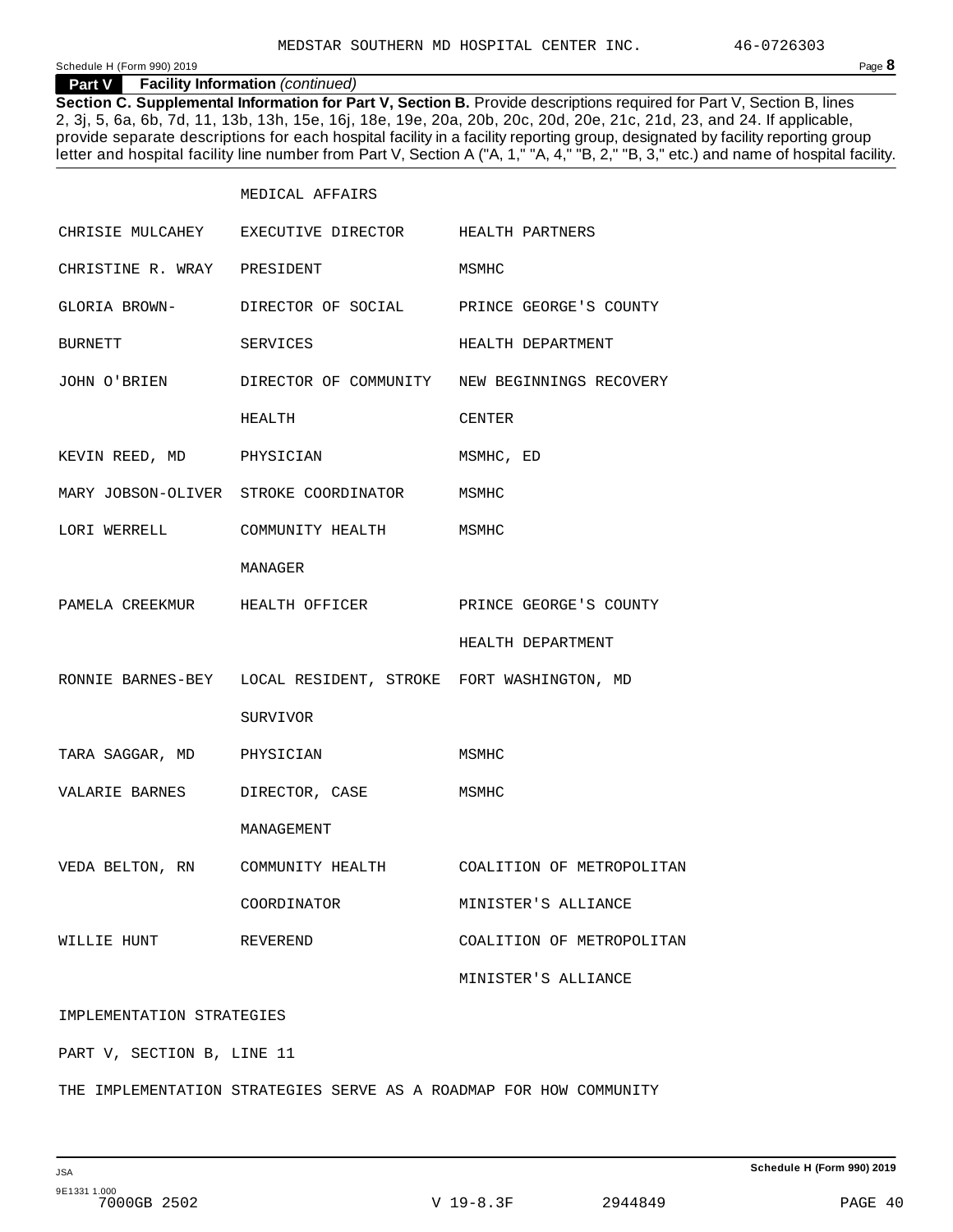#### **Part V Facility Information** *(continued)*

**Section C. Supplemental Information for Part V, Section B.** Provide descriptions required for Part V, Section B, lines 2, 3j, 5, 6a, 6b, 7d, 11, 13b, 13h, 15e, 16j, 18e, 19e, 20a, 20b, 20c, 20d, 20e, 21c, 21d, 23, and 24. If applicable, provide separate descriptions for each hospital facility in a facility reporting group, designated by facility reporting group letter and hospital facility line number from Part V, Section A ("A, 1," "A, 4," "B, 2," "B, 3," etc.) and name of hospital facility.

|                               | MEDICAL AFFAIRS                                              |                                                            |
|-------------------------------|--------------------------------------------------------------|------------------------------------------------------------|
|                               | CHRISIE MULCAHEY EXECUTIVE DIRECTOR HEALTH PARTNERS          |                                                            |
| CHRISTINE R. WRAY PRESIDENT   |                                                              | MSMHC                                                      |
|                               | GLORIA BROWN- DIRECTOR OF SOCIAL PRINCE GEORGE'S COUNTY      |                                                            |
| BURNETT                       | SERVICES                                                     | HEALTH DEPARTMENT                                          |
|                               |                                                              | JOHN O'BRIEN DIRECTOR OF COMMUNITY NEW BEGINNINGS RECOVERY |
|                               | HEALTH                                                       | CENTER                                                     |
| KEVIN REED, MD PHYSICIAN      |                                                              | MSMHC, ED                                                  |
|                               | MARY JOBSON-OLIVER STROKE COORDINATOR MSMHC                  |                                                            |
|                               | LORI WERRELL COMMUNITY HEALTH MSMHC                          |                                                            |
|                               | MANAGER                                                      |                                                            |
|                               | PAMELA CREEKMUR HEALTH OFFICER PRINCE GEORGE'S COUNTY        |                                                            |
|                               |                                                              | HEALTH DEPARTMENT                                          |
|                               | RONNIE BARNES-BEY LOCAL RESIDENT, STROKE FORT WASHINGTON, MD |                                                            |
|                               | SURVIVOR                                                     |                                                            |
| TARA SAGGAR, MD PHYSICIAN     |                                                              | MSMHC                                                      |
| VALARIE BARNES DIRECTOR, CASE |                                                              | MSMHC                                                      |
|                               | MANAGEMENT                                                   |                                                            |
|                               |                                                              | VEDA BELTON, RN COMMUNITY HEALTH COALITION OF METROPOLITAN |
|                               | COORDINATOR                                                  | MINISTER'S ALLIANCE                                        |
| WILLIE HUNT                   | REVEREND                                                     | COALITION OF METROPOLITAN                                  |
|                               |                                                              | MINISTER'S ALLIANCE                                        |
| IMPLEMENTATION STRATEGIES     |                                                              |                                                            |

PART V, SECTION B, LINE 11

THE IMPLEMENTATION STRATEGIES SERVE AS A ROADMAP FOR HOW COMMUNITY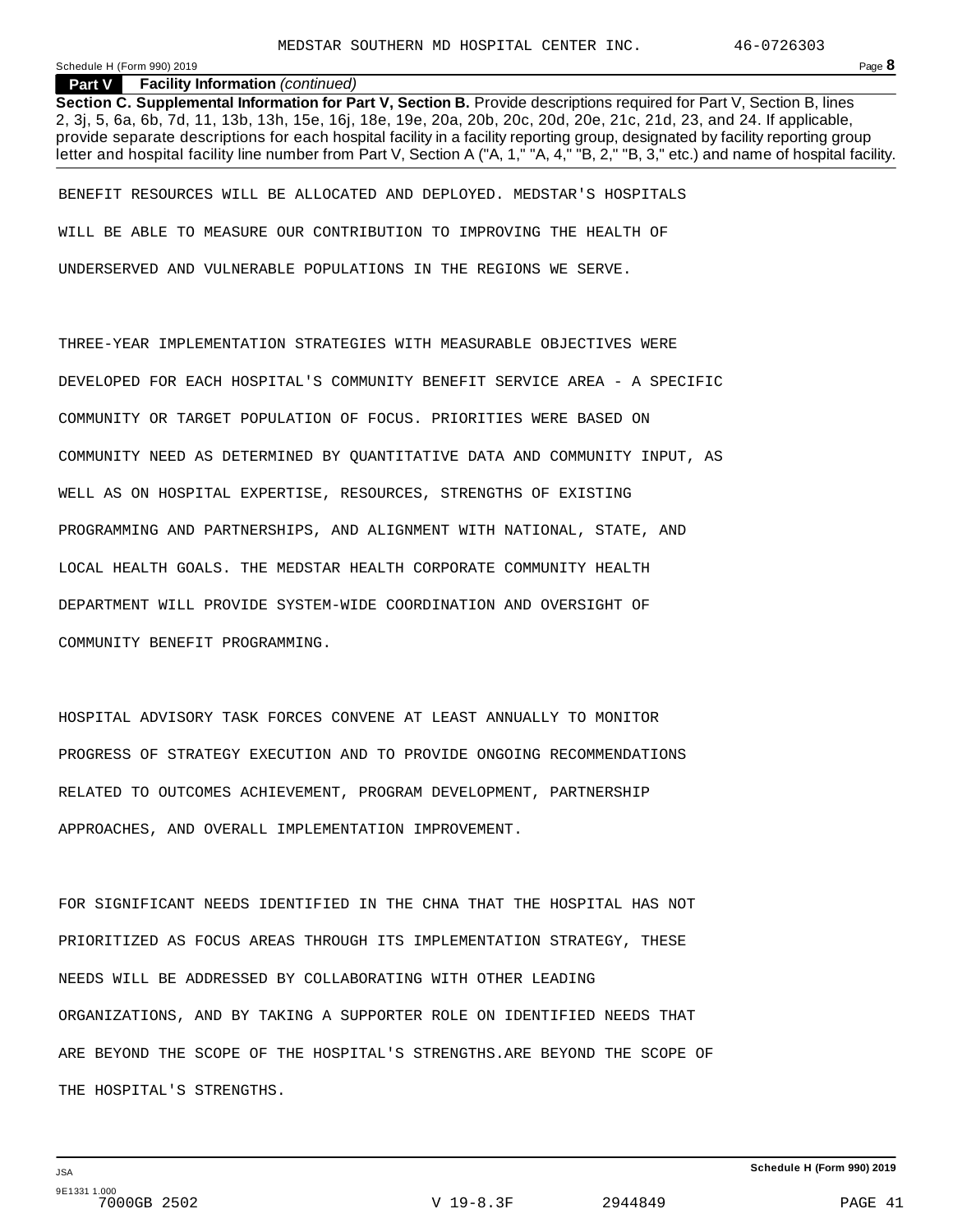#### **Part V Facility Information** *(continued)*

**Section C. Supplemental Information for Part V, Section B.** Provide descriptions required for Part V, Section B, lines 2, 3j, 5, 6a, 6b, 7d, 11, 13b, 13h, 15e, 16j, 18e, 19e, 20a, 20b, 20c, 20d, 20e, 21c, 21d, 23, and 24. If applicable, provide separate descriptions for each hospital facility in a facility reporting group, designated by facility reporting group letter and hospital facility line number from Part V, Section A ("A, 1," "A, 4," "B, 2," "B, 3," etc.) and name of hospital facility.

BENEFIT RESOURCES WILL BE ALLOCATED AND DEPLOYED. MEDSTAR'S HOSPITALS WILL BE ABLE TO MEASURE OUR CONTRIBUTION TO IMPROVING THE HEALTH OF UNDERSERVED AND VULNERABLE POPULATIONS IN THE REGIONS WE SERVE.

THREE-YEAR IMPLEMENTATION STRATEGIES WITH MEASURABLE OBJECTIVES WERE DEVELOPED FOR EACH HOSPITAL'S COMMUNITY BENEFIT SERVICE AREA - A SPECIFIC COMMUNITY OR TARGET POPULATION OF FOCUS. PRIORITIES WERE BASED ON COMMUNITY NEED AS DETERMINED BY QUANTITATIVE DATA AND COMMUNITY INPUT, AS WELL AS ON HOSPITAL EXPERTISE, RESOURCES, STRENGTHS OF EXISTING PROGRAMMING AND PARTNERSHIPS, AND ALIGNMENT WITH NATIONAL, STATE, AND LOCAL HEALTH GOALS. THE MEDSTAR HEALTH CORPORATE COMMUNITY HEALTH DEPARTMENT WILL PROVIDE SYSTEM-WIDE COORDINATION AND OVERSIGHT OF COMMUNITY BENEFIT PROGRAMMING.

HOSPITAL ADVISORY TASK FORCES CONVENE AT LEAST ANNUALLY TO MONITOR PROGRESS OF STRATEGY EXECUTION AND TO PROVIDE ONGOING RECOMMENDATIONS RELATED TO OUTCOMES ACHIEVEMENT, PROGRAM DEVELOPMENT, PARTNERSHIP APPROACHES, AND OVERALL IMPLEMENTATION IMPROVEMENT.

FOR SIGNIFICANT NEEDS IDENTIFIED IN THE CHNA THAT THE HOSPITAL HAS NOT PRIORITIZED AS FOCUS AREAS THROUGH ITS IMPLEMENTATION STRATEGY, THESE NEEDS WILL BE ADDRESSED BY COLLABORATING WITH OTHER LEADING ORGANIZATIONS, AND BY TAKING A SUPPORTER ROLE ON IDENTIFIED NEEDS THAT ARE BEYOND THE SCOPE OF THE HOSPITAL'S STRENGTHS.ARE BEYOND THE SCOPE OF THE HOSPITAL'S STRENGTHS.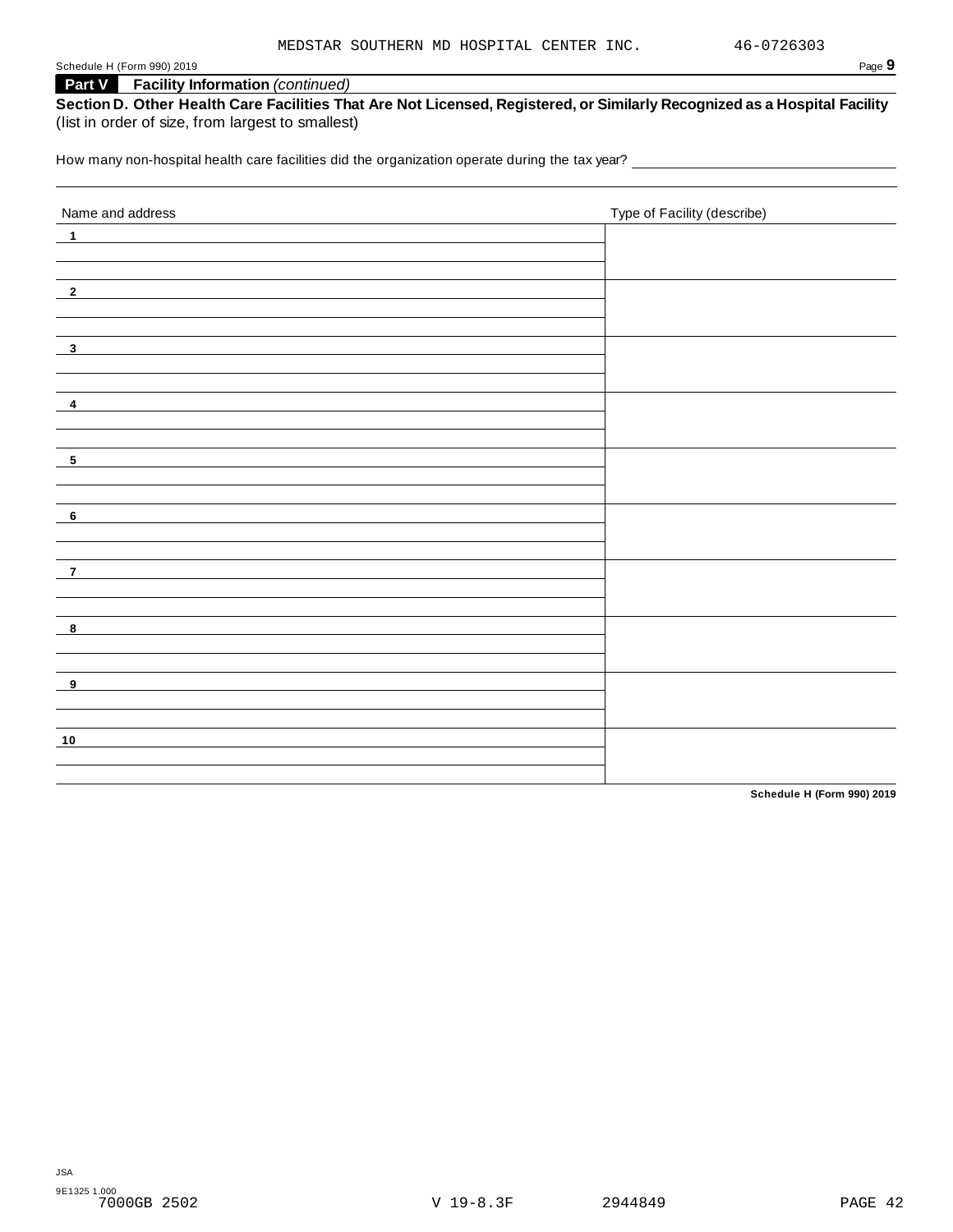## **Part V Facility Information** *(continued)*

|                                                   | Section D. Other Health Care Facilities That Are Not Licensed, Registered, or Similarly Recognized as a Hospital Facility |
|---------------------------------------------------|---------------------------------------------------------------------------------------------------------------------------|
| (list in order of size, from largest to smallest) |                                                                                                                           |

How many non-hospital health care facilities did the organization operate during the tax year? \_\_\_\_\_\_\_\_\_\_\_\_\_\_

| Name and address           | Type of Facility (describe) |
|----------------------------|-----------------------------|
| $\blacksquare$             |                             |
|                            |                             |
|                            |                             |
| $\overline{\phantom{0}2}$  |                             |
|                            |                             |
| $\overline{\mathbf{3}}$    |                             |
|                            |                             |
|                            |                             |
| $\overline{\mathbf{4}}$    |                             |
|                            |                             |
| $\overline{\phantom{0}}$   |                             |
|                            |                             |
|                            |                             |
| $\overline{\phantom{0}}$ 6 |                             |
|                            |                             |
|                            |                             |
| $\overline{7}$             |                             |
|                            |                             |
| $\overline{\mathbf{8}}$    |                             |
|                            |                             |
|                            |                             |
| $_{-9}$                    |                             |
|                            |                             |
| 10                         |                             |
|                            |                             |
|                            |                             |

**Schedule H (Form 990) 2019**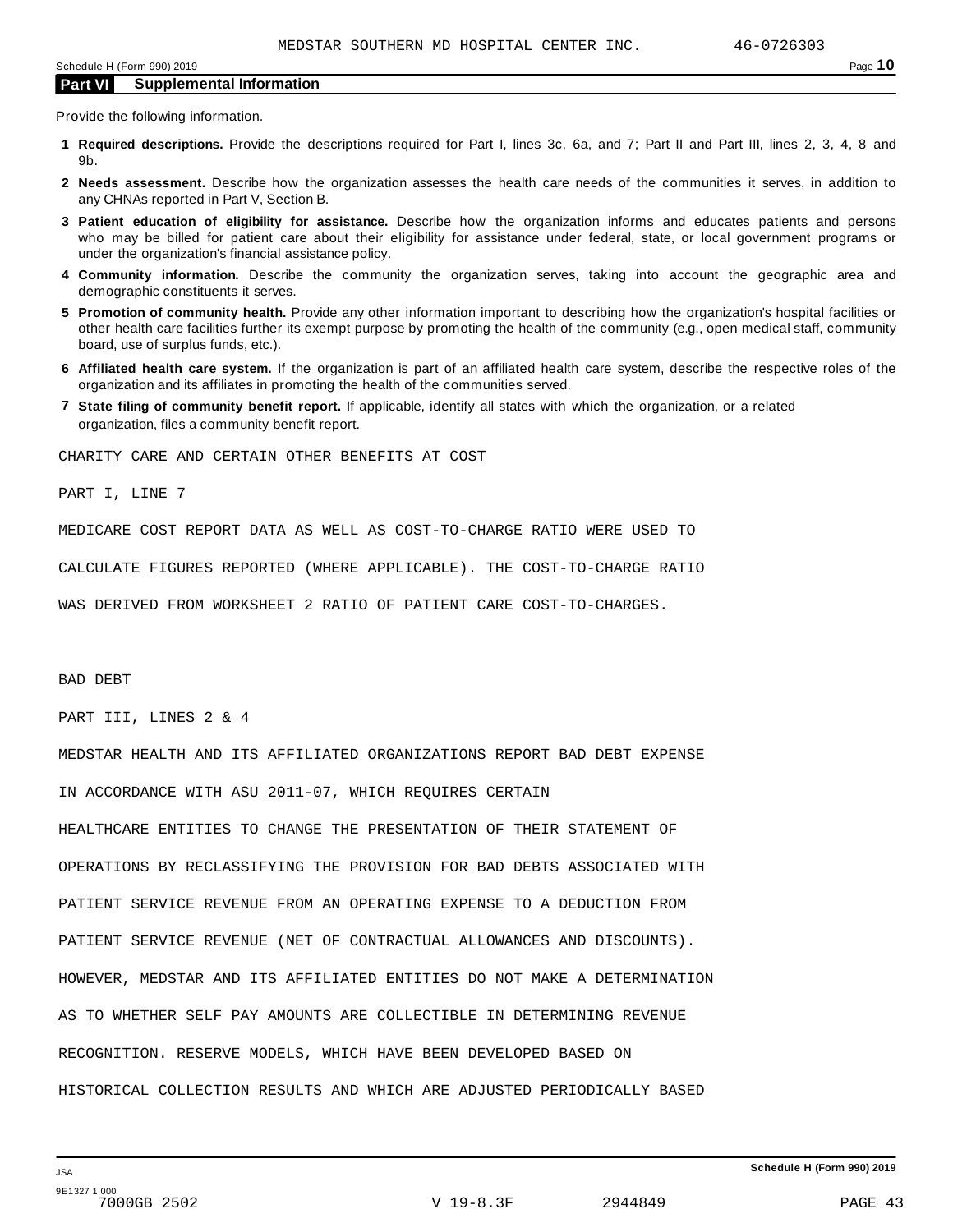Provide the following information.

- **1 Required descriptions.** Provide the descriptions required for Part I, lines 3c, 6a, and 7; Part II and Part III, lines 2, 3, 4, 8 and 9b.
- **2 Needs assessment.** Describe how the organization assesses the health care needs of the communities it serves, in addition to any CHNAs reported in Part V, Section B.
- **3 Patient education of eligibility for assistance.** Describe how the organization informs and educates patients and persons who may be billed for patient care about their eligibility for assistance under federal, state, or local government programs or under the organization's financial assistance policy.
- **4 Community information.** Describe the community the organization serves, taking into account the geographic area and demographic constituents it serves.
- **5 Promotion of community health.** Provide any other information important to describing how the organization's hospital facilities or other health care facilities further its exempt purpose by promoting the health of the community (e.g., open medical staff, community board, use of surplus funds, etc.).
- **6 Affiliated health care system.** If the organization is part of an affiliated health care system, describe the respective roles of the organization and its affiliates in promoting the health of the communities served.
- **7 State filing of community benefit report.** If applicable, identify all states with which the organization, or a related organization, files a community benefit report.

CHARITY CARE AND CERTAIN OTHER BENEFITS AT COST

PART I, LINE 7

MEDICARE COST REPORT DATA AS WELL AS COST-TO-CHARGE RATIO WERE USED TO

CALCULATE FIGURES REPORTED (WHERE APPLICABLE). THE COST-TO-CHARGE RATIO

WAS DERIVED FROM WORKSHEET 2 RATIO OF PATIENT CARE COST-TO-CHARGES.

BAD DEBT

PART III, LINES 2 & 4

MEDSTAR HEALTH AND ITS AFFILIATED ORGANIZATIONS REPORT BAD DEBT EXPENSE

IN ACCORDANCE WITH ASU 2011-07, WHICH REQUIRES CERTAIN

HEALTHCARE ENTITIES TO CHANGE THE PRESENTATION OF THEIR STATEMENT OF OPERATIONS BY RECLASSIFYING THE PROVISION FOR BAD DEBTS ASSOCIATED WITH PATIENT SERVICE REVENUE FROM AN OPERATING EXPENSE TO A DEDUCTION FROM PATIENT SERVICE REVENUE (NET OF CONTRACTUAL ALLOWANCES AND DISCOUNTS). HOWEVER, MEDSTAR AND ITS AFFILIATED ENTITIES DO NOT MAKE A DETERMINATION AS TO WHETHER SELF PAY AMOUNTS ARE COLLECTIBLE IN DETERMINING REVENUE RECOGNITION. RESERVE MODELS, WHICH HAVE BEEN DEVELOPED BASED ON HISTORICAL COLLECTION RESULTS AND WHICH ARE ADJUSTED PERIODICALLY BASED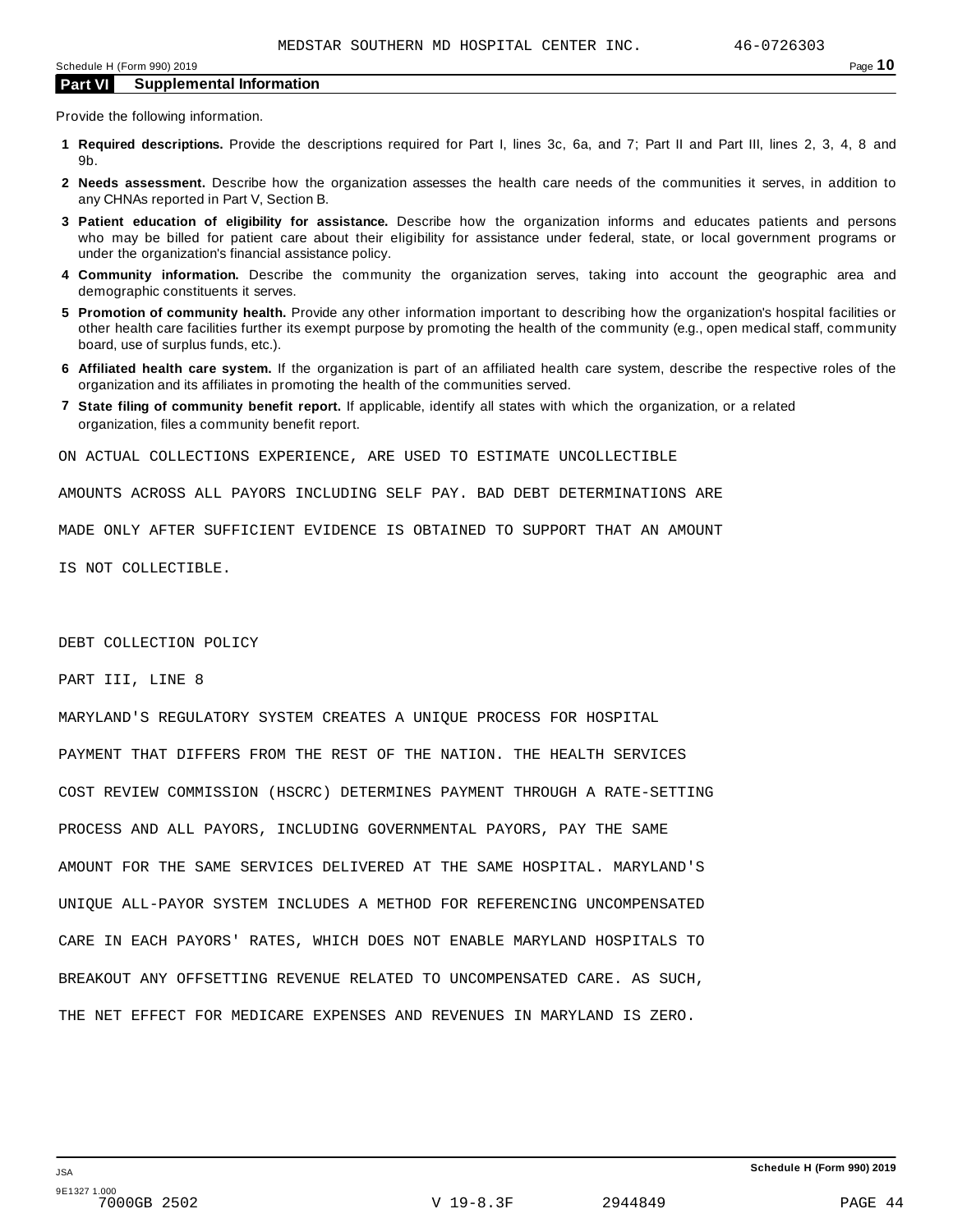Provide the following information.

- **1 Required descriptions.** Provide the descriptions required for Part I, lines 3c, 6a, and 7; Part II and Part III, lines 2, 3, 4, 8 and 9b.
- **2 Needs assessment.** Describe how the organization assesses the health care needs of the communities it serves, in addition to any CHNAs reported in Part V, Section B.
- **3 Patient education of eligibility for assistance.** Describe how the organization informs and educates patients and persons who may be billed for patient care about their eligibility for assistance under federal, state, or local government programs or under the organization's financial assistance policy.
- **4 Community information.** Describe the community the organization serves, taking into account the geographic area and demographic constituents it serves.
- **5 Promotion of community health.** Provide any other information important to describing how the organization's hospital facilities or other health care facilities further its exempt purpose by promoting the health of the community (e.g., open medical staff, community board, use of surplus funds, etc.).
- **6 Affiliated health care system.** If the organization is part of an affiliated health care system, describe the respective roles of the organization and its affiliates in promoting the health of the communities served.
- **7 State filing of community benefit report.** If applicable, identify all states with which the organization, or a related organization, files a community benefit report.

ON ACTUAL COLLECTIONS EXPERIENCE, ARE USED TO ESTIMATE UNCOLLECTIBLE

AMOUNTS ACROSS ALL PAYORS INCLUDING SELF PAY. BAD DEBT DETERMINATIONS ARE

MADE ONLY AFTER SUFFICIENT EVIDENCE IS OBTAINED TO SUPPORT THAT AN AMOUNT

IS NOT COLLECTIBLE.

DEBT COLLECTION POLICY

PART III, LINE 8

MARYLAND'S REGULATORY SYSTEM CREATES A UNIQUE PROCESS FOR HOSPITAL PAYMENT THAT DIFFERS FROM THE REST OF THE NATION. THE HEALTH SERVICES COST REVIEW COMMISSION (HSCRC) DETERMINES PAYMENT THROUGH A RATE-SETTING PROCESS AND ALL PAYORS, INCLUDING GOVERNMENTAL PAYORS, PAY THE SAME AMOUNT FOR THE SAME SERVICES DELIVERED AT THE SAME HOSPITAL. MARYLAND'S UNIQUE ALL-PAYOR SYSTEM INCLUDES A METHOD FOR REFERENCING UNCOMPENSATED CARE IN EACH PAYORS' RATES, WHICH DOES NOT ENABLE MARYLAND HOSPITALS TO BREAKOUT ANY OFFSETTING REVENUE RELATED TO UNCOMPENSATED CARE. AS SUCH, THE NET EFFECT FOR MEDICARE EXPENSES AND REVENUES IN MARYLAND IS ZERO.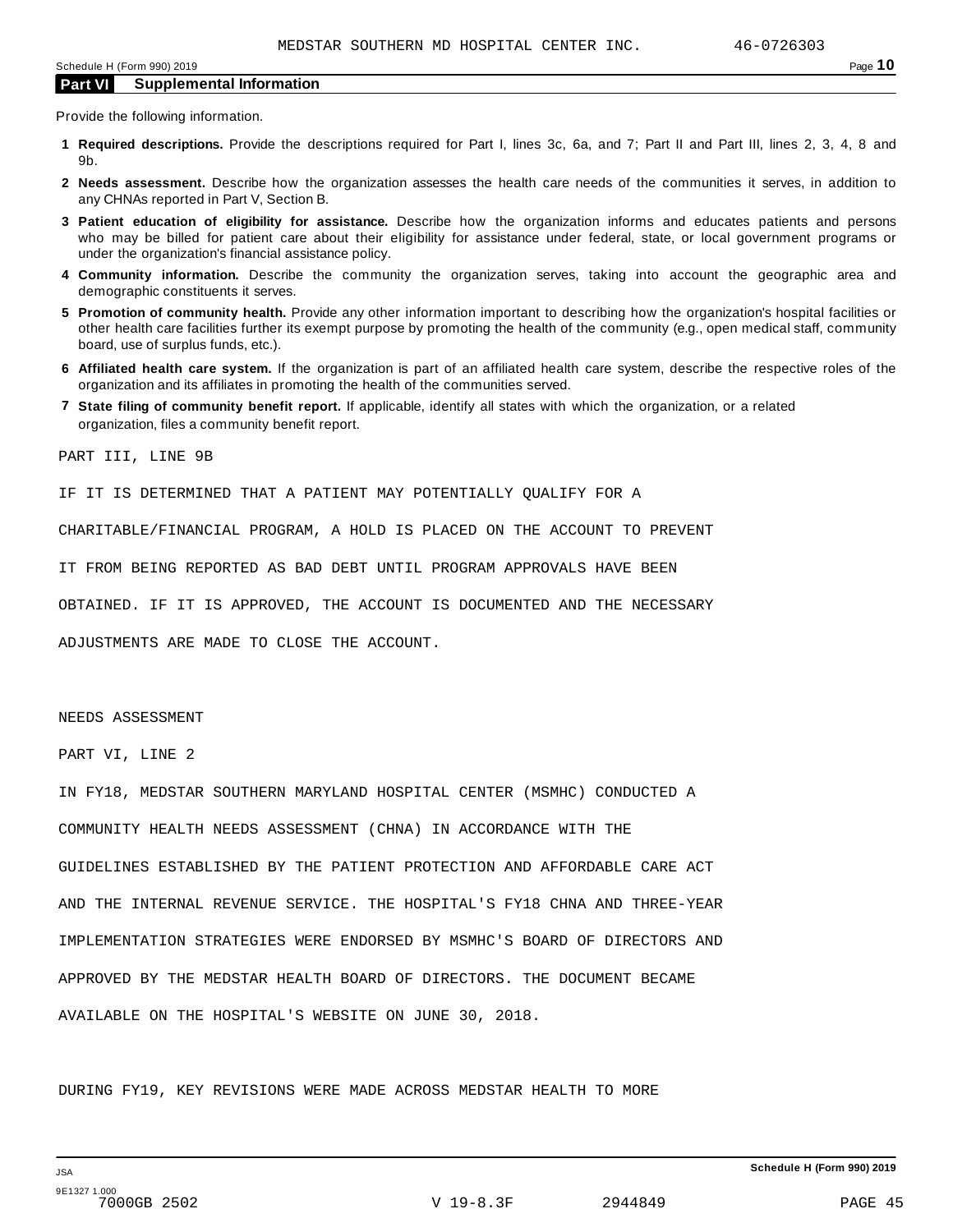Provide the following information.

- **1 Required descriptions.** Provide the descriptions required for Part I, lines 3c, 6a, and 7; Part II and Part III, lines 2, 3, 4, 8 and 9b.
- **2 Needs assessment.** Describe how the organization assesses the health care needs of the communities it serves, in addition to any CHNAs reported in Part V, Section B.
- **3 Patient education of eligibility for assistance.** Describe how the organization informs and educates patients and persons who may be billed for patient care about their eligibility for assistance under federal, state, or local government programs or under the organization's financial assistance policy.
- **4 Community information.** Describe the community the organization serves, taking into account the geographic area and demographic constituents it serves.
- **5 Promotion of community health.** Provide any other information important to describing how the organization's hospital facilities or other health care facilities further its exempt purpose by promoting the health of the community (e.g., open medical staff, community board, use of surplus funds, etc.).
- **6 Affiliated health care system.** If the organization is part of an affiliated health care system, describe the respective roles of the organization and its affiliates in promoting the health of the communities served.
- **7 State filing of community benefit report.** If applicable, identify all states with which the organization, or a related organization, files a community benefit report.

PART III, LINE 9B

IF IT IS DETERMINED THAT A PATIENT MAY POTENTIALLY QUALIFY FOR A

CHARITABLE/FINANCIAL PROGRAM, A HOLD IS PLACED ON THE ACCOUNT TO PREVENT

IT FROM BEING REPORTED AS BAD DEBT UNTIL PROGRAM APPROVALS HAVE BEEN

OBTAINED. IF IT IS APPROVED, THE ACCOUNT IS DOCUMENTED AND THE NECESSARY

ADJUSTMENTS ARE MADE TO CLOSE THE ACCOUNT.

NEEDS ASSESSMENT

PART VI, LINE 2

IN FY18, MEDSTAR SOUTHERN MARYLAND HOSPITAL CENTER (MSMHC) CONDUCTED A COMMUNITY HEALTH NEEDS ASSESSMENT (CHNA) IN ACCORDANCE WITH THE GUIDELINES ESTABLISHED BY THE PATIENT PROTECTION AND AFFORDABLE CARE ACT AND THE INTERNAL REVENUE SERVICE. THE HOSPITAL'S FY18 CHNA AND THREE-YEAR IMPLEMENTATION STRATEGIES WERE ENDORSED BY MSMHC'S BOARD OF DIRECTORS AND APPROVED BY THE MEDSTAR HEALTH BOARD OF DIRECTORS. THE DOCUMENT BECAME AVAILABLE ON THE HOSPITAL'S WEBSITE ON JUNE 30, 2018.

DURING FY19, KEY REVISIONS WERE MADE ACROSS MEDSTAR HEALTH TO MORE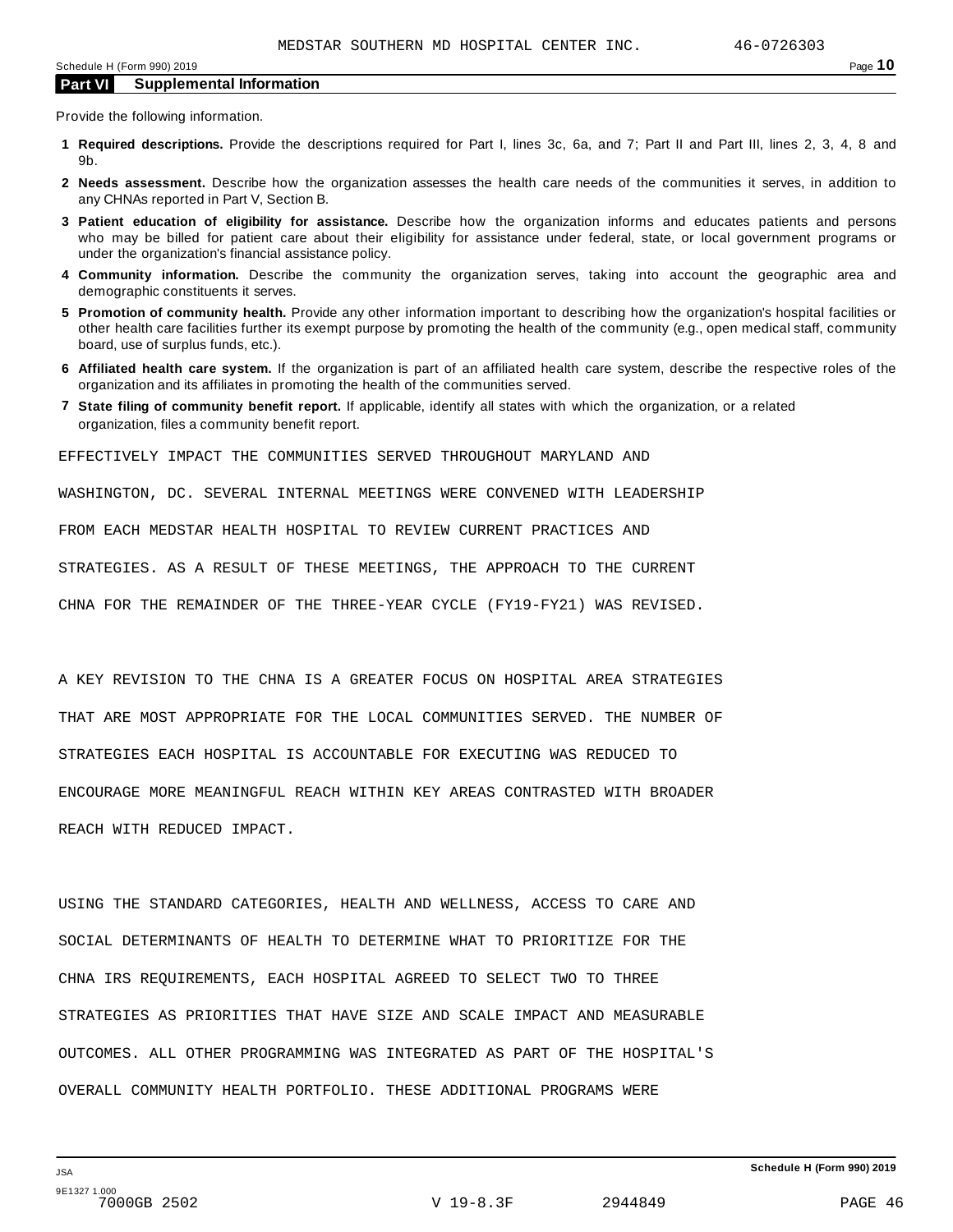Provide the following information.

- **1 Required descriptions.** Provide the descriptions required for Part I, lines 3c, 6a, and 7; Part II and Part III, lines 2, 3, 4, 8 and 9b.
- **2 Needs assessment.** Describe how the organization assesses the health care needs of the communities it serves, in addition to any CHNAs reported in Part V, Section B.
- **3 Patient education of eligibility for assistance.** Describe how the organization informs and educates patients and persons who may be billed for patient care about their eligibility for assistance under federal, state, or local government programs or under the organization's financial assistance policy.
- **4 Community information.** Describe the community the organization serves, taking into account the geographic area and demographic constituents it serves.
- **5 Promotion of community health.** Provide any other information important to describing how the organization's hospital facilities or other health care facilities further its exempt purpose by promoting the health of the community (e.g., open medical staff, community board, use of surplus funds, etc.).
- **6 Affiliated health care system.** If the organization is part of an affiliated health care system, describe the respective roles of the organization and its affiliates in promoting the health of the communities served.
- **7 State filing of community benefit report.** If applicable, identify all states with which the organization, or a related organization, files a community benefit report.

EFFECTIVELY IMPACT THE COMMUNITIES SERVED THROUGHOUT MARYLAND AND

WASHINGTON, DC. SEVERAL INTERNAL MEETINGS WERE CONVENED WITH LEADERSHIP

FROM EACH MEDSTAR HEALTH HOSPITAL TO REVIEW CURRENT PRACTICES AND

STRATEGIES. AS A RESULT OF THESE MEETINGS, THE APPROACH TO THE CURRENT

CHNA FOR THE REMAINDER OF THE THREE-YEAR CYCLE (FY19-FY21) WAS REVISED.

A KEY REVISION TO THE CHNA IS A GREATER FOCUS ON HOSPITAL AREA STRATEGIES THAT ARE MOST APPROPRIATE FOR THE LOCAL COMMUNITIES SERVED. THE NUMBER OF STRATEGIES EACH HOSPITAL IS ACCOUNTABLE FOR EXECUTING WAS REDUCED TO ENCOURAGE MORE MEANINGFUL REACH WITHIN KEY AREAS CONTRASTED WITH BROADER REACH WITH REDUCED IMPACT.

USING THE STANDARD CATEGORIES, HEALTH AND WELLNESS, ACCESS TO CARE AND SOCIAL DETERMINANTS OF HEALTH TO DETERMINE WHAT TO PRIORITIZE FOR THE CHNA IRS REQUIREMENTS, EACH HOSPITAL AGREED TO SELECT TWO TO THREE STRATEGIES AS PRIORITIES THAT HAVE SIZE AND SCALE IMPACT AND MEASURABLE OUTCOMES. ALL OTHER PROGRAMMING WAS INTEGRATED AS PART OF THE HOSPITAL'S OVERALL COMMUNITY HEALTH PORTFOLIO. THESE ADDITIONAL PROGRAMS WERE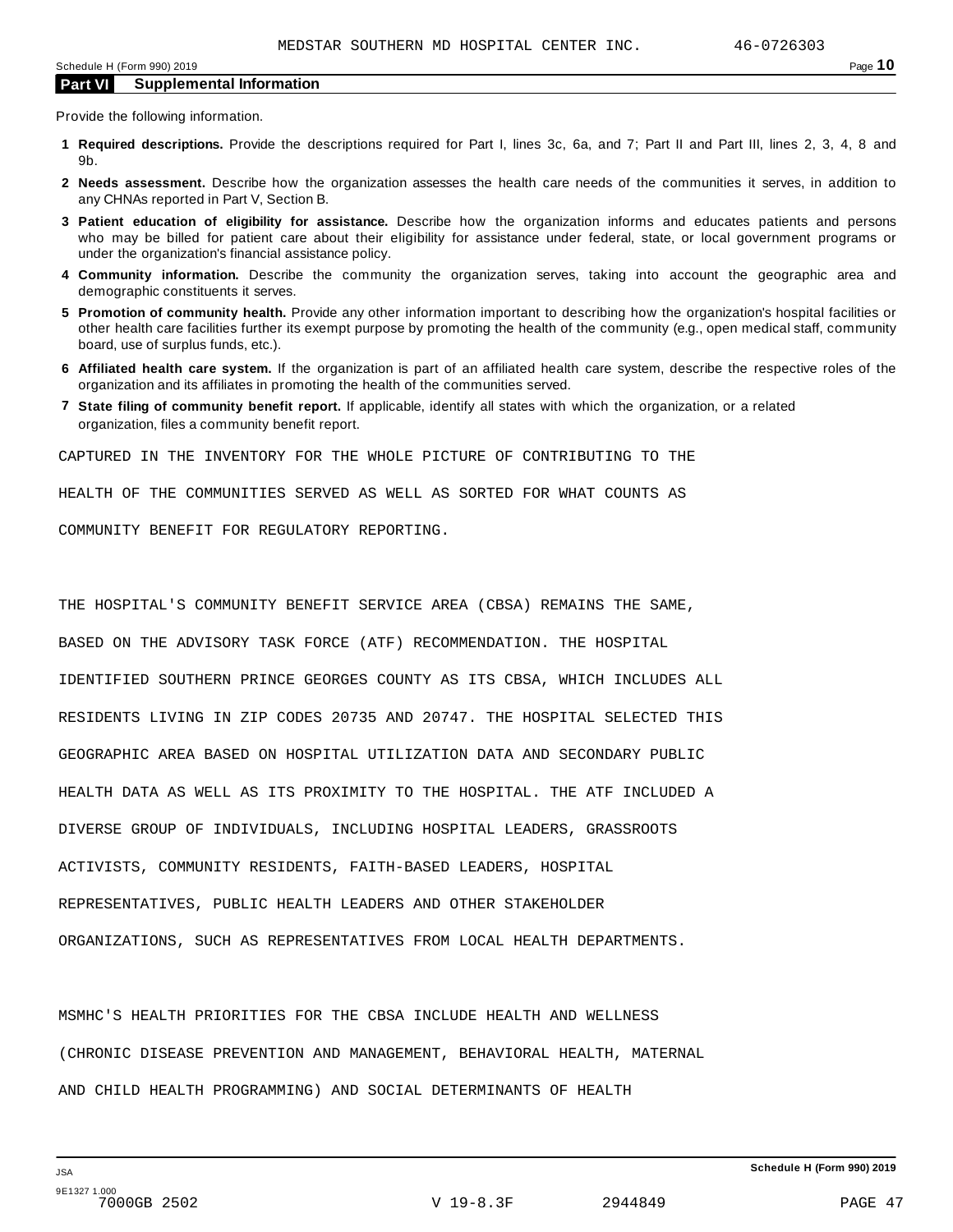Provide the following information.

- **1 Required descriptions.** Provide the descriptions required for Part I, lines 3c, 6a, and 7; Part II and Part III, lines 2, 3, 4, 8 and 9b.
- **2 Needs assessment.** Describe how the organization assesses the health care needs of the communities it serves, in addition to any CHNAs reported in Part V, Section B.
- **3 Patient education of eligibility for assistance.** Describe how the organization informs and educates patients and persons who may be billed for patient care about their eligibility for assistance under federal, state, or local government programs or under the organization's financial assistance policy.
- **4 Community information.** Describe the community the organization serves, taking into account the geographic area and demographic constituents it serves.
- **5 Promotion of community health.** Provide any other information important to describing how the organization's hospital facilities or other health care facilities further its exempt purpose by promoting the health of the community (e.g., open medical staff, community board, use of surplus funds, etc.).
- **6 Affiliated health care system.** If the organization is part of an affiliated health care system, describe the respective roles of the organization and its affiliates in promoting the health of the communities served.
- **7 State filing of community benefit report.** If applicable, identify all states with which the organization, or a related organization, files a community benefit report.

CAPTURED IN THE INVENTORY FOR THE WHOLE PICTURE OF CONTRIBUTING TO THE

HEALTH OF THE COMMUNITIES SERVED AS WELL AS SORTED FOR WHAT COUNTS AS

COMMUNITY BENEFIT FOR REGULATORY REPORTING.

THE HOSPITAL'S COMMUNITY BENEFIT SERVICE AREA (CBSA) REMAINS THE SAME, BASED ON THE ADVISORY TASK FORCE (ATF) RECOMMENDATION. THE HOSPITAL IDENTIFIED SOUTHERN PRINCE GEORGES COUNTY AS ITS CBSA, WHICH INCLUDES ALL RESIDENTS LIVING IN ZIP CODES 20735 AND 20747. THE HOSPITAL SELECTED THIS GEOGRAPHIC AREA BASED ON HOSPITAL UTILIZATION DATA AND SECONDARY PUBLIC HEALTH DATA AS WELL AS ITS PROXIMITY TO THE HOSPITAL. THE ATF INCLUDED A DIVERSE GROUP OF INDIVIDUALS, INCLUDING HOSPITAL LEADERS, GRASSROOTS ACTIVISTS, COMMUNITY RESIDENTS, FAITH-BASED LEADERS, HOSPITAL REPRESENTATIVES, PUBLIC HEALTH LEADERS AND OTHER STAKEHOLDER ORGANIZATIONS, SUCH AS REPRESENTATIVES FROM LOCAL HEALTH DEPARTMENTS.

MSMHC'S HEALTH PRIORITIES FOR THE CBSA INCLUDE HEALTH AND WELLNESS (CHRONIC DISEASE PREVENTION AND MANAGEMENT, BEHAVIORAL HEALTH, MATERNAL AND CHILD HEALTH PROGRAMMING) AND SOCIAL DETERMINANTS OF HEALTH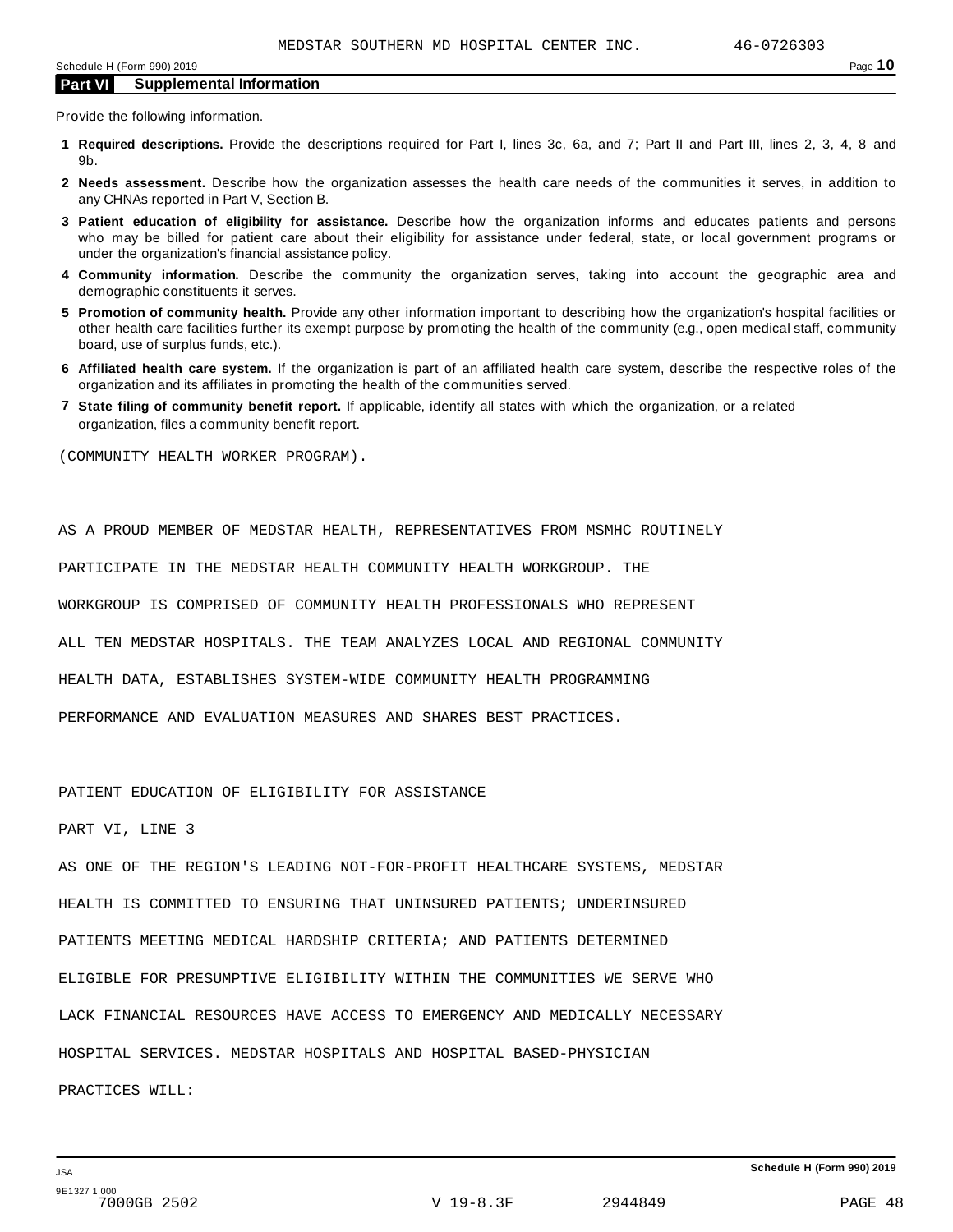Provide the following information.

- **1 Required descriptions.** Provide the descriptions required for Part I, lines 3c, 6a, and 7; Part II and Part III, lines 2, 3, 4, 8 and 9b.
- **2 Needs assessment.** Describe how the organization assesses the health care needs of the communities it serves, in addition to any CHNAs reported in Part V, Section B.
- **3 Patient education of eligibility for assistance.** Describe how the organization informs and educates patients and persons who may be billed for patient care about their eligibility for assistance under federal, state, or local government programs or under the organization's financial assistance policy.
- **4 Community information.** Describe the community the organization serves, taking into account the geographic area and demographic constituents it serves.
- **5 Promotion of community health.** Provide any other information important to describing how the organization's hospital facilities or other health care facilities further its exempt purpose by promoting the health of the community (e.g., open medical staff, community board, use of surplus funds, etc.).
- **6 Affiliated health care system.** If the organization is part of an affiliated health care system, describe the respective roles of the organization and its affiliates in promoting the health of the communities served.
- **7 State filing of community benefit report.** If applicable, identify all states with which the organization, or a related organization, files a community benefit report.

(COMMUNITY HEALTH WORKER PROGRAM).

AS A PROUD MEMBER OF MEDSTAR HEALTH, REPRESENTATIVES FROM MSMHC ROUTINELY PARTICIPATE IN THE MEDSTAR HEALTH COMMUNITY HEALTH WORKGROUP. THE WORKGROUP IS COMPRISED OF COMMUNITY HEALTH PROFESSIONALS WHO REPRESENT ALL TEN MEDSTAR HOSPITALS. THE TEAM ANALYZES LOCAL AND REGIONAL COMMUNITY HEALTH DATA, ESTABLISHES SYSTEM-WIDE COMMUNITY HEALTH PROGRAMMING PERFORMANCE AND EVALUATION MEASURES AND SHARES BEST PRACTICES.

PATIENT EDUCATION OF ELIGIBILITY FOR ASSISTANCE

PART VI, LINE 3

AS ONE OF THE REGION'S LEADING NOT-FOR-PROFIT HEALTHCARE SYSTEMS, MEDSTAR HEALTH IS COMMITTED TO ENSURING THAT UNINSURED PATIENTS; UNDERINSURED PATIENTS MEETING MEDICAL HARDSHIP CRITERIA; AND PATIENTS DETERMINED ELIGIBLE FOR PRESUMPTIVE ELIGIBILITY WITHIN THE COMMUNITIES WE SERVE WHO LACK FINANCIAL RESOURCES HAVE ACCESS TO EMERGENCY AND MEDICALLY NECESSARY HOSPITAL SERVICES. MEDSTAR HOSPITALS AND HOSPITAL BASED-PHYSICIAN PRACTICES WILL: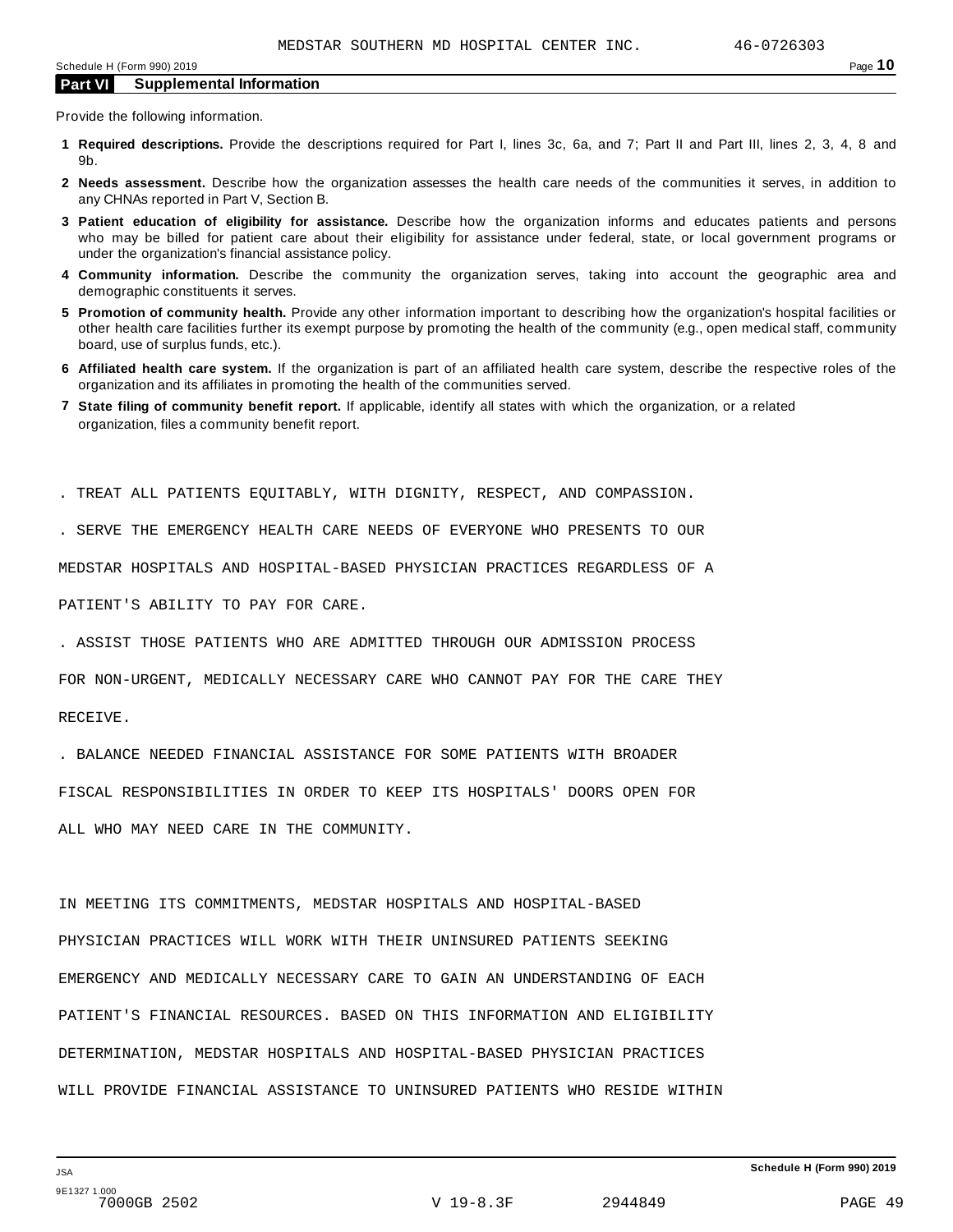Provide the following information.

- **1 Required descriptions.** Provide the descriptions required for Part I, lines 3c, 6a, and 7; Part II and Part III, lines 2, 3, 4, 8 and 9b.
- **2 Needs assessment.** Describe how the organization assesses the health care needs of the communities it serves, in addition to any CHNAs reported in Part V, Section B.
- **3 Patient education of eligibility for assistance.** Describe how the organization informs and educates patients and persons who may be billed for patient care about their eligibility for assistance under federal, state, or local government programs or under the organization's financial assistance policy.
- **4 Community information.** Describe the community the organization serves, taking into account the geographic area and demographic constituents it serves.
- **5 Promotion of community health.** Provide any other information important to describing how the organization's hospital facilities or other health care facilities further its exempt purpose by promoting the health of the community (e.g., open medical staff, community board, use of surplus funds, etc.).
- **6 Affiliated health care system.** If the organization is part of an affiliated health care system, describe the respective roles of the organization and its affiliates in promoting the health of the communities served.
- **7 State filing of community benefit report.** If applicable, identify all states with which the organization, or a related organization, files a community benefit report.

. TREAT ALL PATIENTS EQUITABLY, WITH DIGNITY, RESPECT, AND COMPASSION.

. SERVE THE EMERGENCY HEALTH CARE NEEDS OF EVERYONE WHO PRESENTS TO OUR

MEDSTAR HOSPITALS AND HOSPITAL-BASED PHYSICIAN PRACTICES REGARDLESS OF A

PATIENT'S ABILITY TO PAY FOR CARE.

. ASSIST THOSE PATIENTS WHO ARE ADMITTED THROUGH OUR ADMISSION PROCESS

FOR NON-URGENT, MEDICALLY NECESSARY CARE WHO CANNOT PAY FOR THE CARE THEY

RECEIVE.

. BALANCE NEEDED FINANCIAL ASSISTANCE FOR SOME PATIENTS WITH BROADER

FISCAL RESPONSIBILITIES IN ORDER TO KEEP ITS HOSPITALS' DOORS OPEN FOR

ALL WHO MAY NEED CARE IN THE COMMUNITY.

IN MEETING ITS COMMITMENTS, MEDSTAR HOSPITALS AND HOSPITAL-BASED PHYSICIAN PRACTICES WILL WORK WITH THEIR UNINSURED PATIENTS SEEKING EMERGENCY AND MEDICALLY NECESSARY CARE TO GAIN AN UNDERSTANDING OF EACH PATIENT'S FINANCIAL RESOURCES. BASED ON THIS INFORMATION AND ELIGIBILITY DETERMINATION, MEDSTAR HOSPITALS AND HOSPITAL-BASED PHYSICIAN PRACTICES WILL PROVIDE FINANCIAL ASSISTANCE TO UNINSURED PATIENTS WHO RESIDE WITHIN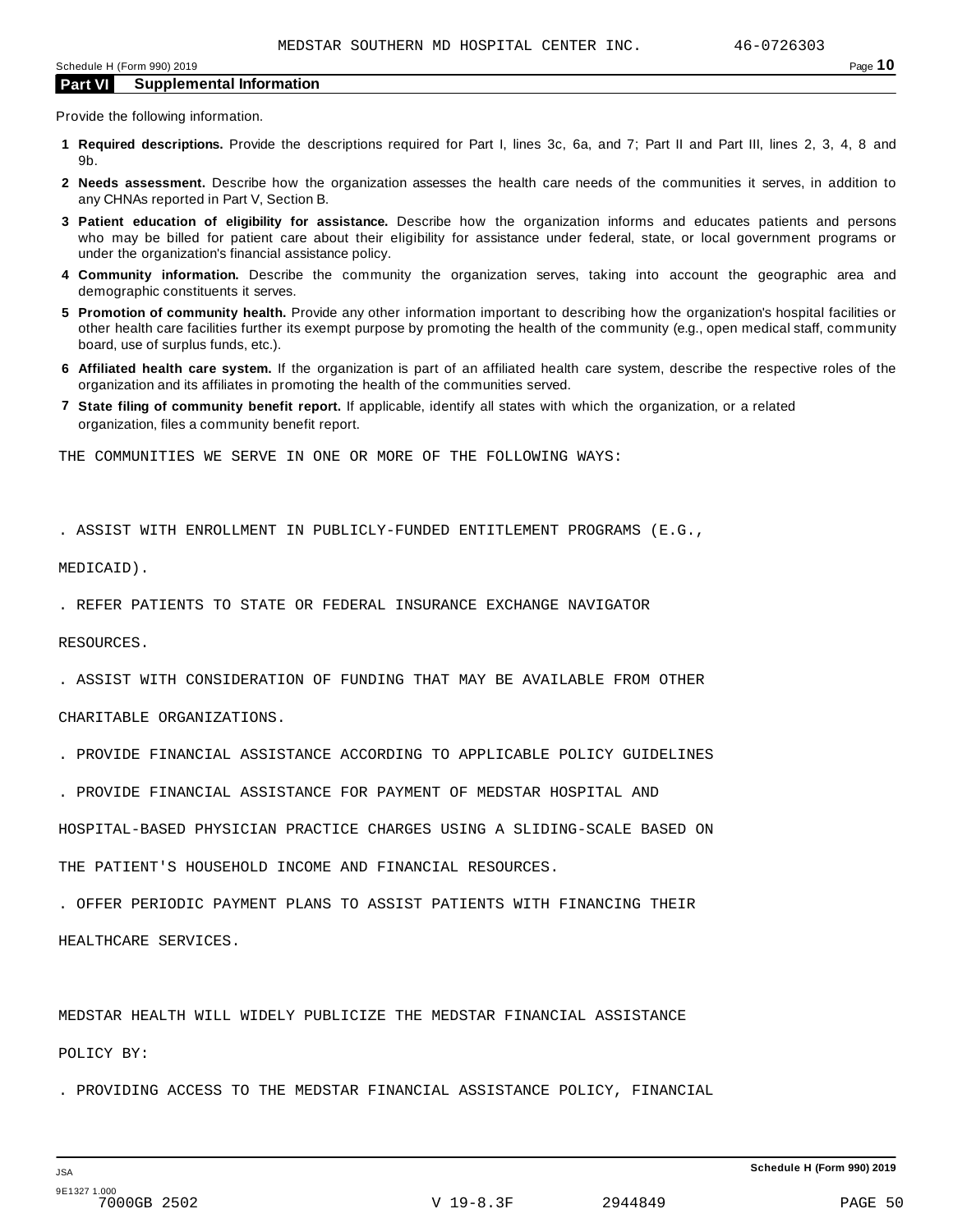Provide the following information.

- **1 Required descriptions.** Provide the descriptions required for Part I, lines 3c, 6a, and 7; Part II and Part III, lines 2, 3, 4, 8 and 9b.
- **2 Needs assessment.** Describe how the organization assesses the health care needs of the communities it serves, in addition to any CHNAs reported in Part V, Section B.
- **3 Patient education of eligibility for assistance.** Describe how the organization informs and educates patients and persons who may be billed for patient care about their eligibility for assistance under federal, state, or local government programs or under the organization's financial assistance policy.
- **4 Community information.** Describe the community the organization serves, taking into account the geographic area and demographic constituents it serves.
- **5 Promotion of community health.** Provide any other information important to describing how the organization's hospital facilities or other health care facilities further its exempt purpose by promoting the health of the community (e.g., open medical staff, community board, use of surplus funds, etc.).
- **6 Affiliated health care system.** If the organization is part of an affiliated health care system, describe the respective roles of the organization and its affiliates in promoting the health of the communities served.
- **7 State filing of community benefit report.** If applicable, identify all states with which the organization, or a related organization, files a community benefit report.

THE COMMUNITIES WE SERVE IN ONE OR MORE OF THE FOLLOWING WAYS:

. ASSIST WITH ENROLLMENT IN PUBLICLY-FUNDED ENTITLEMENT PROGRAMS (E.G.,

MEDICAID).

. REFER PATIENTS TO STATE OR FEDERAL INSURANCE EXCHANGE NAVIGATOR

RESOURCES.

. ASSIST WITH CONSIDERATION OF FUNDING THAT MAY BE AVAILABLE FROM OTHER

CHARITABLE ORGANIZATIONS.

- . PROVIDE FINANCIAL ASSISTANCE ACCORDING TO APPLICABLE POLICY GUIDELINES
- . PROVIDE FINANCIAL ASSISTANCE FOR PAYMENT OF MEDSTAR HOSPITAL AND

HOSPITAL-BASED PHYSICIAN PRACTICE CHARGES USING A SLIDING-SCALE BASED ON

THE PATIENT'S HOUSEHOLD INCOME AND FINANCIAL RESOURCES.

. OFFER PERIODIC PAYMENT PLANS TO ASSIST PATIENTS WITH FINANCING THEIR

HEALTHCARE SERVICES.

MEDSTAR HEALTH WILL WIDELY PUBLICIZE THE MEDSTAR FINANCIAL ASSISTANCE

POLICY BY:

. PROVIDING ACCESS TO THE MEDSTAR FINANCIAL ASSISTANCE POLICY, FINANCIAL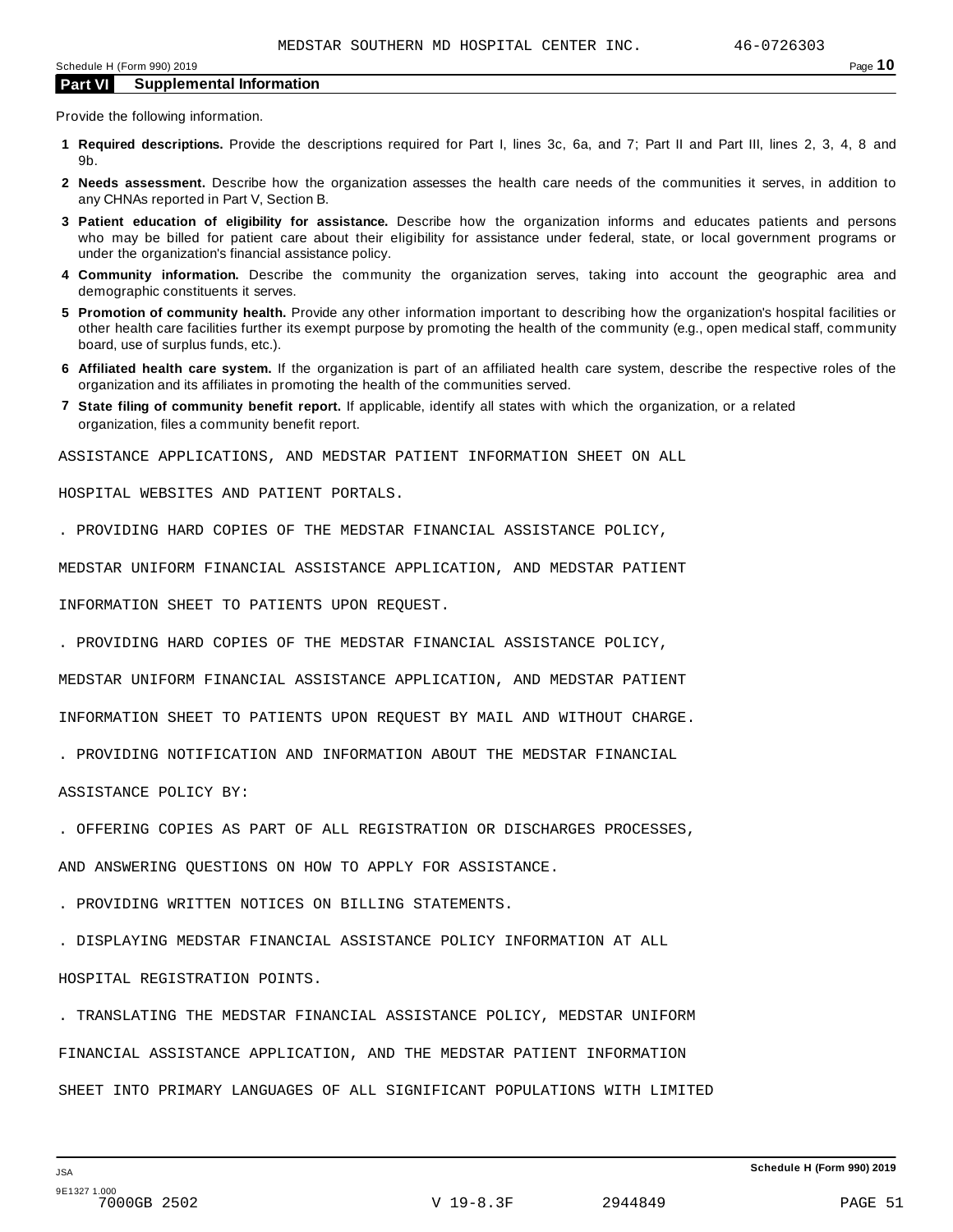Provide the following information.

- **1 Required descriptions.** Provide the descriptions required for Part I, lines 3c, 6a, and 7; Part II and Part III, lines 2, 3, 4, 8 and 9b.
- **2 Needs assessment.** Describe how the organization assesses the health care needs of the communities it serves, in addition to any CHNAs reported in Part V, Section B.
- **3 Patient education of eligibility for assistance.** Describe how the organization informs and educates patients and persons who may be billed for patient care about their eligibility for assistance under federal, state, or local government programs or under the organization's financial assistance policy.
- **4 Community information.** Describe the community the organization serves, taking into account the geographic area and demographic constituents it serves.
- **5 Promotion of community health.** Provide any other information important to describing how the organization's hospital facilities or other health care facilities further its exempt purpose by promoting the health of the community (e.g., open medical staff, community board, use of surplus funds, etc.).
- **6 Affiliated health care system.** If the organization is part of an affiliated health care system, describe the respective roles of the organization and its affiliates in promoting the health of the communities served.
- **7 State filing of community benefit report.** If applicable, identify all states with which the organization, or a related organization, files a community benefit report.

ASSISTANCE APPLICATIONS, AND MEDSTAR PATIENT INFORMATION SHEET ON ALL

HOSPITAL WEBSITES AND PATIENT PORTALS.

. PROVIDING HARD COPIES OF THE MEDSTAR FINANCIAL ASSISTANCE POLICY,

MEDSTAR UNIFORM FINANCIAL ASSISTANCE APPLICATION, AND MEDSTAR PATIENT

INFORMATION SHEET TO PATIENTS UPON REQUEST.

. PROVIDING HARD COPIES OF THE MEDSTAR FINANCIAL ASSISTANCE POLICY,

MEDSTAR UNIFORM FINANCIAL ASSISTANCE APPLICATION, AND MEDSTAR PATIENT

INFORMATION SHEET TO PATIENTS UPON REQUEST BY MAIL AND WITHOUT CHARGE.

. PROVIDING NOTIFICATION AND INFORMATION ABOUT THE MEDSTAR FINANCIAL

ASSISTANCE POLICY BY:

. OFFERING COPIES AS PART OF ALL REGISTRATION OR DISCHARGES PROCESSES,

AND ANSWERING QUESTIONS ON HOW TO APPLY FOR ASSISTANCE.

. PROVIDING WRITTEN NOTICES ON BILLING STATEMENTS.

. DISPLAYING MEDSTAR FINANCIAL ASSISTANCE POLICY INFORMATION AT ALL HOSPITAL REGISTRATION POINTS.

. TRANSLATING THE MEDSTAR FINANCIAL ASSISTANCE POLICY, MEDSTAR UNIFORM FINANCIAL ASSISTANCE APPLICATION, AND THE MEDSTAR PATIENT INFORMATION SHEET INTO PRIMARY LANGUAGES OF ALL SIGNIFICANT POPULATIONS WITH LIMITED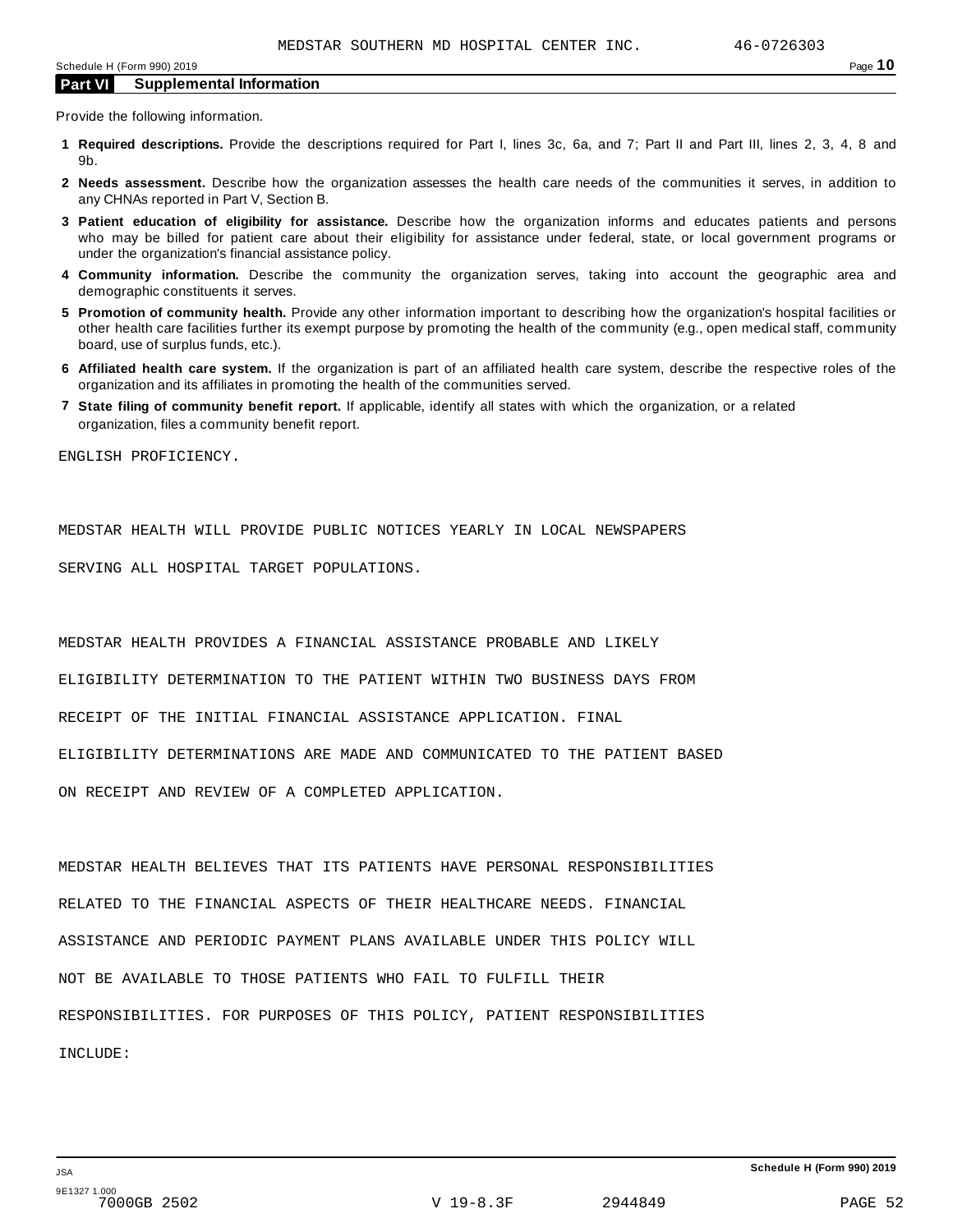Provide the following information.

- **1 Required descriptions.** Provide the descriptions required for Part I, lines 3c, 6a, and 7; Part II and Part III, lines 2, 3, 4, 8 and 9b.
- **2 Needs assessment.** Describe how the organization assesses the health care needs of the communities it serves, in addition to any CHNAs reported in Part V, Section B.
- **3 Patient education of eligibility for assistance.** Describe how the organization informs and educates patients and persons who may be billed for patient care about their eligibility for assistance under federal, state, or local government programs or under the organization's financial assistance policy.
- **4 Community information.** Describe the community the organization serves, taking into account the geographic area and demographic constituents it serves.
- **5 Promotion of community health.** Provide any other information important to describing how the organization's hospital facilities or other health care facilities further its exempt purpose by promoting the health of the community (e.g., open medical staff, community board, use of surplus funds, etc.).
- **6 Affiliated health care system.** If the organization is part of an affiliated health care system, describe the respective roles of the organization and its affiliates in promoting the health of the communities served.
- **7 State filing of community benefit report.** If applicable, identify all states with which the organization, or a related organization, files a community benefit report.

ENGLISH PROFICIENCY.

MEDSTAR HEALTH WILL PROVIDE PUBLIC NOTICES YEARLY IN LOCAL NEWSPAPERS

SERVING ALL HOSPITAL TARGET POPULATIONS.

MEDSTAR HEALTH PROVIDES A FINANCIAL ASSISTANCE PROBABLE AND LIKELY

ELIGIBILITY DETERMINATION TO THE PATIENT WITHIN TWO BUSINESS DAYS FROM

RECEIPT OF THE INITIAL FINANCIAL ASSISTANCE APPLICATION. FINAL

ELIGIBILITY DETERMINATIONS ARE MADE AND COMMUNICATED TO THE PATIENT BASED

ON RECEIPT AND REVIEW OF A COMPLETED APPLICATION.

MEDSTAR HEALTH BELIEVES THAT ITS PATIENTS HAVE PERSONAL RESPONSIBILITIES RELATED TO THE FINANCIAL ASPECTS OF THEIR HEALTHCARE NEEDS. FINANCIAL ASSISTANCE AND PERIODIC PAYMENT PLANS AVAILABLE UNDER THIS POLICY WILL NOT BE AVAILABLE TO THOSE PATIENTS WHO FAIL TO FULFILL THEIR RESPONSIBILITIES. FOR PURPOSES OF THIS POLICY, PATIENT RESPONSIBILITIES INCLUDE: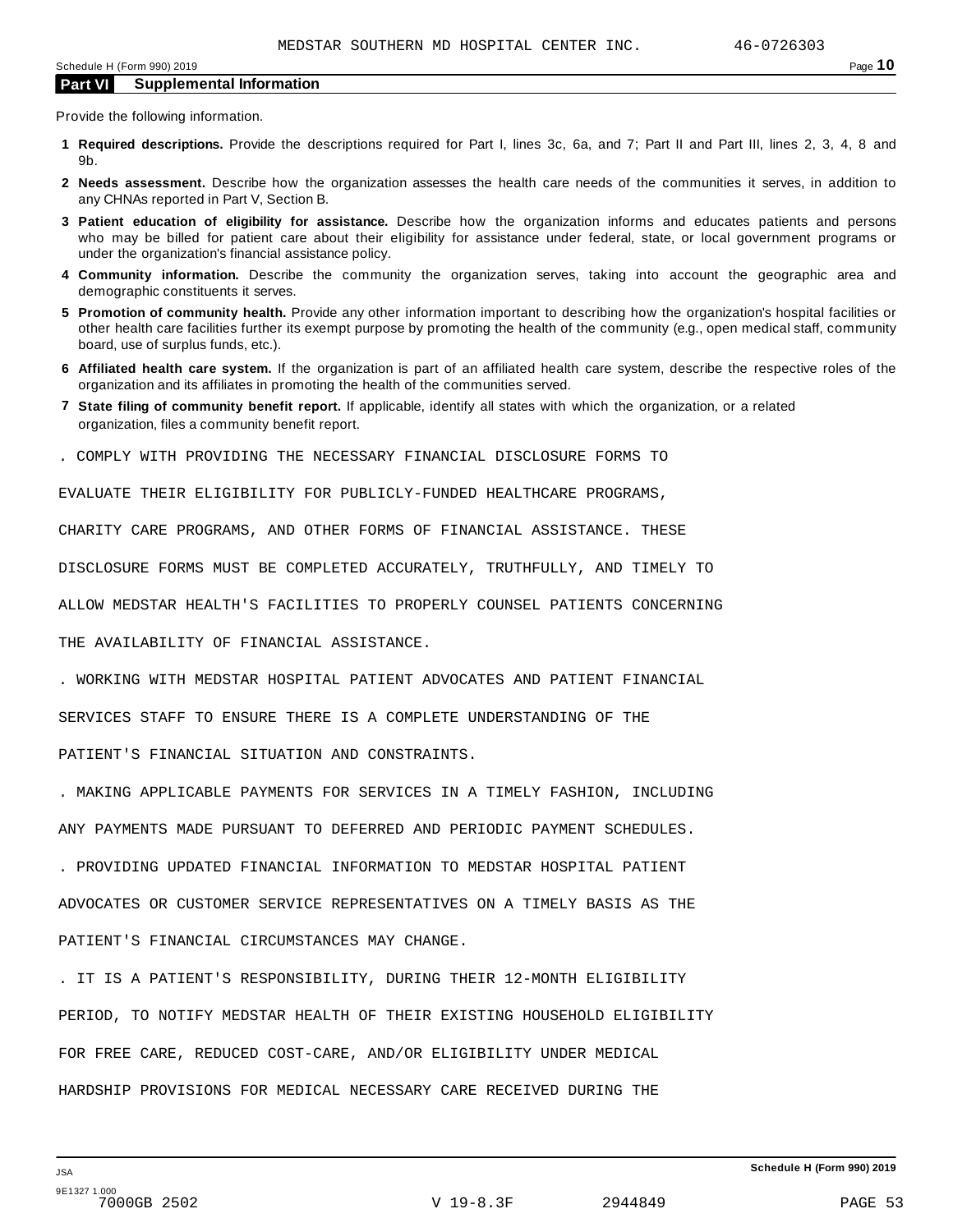Provide the following information.

- **1 Required descriptions.** Provide the descriptions required for Part I, lines 3c, 6a, and 7; Part II and Part III, lines 2, 3, 4, 8 and 9b.
- **2 Needs assessment.** Describe how the organization assesses the health care needs of the communities it serves, in addition to any CHNAs reported in Part V, Section B.
- **3 Patient education of eligibility for assistance.** Describe how the organization informs and educates patients and persons who may be billed for patient care about their eligibility for assistance under federal, state, or local government programs or under the organization's financial assistance policy.
- **4 Community information.** Describe the community the organization serves, taking into account the geographic area and demographic constituents it serves.
- **5 Promotion of community health.** Provide any other information important to describing how the organization's hospital facilities or other health care facilities further its exempt purpose by promoting the health of the community (e.g., open medical staff, community board, use of surplus funds, etc.).
- **6 Affiliated health care system.** If the organization is part of an affiliated health care system, describe the respective roles of the organization and its affiliates in promoting the health of the communities served.
- **7 State filing of community benefit report.** If applicable, identify all states with which the organization, or a related organization, files a community benefit report.
- . COMPLY WITH PROVIDING THE NECESSARY FINANCIAL DISCLOSURE FORMS TO

EVALUATE THEIR ELIGIBILITY FOR PUBLICLY-FUNDED HEALTHCARE PROGRAMS,

CHARITY CARE PROGRAMS, AND OTHER FORMS OF FINANCIAL ASSISTANCE. THESE

DISCLOSURE FORMS MUST BE COMPLETED ACCURATELY, TRUTHFULLY, AND TIMELY TO

ALLOW MEDSTAR HEALTH'S FACILITIES TO PROPERLY COUNSEL PATIENTS CONCERNING

THE AVAILABILITY OF FINANCIAL ASSISTANCE.

. WORKING WITH MEDSTAR HOSPITAL PATIENT ADVOCATES AND PATIENT FINANCIAL

SERVICES STAFF TO ENSURE THERE IS A COMPLETE UNDERSTANDING OF THE

PATIENT'S FINANCIAL SITUATION AND CONSTRAINTS.

. MAKING APPLICABLE PAYMENTS FOR SERVICES IN A TIMELY FASHION, INCLUDING

ANY PAYMENTS MADE PURSUANT TO DEFERRED AND PERIODIC PAYMENT SCHEDULES.

. PROVIDING UPDATED FINANCIAL INFORMATION TO MEDSTAR HOSPITAL PATIENT

ADVOCATES OR CUSTOMER SERVICE REPRESENTATIVES ON A TIMELY BASIS AS THE

PATIENT'S FINANCIAL CIRCUMSTANCES MAY CHANGE.

. IT IS A PATIENT'S RESPONSIBILITY, DURING THEIR 12-MONTH ELIGIBILITY PERIOD, TO NOTIFY MEDSTAR HEALTH OF THEIR EXISTING HOUSEHOLD ELIGIBILITY FOR FREE CARE, REDUCED COST-CARE, AND/OR ELIGIBILITY UNDER MEDICAL HARDSHIP PROVISIONS FOR MEDICAL NECESSARY CARE RECEIVED DURING THE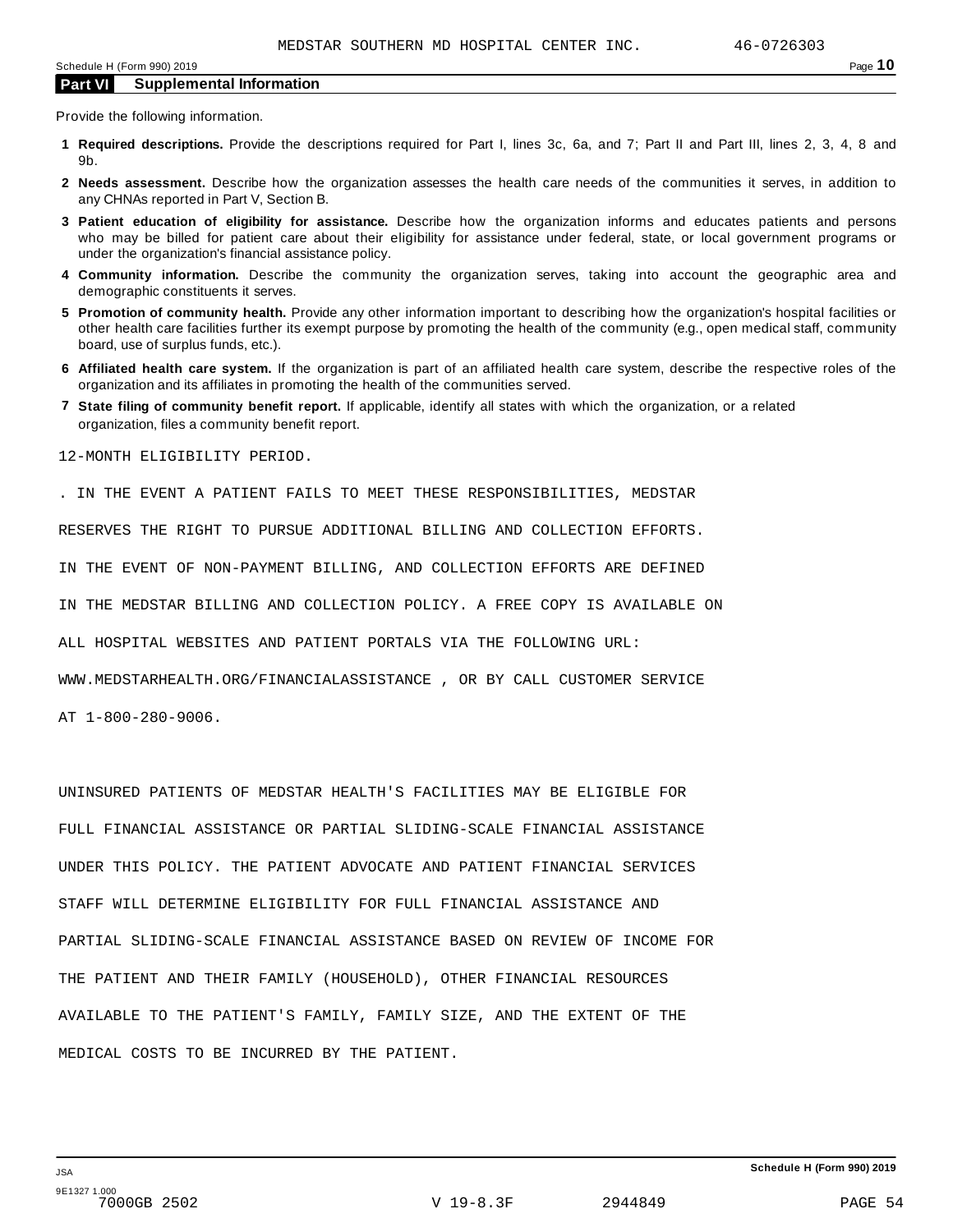Provide the following information.

- **1 Required descriptions.** Provide the descriptions required for Part I, lines 3c, 6a, and 7; Part II and Part III, lines 2, 3, 4, 8 and 9b.
- **2 Needs assessment.** Describe how the organization assesses the health care needs of the communities it serves, in addition to any CHNAs reported in Part V, Section B.
- **3 Patient education of eligibility for assistance.** Describe how the organization informs and educates patients and persons who may be billed for patient care about their eligibility for assistance under federal, state, or local government programs or under the organization's financial assistance policy.
- **4 Community information.** Describe the community the organization serves, taking into account the geographic area and demographic constituents it serves.
- **5 Promotion of community health.** Provide any other information important to describing how the organization's hospital facilities or other health care facilities further its exempt purpose by promoting the health of the community (e.g., open medical staff, community board, use of surplus funds, etc.).
- **6 Affiliated health care system.** If the organization is part of an affiliated health care system, describe the respective roles of the organization and its affiliates in promoting the health of the communities served.
- **7 State filing of community benefit report.** If applicable, identify all states with which the organization, or a related organization, files a community benefit report.

12-MONTH ELIGIBILITY PERIOD.

. IN THE EVENT A PATIENT FAILS TO MEET THESE RESPONSIBILITIES, MEDSTAR

RESERVES THE RIGHT TO PURSUE ADDITIONAL BILLING AND COLLECTION EFFORTS.

IN THE EVENT OF NON-PAYMENT BILLING, AND COLLECTION EFFORTS ARE DEFINED

IN THE MEDSTAR BILLING AND COLLECTION POLICY. A FREE COPY IS AVAILABLE ON

ALL HOSPITAL WEBSITES AND PATIENT PORTALS VIA THE FOLLOWING URL:

WWW.MEDSTARHEALTH.ORG/FINANCIALASSISTANCE , OR BY CALL CUSTOMER SERVICE

AT 1-800-280-9006.

UNINSURED PATIENTS OF MEDSTAR HEALTH'S FACILITIES MAY BE ELIGIBLE FOR FULL FINANCIAL ASSISTANCE OR PARTIAL SLIDING-SCALE FINANCIAL ASSISTANCE UNDER THIS POLICY. THE PATIENT ADVOCATE AND PATIENT FINANCIAL SERVICES STAFF WILL DETERMINE ELIGIBILITY FOR FULL FINANCIAL ASSISTANCE AND PARTIAL SLIDING-SCALE FINANCIAL ASSISTANCE BASED ON REVIEW OF INCOME FOR THE PATIENT AND THEIR FAMILY (HOUSEHOLD), OTHER FINANCIAL RESOURCES AVAILABLE TO THE PATIENT'S FAMILY, FAMILY SIZE, AND THE EXTENT OF THE MEDICAL COSTS TO BE INCURRED BY THE PATIENT.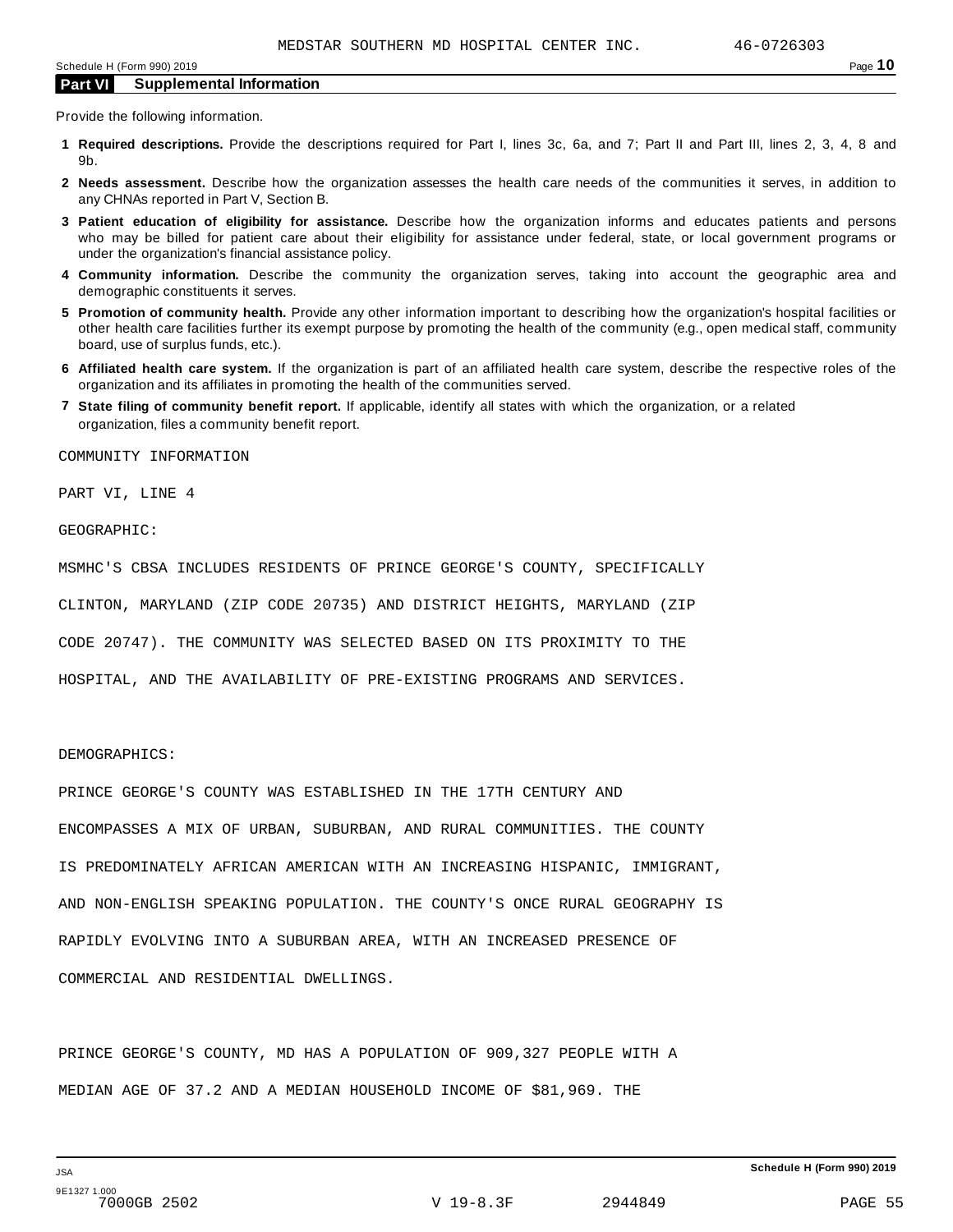Provide the following information.

- **1 Required descriptions.** Provide the descriptions required for Part I, lines 3c, 6a, and 7; Part II and Part III, lines 2, 3, 4, 8 and 9b.
- **2 Needs assessment.** Describe how the organization assesses the health care needs of the communities it serves, in addition to any CHNAs reported in Part V, Section B.
- **3 Patient education of eligibility for assistance.** Describe how the organization informs and educates patients and persons who may be billed for patient care about their eligibility for assistance under federal, state, or local government programs or under the organization's financial assistance policy.
- **4 Community information.** Describe the community the organization serves, taking into account the geographic area and demographic constituents it serves.
- **5 Promotion of community health.** Provide any other information important to describing how the organization's hospital facilities or other health care facilities further its exempt purpose by promoting the health of the community (e.g., open medical staff, community board, use of surplus funds, etc.).
- **6 Affiliated health care system.** If the organization is part of an affiliated health care system, describe the respective roles of the organization and its affiliates in promoting the health of the communities served.
- **7 State filing of community benefit report.** If applicable, identify all states with which the organization, or a related organization, files a community benefit report.

COMMUNITY INFORMATION

PART VI, LINE 4

GEOGRAPHIC:

MSMHC'S CBSA INCLUDES RESIDENTS OF PRINCE GEORGE'S COUNTY, SPECIFICALLY

CLINTON, MARYLAND (ZIP CODE 20735) AND DISTRICT HEIGHTS, MARYLAND (ZIP

CODE 20747). THE COMMUNITY WAS SELECTED BASED ON ITS PROXIMITY TO THE

HOSPITAL, AND THE AVAILABILITY OF PRE-EXISTING PROGRAMS AND SERVICES.

#### DEMOGRAPHICS:

PRINCE GEORGE'S COUNTY WAS ESTABLISHED IN THE 17TH CENTURY AND ENCOMPASSES A MIX OF URBAN, SUBURBAN, AND RURAL COMMUNITIES. THE COUNTY IS PREDOMINATELY AFRICAN AMERICAN WITH AN INCREASING HISPANIC, IMMIGRANT, AND NON-ENGLISH SPEAKING POPULATION. THE COUNTY'S ONCE RURAL GEOGRAPHY IS RAPIDLY EVOLVING INTO A SUBURBAN AREA, WITH AN INCREASED PRESENCE OF COMMERCIAL AND RESIDENTIAL DWELLINGS.

PRINCE GEORGE'S COUNTY, MD HAS A POPULATION OF 909,327 PEOPLE WITH A MEDIAN AGE OF 37.2 AND A MEDIAN HOUSEHOLD INCOME OF \$81,969. THE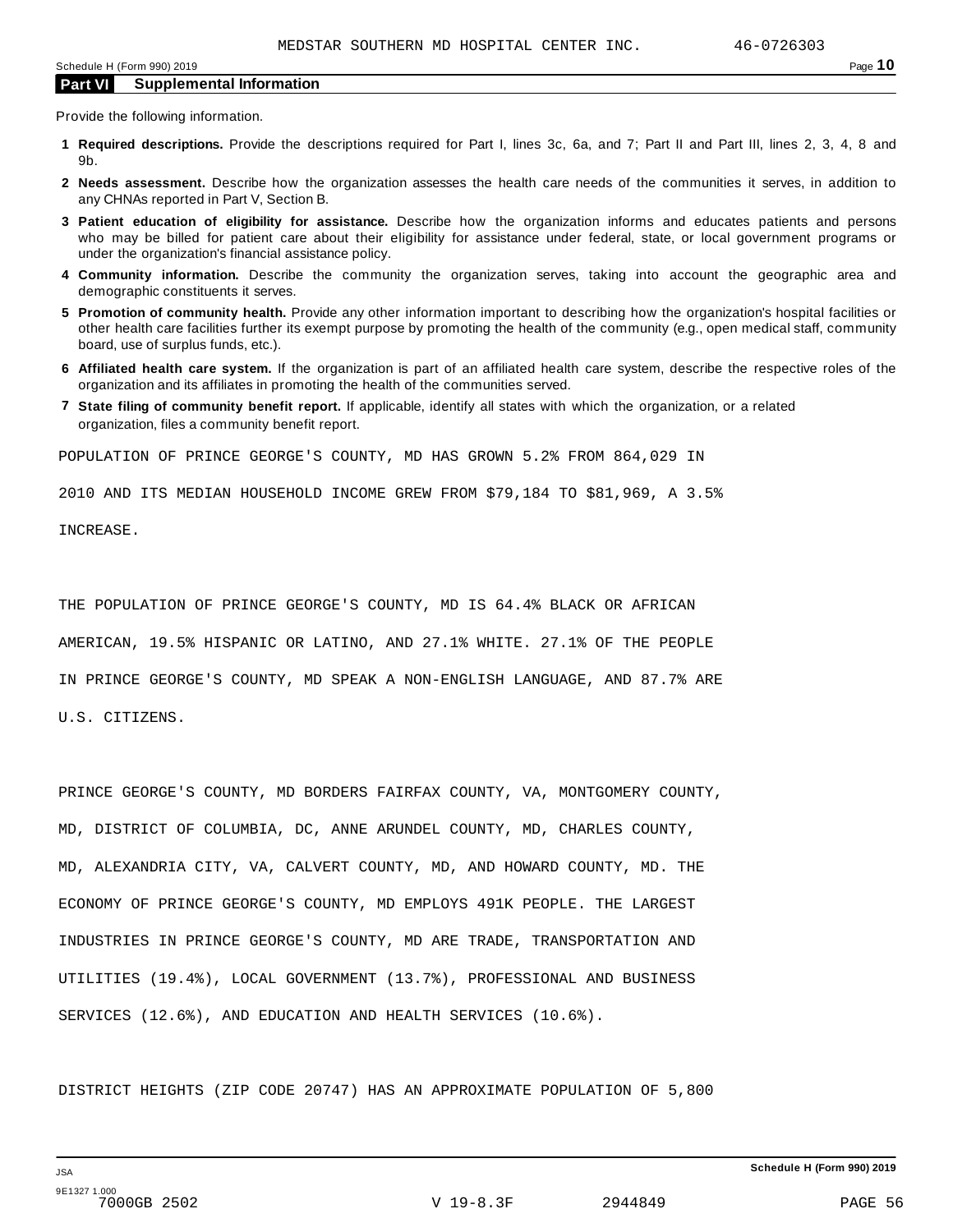Provide the following information.

- **1 Required descriptions.** Provide the descriptions required for Part I, lines 3c, 6a, and 7; Part II and Part III, lines 2, 3, 4, 8 and 9b.
- **2 Needs assessment.** Describe how the organization assesses the health care needs of the communities it serves, in addition to any CHNAs reported in Part V, Section B.
- **3 Patient education of eligibility for assistance.** Describe how the organization informs and educates patients and persons who may be billed for patient care about their eligibility for assistance under federal, state, or local government programs or under the organization's financial assistance policy.
- **4 Community information.** Describe the community the organization serves, taking into account the geographic area and demographic constituents it serves.
- **5 Promotion of community health.** Provide any other information important to describing how the organization's hospital facilities or other health care facilities further its exempt purpose by promoting the health of the community (e.g., open medical staff, community board, use of surplus funds, etc.).
- **6 Affiliated health care system.** If the organization is part of an affiliated health care system, describe the respective roles of the organization and its affiliates in promoting the health of the communities served.
- **7 State filing of community benefit report.** If applicable, identify all states with which the organization, or a related organization, files a community benefit report.

POPULATION OF PRINCE GEORGE'S COUNTY, MD HAS GROWN 5.2% FROM 864,029 IN

2010 AND ITS MEDIAN HOUSEHOLD INCOME GREW FROM \$79,184 TO \$81,969, A 3.5%

INCREASE.

THE POPULATION OF PRINCE GEORGE'S COUNTY, MD IS 64.4% BLACK OR AFRICAN AMERICAN, 19.5% HISPANIC OR LATINO, AND 27.1% WHITE. 27.1% OF THE PEOPLE IN PRINCE GEORGE'S COUNTY, MD SPEAK A NON-ENGLISH LANGUAGE, AND 87.7% ARE U.S. CITIZENS.

PRINCE GEORGE'S COUNTY, MD BORDERS FAIRFAX COUNTY, VA, MONTGOMERY COUNTY, MD, DISTRICT OF COLUMBIA, DC, ANNE ARUNDEL COUNTY, MD, CHARLES COUNTY, MD, ALEXANDRIA CITY, VA, CALVERT COUNTY, MD, AND HOWARD COUNTY, MD. THE ECONOMY OF PRINCE GEORGE'S COUNTY, MD EMPLOYS 491K PEOPLE. THE LARGEST INDUSTRIES IN PRINCE GEORGE'S COUNTY, MD ARE TRADE, TRANSPORTATION AND UTILITIES (19.4%), LOCAL GOVERNMENT (13.7%), PROFESSIONAL AND BUSINESS SERVICES (12.6%), AND EDUCATION AND HEALTH SERVICES (10.6%).

DISTRICT HEIGHTS (ZIP CODE 20747) HAS AN APPROXIMATE POPULATION OF 5,800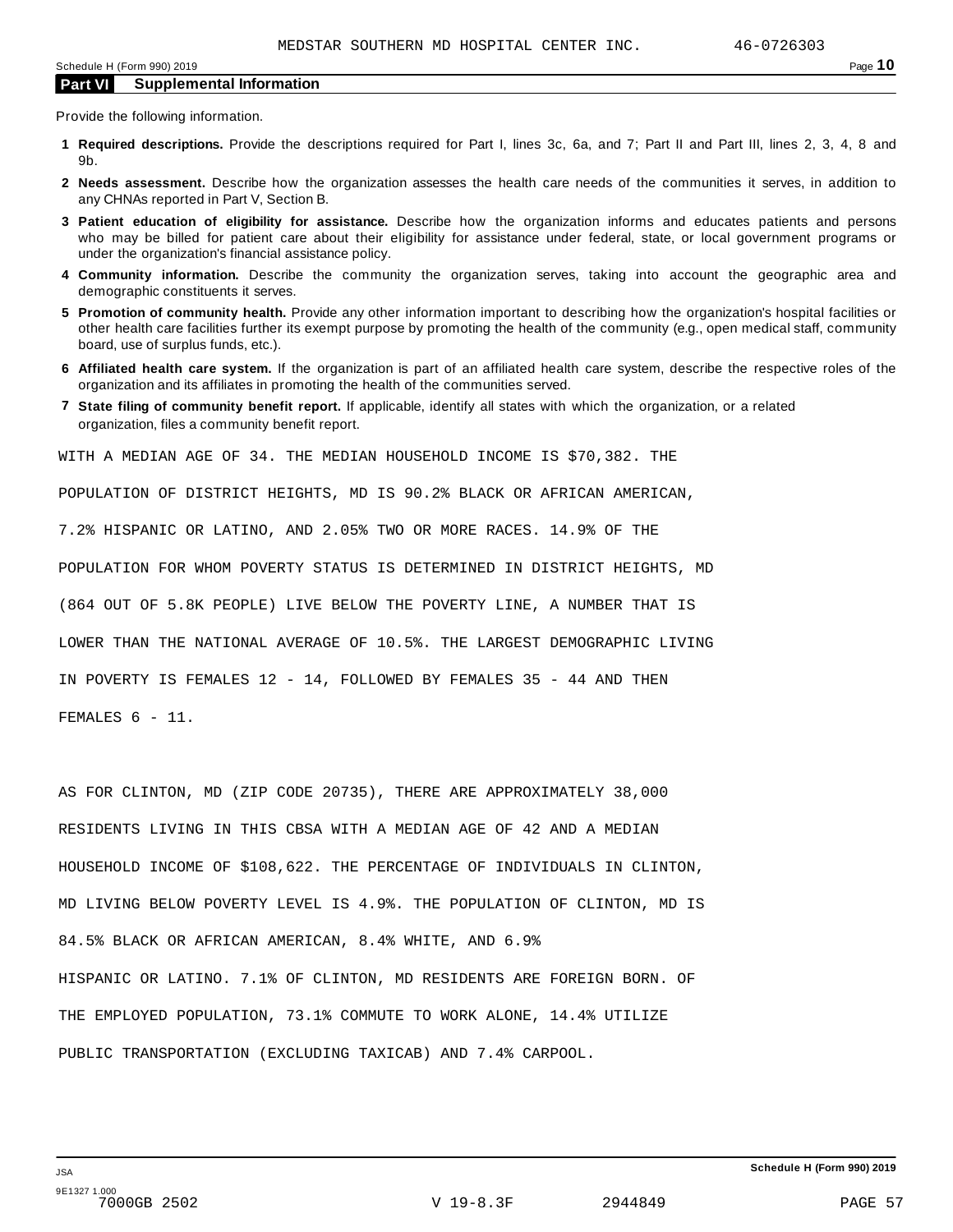Provide the following information.

- **1 Required descriptions.** Provide the descriptions required for Part I, lines 3c, 6a, and 7; Part II and Part III, lines 2, 3, 4, 8 and 9b.
- **2 Needs assessment.** Describe how the organization assesses the health care needs of the communities it serves, in addition to any CHNAs reported in Part V, Section B.
- **3 Patient education of eligibility for assistance.** Describe how the organization informs and educates patients and persons who may be billed for patient care about their eligibility for assistance under federal, state, or local government programs or under the organization's financial assistance policy.
- **4 Community information.** Describe the community the organization serves, taking into account the geographic area and demographic constituents it serves.
- **5 Promotion of community health.** Provide any other information important to describing how the organization's hospital facilities or other health care facilities further its exempt purpose by promoting the health of the community (e.g., open medical staff, community board, use of surplus funds, etc.).
- **6 Affiliated health care system.** If the organization is part of an affiliated health care system, describe the respective roles of the organization and its affiliates in promoting the health of the communities served.
- **7 State filing of community benefit report.** If applicable, identify all states with which the organization, or a related organization, files a community benefit report.

WITH A MEDIAN AGE OF 34. THE MEDIAN HOUSEHOLD INCOME IS \$70,382. THE

POPULATION OF DISTRICT HEIGHTS, MD IS 90.2% BLACK OR AFRICAN AMERICAN,

7.2% HISPANIC OR LATINO, AND 2.05% TWO OR MORE RACES. 14.9% OF THE

POPULATION FOR WHOM POVERTY STATUS IS DETERMINED IN DISTRICT HEIGHTS, MD

(864 OUT OF 5.8K PEOPLE) LIVE BELOW THE POVERTY LINE, A NUMBER THAT IS

LOWER THAN THE NATIONAL AVERAGE OF 10.5%. THE LARGEST DEMOGRAPHIC LIVING

IN POVERTY IS FEMALES 12 - 14, FOLLOWED BY FEMALES 35 - 44 AND THEN

FEMALES 6 - 11.

AS FOR CLINTON, MD (ZIP CODE 20735), THERE ARE APPROXIMATELY 38,000 RESIDENTS LIVING IN THIS CBSA WITH A MEDIAN AGE OF 42 AND A MEDIAN HOUSEHOLD INCOME OF \$108,622. THE PERCENTAGE OF INDIVIDUALS IN CLINTON, MD LIVING BELOW POVERTY LEVEL IS 4.9%. THE POPULATION OF CLINTON, MD IS 84.5% BLACK OR AFRICAN AMERICAN, 8.4% WHITE, AND 6.9% HISPANIC OR LATINO. 7.1% OF CLINTON, MD RESIDENTS ARE FOREIGN BORN. OF THE EMPLOYED POPULATION, 73.1% COMMUTE TO WORK ALONE, 14.4% UTILIZE PUBLIC TRANSPORTATION (EXCLUDING TAXICAB) AND 7.4% CARPOOL.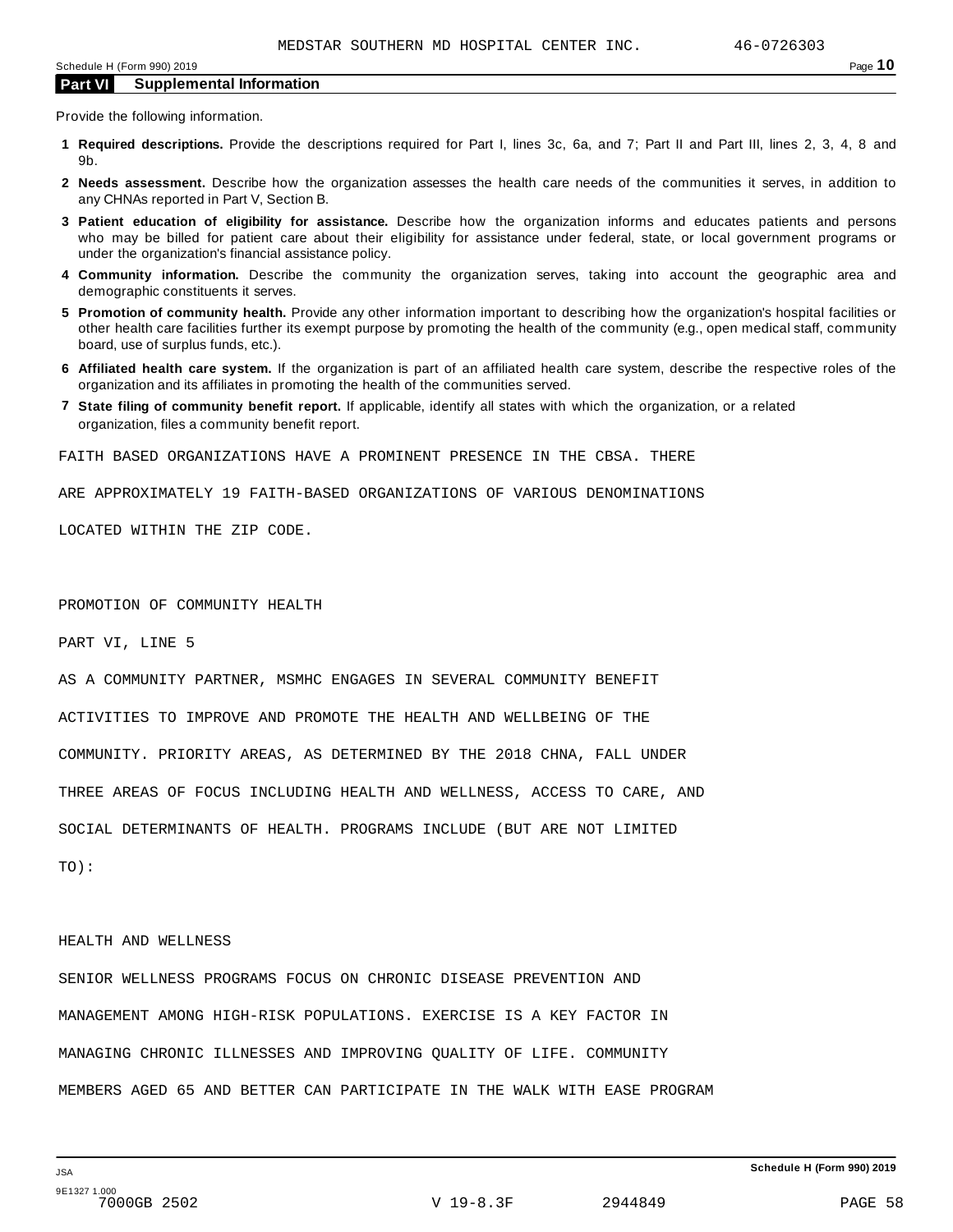Provide the following information.

- **1 Required descriptions.** Provide the descriptions required for Part I, lines 3c, 6a, and 7; Part II and Part III, lines 2, 3, 4, 8 and 9b.
- **2 Needs assessment.** Describe how the organization assesses the health care needs of the communities it serves, in addition to any CHNAs reported in Part V, Section B.
- **3 Patient education of eligibility for assistance.** Describe how the organization informs and educates patients and persons who may be billed for patient care about their eligibility for assistance under federal, state, or local government programs or under the organization's financial assistance policy.
- **4 Community information.** Describe the community the organization serves, taking into account the geographic area and demographic constituents it serves.
- **5 Promotion of community health.** Provide any other information important to describing how the organization's hospital facilities or other health care facilities further its exempt purpose by promoting the health of the community (e.g., open medical staff, community board, use of surplus funds, etc.).
- **6 Affiliated health care system.** If the organization is part of an affiliated health care system, describe the respective roles of the organization and its affiliates in promoting the health of the communities served.
- **7 State filing of community benefit report.** If applicable, identify all states with which the organization, or a related organization, files a community benefit report.

FAITH BASED ORGANIZATIONS HAVE A PROMINENT PRESENCE IN THE CBSA. THERE

ARE APPROXIMATELY 19 FAITH-BASED ORGANIZATIONS OF VARIOUS DENOMINATIONS

LOCATED WITHIN THE ZIP CODE.

PROMOTION OF COMMUNITY HEALTH

PART VI, LINE 5

AS A COMMUNITY PARTNER, MSMHC ENGAGES IN SEVERAL COMMUNITY BENEFIT ACTIVITIES TO IMPROVE AND PROMOTE THE HEALTH AND WELLBEING OF THE COMMUNITY. PRIORITY AREAS, AS DETERMINED BY THE 2018 CHNA, FALL UNDER THREE AREAS OF FOCUS INCLUDING HEALTH AND WELLNESS, ACCESS TO CARE, AND SOCIAL DETERMINANTS OF HEALTH. PROGRAMS INCLUDE (BUT ARE NOT LIMITED

TO):

#### HEALTH AND WELLNESS

SENIOR WELLNESS PROGRAMS FOCUS ON CHRONIC DISEASE PREVENTION AND MANAGEMENT AMONG HIGH-RISK POPULATIONS. EXERCISE IS A KEY FACTOR IN MANAGING CHRONIC ILLNESSES AND IMPROVING QUALITY OF LIFE. COMMUNITY MEMBERS AGED 65 AND BETTER CAN PARTICIPATE IN THE WALK WITH EASE PROGRAM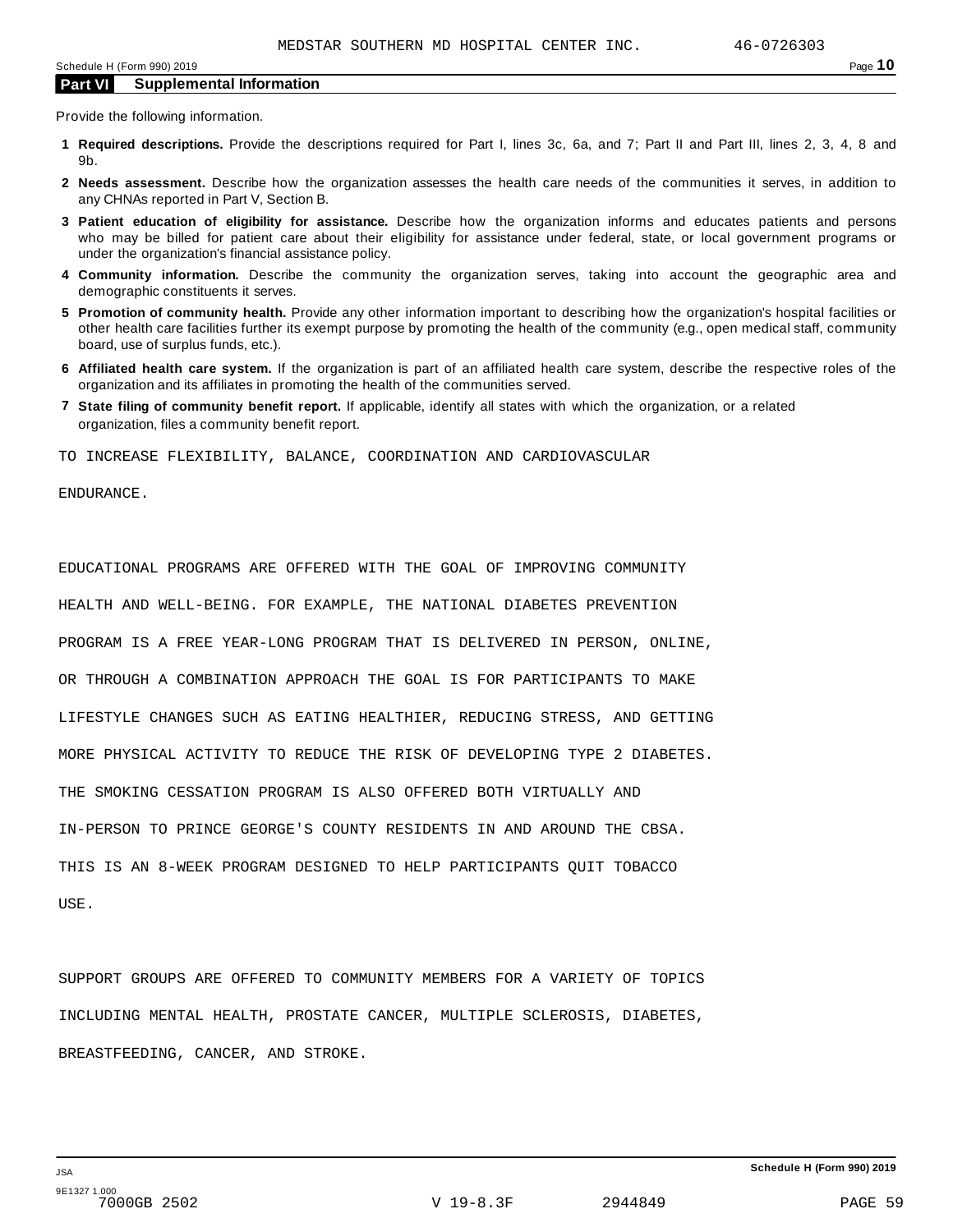Provide the following information.

- **1 Required descriptions.** Provide the descriptions required for Part I, lines 3c, 6a, and 7; Part II and Part III, lines 2, 3, 4, 8 and 9b.
- **2 Needs assessment.** Describe how the organization assesses the health care needs of the communities it serves, in addition to any CHNAs reported in Part V, Section B.
- **3 Patient education of eligibility for assistance.** Describe how the organization informs and educates patients and persons who may be billed for patient care about their eligibility for assistance under federal, state, or local government programs or under the organization's financial assistance policy.
- **4 Community information.** Describe the community the organization serves, taking into account the geographic area and demographic constituents it serves.
- **5 Promotion of community health.** Provide any other information important to describing how the organization's hospital facilities or other health care facilities further its exempt purpose by promoting the health of the community (e.g., open medical staff, community board, use of surplus funds, etc.).
- **6 Affiliated health care system.** If the organization is part of an affiliated health care system, describe the respective roles of the organization and its affiliates in promoting the health of the communities served.
- **7 State filing of community benefit report.** If applicable, identify all states with which the organization, or a related organization, files a community benefit report.

TO INCREASE FLEXIBILITY, BALANCE, COORDINATION AND CARDIOVASCULAR

ENDURANCE.

EDUCATIONAL PROGRAMS ARE OFFERED WITH THE GOAL OF IMPROVING COMMUNITY HEALTH AND WELL-BEING. FOR EXAMPLE, THE NATIONAL DIABETES PREVENTION PROGRAM IS A FREE YEAR-LONG PROGRAM THAT IS DELIVERED IN PERSON, ONLINE, OR THROUGH A COMBINATION APPROACH THE GOAL IS FOR PARTICIPANTS TO MAKE LIFESTYLE CHANGES SUCH AS EATING HEALTHIER, REDUCING STRESS, AND GETTING MORE PHYSICAL ACTIVITY TO REDUCE THE RISK OF DEVELOPING TYPE 2 DIABETES. THE SMOKING CESSATION PROGRAM IS ALSO OFFERED BOTH VIRTUALLY AND IN-PERSON TO PRINCE GEORGE'S COUNTY RESIDENTS IN AND AROUND THE CBSA. THIS IS AN 8-WEEK PROGRAM DESIGNED TO HELP PARTICIPANTS QUIT TOBACCO USE.

SUPPORT GROUPS ARE OFFERED TO COMMUNITY MEMBERS FOR A VARIETY OF TOPICS INCLUDING MENTAL HEALTH, PROSTATE CANCER, MULTIPLE SCLEROSIS, DIABETES, BREASTFEEDING, CANCER, AND STROKE.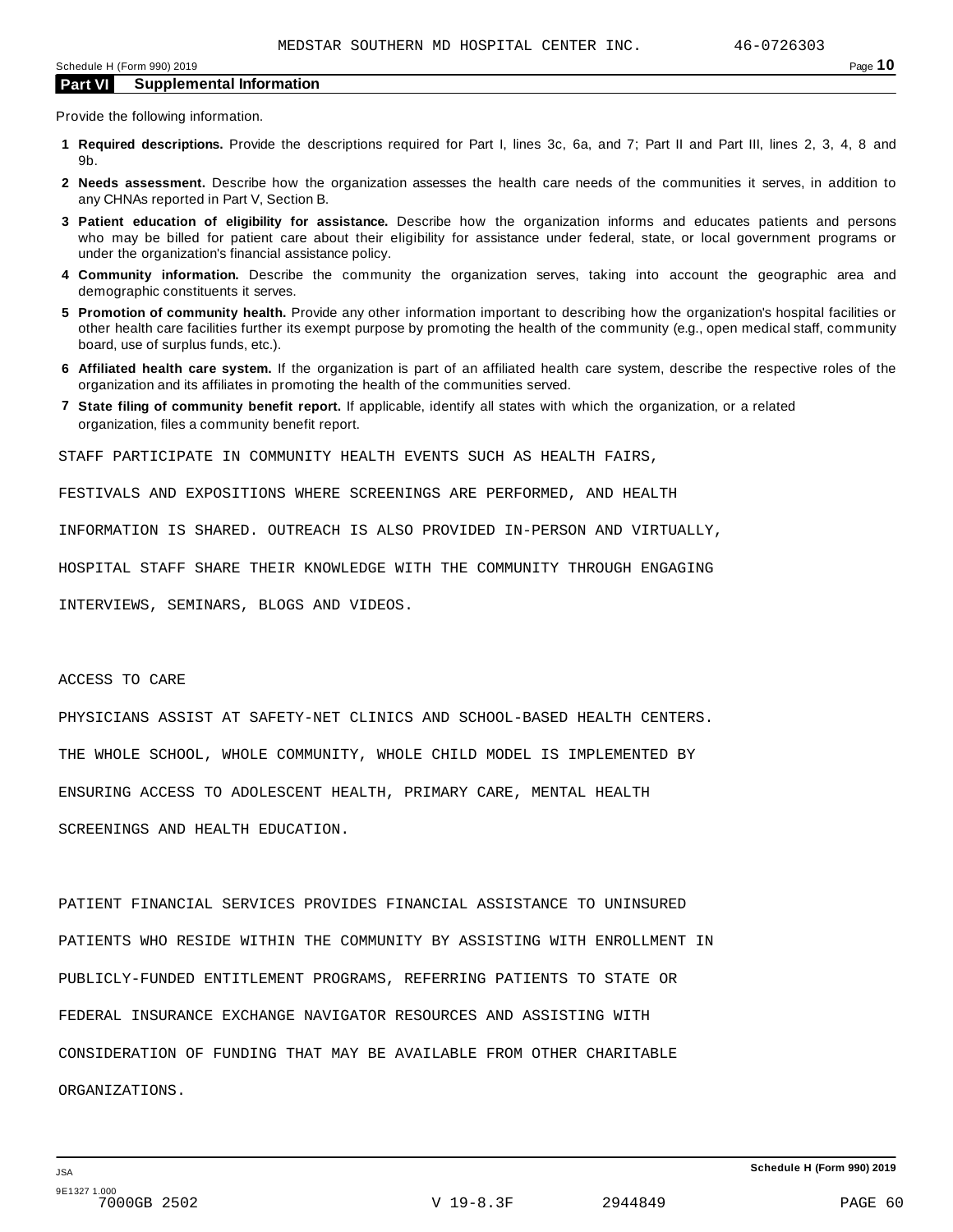Provide the following information.

- **1 Required descriptions.** Provide the descriptions required for Part I, lines 3c, 6a, and 7; Part II and Part III, lines 2, 3, 4, 8 and 9b.
- **2 Needs assessment.** Describe how the organization assesses the health care needs of the communities it serves, in addition to any CHNAs reported in Part V, Section B.
- **3 Patient education of eligibility for assistance.** Describe how the organization informs and educates patients and persons who may be billed for patient care about their eligibility for assistance under federal, state, or local government programs or under the organization's financial assistance policy.
- **4 Community information.** Describe the community the organization serves, taking into account the geographic area and demographic constituents it serves.
- **5 Promotion of community health.** Provide any other information important to describing how the organization's hospital facilities or other health care facilities further its exempt purpose by promoting the health of the community (e.g., open medical staff, community board, use of surplus funds, etc.).
- **6 Affiliated health care system.** If the organization is part of an affiliated health care system, describe the respective roles of the organization and its affiliates in promoting the health of the communities served.
- **7 State filing of community benefit report.** If applicable, identify all states with which the organization, or a related organization, files a community benefit report.

STAFF PARTICIPATE IN COMMUNITY HEALTH EVENTS SUCH AS HEALTH FAIRS,

FESTIVALS AND EXPOSITIONS WHERE SCREENINGS ARE PERFORMED, AND HEALTH

INFORMATION IS SHARED. OUTREACH IS ALSO PROVIDED IN-PERSON AND VIRTUALLY,

HOSPITAL STAFF SHARE THEIR KNOWLEDGE WITH THE COMMUNITY THROUGH ENGAGING

INTERVIEWS, SEMINARS, BLOGS AND VIDEOS.

#### ACCESS TO CARE

PHYSICIANS ASSIST AT SAFETY-NET CLINICS AND SCHOOL-BASED HEALTH CENTERS. THE WHOLE SCHOOL, WHOLE COMMUNITY, WHOLE CHILD MODEL IS IMPLEMENTED BY ENSURING ACCESS TO ADOLESCENT HEALTH, PRIMARY CARE, MENTAL HEALTH SCREENINGS AND HEALTH EDUCATION.

PATIENT FINANCIAL SERVICES PROVIDES FINANCIAL ASSISTANCE TO UNINSURED PATIENTS WHO RESIDE WITHIN THE COMMUNITY BY ASSISTING WITH ENROLLMENT IN PUBLICLY-FUNDED ENTITLEMENT PROGRAMS, REFERRING PATIENTS TO STATE OR FEDERAL INSURANCE EXCHANGE NAVIGATOR RESOURCES AND ASSISTING WITH CONSIDERATION OF FUNDING THAT MAY BE AVAILABLE FROM OTHER CHARITABLE ORGANIZATIONS.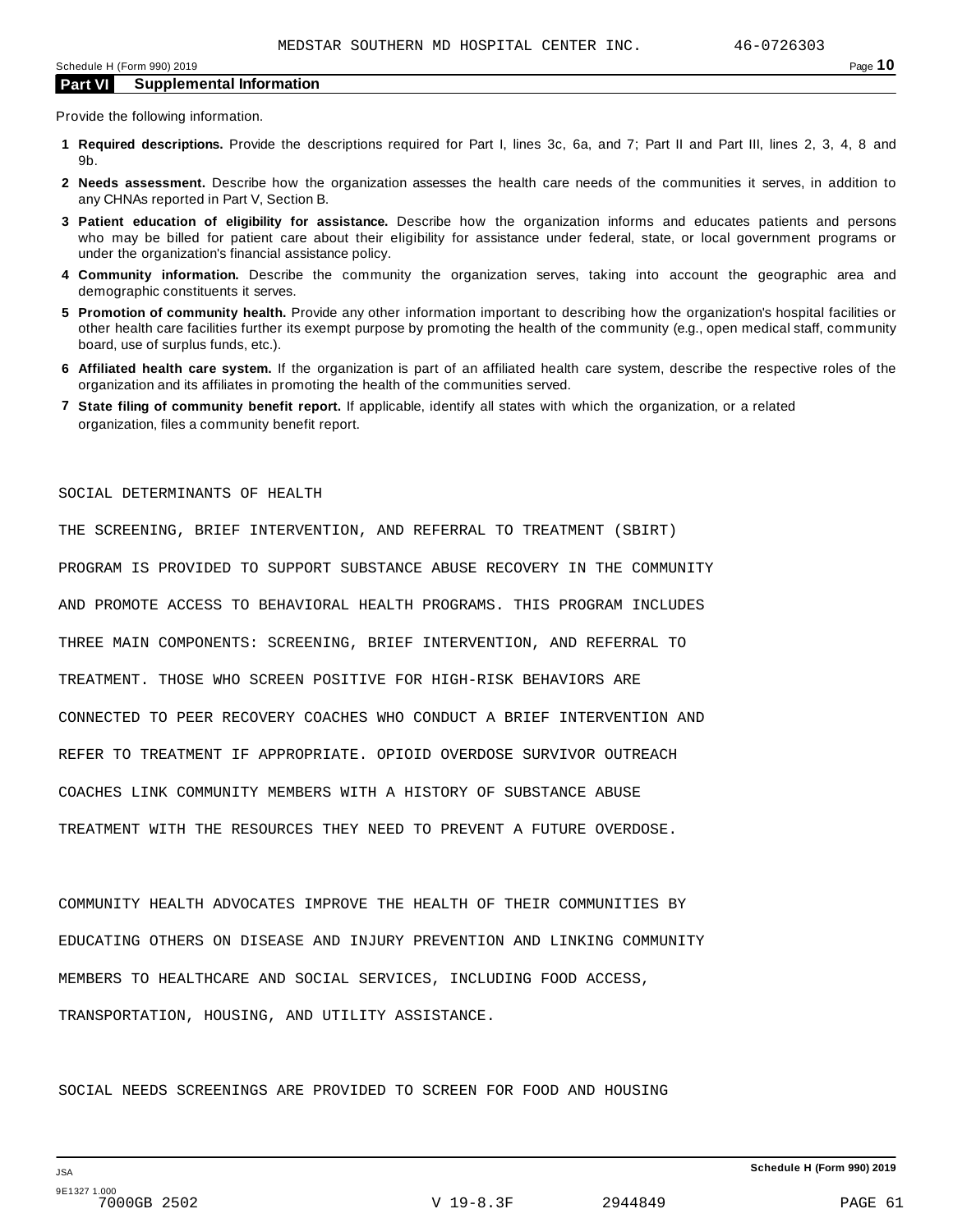Provide the following information.

- **1 Required descriptions.** Provide the descriptions required for Part I, lines 3c, 6a, and 7; Part II and Part III, lines 2, 3, 4, 8 and 9b.
- **2 Needs assessment.** Describe how the organization assesses the health care needs of the communities it serves, in addition to any CHNAs reported in Part V, Section B.
- **3 Patient education of eligibility for assistance.** Describe how the organization informs and educates patients and persons who may be billed for patient care about their eligibility for assistance under federal, state, or local government programs or under the organization's financial assistance policy.
- **4 Community information.** Describe the community the organization serves, taking into account the geographic area and demographic constituents it serves.
- **5 Promotion of community health.** Provide any other information important to describing how the organization's hospital facilities or other health care facilities further its exempt purpose by promoting the health of the community (e.g., open medical staff, community board, use of surplus funds, etc.).
- **6 Affiliated health care system.** If the organization is part of an affiliated health care system, describe the respective roles of the organization and its affiliates in promoting the health of the communities served.
- **7 State filing of community benefit report.** If applicable, identify all states with which the organization, or a related organization, files a community benefit report.

#### SOCIAL DETERMINANTS OF HEALTH

THE SCREENING, BRIEF INTERVENTION, AND REFERRAL TO TREATMENT (SBIRT) PROGRAM IS PROVIDED TO SUPPORT SUBSTANCE ABUSE RECOVERY IN THE COMMUNITY AND PROMOTE ACCESS TO BEHAVIORAL HEALTH PROGRAMS. THIS PROGRAM INCLUDES THREE MAIN COMPONENTS: SCREENING, BRIEF INTERVENTION, AND REFERRAL TO TREATMENT. THOSE WHO SCREEN POSITIVE FOR HIGH-RISK BEHAVIORS ARE CONNECTED TO PEER RECOVERY COACHES WHO CONDUCT A BRIEF INTERVENTION AND REFER TO TREATMENT IF APPROPRIATE. OPIOID OVERDOSE SURVIVOR OUTREACH COACHES LINK COMMUNITY MEMBERS WITH A HISTORY OF SUBSTANCE ABUSE TREATMENT WITH THE RESOURCES THEY NEED TO PREVENT A FUTURE OVERDOSE.

COMMUNITY HEALTH ADVOCATES IMPROVE THE HEALTH OF THEIR COMMUNITIES BY EDUCATING OTHERS ON DISEASE AND INJURY PREVENTION AND LINKING COMMUNITY MEMBERS TO HEALTHCARE AND SOCIAL SERVICES, INCLUDING FOOD ACCESS, TRANSPORTATION, HOUSING, AND UTILITY ASSISTANCE.

SOCIAL NEEDS SCREENINGS ARE PROVIDED TO SCREEN FOR FOOD AND HOUSING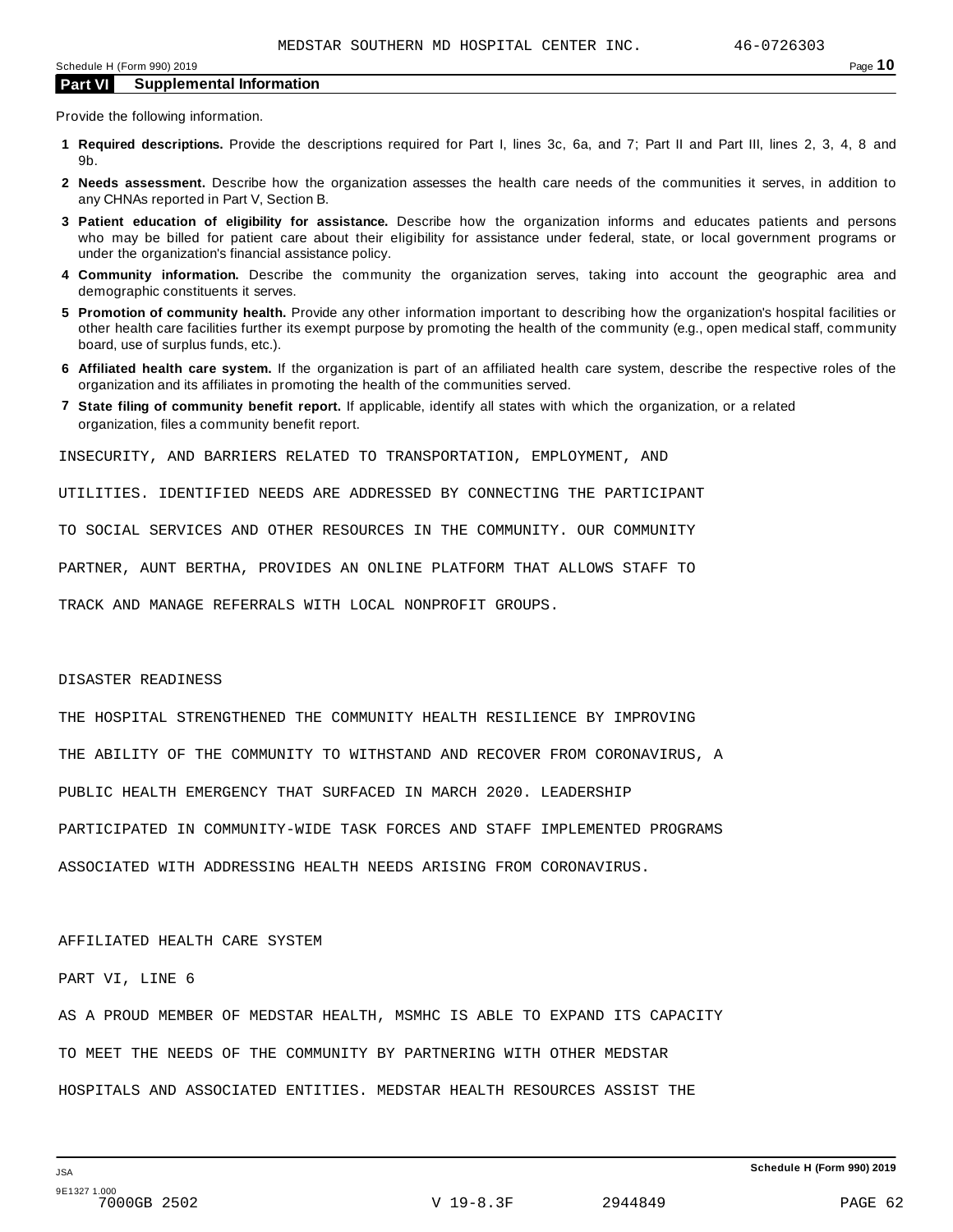Provide the following information.

- **1 Required descriptions.** Provide the descriptions required for Part I, lines 3c, 6a, and 7; Part II and Part III, lines 2, 3, 4, 8 and 9b.
- **2 Needs assessment.** Describe how the organization assesses the health care needs of the communities it serves, in addition to any CHNAs reported in Part V, Section B.
- **3 Patient education of eligibility for assistance.** Describe how the organization informs and educates patients and persons who may be billed for patient care about their eligibility for assistance under federal, state, or local government programs or under the organization's financial assistance policy.
- **4 Community information.** Describe the community the organization serves, taking into account the geographic area and demographic constituents it serves.
- **5 Promotion of community health.** Provide any other information important to describing how the organization's hospital facilities or other health care facilities further its exempt purpose by promoting the health of the community (e.g., open medical staff, community board, use of surplus funds, etc.).
- **6 Affiliated health care system.** If the organization is part of an affiliated health care system, describe the respective roles of the organization and its affiliates in promoting the health of the communities served.
- **7 State filing of community benefit report.** If applicable, identify all states with which the organization, or a related organization, files a community benefit report.

INSECURITY, AND BARRIERS RELATED TO TRANSPORTATION, EMPLOYMENT, AND

UTILITIES. IDENTIFIED NEEDS ARE ADDRESSED BY CONNECTING THE PARTICIPANT

TO SOCIAL SERVICES AND OTHER RESOURCES IN THE COMMUNITY. OUR COMMUNITY

PARTNER, AUNT BERTHA, PROVIDES AN ONLINE PLATFORM THAT ALLOWS STAFF TO

TRACK AND MANAGE REFERRALS WITH LOCAL NONPROFIT GROUPS.

#### DISASTER READINESS

THE HOSPITAL STRENGTHENED THE COMMUNITY HEALTH RESILIENCE BY IMPROVING THE ABILITY OF THE COMMUNITY TO WITHSTAND AND RECOVER FROM CORONAVIRUS, A PUBLIC HEALTH EMERGENCY THAT SURFACED IN MARCH 2020. LEADERSHIP PARTICIPATED IN COMMUNITY-WIDE TASK FORCES AND STAFF IMPLEMENTED PROGRAMS ASSOCIATED WITH ADDRESSING HEALTH NEEDS ARISING FROM CORONAVIRUS.

#### AFFILIATED HEALTH CARE SYSTEM

PART VI, LINE 6

AS A PROUD MEMBER OF MEDSTAR HEALTH, MSMHC IS ABLE TO EXPAND ITS CAPACITY TO MEET THE NEEDS OF THE COMMUNITY BY PARTNERING WITH OTHER MEDSTAR HOSPITALS AND ASSOCIATED ENTITIES. MEDSTAR HEALTH RESOURCES ASSIST THE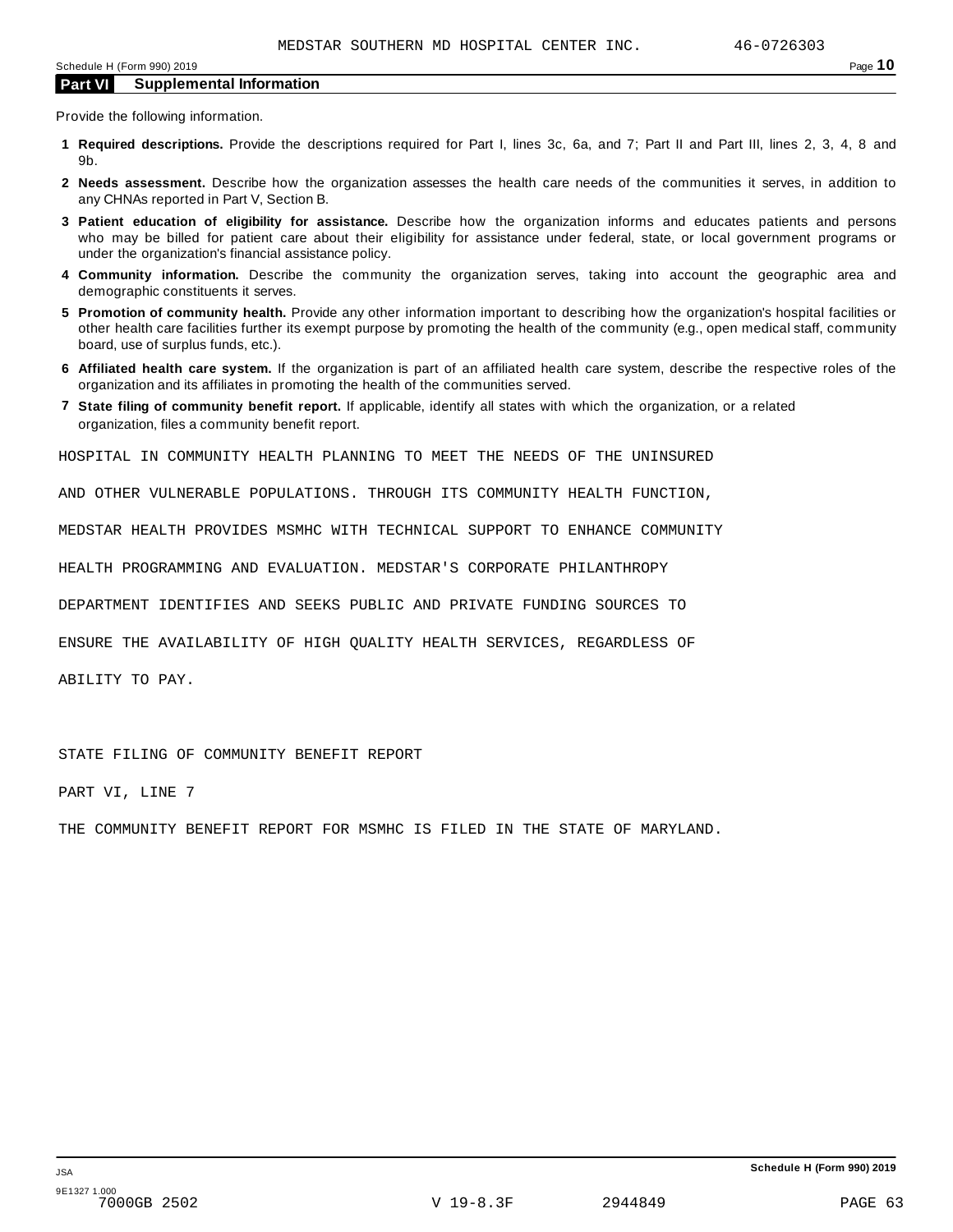Provide the following information.

- **1 Required descriptions.** Provide the descriptions required for Part I, lines 3c, 6a, and 7; Part II and Part III, lines 2, 3, 4, 8 and 9b.
- **2 Needs assessment.** Describe how the organization assesses the health care needs of the communities it serves, in addition to any CHNAs reported in Part V, Section B.
- **3 Patient education of eligibility for assistance.** Describe how the organization informs and educates patients and persons who may be billed for patient care about their eligibility for assistance under federal, state, or local government programs or under the organization's financial assistance policy.
- **4 Community information.** Describe the community the organization serves, taking into account the geographic area and demographic constituents it serves.
- **5 Promotion of community health.** Provide any other information important to describing how the organization's hospital facilities or other health care facilities further its exempt purpose by promoting the health of the community (e.g., open medical staff, community board, use of surplus funds, etc.).
- **6 Affiliated health care system.** If the organization is part of an affiliated health care system, describe the respective roles of the organization and its affiliates in promoting the health of the communities served.
- **7 State filing of community benefit report.** If applicable, identify all states with which the organization, or a related organization, files a community benefit report.

HOSPITAL IN COMMUNITY HEALTH PLANNING TO MEET THE NEEDS OF THE UNINSURED

AND OTHER VULNERABLE POPULATIONS. THROUGH ITS COMMUNITY HEALTH FUNCTION,

MEDSTAR HEALTH PROVIDES MSMHC WITH TECHNICAL SUPPORT TO ENHANCE COMMUNITY

HEALTH PROGRAMMING AND EVALUATION. MEDSTAR'S CORPORATE PHILANTHROPY

DEPARTMENT IDENTIFIES AND SEEKS PUBLIC AND PRIVATE FUNDING SOURCES TO

ENSURE THE AVAILABILITY OF HIGH QUALITY HEALTH SERVICES, REGARDLESS OF

ABILITY TO PAY.

STATE FILING OF COMMUNITY BENEFIT REPORT

PART VI, LINE 7

THE COMMUNITY BENEFIT REPORT FOR MSMHC IS FILED IN THE STATE OF MARYLAND.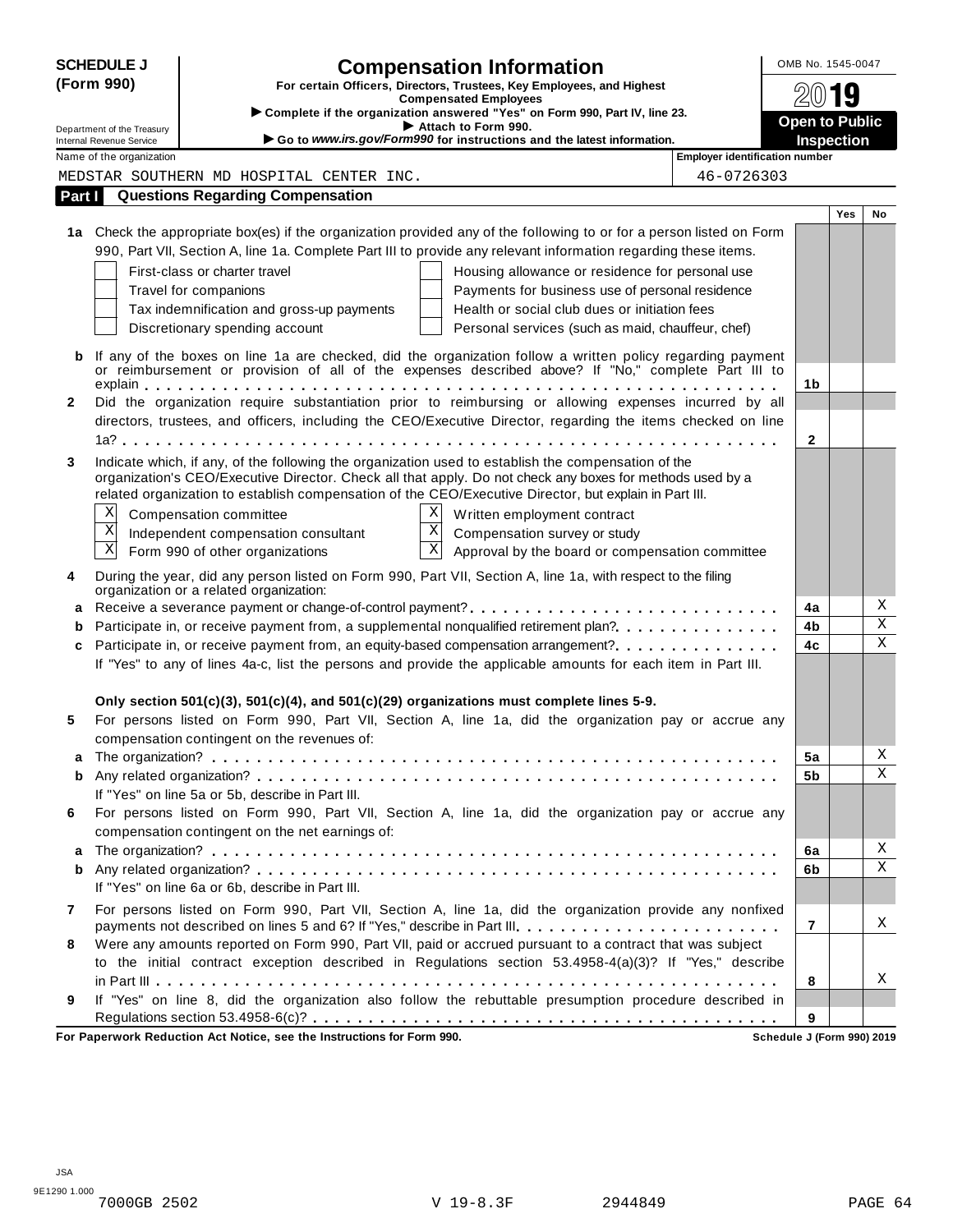|              | <b>SCHEDULE J</b>                                           | <b>Compensation Information</b>                                                                                                                                                                                     | OMB No. 1545-0047                                   |                         |
|--------------|-------------------------------------------------------------|---------------------------------------------------------------------------------------------------------------------------------------------------------------------------------------------------------------------|-----------------------------------------------------|-------------------------|
|              | (Form 990)                                                  | For certain Officers, Directors, Trustees, Key Employees, and Highest<br><b>Compensated Employees</b>                                                                                                               |                                                     | 19                      |
|              |                                                             | Complete if the organization answered "Yes" on Form 990, Part IV, line 23.                                                                                                                                          |                                                     |                         |
|              | Department of the Treasury                                  | Attach to Form 990.<br>Go to www.irs.gov/Form990 for instructions and the latest information.                                                                                                                       | <b>Open to Public</b>                               |                         |
|              | <b>Internal Revenue Service</b><br>Name of the organization |                                                                                                                                                                                                                     | Inspection<br><b>Employer identification number</b> |                         |
|              |                                                             | MEDSTAR SOUTHERN MD HOSPITAL CENTER INC.                                                                                                                                                                            | 46-0726303                                          |                         |
| Part I       |                                                             | <b>Questions Regarding Compensation</b>                                                                                                                                                                             |                                                     |                         |
|              |                                                             |                                                                                                                                                                                                                     |                                                     | Yes<br>No               |
|              |                                                             | 1a Check the appropriate box(es) if the organization provided any of the following to or for a person listed on Form                                                                                                |                                                     |                         |
|              |                                                             | 990, Part VII, Section A, line 1a. Complete Part III to provide any relevant information regarding these items.                                                                                                     |                                                     |                         |
|              |                                                             | First-class or charter travel                                                                                                                                                                                       | Housing allowance or residence for personal use     |                         |
|              |                                                             | Travel for companions                                                                                                                                                                                               | Payments for business use of personal residence     |                         |
|              |                                                             | Tax indemnification and gross-up payments                                                                                                                                                                           | Health or social club dues or initiation fees       |                         |
|              |                                                             | Discretionary spending account                                                                                                                                                                                      | Personal services (such as maid, chauffeur, chef)   |                         |
|              |                                                             |                                                                                                                                                                                                                     |                                                     |                         |
| b            |                                                             | If any of the boxes on line 1a are checked, did the organization follow a written policy regarding payment<br>or reimbursement or provision of all of the expenses described above? If "No," complete Part III to   |                                                     |                         |
|              |                                                             |                                                                                                                                                                                                                     | 1 <sub>b</sub>                                      |                         |
| $\mathbf{2}$ |                                                             | Did the organization require substantiation prior to reimbursing or allowing expenses incurred by all                                                                                                               |                                                     |                         |
|              |                                                             | directors, trustees, and officers, including the CEO/Executive Director, regarding the items checked on line                                                                                                        |                                                     |                         |
|              |                                                             |                                                                                                                                                                                                                     | $\mathbf{2}$                                        |                         |
| 3            |                                                             | Indicate which, if any, of the following the organization used to establish the compensation of the                                                                                                                 |                                                     |                         |
|              |                                                             | organization's CEO/Executive Director. Check all that apply. Do not check any boxes for methods used by a<br>related organization to establish compensation of the CEO/Executive Director, but explain in Part III. |                                                     |                         |
|              | Χ                                                           |                                                                                                                                                                                                                     |                                                     |                         |
|              | $\overline{\mathbf{X}}$                                     | X<br>Compensation committee<br>Written employment contract<br>$\overline{X}$                                                                                                                                        |                                                     |                         |
|              | $\overline{\text{X}}$                                       | Independent compensation consultant<br>Compensation survey or study<br>$\overline{\mathbf{x}}$                                                                                                                      |                                                     |                         |
|              |                                                             | Form 990 of other organizations                                                                                                                                                                                     | Approval by the board or compensation committee     |                         |
| 4            |                                                             | During the year, did any person listed on Form 990, Part VII, Section A, line 1a, with respect to the filing                                                                                                        |                                                     |                         |
| a            |                                                             | organization or a related organization:<br>Receive a severance payment or change-of-control payment?                                                                                                                | 4a                                                  | Χ                       |
| b            |                                                             | Participate in, or receive payment from, a supplemental nonqualified retirement plan?                                                                                                                               | 4b                                                  | $\overline{\text{X}}$   |
| c            |                                                             |                                                                                                                                                                                                                     | 4c                                                  | $\overline{\textbf{x}}$ |
|              |                                                             | If "Yes" to any of lines 4a-c, list the persons and provide the applicable amounts for each item in Part III.                                                                                                       |                                                     |                         |
|              |                                                             | Only section $501(c)(3)$ , $501(c)(4)$ , and $501(c)(29)$ organizations must complete lines 5-9.                                                                                                                    |                                                     |                         |
| 5            |                                                             | For persons listed on Form 990, Part VII, Section A, line 1a, did the organization pay or accrue any                                                                                                                |                                                     |                         |
|              |                                                             | compensation contingent on the revenues of:                                                                                                                                                                         |                                                     |                         |
|              |                                                             |                                                                                                                                                                                                                     | 5a                                                  | Χ                       |
| b            |                                                             |                                                                                                                                                                                                                     | 5b                                                  | Χ                       |
|              |                                                             | If "Yes" on line 5a or 5b, describe in Part III.                                                                                                                                                                    |                                                     |                         |
| 6            |                                                             | For persons listed on Form 990, Part VII, Section A, line 1a, did the organization pay or accrue any<br>compensation contingent on the net earnings of:                                                             |                                                     |                         |
| а            |                                                             |                                                                                                                                                                                                                     | 6a                                                  | Χ                       |
| b            |                                                             |                                                                                                                                                                                                                     | 6b                                                  | Χ                       |
|              |                                                             | If "Yes" on line 6a or 6b, describe in Part III.                                                                                                                                                                    |                                                     |                         |
| 7            |                                                             | For persons listed on Form 990, Part VII, Section A, line 1a, did the organization provide any nonfixed                                                                                                             |                                                     |                         |
|              |                                                             | payments not described on lines 5 and 6? If "Yes," describe in Part III.                                                                                                                                            | 7                                                   | X                       |
| 8            |                                                             | Were any amounts reported on Form 990, Part VII, paid or accrued pursuant to a contract that was subject                                                                                                            |                                                     |                         |
|              |                                                             | to the initial contract exception described in Regulations section 53.4958-4(a)(3)? If "Yes," describe                                                                                                              |                                                     |                         |
|              |                                                             |                                                                                                                                                                                                                     | 8                                                   | х                       |
| 9            |                                                             | If "Yes" on line 8, did the organization also follow the rebuttable presumption procedure described in                                                                                                              |                                                     |                         |
|              |                                                             |                                                                                                                                                                                                                     | 9                                                   |                         |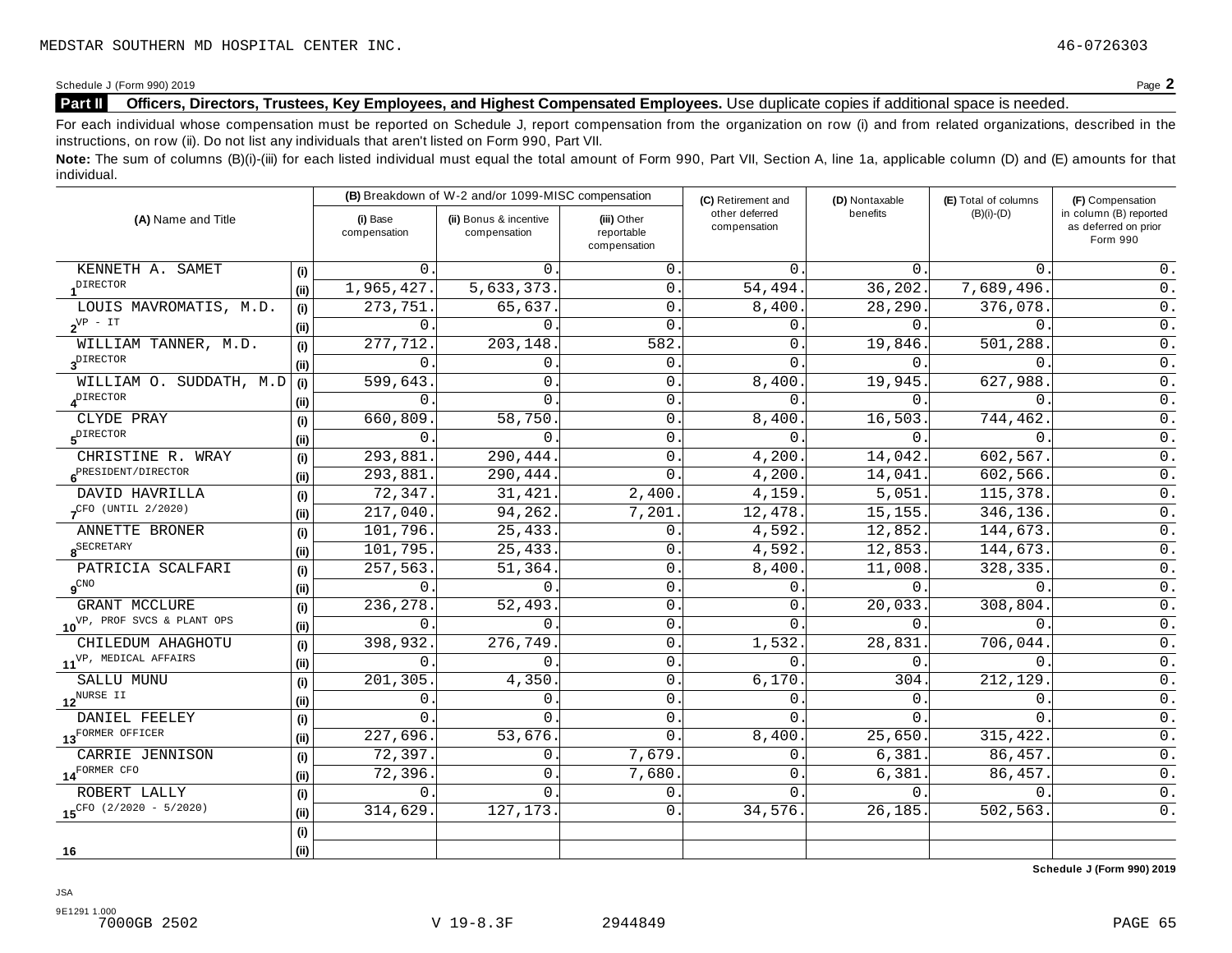#### **Part II** Officers, Directors, Trustees, Key Employees, and Highest Compensated Employees. Use duplicate copies if additional space is needed.

For each individual whose compensation must be reported on Schedule J, report compensation from the organization on row (i) and from related organizations, described in the instructions, on row (ii). Do not list any individuals that aren't listed on Form 990, Part VII.

Note: The sum of columns (B)(i)-(iii) for each listed individual must equal the total amount of Form 990, Part VII, Section A, line 1a, applicable column (D) and (E) amounts for that individual.

| (A) Name and Title                          |      |                          | (B) Breakdown of W-2 and/or 1099-MISC compensation |                                           | (C) Retirement and             | (D) Nontaxable | (E) Total of columns | (F) Compensation                                           |
|---------------------------------------------|------|--------------------------|----------------------------------------------------|-------------------------------------------|--------------------------------|----------------|----------------------|------------------------------------------------------------|
|                                             |      | (i) Base<br>compensation | (ii) Bonus & incentive<br>compensation             | (iii) Other<br>reportable<br>compensation | other deferred<br>compensation | benefits       | $(B)(i)-(D)$         | in column (B) reported<br>as deferred on prior<br>Form 990 |
| KENNETH A. SAMET                            | (i)  | $\Omega$ .               | $\Omega$ .                                         | 0.                                        | $\Omega$ .                     | $0$ .          | $\Omega$ .           | $0$ .                                                      |
| DIRECTOR                                    | (ii) | 1,965,427.               | 5,633,373.                                         | $\mathbf{0}$ .                            | 54,494                         | 36,202.        | 7,689,496.           | $0$ .                                                      |
| LOUIS MAVROMATIS, M.D.                      | (i)  | 273,751.                 | 65,637.                                            | $\mathbf{0}$ .                            | 8,400                          | 28,290.        | 376,078.             | $0$ .                                                      |
| $2^{\text{VP}}$ - IT                        | (i)  | $\Omega$ .               | $\Omega$ .                                         | $\mathbf 0$ .                             | $\Omega$                       | $\Omega$ .     | $\Omega$ .           | $\overline{0}$ .                                           |
| WILLIAM TANNER, M.D.                        | (i)  | 277,712                  | 203,148                                            | 582                                       | 0                              | 19,846.        | 501,288              | $\overline{0}$ .                                           |
| $3^{\text{DIFFOR}}$                         | (i)  | $\Omega$                 | 0.                                                 | $\mathbf 0$ .                             | 0                              | 0.             | $\Omega$             | $\overline{0}$ .                                           |
| WILLIAM O. SUDDATH, M.D                     | (i)  | 599,643                  | $\mathbf{0}$ .                                     | $\mathbf{0}$ .                            | 8,400                          | 19,945.        | 627,988              | $0$ .                                                      |
| $4^{\text{DIFFOTOR}}$                       | (ii) | $\Omega$                 | $\Omega$ .                                         | $\mathbf{0}$ .                            | $\Omega$                       | 0.             | $\Omega$ .           | $0$ .                                                      |
| CLYDE PRAY                                  | (i)  | 660,809                  | 58,750                                             | $\mathsf{O}$                              | 8,400                          | 16,503.        | 744, 462             | $\overline{0}$ .                                           |
| $5^{\text{DIFFOR}}$                         | (i)  | $\Omega$                 | $0$ .                                              | $\mathbf 0$                               | $\Omega$                       | $0$ .          | $0$ .                | $0$ .                                                      |
| CHRISTINE R. WRAY                           | (i)  | 293,881.                 | 290, 444.                                          | $\mathsf{O}$                              | 4,200                          | 14,042.        | 602,567.             | $\overline{0}$ .                                           |
| 6 <sup>PRESIDENT/DIRECTOR</sup>             | (i)  | 293,881                  | 290,444.                                           | $\mathbf{0}$ .                            | 4,200                          | 14,041.        | 602,566.             | $\overline{0}$ .                                           |
| DAVID HAVRILLA                              | (i)  | 72,347.                  | 31,421.                                            | 2,400.                                    | 4,159                          | 5,051.         | 115,378.             | $\overline{0}$ .                                           |
| $7CFO$ (UNTIL 2/2020)                       | (i)  | 217,040.                 | 94, 262.                                           | 7,201.                                    | 12,478.                        | 15, 155.       | 346,136.             | $\overline{0}$ .                                           |
| ANNETTE BRONER                              | (i)  | 101,796.                 | 25,433.                                            | $\mathbf{0}$ .                            | 4,592.                         | 12,852.        | 144,673.             | $\overline{0}$ .                                           |
| $8^{\text{SECRETARY}}$                      | (i)  | 101,795.                 | 25,433.                                            | $\mathbf{0}$ .                            | 4,592.                         | 12,853.        | 144,673.             | $\overline{0}$ .                                           |
| PATRICIA SCALFARI                           | (i)  | 257,563.                 | 51,364.                                            | $\mathbf{0}$ .                            | 8,400                          | 11,008.        | 328, 335.            | $0$ .                                                      |
| $9^{\text{CNO}}$                            | (i)  | $\Omega$                 | $\overline{0}$ .                                   | $\mathsf{O}$                              | $\Omega$                       | 0.             | $\Omega$ .           | $\overline{0}$ .                                           |
| GRANT MCCLURE                               | (i)  | 236,278                  | 52,493.                                            | 0                                         | 0                              | 20,033.        | 308,804.             | $\overline{0}$ .                                           |
| 10 <sup>VP, PROF SVCS &amp; PLANT OPS</sup> | (i)  | $\Omega$                 | $\Omega$ .                                         | $\mathbf{0}$                              | $\Omega$                       | 0.             | $\Omega$ .           | $\overline{0}$ .                                           |
| CHILEDUM AHAGHOTU                           | (i)  | 398,932.                 | 276,749                                            | $\mathbf{0}$ .                            | 1,532                          | 28,831.        | 706,044.             | $0$ .                                                      |
| 11 <sup>VP, MEDICAL AFFAIRS</sup>           | (i)  | $\Omega$ .               | $\Omega$ .                                         | $\mathbf{0}$ .                            | $\Omega$                       | $0$ .          | $\Omega$             | $0$ .                                                      |
| SALLU MUNU                                  | (i)  | 201, 305                 | 4,350                                              | $\mathbf{0}$                              | 6,170                          | 304.           | 212, 129             | $\overline{0}$ .                                           |
| $12^{\text{NURSE}}$ II                      | (i)  | $\mathbf{0}$ .           | 0.                                                 | $\mathbf{0}$ .                            | 0                              | 0.             | $0$ .                | $0$ .                                                      |
| DANIEL FEELEY                               | (i)  | $\Omega$                 | $\Omega$ .                                         | $\mathsf{O}$ .                            | $\Omega$                       | 0.             | $\Omega$ .           | $0$ .                                                      |
| 13 <sup>FORMER</sup> OFFICER                | (ii) | 227,696.                 | 53,676                                             | $\mathbf{0}$ .                            | 8,400                          | 25,650.        | 315, 422.            | $\overline{0}$ .                                           |
| CARRIE JENNISON                             | (i)  | 72,397.                  | 0.                                                 | 7,679.                                    | 0                              | 6,381.         | 86,457.              | $\overline{0}$ .                                           |
| 14 <sup>FORMER</sup> CFO                    | (i)  | 72,396.                  | 0.                                                 | 7,680                                     | 0                              | 6,381.         | 86, 457.             | $\overline{0}$ .                                           |
| ROBERT LALLY                                | (i)  | $\Omega$ .               | $\Omega$ .                                         | $\mathbf 0$ .                             | $\Omega$                       | $0$ .          | $\Omega$ .           | $\overline{0}$ .                                           |
| $15^{\text{CFO}}$ (2/2020 - 5/2020)         | (i)  | 314,629.                 | 127, 173.                                          | $\Omega$ .                                | 34,576.                        | 26,185.        | 502,563.             | 0.                                                         |
|                                             | (i)  |                          |                                                    |                                           |                                |                |                      |                                                            |
| 16                                          | (i)  |                          |                                                    |                                           |                                |                |                      |                                                            |

**Schedule J (Form 990) 2019**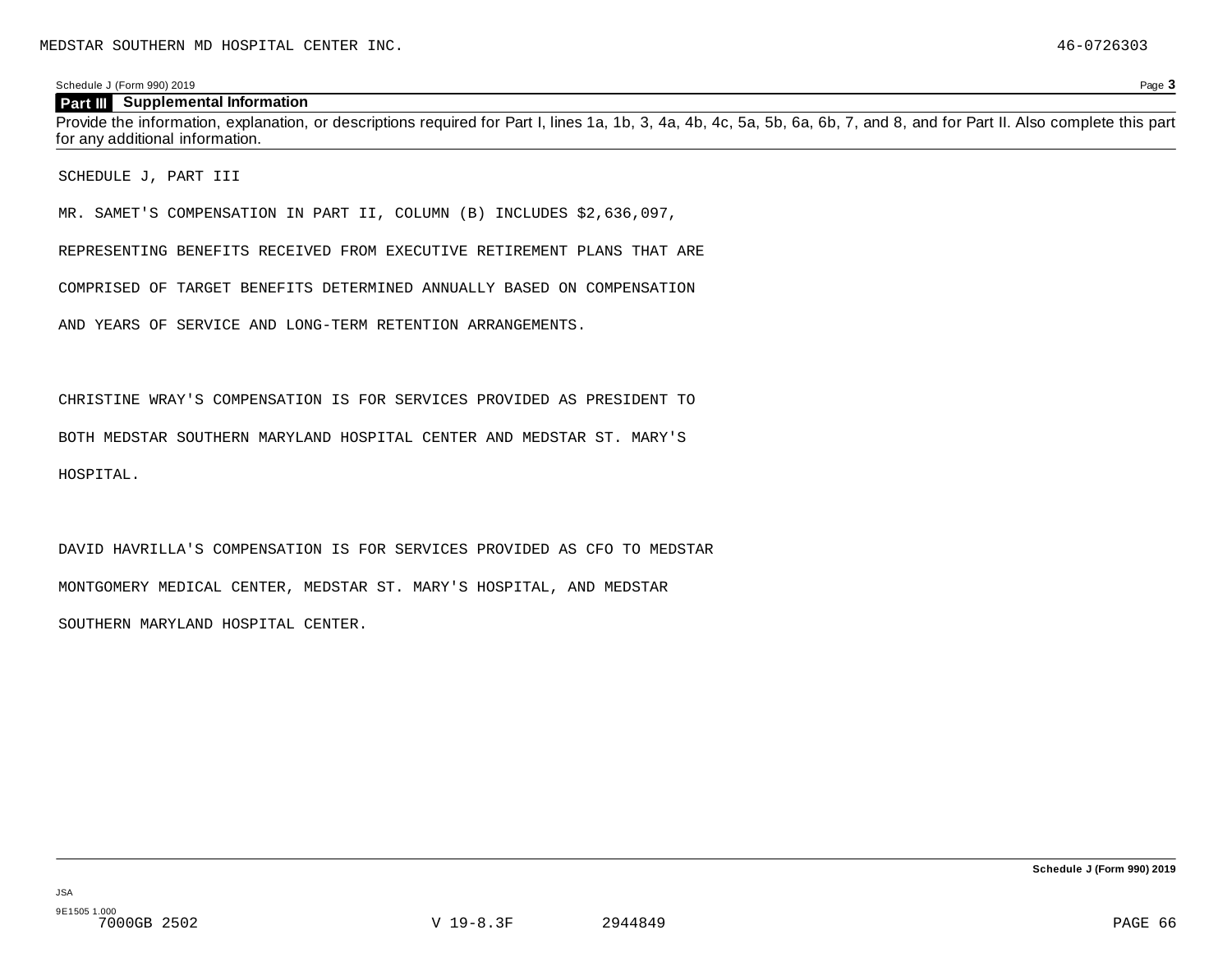#### **Part III Supplemental Information**

Provide the information, explanation, or descriptions required for Part I, lines 1a, 1b, 3, 4a, 4b, 4c, 5a, 5b, 6a, 6b, 7, and 8, and for Part II. Also complete this part for any additional information.

SCHEDULE J, PART III

MR. SAMET'S COMPENSATION IN PART II, COLUMN (B) INCLUDES \$2,636,097,

REPRESENTING BENEFITS RECEIVED FROM EXECUTIVE RETIREMENT PLANS THAT ARE

COMPRISED OF TARGET BENEFITS DETERMINED ANNUALLY BASED ON COMPENSATION

AND YEARS OF SERVICE AND LONG-TERM RETENTION ARRANGEMENTS.

CHRISTINE WRAY'S COMPENSATION IS FOR SERVICES PROVIDED AS PRESIDENT TO

BOTH MEDSTAR SOUTHERN MARYLAND HOSPITAL CENTER AND MEDSTAR ST. MARY'S

HOSPITAL.

DAVID HAVRILLA'S COMPENSATION IS FOR SERVICES PROVIDED AS CFO TO MEDSTAR MONTGOMERY MEDICAL CENTER, MEDSTAR ST. MARY'S HOSPITAL, AND MEDSTAR SOUTHERN MARYLAND HOSPITAL CENTER.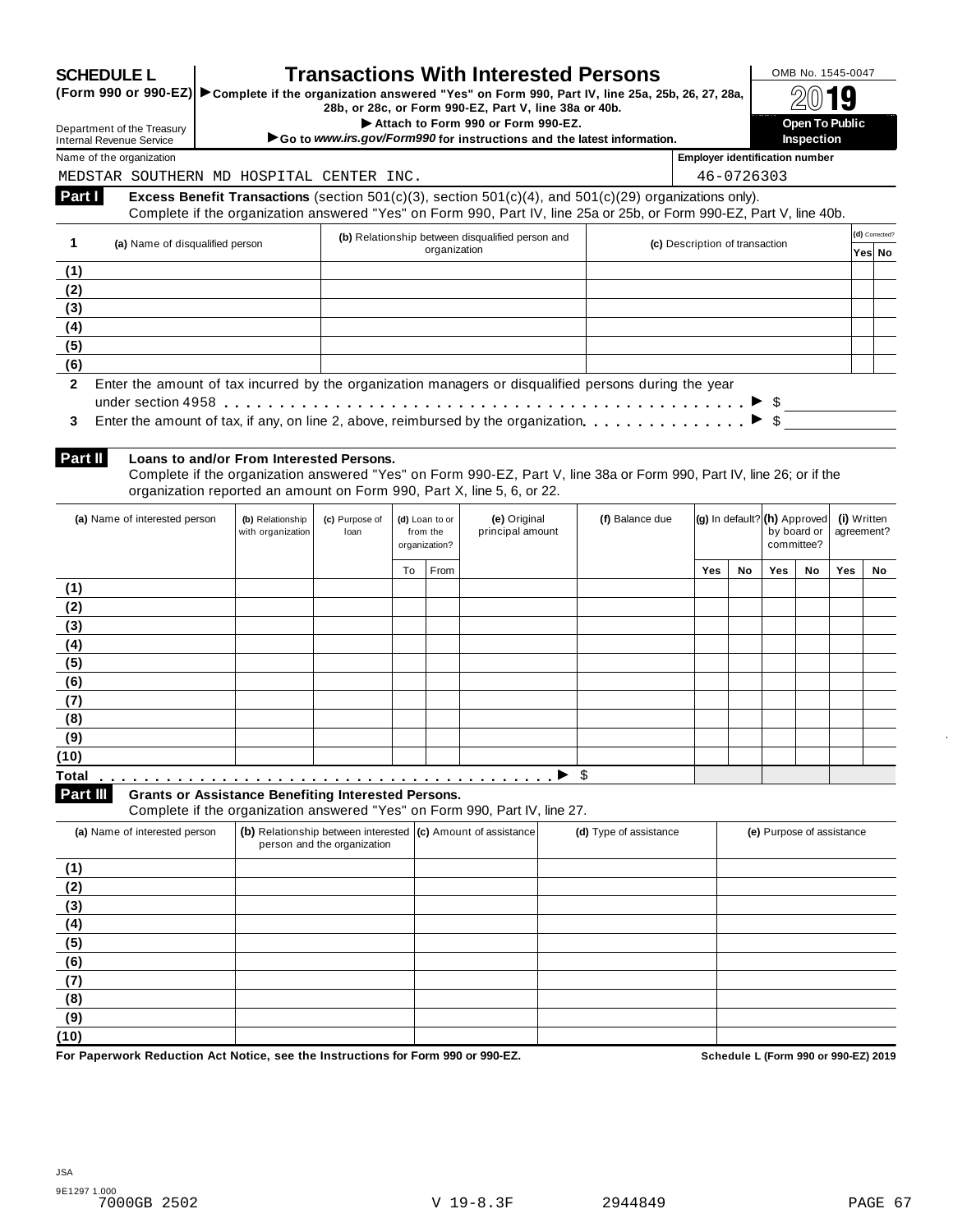|  |  | <b>SCHEDULE L</b> |  |
|--|--|-------------------|--|
|  |  |                   |  |

## **SCHEDULE L Transactions With Interested Persons** SCHEDULE L **DOMB No. 1545-0047**<br>(Form 990 or 990-EZ) Complete if the organization answered "Yes" on Form 990. Part IV, line 25a. 25b, 26, 27, 28a.

**SCHEDULE L**<br>
(Form 990 or 990-EZ) Complete if the organization answered "Yes" on Form 990, Part IV, line 25a, 25b, 26, 27, 28a, <u>28b, 26, 27, 28a,</u> 28b, 280, 28b, 28b, 26, 27, 28a, 25b, 28a, 25b, 28a, 25b, 28c, or Form 9

I 2Bc, or Form 990-EZ, Part V, line 38a or 40b.<br>
Attach to Form 990 or Form 990-EZ.<br> **Open To Public and the latest information 1 Inspection 390 Section 1990 1 Inspection Inspection 1990 instructions and the latest information. Inspection inspection** 

Department of the Treasury Internal Revenue Service Name of the organization **Employer identification number Employer identification number** 

**Part I** 

MEDSTAR SOUTHERN MD HOSPITAL CENTER INC.  $\vert$  46-0726303

| MEDSTAR SOUTHERN MD HOSPITAL CENTER INC. |  |  |
|------------------------------------------|--|--|
|                                          |  |  |

**Excess Benefit Transactions** (section 501(c)(3), section 501(c)(4), and 501(c)(29) organizations only). Complete if the organization answered "Yes" on Form 990, Part IV, line 25a or 25b, or Form 990-EZ, Part V, line 40b.

|              | (b) Relationship between disqualified person and<br>(a) Name of disqualified person                               | (c) Description of transaction | (d) Corrected? |
|--------------|-------------------------------------------------------------------------------------------------------------------|--------------------------------|----------------|
|              | organization                                                                                                      |                                | Yes No         |
| (1)          |                                                                                                                   |                                |                |
| (2)          |                                                                                                                   |                                |                |
| (3)          |                                                                                                                   |                                |                |
| (4)          |                                                                                                                   |                                |                |
| (5)          |                                                                                                                   |                                |                |
| (6)          |                                                                                                                   |                                |                |
| $\mathbf{2}$ | Enter the amount of tax incurred by the organization managers or disqualified persons during the year             |                                |                |
|              |                                                                                                                   |                                |                |
| 3            | Enter the amount of tax, if any, on line 2, above, reimbursed by the organization. $\ldots$ , $\ldots$ , $\ldots$ |                                |                |
|              |                                                                                                                   |                                |                |

| 3 Enter the amount of tax, if any, on line 2, above, reimbursed by the organization |
|-------------------------------------------------------------------------------------|

**Part II** 

#### **Loans to and/or From Interested Persons.**

Complete if the organization answered "Yes" on Form 990-EZ, Part V, line 38a or Form 990, Part IV, line 26; or if the organization reported an amount on Form 990, Part X, line 5, 6, or 22.

| (a) Name of interested person                                          | (b) Relationship<br>with organization | (c) Purpose of<br>loan |    | (d) Loan to or<br>from the<br>organization? | (e) Original<br>principal amount                                           | (f) Balance due | $ {\bf (g)}\rangle$ In default? $ {\bf (h)}\rangle$ Approved |    | by board or<br>committee? |    | (i) Written<br>agreement? |    |
|------------------------------------------------------------------------|---------------------------------------|------------------------|----|---------------------------------------------|----------------------------------------------------------------------------|-----------------|--------------------------------------------------------------|----|---------------------------|----|---------------------------|----|
|                                                                        |                                       |                        | To | From                                        |                                                                            |                 | Yes                                                          | No | Yes                       | No | Yes                       | No |
| (1)                                                                    |                                       |                        |    |                                             |                                                                            |                 |                                                              |    |                           |    |                           |    |
| (2)                                                                    |                                       |                        |    |                                             |                                                                            |                 |                                                              |    |                           |    |                           |    |
| (3)                                                                    |                                       |                        |    |                                             |                                                                            |                 |                                                              |    |                           |    |                           |    |
| (4)                                                                    |                                       |                        |    |                                             |                                                                            |                 |                                                              |    |                           |    |                           |    |
| (5)                                                                    |                                       |                        |    |                                             |                                                                            |                 |                                                              |    |                           |    |                           |    |
| (6)                                                                    |                                       |                        |    |                                             |                                                                            |                 |                                                              |    |                           |    |                           |    |
| (7)                                                                    |                                       |                        |    |                                             |                                                                            |                 |                                                              |    |                           |    |                           |    |
| (8)                                                                    |                                       |                        |    |                                             |                                                                            |                 |                                                              |    |                           |    |                           |    |
| (9)                                                                    |                                       |                        |    |                                             |                                                                            |                 |                                                              |    |                           |    |                           |    |
| (10)                                                                   |                                       |                        |    |                                             |                                                                            |                 |                                                              |    |                           |    |                           |    |
| <b>Total</b>                                                           |                                       |                        |    |                                             |                                                                            | \$              |                                                              |    |                           |    |                           |    |
| Part III<br><b>Grants or Assistance Benefiting Interested Persons.</b> |                                       |                        |    |                                             | Complete if the organization appurered "Vee" on Form 000, Dort IV, line 27 |                 |                                                              |    |                           |    |                           |    |

Complete if the organization answered "Yes" on Form 990, Part IV, line 27.

| (a) Name of interested person | (b) Relationship between interested (c) Amount of assistance<br>person and the organization | (d) Type of assistance | (e) Purpose of assistance |
|-------------------------------|---------------------------------------------------------------------------------------------|------------------------|---------------------------|
| (1)                           |                                                                                             |                        |                           |
| (2)                           |                                                                                             |                        |                           |
| (3)                           |                                                                                             |                        |                           |
| (4)                           |                                                                                             |                        |                           |
| (5)                           |                                                                                             |                        |                           |
| (6)                           |                                                                                             |                        |                           |
| (7)                           |                                                                                             |                        |                           |
| (8)                           |                                                                                             |                        |                           |
| (9)                           |                                                                                             |                        |                           |
| (10)                          |                                                                                             |                        |                           |

**For Paperwork Reduction Act Notice, see the Instructions for Form 990 or 990-EZ. Schedule L (Form 990 or 990-EZ) 2019**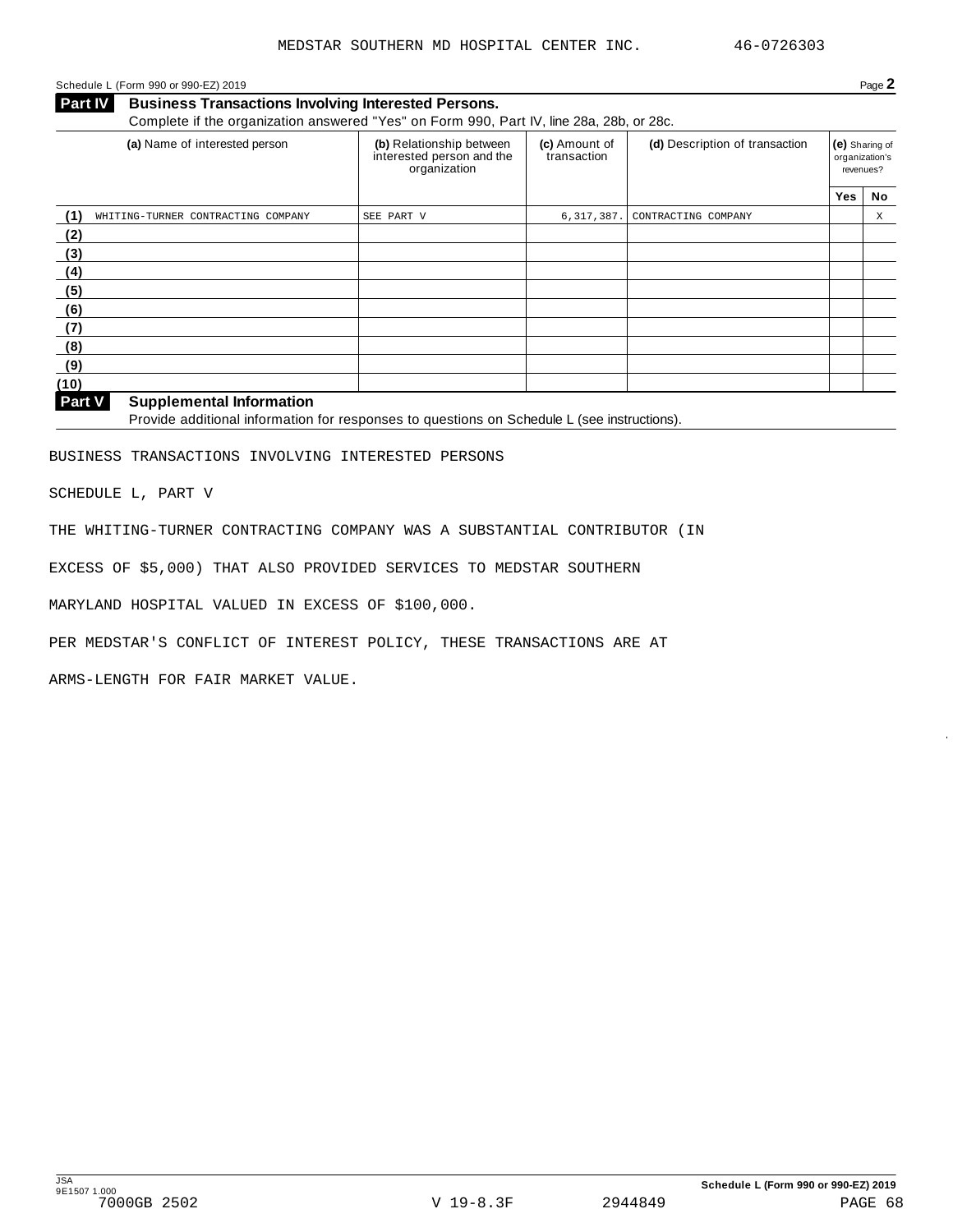### Schedule L (Form 990 or 990-EZ) 2019 Page **2**

**Part IV Business Transactions Involving Interested Persons.** Complete if the organization answered "Yes" on Form 990, Part IV, line 28a, 28b, or 28c.

| (a) Name of interested person                       | (b) Relationship between<br>interested person and the<br>organization | (c) Amount of<br>transaction | (d) Description of transaction | (e) Sharing of<br>organization's<br>revenues? |    |
|-----------------------------------------------------|-----------------------------------------------------------------------|------------------------------|--------------------------------|-----------------------------------------------|----|
|                                                     |                                                                       |                              |                                | <b>Yes</b>                                    | No |
| (1)<br>WHITING-TURNER CONTRACTING COMPANY           | SEE PART V                                                            | 6,317,387.                   | CONTRACTING COMPANY            |                                               | Χ  |
| (2)                                                 |                                                                       |                              |                                |                                               |    |
| (3)                                                 |                                                                       |                              |                                |                                               |    |
| (4)                                                 |                                                                       |                              |                                |                                               |    |
| (5)                                                 |                                                                       |                              |                                |                                               |    |
| (6)                                                 |                                                                       |                              |                                |                                               |    |
| (7)                                                 |                                                                       |                              |                                |                                               |    |
| (8)                                                 |                                                                       |                              |                                |                                               |    |
| (9)                                                 |                                                                       |                              |                                |                                               |    |
| (10)                                                |                                                                       |                              |                                |                                               |    |
| $D = 4M$<br>Original and a mated that a non-ast and |                                                                       |                              |                                |                                               |    |

#### **Supplemental Information Part V**

Provide additional information for responses to questions on Schedule L (see instructions).

BUSINESS TRANSACTIONS INVOLVING INTERESTED PERSONS

SCHEDULE L, PART V

THE WHITING-TURNER CONTRACTING COMPANY WAS A SUBSTANTIAL CONTRIBUTOR (IN

EXCESS OF \$5,000) THAT ALSO PROVIDED SERVICES TO MEDSTAR SOUTHERN

MARYLAND HOSPITAL VALUED IN EXCESS OF \$100,000.

PER MEDSTAR'S CONFLICT OF INTEREST POLICY, THESE TRANSACTIONS ARE AT

ARMS-LENGTH FOR FAIR MARKET VALUE.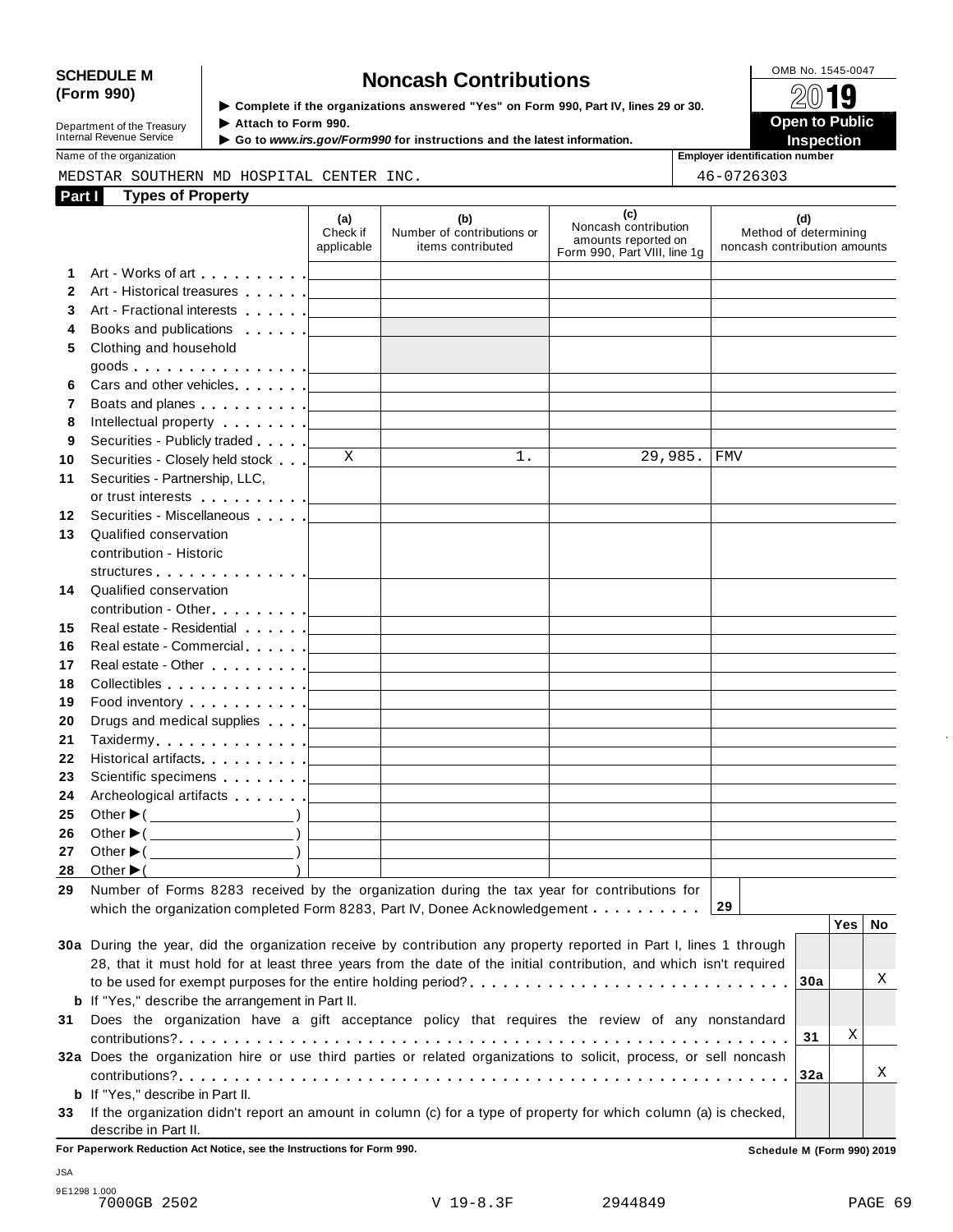# SCHEDULE M<br>
(Form 990) **Supplementary of the organizations answered** "Yes" on Form 990 Part IV lines 29 or 30

| Department of the Treasury |
|----------------------------|
|                            |
| Internal Revenue Service   |
|                            |

▶ Complete if the organizations answered "Yes" on Form 990, Part IV, lines 29 or 30. Attach to Form 990.

 **Open to Public**  ▶ Go to *www.irs.gov/Form990* for instructions and the latest information. **INSPECTION** 

Name of the organization **Employer identification number Employer identification number** 

|              | MEDSTAR SOUTHERN MD HOSPITAL CENTER INC.                                                                                                                                                                                       | 46-0726303                                                                                                                                                                                                                                                                                                                                                                                                                                             |                                                                                                                               |                                                                                    |                                                              |  |
|--------------|--------------------------------------------------------------------------------------------------------------------------------------------------------------------------------------------------------------------------------|--------------------------------------------------------------------------------------------------------------------------------------------------------------------------------------------------------------------------------------------------------------------------------------------------------------------------------------------------------------------------------------------------------------------------------------------------------|-------------------------------------------------------------------------------------------------------------------------------|------------------------------------------------------------------------------------|--------------------------------------------------------------|--|
| Part I       | <b>Types of Property</b>                                                                                                                                                                                                       |                                                                                                                                                                                                                                                                                                                                                                                                                                                        |                                                                                                                               |                                                                                    |                                                              |  |
|              |                                                                                                                                                                                                                                | (a)<br>Check if<br>applicable                                                                                                                                                                                                                                                                                                                                                                                                                          | (b)<br>Number of contributions or<br>items contributed                                                                        | (c)<br>Noncash contribution<br>amounts reported on<br>Form 990, Part VIII, line 1g | (d)<br>Method of determining<br>noncash contribution amounts |  |
| 1            | Art - Works of art [19]                                                                                                                                                                                                        | $\label{eq:2.1} \frac{1}{\sqrt{2}}\left(\frac{1}{\sqrt{2}}\right)^{2} \left(\frac{1}{\sqrt{2}}\right)^{2} \left(\frac{1}{\sqrt{2}}\right)^{2} \left(\frac{1}{\sqrt{2}}\right)^{2} \left(\frac{1}{\sqrt{2}}\right)^{2} \left(\frac{1}{\sqrt{2}}\right)^{2} \left(\frac{1}{\sqrt{2}}\right)^{2} \left(\frac{1}{\sqrt{2}}\right)^{2} \left(\frac{1}{\sqrt{2}}\right)^{2} \left(\frac{1}{\sqrt{2}}\right)^{2} \left(\frac{1}{\sqrt{2}}\right)^{2} \left(\$ |                                                                                                                               |                                                                                    |                                                              |  |
| $\mathbf{2}$ | Art - Historical treasures                                                                                                                                                                                                     |                                                                                                                                                                                                                                                                                                                                                                                                                                                        |                                                                                                                               |                                                                                    |                                                              |  |
| 3            | Art - Fractional interests                                                                                                                                                                                                     |                                                                                                                                                                                                                                                                                                                                                                                                                                                        | <u> 1989 - John Harry Harry Harry Harry Harry Harry Harry Harry Harry Harry Harry Harry Harry Harry Harry Harry H</u>         |                                                                                    |                                                              |  |
| 4            | Books and publications                                                                                                                                                                                                         |                                                                                                                                                                                                                                                                                                                                                                                                                                                        |                                                                                                                               |                                                                                    |                                                              |  |
| 5            | Clothing and household                                                                                                                                                                                                         |                                                                                                                                                                                                                                                                                                                                                                                                                                                        |                                                                                                                               |                                                                                    |                                                              |  |
|              | $\mathsf{goods}\qquad\qquad \ldots \ldots \ldots \ldots \qquad \qquad \qquad \qquad \qquad$                                                                                                                                    |                                                                                                                                                                                                                                                                                                                                                                                                                                                        |                                                                                                                               |                                                                                    |                                                              |  |
| 6            | Cars and other vehicles                                                                                                                                                                                                        |                                                                                                                                                                                                                                                                                                                                                                                                                                                        | the contract of the contract of the contract of the contract of the contract of                                               |                                                                                    |                                                              |  |
| 7            | Boats and planes [19]                                                                                                                                                                                                          |                                                                                                                                                                                                                                                                                                                                                                                                                                                        | <u> 1989 - John Harry Harry Harry Harry Harry Harry Harry Harry Harry Harry Harry Harry Harry Harry Harry Harry H</u>         |                                                                                    |                                                              |  |
| 8            | Intellectual property [                                                                                                                                                                                                        | <b>Contract Contract Contract</b>                                                                                                                                                                                                                                                                                                                                                                                                                      | the control of the control of the control of the control of the control of                                                    |                                                                                    |                                                              |  |
| 9            | Securities - Publicly traded                                                                                                                                                                                                   |                                                                                                                                                                                                                                                                                                                                                                                                                                                        |                                                                                                                               |                                                                                    |                                                              |  |
| 10           | Securities - Closely held stock                                                                                                                                                                                                | X                                                                                                                                                                                                                                                                                                                                                                                                                                                      | $1$ .                                                                                                                         | 29,985.                                                                            | FMV                                                          |  |
| 11           | Securities - Partnership, LLC,                                                                                                                                                                                                 |                                                                                                                                                                                                                                                                                                                                                                                                                                                        |                                                                                                                               |                                                                                    |                                                              |  |
|              |                                                                                                                                                                                                                                |                                                                                                                                                                                                                                                                                                                                                                                                                                                        |                                                                                                                               |                                                                                    |                                                              |  |
| 12           | Securities - Miscellaneous                                                                                                                                                                                                     |                                                                                                                                                                                                                                                                                                                                                                                                                                                        |                                                                                                                               |                                                                                    |                                                              |  |
| 13           | Qualified conservation                                                                                                                                                                                                         |                                                                                                                                                                                                                                                                                                                                                                                                                                                        |                                                                                                                               |                                                                                    |                                                              |  |
|              | contribution - Historic                                                                                                                                                                                                        |                                                                                                                                                                                                                                                                                                                                                                                                                                                        |                                                                                                                               |                                                                                    |                                                              |  |
|              | structures and the structures of the structure of the structure of the structure of the structure of the structure of the structure of the structure of the structure of the structure of the structure of the structure of th |                                                                                                                                                                                                                                                                                                                                                                                                                                                        |                                                                                                                               |                                                                                    |                                                              |  |
| 14           | Qualified conservation                                                                                                                                                                                                         |                                                                                                                                                                                                                                                                                                                                                                                                                                                        |                                                                                                                               |                                                                                    |                                                              |  |
|              |                                                                                                                                                                                                                                |                                                                                                                                                                                                                                                                                                                                                                                                                                                        |                                                                                                                               |                                                                                    |                                                              |  |
| 15           | Real estate - Residential                                                                                                                                                                                                      |                                                                                                                                                                                                                                                                                                                                                                                                                                                        | the control of the control of the control of the control of the control of the control of                                     |                                                                                    |                                                              |  |
| 16           | Real estate - Commercial                                                                                                                                                                                                       |                                                                                                                                                                                                                                                                                                                                                                                                                                                        | <u> 1989 - Johann John Stone, mars et al. 1989 - John Stone, mars et al. 1989 - John Stone, mars et al. 1989 - Joh</u>        |                                                                                    |                                                              |  |
| 17           | Real estate - Other [19]                                                                                                                                                                                                       |                                                                                                                                                                                                                                                                                                                                                                                                                                                        | <u> 1989 - Johann John Stone, mars eta biztanleria (</u>                                                                      |                                                                                    |                                                              |  |
| 18           | Collectibles [19]                                                                                                                                                                                                              |                                                                                                                                                                                                                                                                                                                                                                                                                                                        |                                                                                                                               |                                                                                    |                                                              |  |
| 19           |                                                                                                                                                                                                                                |                                                                                                                                                                                                                                                                                                                                                                                                                                                        | <u> 1989 - Johann John Stone, mars eta biztanleria (</u>                                                                      |                                                                                    |                                                              |  |
| 20           | Drugs and medical supplies                                                                                                                                                                                                     |                                                                                                                                                                                                                                                                                                                                                                                                                                                        |                                                                                                                               |                                                                                    |                                                              |  |
| 21           |                                                                                                                                                                                                                                |                                                                                                                                                                                                                                                                                                                                                                                                                                                        |                                                                                                                               |                                                                                    |                                                              |  |
| 22           | Historical artifacts [19]                                                                                                                                                                                                      |                                                                                                                                                                                                                                                                                                                                                                                                                                                        | <u> 1989 - Johann John Stein, markin fan it ferstjer fan it ferstjer fan it ferstjer fan it ferstjer fan it fers</u>          |                                                                                    |                                                              |  |
| 23           | Scientific specimens [1994]                                                                                                                                                                                                    |                                                                                                                                                                                                                                                                                                                                                                                                                                                        | <u> 1989 - Johann John Stone, mars et al. 1989 - John Stone, mars et al. 1989 - John Stone, mars et al. 1989 - John Stone</u> |                                                                                    |                                                              |  |
| 24           | Archeological artifacts [1995]                                                                                                                                                                                                 |                                                                                                                                                                                                                                                                                                                                                                                                                                                        | the control of the control of the control of the control of the control of the control of                                     |                                                                                    |                                                              |  |
| 25           | Other $\blacktriangleright$ ( $\_\_\_\_\_\_\_\_$ )                                                                                                                                                                             |                                                                                                                                                                                                                                                                                                                                                                                                                                                        |                                                                                                                               |                                                                                    |                                                              |  |
| 26           | Other $\blacktriangleright$ ( $\_\_\_\_\_\_\_\_\_$ )                                                                                                                                                                           |                                                                                                                                                                                                                                                                                                                                                                                                                                                        |                                                                                                                               |                                                                                    |                                                              |  |
| 27           | Other $\blacktriangleright$ (                                                                                                                                                                                                  |                                                                                                                                                                                                                                                                                                                                                                                                                                                        |                                                                                                                               |                                                                                    |                                                              |  |
| 28           | Other $\blacktriangleright$ (                                                                                                                                                                                                  |                                                                                                                                                                                                                                                                                                                                                                                                                                                        |                                                                                                                               |                                                                                    |                                                              |  |
| 29           | Number of Forms 8283 received by the organization during the tax year for contributions for                                                                                                                                    |                                                                                                                                                                                                                                                                                                                                                                                                                                                        |                                                                                                                               |                                                                                    | 29                                                           |  |
|              | which the organization completed Form 8283, Part IV, Donee Acknowledgement                                                                                                                                                     |                                                                                                                                                                                                                                                                                                                                                                                                                                                        |                                                                                                                               |                                                                                    | Yes   No                                                     |  |
|              | 30a During the year, did the organization receive by contribution any property reported in Part I, lines 1 through                                                                                                             |                                                                                                                                                                                                                                                                                                                                                                                                                                                        |                                                                                                                               |                                                                                    |                                                              |  |
|              | 28, that it must hold for at least three years from the date of the initial contribution, and which isn't required                                                                                                             |                                                                                                                                                                                                                                                                                                                                                                                                                                                        |                                                                                                                               |                                                                                    |                                                              |  |
|              |                                                                                                                                                                                                                                |                                                                                                                                                                                                                                                                                                                                                                                                                                                        |                                                                                                                               |                                                                                    | Χ<br>30a                                                     |  |
|              | <b>b</b> If "Yes," describe the arrangement in Part II.                                                                                                                                                                        |                                                                                                                                                                                                                                                                                                                                                                                                                                                        |                                                                                                                               |                                                                                    |                                                              |  |
| 31           | Does the organization have a gift acceptance policy that requires the review of any nonstandard                                                                                                                                |                                                                                                                                                                                                                                                                                                                                                                                                                                                        |                                                                                                                               |                                                                                    |                                                              |  |
|              |                                                                                                                                                                                                                                |                                                                                                                                                                                                                                                                                                                                                                                                                                                        |                                                                                                                               |                                                                                    | Χ<br>31                                                      |  |
|              | 32a Does the organization hire or use third parties or related organizations to solicit, process, or sell noncash                                                                                                              |                                                                                                                                                                                                                                                                                                                                                                                                                                                        |                                                                                                                               |                                                                                    |                                                              |  |
|              |                                                                                                                                                                                                                                |                                                                                                                                                                                                                                                                                                                                                                                                                                                        |                                                                                                                               |                                                                                    | Χ<br>32a                                                     |  |
|              | <b>b</b> If "Yes," describe in Part II.                                                                                                                                                                                        |                                                                                                                                                                                                                                                                                                                                                                                                                                                        |                                                                                                                               |                                                                                    |                                                              |  |
| 33           | If the organization didn't report an amount in column (c) for a type of property for which column (a) is checked,                                                                                                              |                                                                                                                                                                                                                                                                                                                                                                                                                                                        |                                                                                                                               |                                                                                    |                                                              |  |
|              | describe in Part II.                                                                                                                                                                                                           |                                                                                                                                                                                                                                                                                                                                                                                                                                                        |                                                                                                                               |                                                                                    |                                                              |  |

**For Paperwork Reduction Act Notice, see the Instructions for Form 990. Schedule M (Form 990) 2019**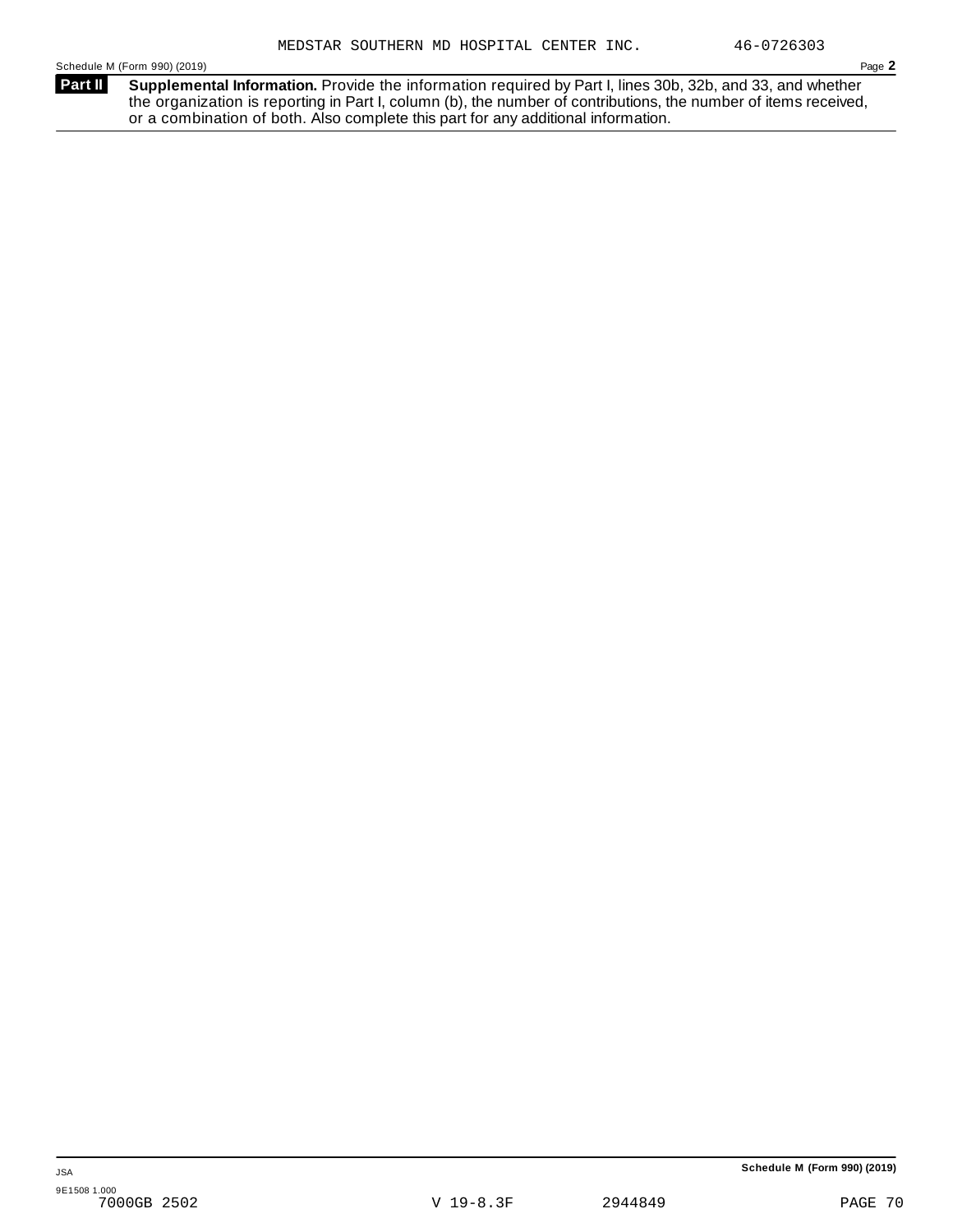**Supplemental Information.** Provide the information required by Part I, lines 30b, 32b, and 33, and whether the organization is reporting in Part I, column (b), the number of contributions, the number of items received, or a combination of both. Also complete this part for any additional information. **Part II**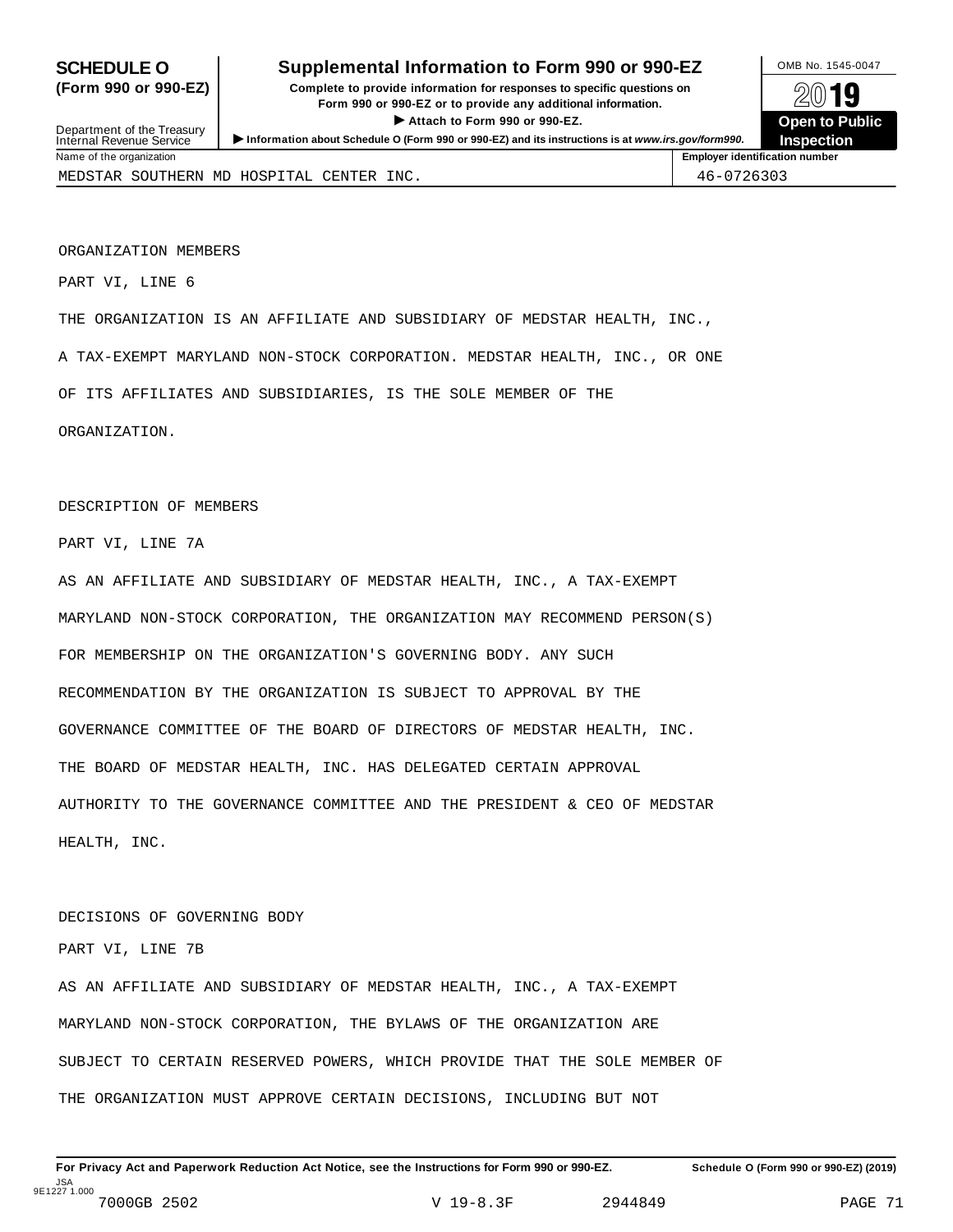## **SCHEDULE O** Supplemental Information to Form 990 or 990-EZ MB No. 1545-0047

**(Form 990 or 990-EZ) Complete to provide information for responses to specific questions on** plete to provide information for responses to specific questions on  $\mathbb{Z} \setminus \mathbb{R}$ **I Attach to Form 990 or 990-EZ.**<br>
Attach to Form 990 or 990-EZ.<br>
and a contract of Public and a contract of Public and a contract of the COP of Density of the COP of Density of A **Department of the Treasury III Department of the Treasury III Department of the Treasury III Department of the Treasury III Department of Pullishers in the Treasury III Department of Pu<br>Internal Revenue Service III Depar** 

MEDSTAR SOUTHERN MD HOSPITAL CENTER INC.  $\vert$  46-0726303

Name of the organization **Employer identification number Employer identification number** 

ORGANIZATION MEMBERS

PART VI, LINE 6

THE ORGANIZATION IS AN AFFILIATE AND SUBSIDIARY OF MEDSTAR HEALTH, INC.,

A TAX-EXEMPT MARYLAND NON-STOCK CORPORATION. MEDSTAR HEALTH, INC., OR ONE

OF ITS AFFILIATES AND SUBSIDIARIES, IS THE SOLE MEMBER OF THE

ORGANIZATION.

DESCRIPTION OF MEMBERS

PART VI, LINE 7A

AS AN AFFILIATE AND SUBSIDIARY OF MEDSTAR HEALTH, INC., A TAX-EXEMPT MARYLAND NON-STOCK CORPORATION, THE ORGANIZATION MAY RECOMMEND PERSON(S) FOR MEMBERSHIP ON THE ORGANIZATION'S GOVERNING BODY. ANY SUCH RECOMMENDATION BY THE ORGANIZATION IS SUBJECT TO APPROVAL BY THE GOVERNANCE COMMITTEE OF THE BOARD OF DIRECTORS OF MEDSTAR HEALTH, INC. THE BOARD OF MEDSTAR HEALTH, INC. HAS DELEGATED CERTAIN APPROVAL AUTHORITY TO THE GOVERNANCE COMMITTEE AND THE PRESIDENT & CEO OF MEDSTAR HEALTH, INC.

#### DECISIONS OF GOVERNING BODY

PART VI, LINE 7B

AS AN AFFILIATE AND SUBSIDIARY OF MEDSTAR HEALTH, INC., A TAX-EXEMPT MARYLAND NON-STOCK CORPORATION, THE BYLAWS OF THE ORGANIZATION ARE SUBJECT TO CERTAIN RESERVED POWERS, WHICH PROVIDE THAT THE SOLE MEMBER OF THE ORGANIZATION MUST APPROVE CERTAIN DECISIONS, INCLUDING BUT NOT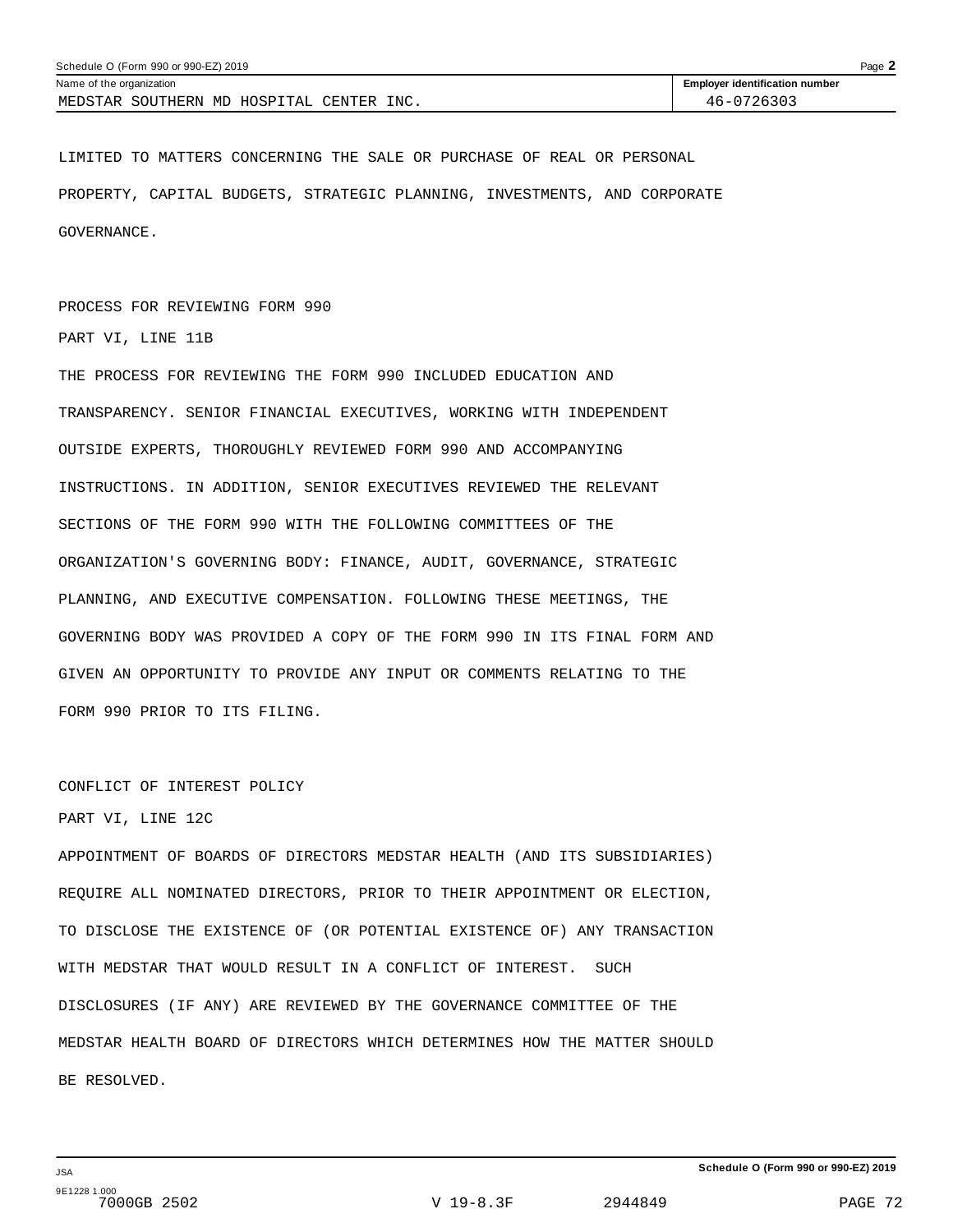| Schedule O (Form 990 or 990-EZ) 2019     |                                       | Page $\blacktriangle$ |
|------------------------------------------|---------------------------------------|-----------------------|
| Name of the organization                 | <b>Employer identification number</b> |                       |
| MEDSTAR SOUTHERN MD HOSPITAL CENTER INC. | 46-0726303                            |                       |

LIMITED TO MATTERS CONCERNING THE SALE OR PURCHASE OF REAL OR PERSONAL PROPERTY, CAPITAL BUDGETS, STRATEGIC PLANNING, INVESTMENTS, AND CORPORATE GOVERNANCE.

PROCESS FOR REVIEWING FORM 990

PART VI, LINE 11B

THE PROCESS FOR REVIEWING THE FORM 990 INCLUDED EDUCATION AND TRANSPARENCY. SENIOR FINANCIAL EXECUTIVES, WORKING WITH INDEPENDENT OUTSIDE EXPERTS, THOROUGHLY REVIEWED FORM 990 AND ACCOMPANYING INSTRUCTIONS. IN ADDITION, SENIOR EXECUTIVES REVIEWED THE RELEVANT SECTIONS OF THE FORM 990 WITH THE FOLLOWING COMMITTEES OF THE ORGANIZATION'S GOVERNING BODY: FINANCE, AUDIT, GOVERNANCE, STRATEGIC PLANNING, AND EXECUTIVE COMPENSATION. FOLLOWING THESE MEETINGS, THE GOVERNING BODY WAS PROVIDED A COPY OF THE FORM 990 IN ITS FINAL FORM AND GIVEN AN OPPORTUNITY TO PROVIDE ANY INPUT OR COMMENTS RELATING TO THE FORM 990 PRIOR TO ITS FILING.

CONFLICT OF INTEREST POLICY

### PART VI, LINE 12C

APPOINTMENT OF BOARDS OF DIRECTORS MEDSTAR HEALTH (AND ITS SUBSIDIARIES) REQUIRE ALL NOMINATED DIRECTORS, PRIOR TO THEIR APPOINTMENT OR ELECTION, TO DISCLOSE THE EXISTENCE OF (OR POTENTIAL EXISTENCE OF) ANY TRANSACTION WITH MEDSTAR THAT WOULD RESULT IN A CONFLICT OF INTEREST. SUCH DISCLOSURES (IF ANY) ARE REVIEWED BY THE GOVERNANCE COMMITTEE OF THE MEDSTAR HEALTH BOARD OF DIRECTORS WHICH DETERMINES HOW THE MATTER SHOULD BE RESOLVED.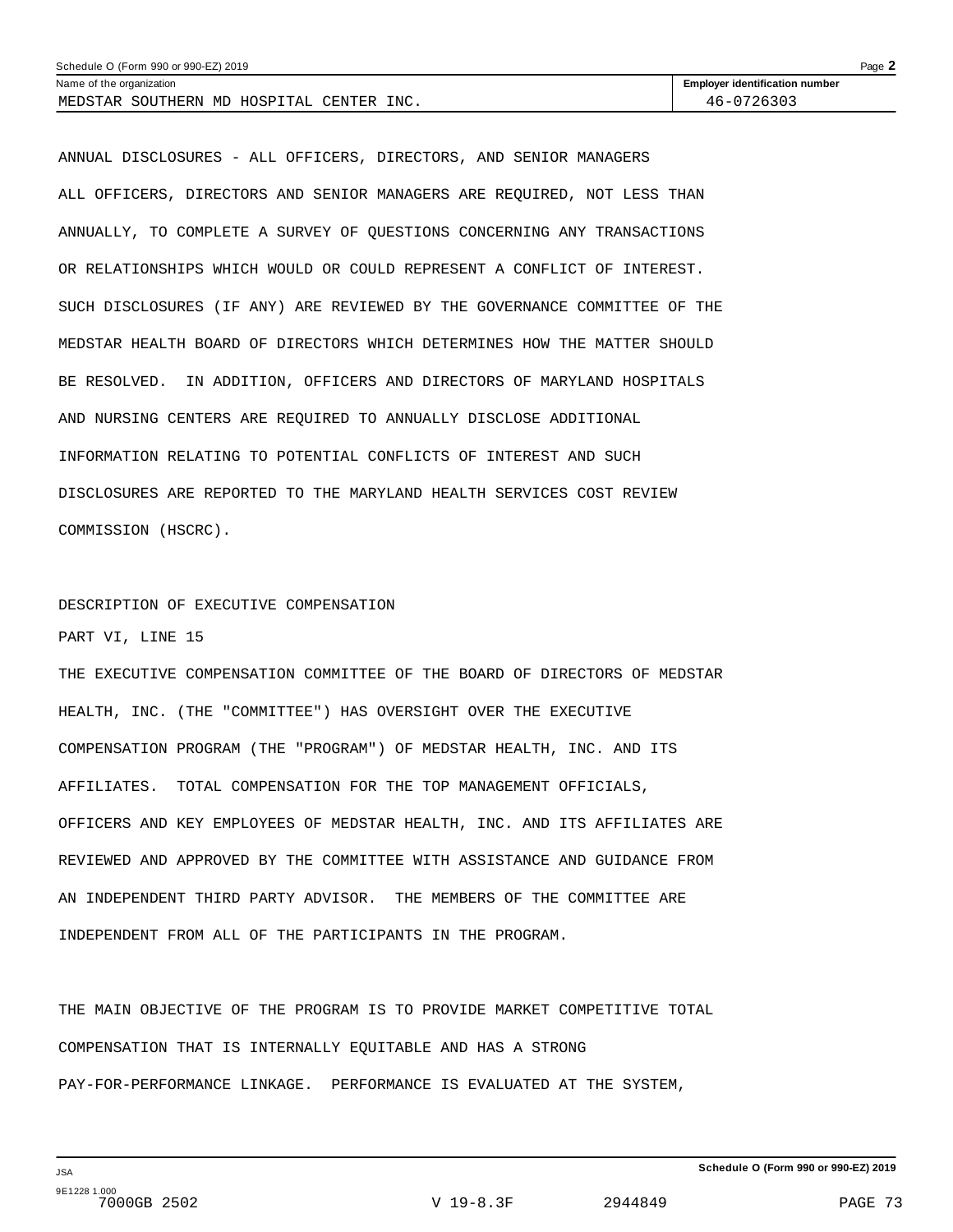| Schedule O (Form 990 or 990-EZ) 2019     |                                       | Page $\blacktriangle$ |
|------------------------------------------|---------------------------------------|-----------------------|
| Name of the organization                 | <b>Employer identification number</b> |                       |
| MEDSTAR SOUTHERN MD HOSPITAL CENTER INC. | 46-0726303                            |                       |

ANNUAL DISCLOSURES - ALL OFFICERS, DIRECTORS, AND SENIOR MANAGERS ALL OFFICERS, DIRECTORS AND SENIOR MANAGERS ARE REQUIRED, NOT LESS THAN ANNUALLY, TO COMPLETE A SURVEY OF QUESTIONS CONCERNING ANY TRANSACTIONS OR RELATIONSHIPS WHICH WOULD OR COULD REPRESENT A CONFLICT OF INTEREST. SUCH DISCLOSURES (IF ANY) ARE REVIEWED BY THE GOVERNANCE COMMITTEE OF THE MEDSTAR HEALTH BOARD OF DIRECTORS WHICH DETERMINES HOW THE MATTER SHOULD BE RESOLVED. IN ADDITION, OFFICERS AND DIRECTORS OF MARYLAND HOSPITALS AND NURSING CENTERS ARE REQUIRED TO ANNUALLY DISCLOSE ADDITIONAL INFORMATION RELATING TO POTENTIAL CONFLICTS OF INTEREST AND SUCH DISCLOSURES ARE REPORTED TO THE MARYLAND HEALTH SERVICES COST REVIEW COMMISSION (HSCRC).

## DESCRIPTION OF EXECUTIVE COMPENSATION PART VI, LINE 15

THE EXECUTIVE COMPENSATION COMMITTEE OF THE BOARD OF DIRECTORS OF MEDSTAR HEALTH, INC. (THE "COMMITTEE") HAS OVERSIGHT OVER THE EXECUTIVE COMPENSATION PROGRAM (THE "PROGRAM") OF MEDSTAR HEALTH, INC. AND ITS AFFILIATES. TOTAL COMPENSATION FOR THE TOP MANAGEMENT OFFICIALS, OFFICERS AND KEY EMPLOYEES OF MEDSTAR HEALTH, INC. AND ITS AFFILIATES ARE REVIEWED AND APPROVED BY THE COMMITTEE WITH ASSISTANCE AND GUIDANCE FROM AN INDEPENDENT THIRD PARTY ADVISOR. THE MEMBERS OF THE COMMITTEE ARE INDEPENDENT FROM ALL OF THE PARTICIPANTS IN THE PROGRAM.

THE MAIN OBJECTIVE OF THE PROGRAM IS TO PROVIDE MARKET COMPETITIVE TOTAL COMPENSATION THAT IS INTERNALLY EQUITABLE AND HAS A STRONG PAY-FOR-PERFORMANCE LINKAGE. PERFORMANCE IS EVALUATED AT THE SYSTEM,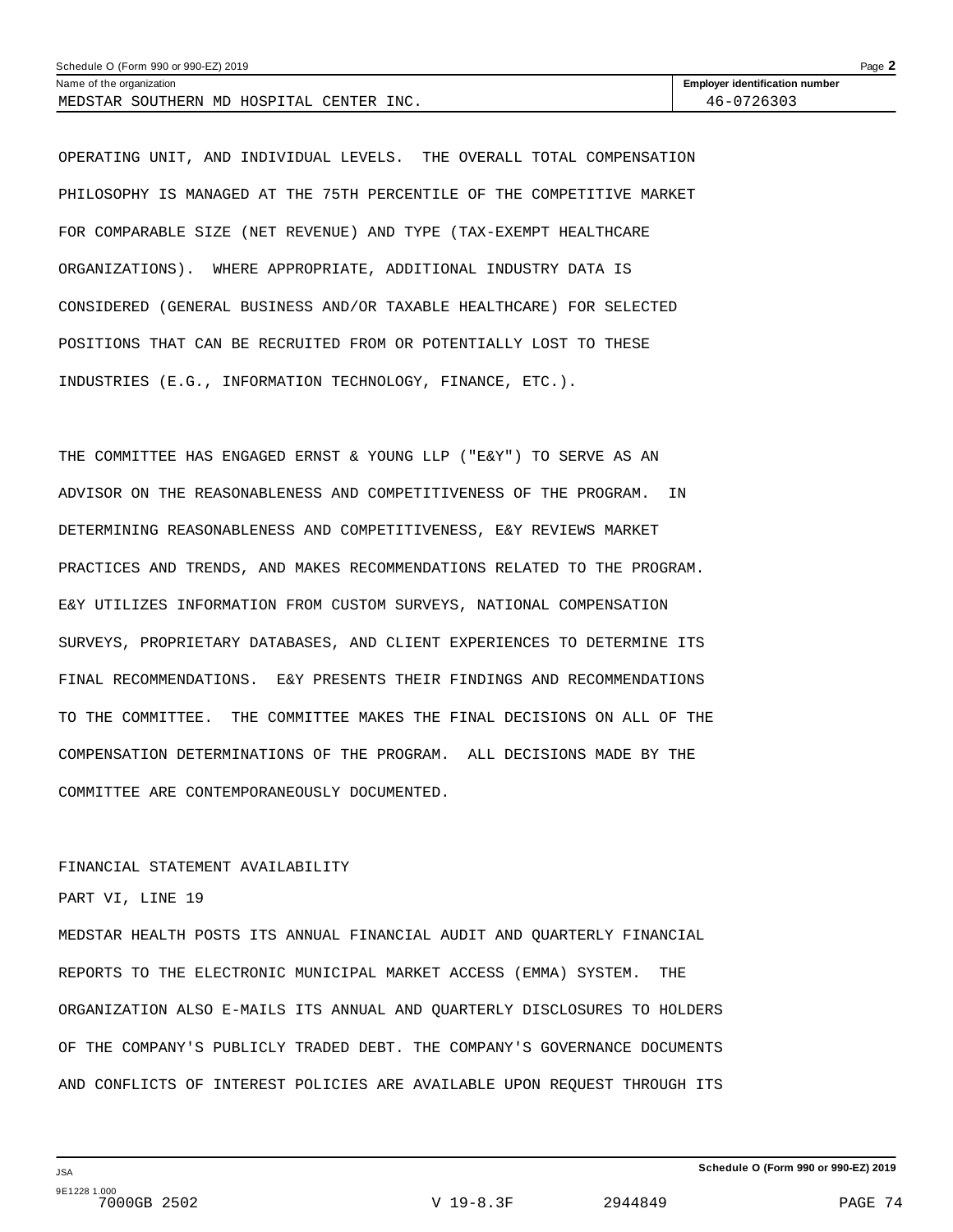| Schedule O (Form 990 or 990-EZ) 2019<br>Page $\blacktriangle$ |                                       |  |  |
|---------------------------------------------------------------|---------------------------------------|--|--|
| Name of the organization                                      | <b>Employer identification number</b> |  |  |
| MEDSTAR SOUTHERN MD HOSPITAL CENTER INC.                      | 46-0726303                            |  |  |

OPERATING UNIT, AND INDIVIDUAL LEVELS. THE OVERALL TOTAL COMPENSATION PHILOSOPHY IS MANAGED AT THE 75TH PERCENTILE OF THE COMPETITIVE MARKET FOR COMPARABLE SIZE (NET REVENUE) AND TYPE (TAX-EXEMPT HEALTHCARE ORGANIZATIONS). WHERE APPROPRIATE, ADDITIONAL INDUSTRY DATA IS CONSIDERED (GENERAL BUSINESS AND/OR TAXABLE HEALTHCARE) FOR SELECTED POSITIONS THAT CAN BE RECRUITED FROM OR POTENTIALLY LOST TO THESE INDUSTRIES (E.G., INFORMATION TECHNOLOGY, FINANCE, ETC.).

THE COMMITTEE HAS ENGAGED ERNST & YOUNG LLP ("E&Y") TO SERVE AS AN ADVISOR ON THE REASONABLENESS AND COMPETITIVENESS OF THE PROGRAM. IN DETERMINING REASONABLENESS AND COMPETITIVENESS, E&Y REVIEWS MARKET PRACTICES AND TRENDS, AND MAKES RECOMMENDATIONS RELATED TO THE PROGRAM. E&Y UTILIZES INFORMATION FROM CUSTOM SURVEYS, NATIONAL COMPENSATION SURVEYS, PROPRIETARY DATABASES, AND CLIENT EXPERIENCES TO DETERMINE ITS FINAL RECOMMENDATIONS. E&Y PRESENTS THEIR FINDINGS AND RECOMMENDATIONS TO THE COMMITTEE. THE COMMITTEE MAKES THE FINAL DECISIONS ON ALL OF THE COMPENSATION DETERMINATIONS OF THE PROGRAM. ALL DECISIONS MADE BY THE COMMITTEE ARE CONTEMPORANEOUSLY DOCUMENTED.

### FINANCIAL STATEMENT AVAILABILITY

### PART VI, LINE 19

MEDSTAR HEALTH POSTS ITS ANNUAL FINANCIAL AUDIT AND QUARTERLY FINANCIAL REPORTS TO THE ELECTRONIC MUNICIPAL MARKET ACCESS (EMMA) SYSTEM. THE ORGANIZATION ALSO E-MAILS ITS ANNUAL AND QUARTERLY DISCLOSURES TO HOLDERS OF THE COMPANY'S PUBLICLY TRADED DEBT. THE COMPANY'S GOVERNANCE DOCUMENTS AND CONFLICTS OF INTEREST POLICIES ARE AVAILABLE UPON REQUEST THROUGH ITS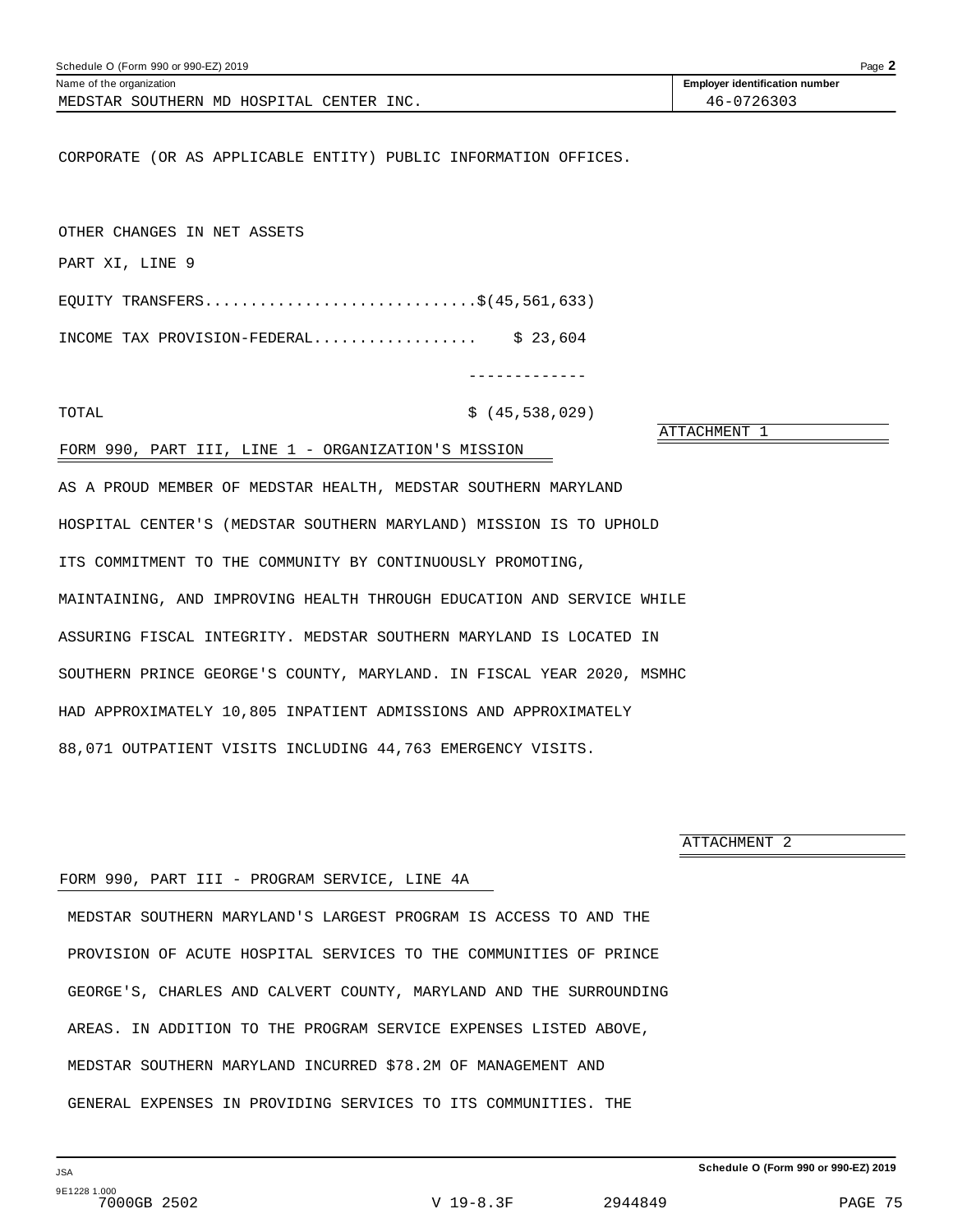| Schedule O (Form 990 or 990-EZ) 2019                                  | Page 2                                |
|-----------------------------------------------------------------------|---------------------------------------|
| Name of the organization                                              | <b>Employer identification number</b> |
| MEDSTAR SOUTHERN MD HOSPITAL CENTER INC.                              | 46-0726303                            |
|                                                                       |                                       |
| CORPORATE (OR AS APPLICABLE ENTITY) PUBLIC INFORMATION OFFICES.       |                                       |
|                                                                       |                                       |
|                                                                       |                                       |
| OTHER CHANGES IN NET ASSETS                                           |                                       |
| PART XI, LINE 9                                                       |                                       |
| EQUITY TRANSFERS\$(45,561,633)                                        |                                       |
| INCOME TAX PROVISION-FEDERAL \$ 23,604                                |                                       |
|                                                                       |                                       |
| . _ _ _ _ _ _ _ _ _ _ _ _                                             |                                       |
| \$(45, 538, 029)<br>TOTAL                                             |                                       |
| FORM 990, PART III, LINE 1 - ORGANIZATION'S MISSION                   | ATTACHMENT 1                          |
|                                                                       |                                       |
| AS A PROUD MEMBER OF MEDSTAR HEALTH, MEDSTAR SOUTHERN MARYLAND        |                                       |
| HOSPITAL CENTER'S (MEDSTAR SOUTHERN MARYLAND) MISSION IS TO UPHOLD    |                                       |
| ITS COMMITMENT TO THE COMMUNITY BY CONTINUOUSLY PROMOTING,            |                                       |
|                                                                       |                                       |
| MAINTAINING, AND IMPROVING HEALTH THROUGH EDUCATION AND SERVICE WHILE |                                       |
| ASSURING FISCAL INTEGRITY. MEDSTAR SOUTHERN MARYLAND IS LOCATED IN    |                                       |
| SOUTHERN PRINCE GEORGE'S COUNTY, MARYLAND. IN FISCAL YEAR 2020, MSMHC |                                       |
|                                                                       |                                       |
| HAD APPROXIMATELY 10,805 INPATIENT ADMISSIONS AND APPROXIMATELY       |                                       |

ATTACHMENT 2

### FORM 990, PART III - PROGRAM SERVICE, LINE 4A

88,071 OUTPATIENT VISITS INCLUDING 44,763 EMERGENCY VISITS.

MEDSTAR SOUTHERN MARYLAND'S LARGEST PROGRAM IS ACCESS TO AND THE PROVISION OF ACUTE HOSPITAL SERVICES TO THE COMMUNITIES OF PRINCE GEORGE'S, CHARLES AND CALVERT COUNTY, MARYLAND AND THE SURROUNDING AREAS. IN ADDITION TO THE PROGRAM SERVICE EXPENSES LISTED ABOVE, MEDSTAR SOUTHERN MARYLAND INCURRED \$78.2M OF MANAGEMENT AND GENERAL EXPENSES IN PROVIDING SERVICES TO ITS COMMUNITIES. THE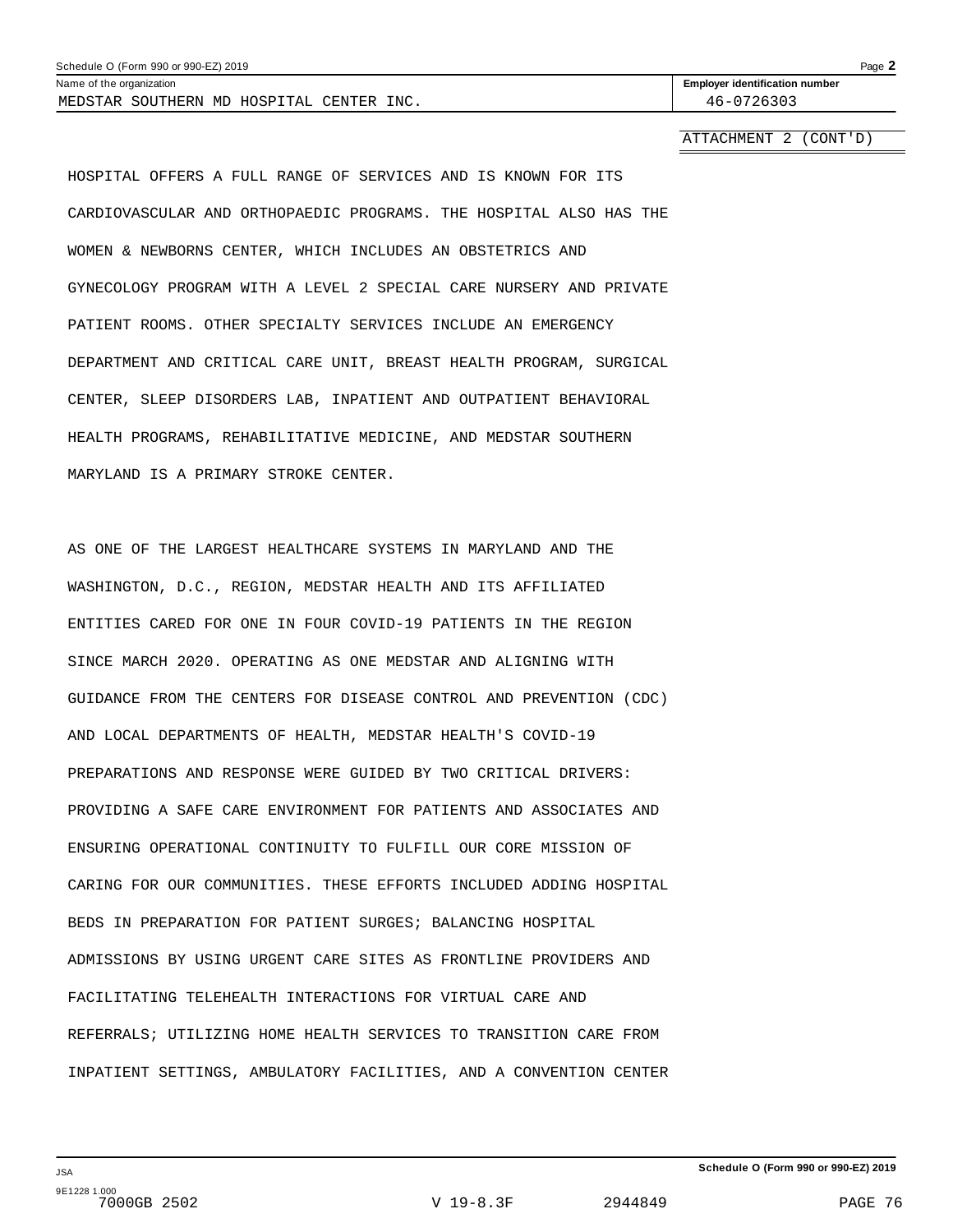| 2019<br>$990$ or 99<br>Schedule<br>nnn.<br>(Form<br>.<br>,,,,,, | Page |
|-----------------------------------------------------------------|------|
|                                                                 |      |

MEDSTAR SOUTHERN MD HOSPITAL CENTER INC.  $\vert$  46-0726303

Name of the organization **Employer identification number Employer identification number** 

ATTACHMENT 2 (CONT'D)

HOSPITAL OFFERS A FULL RANGE OF SERVICES AND IS KNOWN FOR ITS CARDIOVASCULAR AND ORTHOPAEDIC PROGRAMS. THE HOSPITAL ALSO HAS THE WOMEN & NEWBORNS CENTER, WHICH INCLUDES AN OBSTETRICS AND GYNECOLOGY PROGRAM WITH A LEVEL 2 SPECIAL CARE NURSERY AND PRIVATE PATIENT ROOMS. OTHER SPECIALTY SERVICES INCLUDE AN EMERGENCY DEPARTMENT AND CRITICAL CARE UNIT, BREAST HEALTH PROGRAM, SURGICAL CENTER, SLEEP DISORDERS LAB, INPATIENT AND OUTPATIENT BEHAVIORAL HEALTH PROGRAMS, REHABILITATIVE MEDICINE, AND MEDSTAR SOUTHERN MARYLAND IS A PRIMARY STROKE CENTER.

AS ONE OF THE LARGEST HEALTHCARE SYSTEMS IN MARYLAND AND THE WASHINGTON, D.C., REGION, MEDSTAR HEALTH AND ITS AFFILIATED ENTITIES CARED FOR ONE IN FOUR COVID-19 PATIENTS IN THE REGION SINCE MARCH 2020. OPERATING AS ONE MEDSTAR AND ALIGNING WITH GUIDANCE FROM THE CENTERS FOR DISEASE CONTROL AND PREVENTION (CDC) AND LOCAL DEPARTMENTS OF HEALTH, MEDSTAR HEALTH'S COVID-19 PREPARATIONS AND RESPONSE WERE GUIDED BY TWO CRITICAL DRIVERS: PROVIDING A SAFE CARE ENVIRONMENT FOR PATIENTS AND ASSOCIATES AND ENSURING OPERATIONAL CONTINUITY TO FULFILL OUR CORE MISSION OF CARING FOR OUR COMMUNITIES. THESE EFFORTS INCLUDED ADDING HOSPITAL BEDS IN PREPARATION FOR PATIENT SURGES; BALANCING HOSPITAL ADMISSIONS BY USING URGENT CARE SITES AS FRONTLINE PROVIDERS AND FACILITATING TELEHEALTH INTERACTIONS FOR VIRTUAL CARE AND REFERRALS; UTILIZING HOME HEALTH SERVICES TO TRANSITION CARE FROM INPATIENT SETTINGS, AMBULATORY FACILITIES, AND A CONVENTION CENTER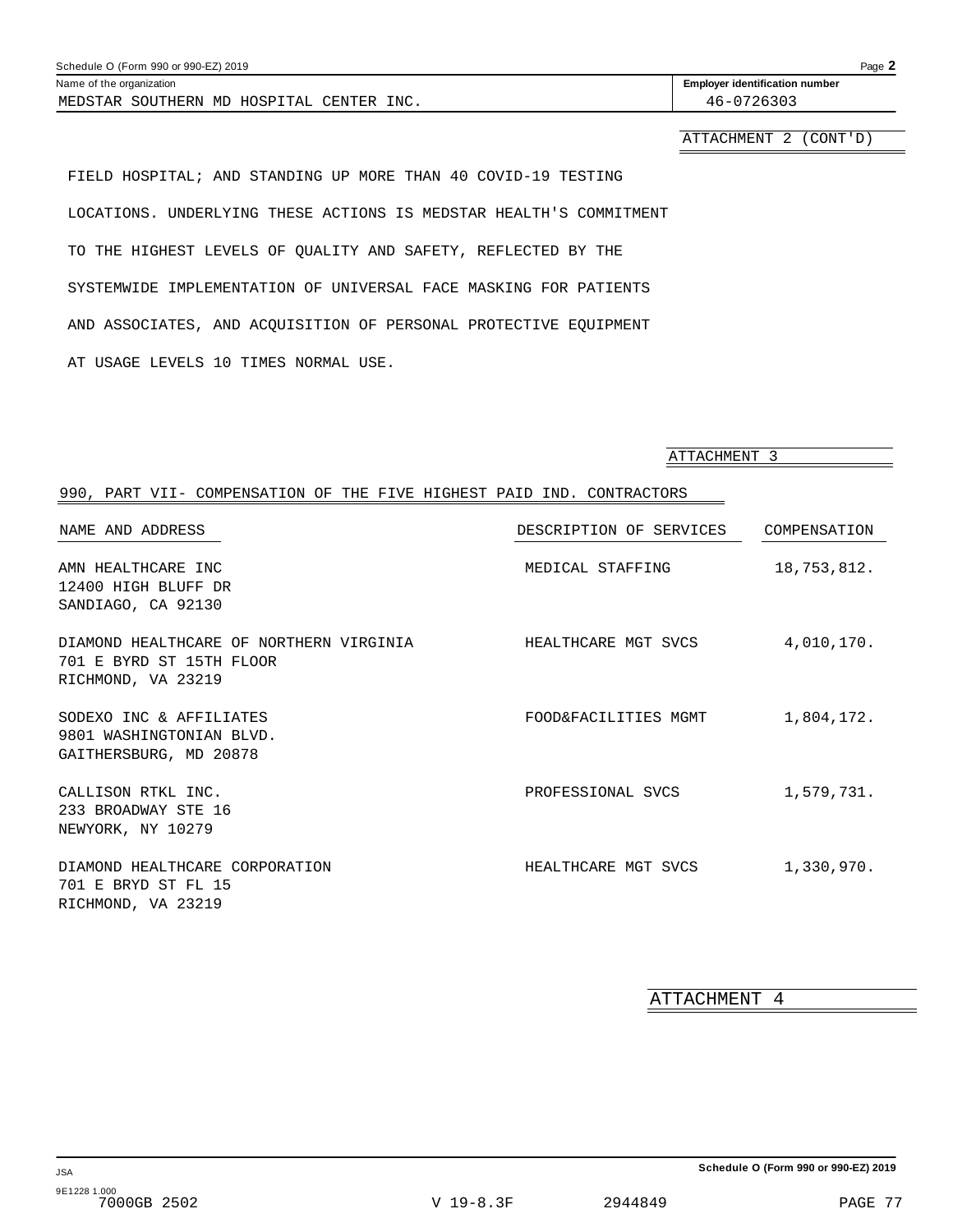| Schedule O (Form 990 or 990-EZ) 2019     |                                       | Page 2 |
|------------------------------------------|---------------------------------------|--------|
| Name of the organization                 | <b>Employer identification number</b> |        |
| MEDSTAR SOUTHERN MD HOSPITAL CENTER INC. | 46-0726303                            |        |
|                                          |                                       |        |

ATTACHMENT 2 (CONT'D)

FIELD HOSPITAL; AND STANDING UP MORE THAN 40 COVID-19 TESTING LOCATIONS. UNDERLYING THESE ACTIONS IS MEDSTAR HEALTH'S COMMITMENT TO THE HIGHEST LEVELS OF QUALITY AND SAFETY, REFLECTED BY THE SYSTEMWIDE IMPLEMENTATION OF UNIVERSAL FACE MASKING FOR PATIENTS AND ASSOCIATES, AND ACQUISITION OF PERSONAL PROTECTIVE EQUIPMENT AT USAGE LEVELS 10 TIMES NORMAL USE.

ATTACHMENT 3

### 990, PART VII- COMPENSATION OF THE FIVE HIGHEST PAID IND. CONTRACTORS

| NAME AND ADDRESS                                                                          | DESCRIPTION OF SERVICES | COMPENSATION |
|-------------------------------------------------------------------------------------------|-------------------------|--------------|
| AMN HEALTHCARE INC<br>12400 HIGH BLUFF DR<br>SANDIAGO, CA 92130                           | MEDICAL STAFFING        | 18,753,812.  |
| DIAMOND HEALTHCARE OF NORTHERN VIRGINIA<br>701 E BYRD ST 15TH FLOOR<br>RICHMOND, VA 23219 | HEALTHCARE MGT SVCS     | 4,010,170.   |
| SODEXO INC & AFFILIATES<br>9801 WASHINGTONIAN BLVD.<br>GAITHERSBURG, MD 20878             | FOOD&FACILITIES MGMT    | 1,804,172.   |
| CALLISON RTKL INC.<br>233 BROADWAY STE 16<br>NEWYORK, NY 10279                            | PROFESSIONAL SVCS       | 1,579,731.   |
| DIAMOND HEALTHCARE CORPORATION<br>701 E BRYD ST FL 15<br>RICHMOND, VA 23219               | HEALTHCARE MGT SVCS     | 1,330,970.   |

ATTACHMENT 4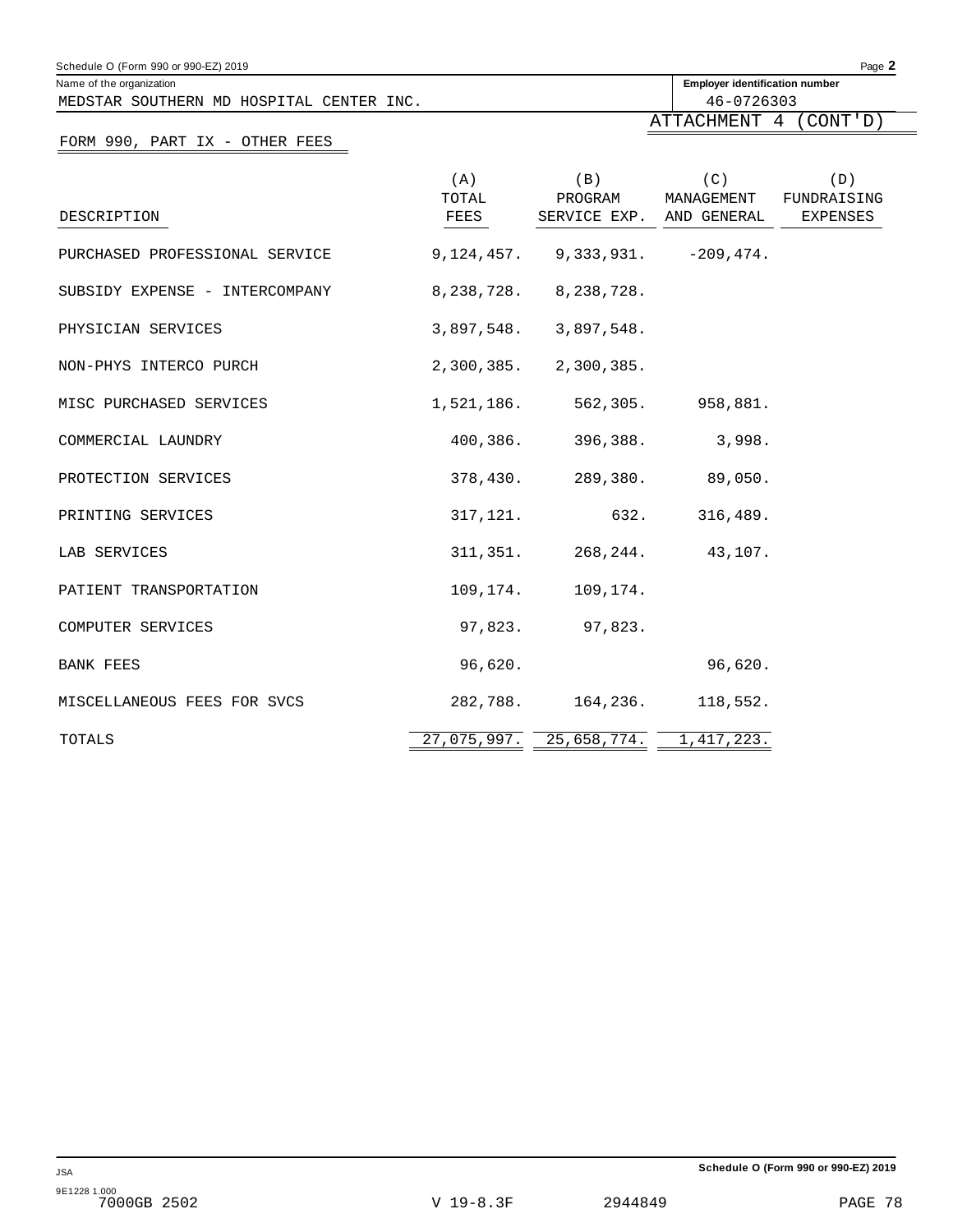| Schedule O (Form 990 or 990-EZ) 2019                                 |                      |                           |                                                     | Page 2                         |
|----------------------------------------------------------------------|----------------------|---------------------------|-----------------------------------------------------|--------------------------------|
| Name of the organization<br>MEDSTAR SOUTHERN MD HOSPITAL CENTER INC. |                      |                           | <b>Employer identification number</b><br>46-0726303 |                                |
|                                                                      |                      |                           | ATTACHMENT 4                                        | (CONT' D)                      |
| FORM 990, PART IX - OTHER FEES                                       |                      |                           |                                                     |                                |
| DESCRIPTION                                                          | (A)<br>TOTAL<br>FEES | (B)<br>PROGRAM            | (C)<br>MANAGEMENT<br>SERVICE EXP. AND GENERAL       | (D)<br>FUNDRAISING<br>EXPENSES |
| PURCHASED PROFESSIONAL SERVICE                                       |                      |                           | $9, 124, 457.$ $9, 333, 931.$ $-209, 474.$          |                                |
| SUBSIDY EXPENSE - INTERCOMPANY                                       |                      | 8, 238, 728. 8, 238, 728. |                                                     |                                |
| PHYSICIAN SERVICES                                                   |                      | $3,897,548.$ $3,897,548.$ |                                                     |                                |
| NON-PHYS INTERCO PURCH                                               |                      | 2,300,385. 2,300,385.     |                                                     |                                |
| MISC PURCHASED SERVICES                                              | 1,521,186.           | 562,305.                  | 958,881.                                            |                                |
| COMMERCIAL LAUNDRY                                                   | 400,386.             | 396,388.                  | 3,998.                                              |                                |
| PROTECTION SERVICES                                                  | 378,430.             |                           | 289,380. 89,050.                                    |                                |
| PRINTING SERVICES                                                    | 317, 121.            |                           | 632.<br>316,489.                                    |                                |
| LAB SERVICES                                                         | 311,351.             | 268,244.                  | 43,107.                                             |                                |
| PATIENT TRANSPORTATION                                               | 109,174.             | 109,174.                  |                                                     |                                |
| COMPUTER SERVICES                                                    | 97,823.              | 97,823.                   |                                                     |                                |
| BANK FEES                                                            | 96,620.              |                           | 96,620.                                             |                                |
| MISCELLANEOUS FEES FOR SVCS                                          | 282,788.             | 164,236.                  | 118,552.                                            |                                |
| TOTALS                                                               | 27,075,997.          | 25,658,774.               | 1, 417, 223.                                        |                                |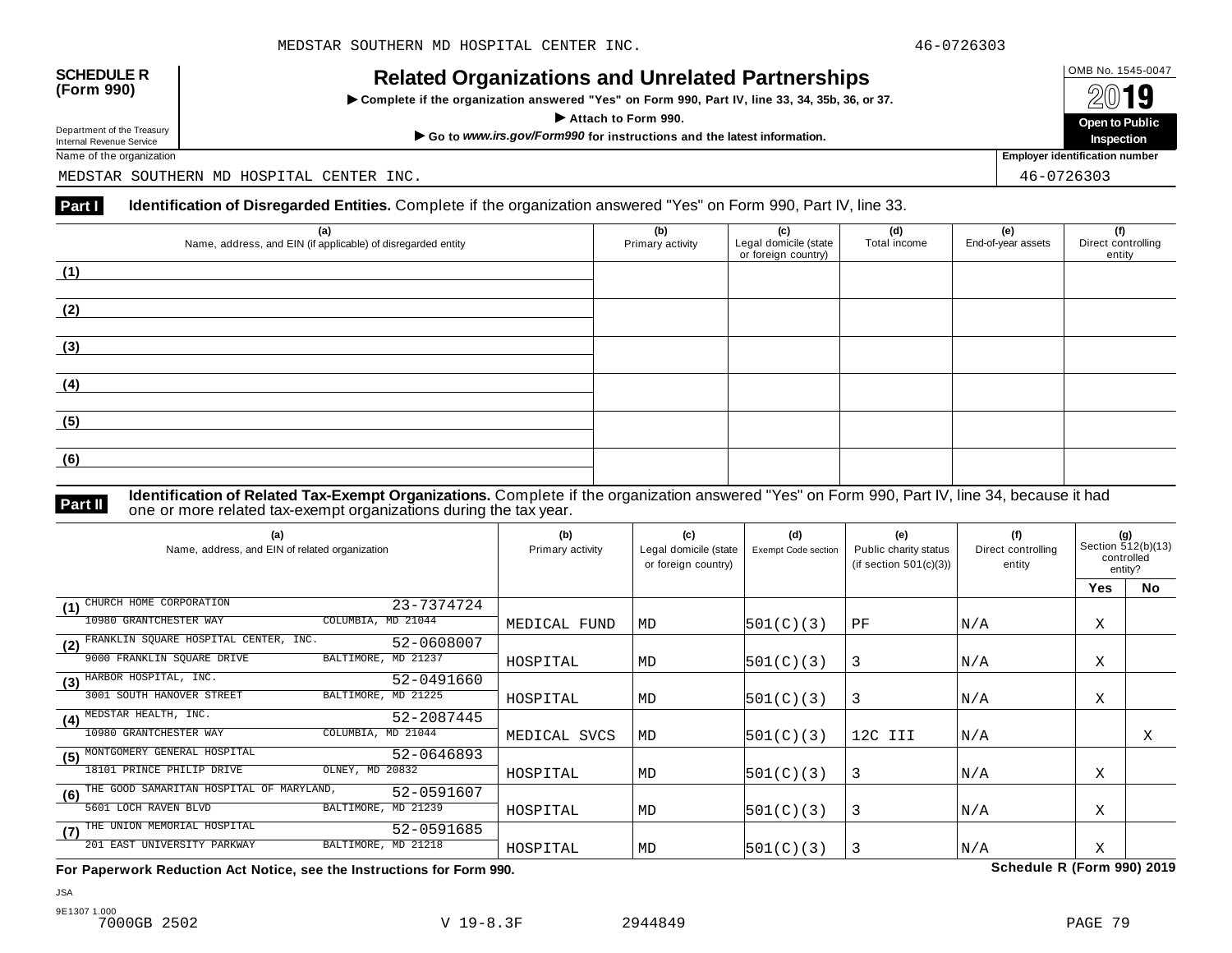INCIALCU OF GATIZATIONS AND ON CIALCUT AFTIC STIPS<br>► Complete if the organization answered "Yes" on Form 990, Part IV, line 33, 34, 35b, 36, or 37. △ △ △ △ △



Name of the organization **Employer identification number Employer identification number** 

MEDSTAR SOUTHERN MD HOSPITAL CENTER INC. 46-0726303

### **Part I** Identification of Disregarded Entities. Complete if the organization answered "Yes" on Form 990, Part IV, line 33.

| (a)<br>Name, address, and EIN (if applicable) of disregarded entity | (b)<br>Primary activity | (c)<br>Legal domicile (state<br>or foreign country) | (d)<br>Total income | (e)<br>End-of-year assets | (f)<br>Direct controlling<br>entity |
|---------------------------------------------------------------------|-------------------------|-----------------------------------------------------|---------------------|---------------------------|-------------------------------------|
| (1)                                                                 |                         |                                                     |                     |                           |                                     |
| (2)                                                                 |                         |                                                     |                     |                           |                                     |
| (3)                                                                 |                         |                                                     |                     |                           |                                     |
| (4)                                                                 |                         |                                                     |                     |                           |                                     |
| (5)                                                                 |                         |                                                     |                     |                           |                                     |
| (6)                                                                 |                         |                                                     |                     |                           |                                     |

**Identification of Related Tax-Exempt Organizations.** Complete if the organization answered "Yes" on Form 990, Part IV, line 34, because it had **Part II one or more related tax-exempt organizations during the tax year. Part II one or more related tax-exempt organizations during the tax year.** 

| (a)<br>Name, address, and EIN of related organization         | (b)<br>Primary activity | (c)<br>Legal domicile (state<br>or foreign country) | (d)<br><b>Exempt Code section</b> | (e)<br>Public charity status<br>(if section $501(c)(3)$ ) | (f)<br>Direct controlling<br>entity | (g)<br>Section 512(b)(13)<br>controlled<br>entity? |           |
|---------------------------------------------------------------|-------------------------|-----------------------------------------------------|-----------------------------------|-----------------------------------------------------------|-------------------------------------|----------------------------------------------------|-----------|
|                                                               |                         |                                                     |                                   |                                                           |                                     | Yes                                                | <b>No</b> |
| CHURCH HOME CORPORATION<br>23-7374724<br>(1)                  |                         |                                                     |                                   |                                                           |                                     |                                                    |           |
| COLUMBIA, MD 21044<br>10980 GRANTCHESTER WAY                  | MEDICAL FUND            | MD                                                  | 501(C)(3)                         | PF                                                        | N/A                                 | Χ                                                  |           |
| FRANKLIN SQUARE HOSPITAL CENTER, INC.<br>52-0608007<br>(2)    |                         |                                                     |                                   |                                                           |                                     |                                                    |           |
| BALTIMORE, MD 21237<br>9000 FRANKLIN SQUARE DRIVE             | HOSPITAL                | MD                                                  | 501(C)(3)                         | 3                                                         | N/A                                 | Χ                                                  |           |
| HARBOR HOSPITAL, INC.<br>52-0491660<br>(3)                    |                         |                                                     |                                   |                                                           |                                     |                                                    |           |
| 3001 SOUTH HANOVER STREET<br>BALTIMORE, MD 21225              | HOSPITAL                | MD                                                  | 501(C)(3)                         | 3                                                         | N/A                                 | Χ                                                  |           |
| MEDSTAR HEALTH, INC.<br>52-2087445<br>(4)                     |                         |                                                     |                                   |                                                           |                                     |                                                    |           |
| 10980 GRANTCHESTER WAY<br>COLUMBIA, MD 21044                  | MEDICAL SVCS            | MD                                                  | 501(C)(3)                         | 12C III                                                   | N/A                                 |                                                    | Χ         |
| MONTGOMERY GENERAL HOSPITAL<br>52-0646893<br>(5)              |                         |                                                     |                                   |                                                           |                                     |                                                    |           |
| 18101 PRINCE PHILIP DRIVE<br>OLNEY, MD 20832                  | HOSPITAL                | MD                                                  | 501(C)(3)                         | 3                                                         | N/A                                 | Χ                                                  |           |
| THE GOOD SAMARITAN HOSPITAL OF MARYLAND,<br>52-0591607<br>(6) |                         |                                                     |                                   |                                                           |                                     |                                                    |           |
| 5601 LOCH RAVEN BLVD<br>BALTIMORE, MD 21239                   | HOSPITAL                | MD                                                  | 501(C)(3)                         | 3                                                         | N/A                                 | Χ                                                  |           |
| THE UNION MEMORIAL HOSPITAL<br>52-0591685<br>(7)              |                         |                                                     |                                   |                                                           |                                     |                                                    |           |
| BALTIMORE, MD 21218<br>201 EAST UNIVERSITY PARKWAY            | HOSPITAL                | MD                                                  | 501(C)(3)                         | 3                                                         | N/A                                 | X                                                  |           |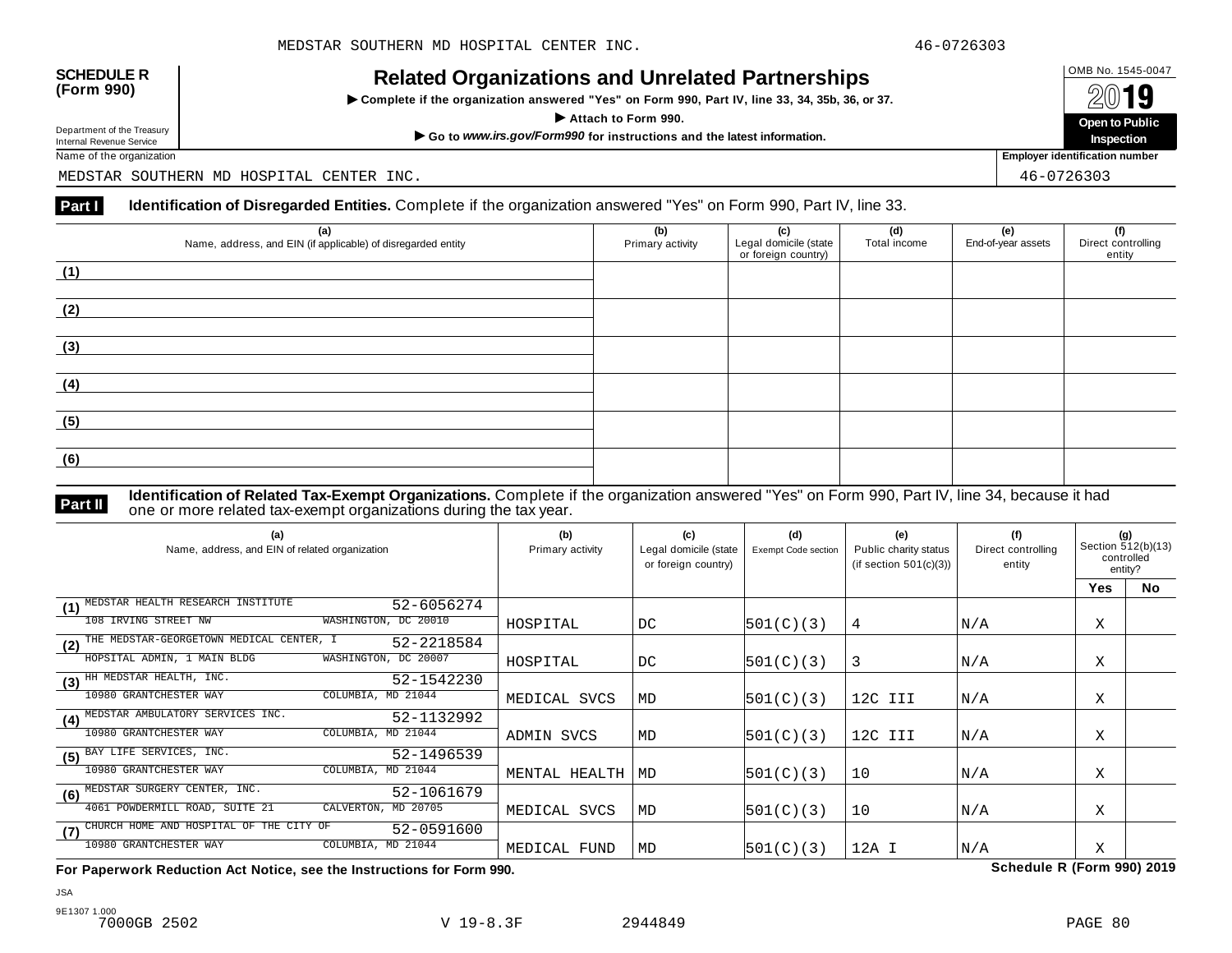INCIALCU OF GATIZATIONS AND ON CIALCUT AFTIC STIPS<br>► Complete if the organization answered "Yes" on Form 990, Part IV, line 33, 34, 35b, 36, or 37. △ △ △ △ △



Name of the organization **Employer identification number Employer identification number** 

MEDSTAR SOUTHERN MD HOSPITAL CENTER INC. 46-0726303

### **Part I** Identification of Disregarded Entities. Complete if the organization answered "Yes" on Form 990, Part IV, line 33.

| (a)<br>Name, address, and EIN (if applicable) of disregarded entity | (b)<br>Primary activity | (c)<br>Legal domicile (state<br>or foreign country) | (d)<br>Total income | (e)<br>End-of-year assets | (f)<br>Direct controlling<br>entity |
|---------------------------------------------------------------------|-------------------------|-----------------------------------------------------|---------------------|---------------------------|-------------------------------------|
| (1)                                                                 |                         |                                                     |                     |                           |                                     |
| (2)                                                                 |                         |                                                     |                     |                           |                                     |
| (3)                                                                 |                         |                                                     |                     |                           |                                     |
| (4)                                                                 |                         |                                                     |                     |                           |                                     |
| (5)                                                                 |                         |                                                     |                     |                           |                                     |
| (6)                                                                 |                         |                                                     |                     |                           |                                     |

**Identification of Related Tax-Exempt Organizations.** Complete if the organization answered "Yes" on Form 990, Part IV, line 34, because it had **Part II one or more related tax-exempt organizations during the tax year. Part II one or more related tax-exempt organizations during the tax year.** 

| (a)<br>Name, address, and EIN of related organization         | (b)<br>Primary activity | (c)<br>Legal domicile (state<br>or foreign country) | (d)<br><b>Exempt Code section</b> | (e)<br>Public charity status<br>(if section $501(c)(3)$ ) | (f)<br>Direct controlling<br>entity | (g)<br>Section 512(b)(13)<br>controlled<br>entity? |           |
|---------------------------------------------------------------|-------------------------|-----------------------------------------------------|-----------------------------------|-----------------------------------------------------------|-------------------------------------|----------------------------------------------------|-----------|
|                                                               |                         |                                                     |                                   |                                                           |                                     | Yes                                                | <b>No</b> |
| MEDSTAR HEALTH RESEARCH INSTITUTE<br>52-6056274<br>(1)        |                         |                                                     |                                   |                                                           |                                     |                                                    |           |
| WASHINGTON, DC 20010<br>108 IRVING STREET NW                  | HOSPITAL                | DC                                                  | 501(C)(3)                         | 4                                                         | N/A                                 | Χ                                                  |           |
| THE MEDSTAR-GEORGETOWN MEDICAL CENTER, I<br>52-2218584<br>(2) |                         |                                                     |                                   |                                                           |                                     |                                                    |           |
| WASHINGTON, DC 20007<br>HOPSITAL ADMIN, 1 MAIN BLDG           | HOSPITAL                | DC.                                                 | 501(C)(3)                         | 3                                                         | N/A                                 | Χ                                                  |           |
| HH MEDSTAR HEALTH, INC.<br>52-1542230<br>(3)                  |                         |                                                     |                                   |                                                           |                                     |                                                    |           |
| 10980 GRANTCHESTER WAY<br>COLUMBIA, MD 21044                  | MEDICAL SVCS            | MD                                                  | 501(C)(3)                         | 12C III                                                   | N/A                                 | Χ                                                  |           |
| MEDSTAR AMBULATORY SERVICES INC.<br>52-1132992<br>(4)         |                         |                                                     |                                   |                                                           |                                     |                                                    |           |
| 10980 GRANTCHESTER WAY<br>COLUMBIA, MD 21044                  | ADMIN SVCS              | MD                                                  | 501(C)(3)                         | 12C III                                                   | N/A                                 | Χ                                                  |           |
| BAY LIFE SERVICES, INC.<br>52-1496539<br>(5)                  |                         |                                                     |                                   |                                                           |                                     |                                                    |           |
| 10980 GRANTCHESTER WAY<br>COLUMBIA, MD 21044                  | MENTAL HEALTH           | MD                                                  | 501(C)(3)                         | 10                                                        | N/A                                 | Χ                                                  |           |
| MEDSTAR SURGERY CENTER, INC.<br>52-1061679<br>(6)             |                         |                                                     |                                   |                                                           |                                     |                                                    |           |
| 4061 POWDERMILL ROAD, SUITE 21<br>CALVERTON, MD 20705         | MEDICAL SVCS            | MD                                                  | 501(C)(3)                         | 10                                                        | N/A                                 | Χ                                                  |           |
| CHURCH HOME AND HOSPITAL OF THE CITY OF<br>52-0591600<br>(7)  |                         |                                                     |                                   |                                                           |                                     |                                                    |           |
| COLUMBIA, MD 21044<br>10980 GRANTCHESTER WAY                  | MEDICAL FUND            | MD                                                  | 501(C)(3)                         | 12A I                                                     | N/A                                 | Χ                                                  |           |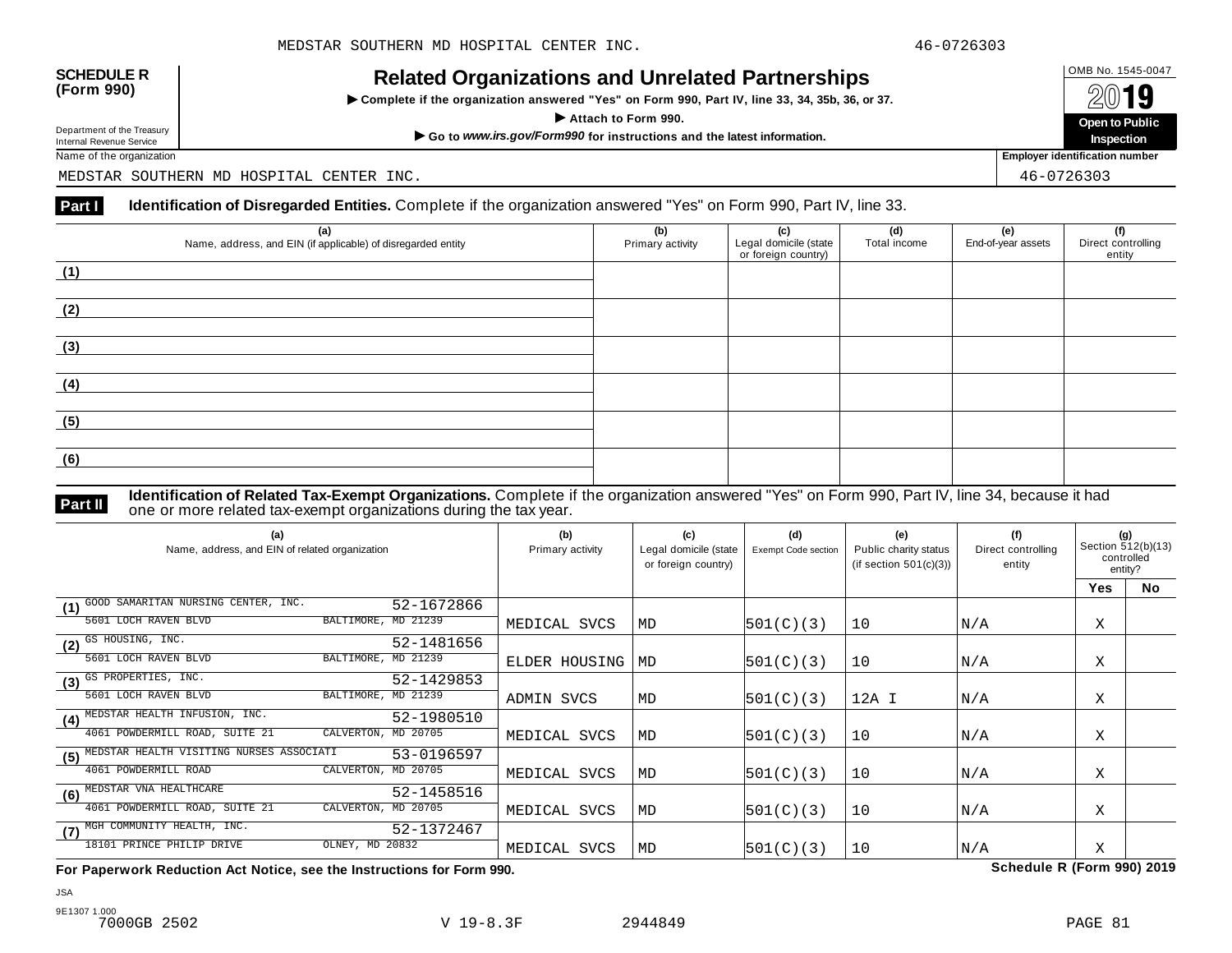INCIALCU OF GATIZATIONS AND ON CIALCUT AFTIC STIPS<br>► Complete if the organization answered "Yes" on Form 990, Part IV, line 33, 34, 35b, 36, or 37. △ △ △ △ △



Name of the organization **Employer identification number Employer identification number** 

MEDSTAR SOUTHERN MD HOSPITAL CENTER INC. 46-0726303

### **Part I** Identification of Disregarded Entities. Complete if the organization answered "Yes" on Form 990, Part IV, line 33.

| (a)<br>Name, address, and EIN (if applicable) of disregarded entity | (b)<br>Primary activity | (c)<br>Legal domicile (state<br>or foreign country) | (d)<br>Total income | (e)<br>End-of-year assets | (f)<br>Direct controlling<br>entity |
|---------------------------------------------------------------------|-------------------------|-----------------------------------------------------|---------------------|---------------------------|-------------------------------------|
| (1)                                                                 |                         |                                                     |                     |                           |                                     |
| (2)                                                                 |                         |                                                     |                     |                           |                                     |
| (3)                                                                 |                         |                                                     |                     |                           |                                     |
| (4)                                                                 |                         |                                                     |                     |                           |                                     |
| (5)                                                                 |                         |                                                     |                     |                           |                                     |
| (6)                                                                 |                         |                                                     |                     |                           |                                     |

**Identification of Related Tax-Exempt Organizations.** Complete if the organization answered "Yes" on Form 990, Part IV, line 34, because it had **Part II one or more related tax-exempt organizations during the tax year. Part II one or more related tax-exempt organizations during the tax year.** 

| (a)<br>Name, address, and EIN of related organization         | (b)<br>Primary activity | (c)<br>Legal domicile (state<br>or foreign country) | (d)<br>Exempt Code section | (e)<br>Public charity status<br>(if section $501(c)(3)$ ) | (f)<br>Direct controlling<br>entity | (g)<br>Section 512(b)(13)<br>controlled<br>entity? |           |
|---------------------------------------------------------------|-------------------------|-----------------------------------------------------|----------------------------|-----------------------------------------------------------|-------------------------------------|----------------------------------------------------|-----------|
|                                                               |                         |                                                     |                            |                                                           |                                     | <b>Yes</b>                                         | <b>No</b> |
| GOOD SAMARITAN NURSING CENTER, INC.<br>52-1672866<br>(1)      |                         |                                                     |                            |                                                           |                                     |                                                    |           |
| BALTIMORE, MD 21239<br>5601 LOCH RAVEN BLVD                   | MEDICAL SVCS            | MD                                                  | 501(C)(3)                  | 10                                                        | N/A                                 | Χ                                                  |           |
| $(2)$ $\overline{\text{GS HOUSING, INC.}}$<br>52-1481656      |                         |                                                     |                            |                                                           |                                     |                                                    |           |
| BALTIMORE, MD 21239<br>5601 LOCH RAVEN BLVD                   | ELDER HOUSING           | MD                                                  | 501(C)(3)                  | 10                                                        | N/A                                 | Χ                                                  |           |
| (3) GS PROPERTIES, INC.<br>52-1429853                         |                         |                                                     |                            |                                                           |                                     |                                                    |           |
| BALTIMORE, MD 21239<br>5601 LOCH RAVEN BLVD                   | ADMIN SVCS              | MD                                                  | 501(C)(3)                  | 12A I                                                     | N/A                                 | Χ                                                  |           |
| MEDSTAR HEALTH INFUSION, INC.<br>52-1980510<br>(4)            |                         |                                                     |                            |                                                           |                                     |                                                    |           |
| 4061 POWDERMILL ROAD, SUITE 21<br>CALVERTON,<br>MD 20705      | MEDICAL SVCS            | MD                                                  | 501(C)(3)                  | 10                                                        | N/A                                 | Χ                                                  |           |
| MEDSTAR HEALTH VISITING NURSES ASSOCIATI<br>53-0196597<br>(5) |                         |                                                     |                            |                                                           |                                     |                                                    |           |
| 4061 POWDERMILL ROAD<br>CALVERTON, MD 20705                   | MEDICAL SVCS            | MD                                                  | 501(C)(3)                  | 10                                                        | N/A                                 | Χ                                                  |           |
| MEDSTAR VNA HEALTHCARE<br>52-1458516<br>(6)                   |                         |                                                     |                            |                                                           |                                     |                                                    |           |
| 4061 POWDERMILL ROAD, SUITE 21<br>CALVERTON, MD 20705         | MEDICAL SVCS            | MD                                                  | 501(C)(3)                  | 10                                                        | N/A                                 | Χ                                                  |           |
| (7) MGH COMMUNITY HEALTH, INC.<br>52-1372467                  |                         |                                                     |                            |                                                           |                                     |                                                    |           |
| OLNEY, MD 20832<br>18101 PRINCE PHILIP DRIVE                  | MEDICAL SVCS            | MD                                                  | 501(C)(3)                  | 10                                                        | N/A                                 | X                                                  |           |

**For Paperwork Reduction Act Notice, see the Instructions for Form 990. Schedule R (Form 990) 2019**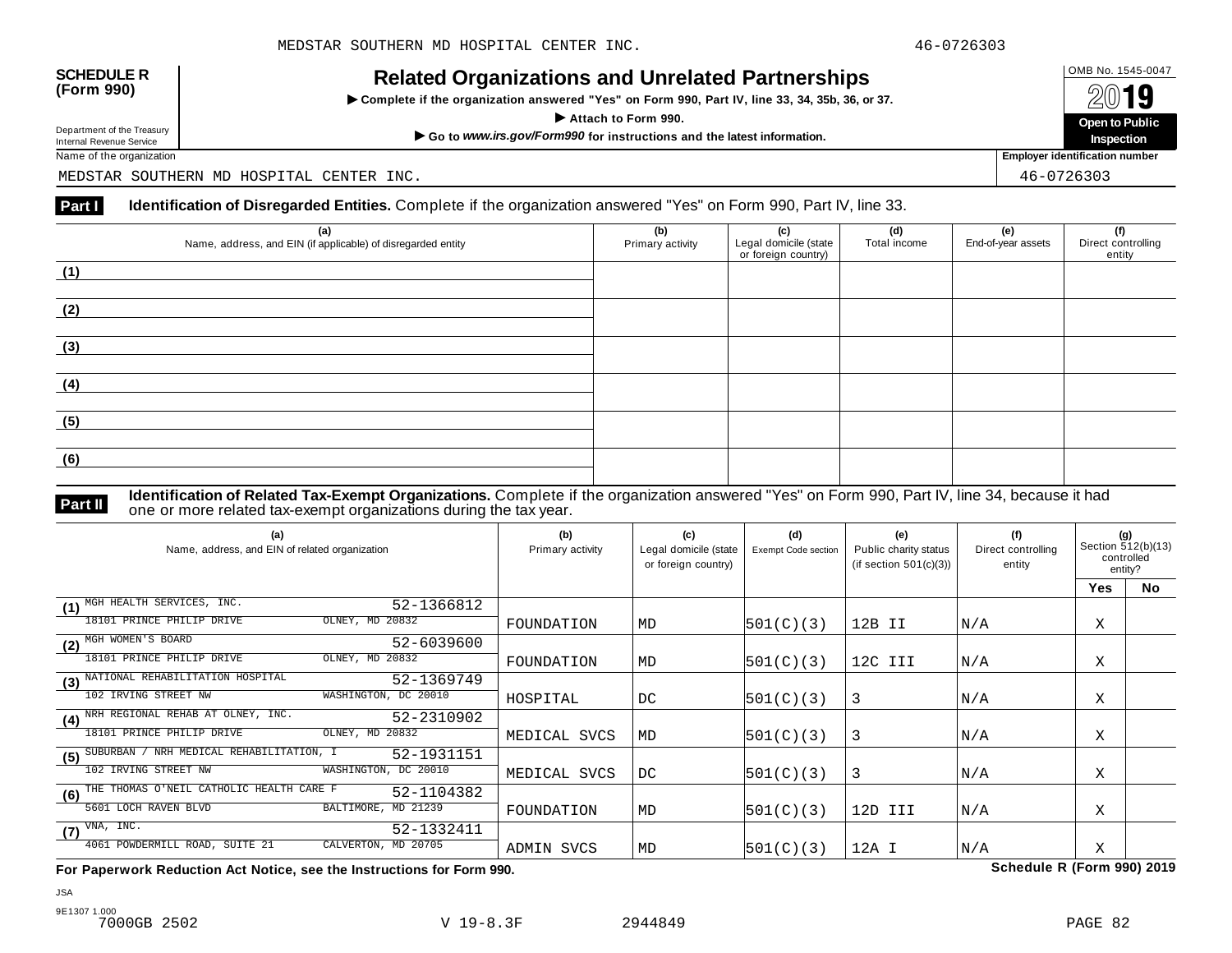INCIALCU OF GATIZATIONS AND ON CIALCUT AFTIC STIPS<br>► Complete if the organization answered "Yes" on Form 990, Part IV, line 33, 34, 35b, 36, or 37. △ △ △ △ △



Name of the organization **Employer identification number Employer identification number** 

MEDSTAR SOUTHERN MD HOSPITAL CENTER INC. 46-0726303

### **Part I** Identification of Disregarded Entities. Complete if the organization answered "Yes" on Form 990, Part IV, line 33.

| (a)<br>Name, address, and EIN (if applicable) of disregarded entity | (b)<br>Primary activity | (c)<br>Legal domicile (state<br>or foreign country) | (d)<br>Total income | (e)<br>End-of-year assets | (f)<br>Direct controlling<br>entity |
|---------------------------------------------------------------------|-------------------------|-----------------------------------------------------|---------------------|---------------------------|-------------------------------------|
| (1)                                                                 |                         |                                                     |                     |                           |                                     |
| (2)                                                                 |                         |                                                     |                     |                           |                                     |
| (3)                                                                 |                         |                                                     |                     |                           |                                     |
| (4)                                                                 |                         |                                                     |                     |                           |                                     |
| (5)                                                                 |                         |                                                     |                     |                           |                                     |
| (6)                                                                 |                         |                                                     |                     |                           |                                     |

**Identification of Related Tax-Exempt Organizations.** Complete if the organization answered "Yes" on Form 990, Part IV, line 34, because it had **Part II one or more related tax-exempt organizations during the tax year. Part II one or more related tax-exempt organizations during the tax year.** 

| (a)<br>Name, address, and EIN of related organization          | (b)<br>Primary activity | (c)<br>Legal domicile (state<br>or foreign country) | (d)<br>Exempt Code section | (e)<br>Public charity status<br>(if section $501(c)(3)$ ) | (f)<br>Direct controlling<br>entity | (g)<br>Section 512(b)(13)<br>controlled<br>entity? |    |
|----------------------------------------------------------------|-------------------------|-----------------------------------------------------|----------------------------|-----------------------------------------------------------|-------------------------------------|----------------------------------------------------|----|
|                                                                |                         |                                                     |                            |                                                           |                                     | Yes                                                | No |
| MGH HEALTH SERVICES, INC.<br>52-1366812<br>(1)                 |                         |                                                     |                            |                                                           |                                     |                                                    |    |
| OLNEY, MD 20832<br>18101 PRINCE PHILIP DRIVE                   | FOUNDATION              | MD                                                  | 501(C)(3)                  | 12B II                                                    | N/A                                 | Χ                                                  |    |
| MGH WOMEN'S BOARD<br>52-6039600<br>(2)                         |                         |                                                     |                            |                                                           |                                     |                                                    |    |
| OLNEY, MD 20832<br>18101 PRINCE PHILIP DRIVE                   | FOUNDATION              | MD                                                  | 501(C)(3)                  | 12C III                                                   | N/A                                 | Χ                                                  |    |
| NATIONAL REHABILITATION HOSPITAL<br>52-1369749<br>(3)          |                         |                                                     |                            |                                                           |                                     |                                                    |    |
| 102 IRVING STREET NW<br>WASHINGTON, DC 20010                   | HOSPITAL                | DC                                                  | 501(C)(3)                  | 3                                                         | N/A                                 | Χ                                                  |    |
| (4) NRH REGIONAL REHAB AT OLNEY, INC.<br>52-2310902            |                         |                                                     |                            |                                                           |                                     |                                                    |    |
| 18101 PRINCE PHILIP DRIVE<br>OLNEY, MD 20832                   | MEDICAL SVCS            | MD                                                  | 501(C)(3)                  | 3                                                         | N/A                                 | Χ                                                  |    |
| NRH MEDICAL REHABILITATION, I<br>SUBURBAN<br>52-1931151<br>(5) |                         |                                                     |                            |                                                           |                                     |                                                    |    |
| 102 IRVING STREET NW<br>WASHINGTON, DC 20010                   | MEDICAL SVCS            | DC                                                  | 501(C)(3)                  | 3                                                         | N/A                                 | Χ                                                  |    |
| THE THOMAS O'NEIL CATHOLIC HEALTH CARE F<br>52-1104382<br>(6)  |                         |                                                     |                            |                                                           |                                     |                                                    |    |
| BALTIMORE, MD 21239<br>5601 LOCH RAVEN BLVD                    | FOUNDATION              | MD                                                  | 501(C)(3)                  | 12D III                                                   | N/A                                 | X                                                  |    |
| VNA, INC.<br>52-1332411<br>(7)                                 |                         |                                                     |                            |                                                           |                                     |                                                    |    |
| 4061 POWDERMILL ROAD, SUITE 21<br>CALVERTON, MD 20705          | ADMIN SVCS              | MD                                                  | 501(C)(3)                  | $12A$ I                                                   | N/A                                 | Χ                                                  |    |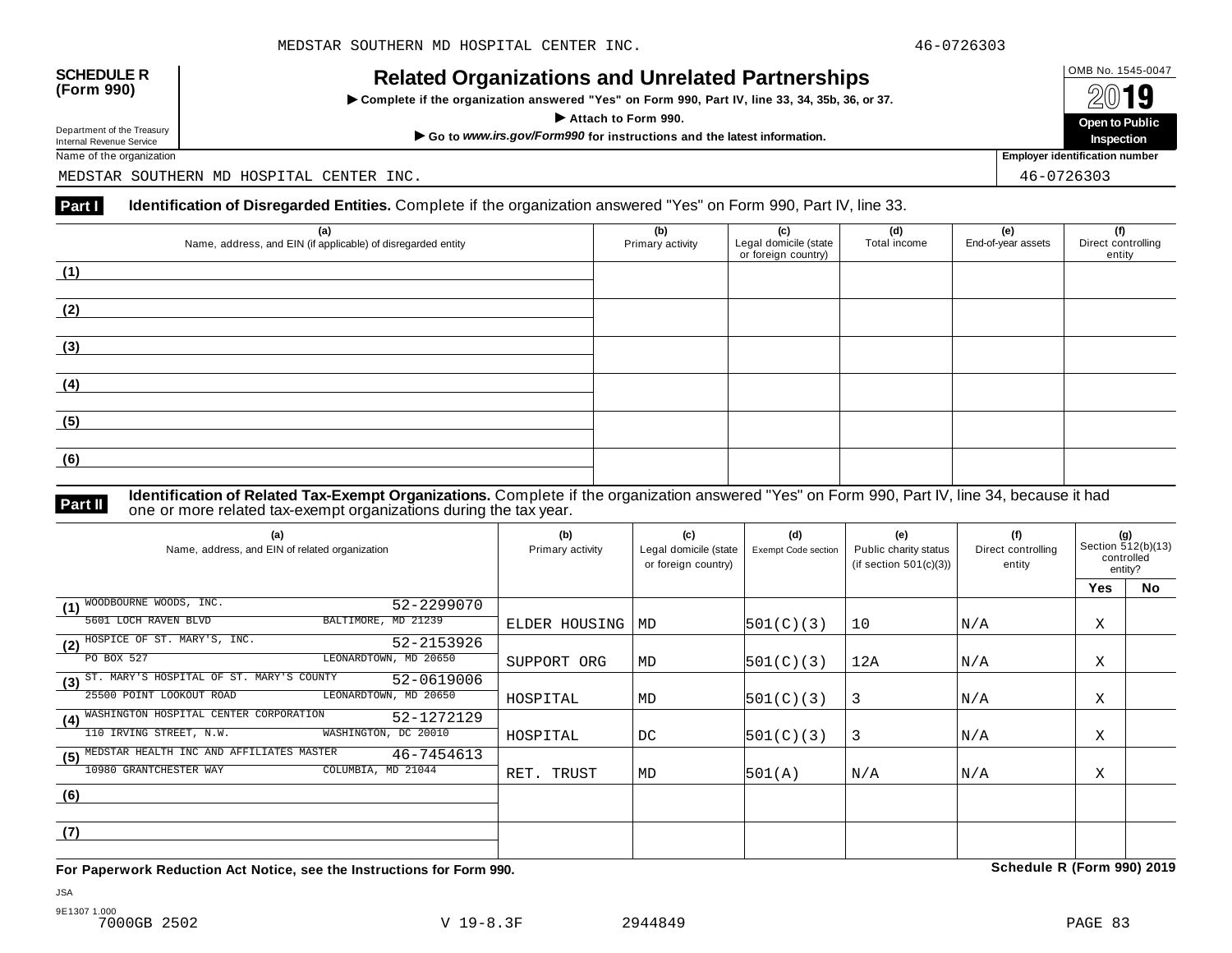| <b>SCHEDULE R</b> |  |
|-------------------|--|
| (Form 990)        |  |

INCIALCU OF GATIZATIONS AND ON CIALCUT AFTIC STIPS<br>► Complete if the organization answered "Yes" on Form 990, Part IV, line 33, 34, 35b, 36, or 37. △ △ △ △ △



Name of the organization **Employer identification number Employer identification number** 

MEDSTAR SOUTHERN MD HOSPITAL CENTER INC. 46-0726303

### **Part I** Identification of Disregarded Entities. Complete if the organization answered "Yes" on Form 990, Part IV, line 33.

| (a)                                                          | (b)              | (c)                                          | (d)          | (e)                | (f)                          |
|--------------------------------------------------------------|------------------|----------------------------------------------|--------------|--------------------|------------------------------|
| Name, address, and EIN (if applicable) of disregarded entity | Primary activity | Legal domicile (state<br>or foreign country) | Total income | End-of-year assets | Direct controlling<br>entity |
| (1)                                                          |                  |                                              |              |                    |                              |
|                                                              |                  |                                              |              |                    |                              |
| (2)                                                          |                  |                                              |              |                    |                              |
|                                                              |                  |                                              |              |                    |                              |
| (3)                                                          |                  |                                              |              |                    |                              |
|                                                              |                  |                                              |              |                    |                              |
| (4)                                                          |                  |                                              |              |                    |                              |
|                                                              |                  |                                              |              |                    |                              |
| (5)                                                          |                  |                                              |              |                    |                              |
| (6)                                                          |                  |                                              |              |                    |                              |
|                                                              |                  |                                              |              |                    |                              |

**Identification of Related Tax-Exempt Organizations.** Complete if the organization answered "Yes" on Form 990, Part IV, line 34, because it had **Part II** one or more related tax-exempt organizations during the tax year.

| (a)<br>Name, address, and EIN of related organization         | (b)<br>Primary activity | (c)<br>Legal domicile (state<br>or foreign country) | (d)<br>Exempt Code section | (e)<br>Public charity status<br>(if section $501(c)(3)$ ) | (f)<br>Direct controlling<br>entity | (g)<br>Section 512(b)(13)<br>controlled<br>entity? |    |
|---------------------------------------------------------------|-------------------------|-----------------------------------------------------|----------------------------|-----------------------------------------------------------|-------------------------------------|----------------------------------------------------|----|
|                                                               |                         |                                                     |                            |                                                           |                                     | <b>Yes</b>                                         | No |
| WOODBOURNE WOODS, INC.<br>52-2299070<br>(1)                   |                         |                                                     |                            |                                                           |                                     |                                                    |    |
| BALTIMORE, MD 21239<br>5601 LOCH RAVEN BLVD                   | ELDER HOUSING           | MD                                                  | 501(C)(3)                  | 10                                                        | N/A                                 | X                                                  |    |
| (2) HOSPICE OF ST. MARY'S, INC.<br>52-2153926                 |                         |                                                     |                            |                                                           |                                     |                                                    |    |
| PO BOX 527<br>LEONARDTOWN, MD 20650                           | SUPPORT ORG             | MD                                                  | 501(C)(3)                  | 12A                                                       | N/A                                 | Χ                                                  |    |
| (3) ST. MARY'S HOSPITAL OF ST. MARY'S COUNTY<br>52-0619006    |                         |                                                     |                            |                                                           |                                     |                                                    |    |
| LEONARDTOWN, MD 20650<br>25500 POINT LOOKOUT ROAD             | HOSPITAL                | MD                                                  | 501(C)(3)                  | 3                                                         | N/A                                 | Χ                                                  |    |
| WASHINGTON HOSPITAL CENTER CORPORATION<br>52-1272129<br>(4)   |                         |                                                     |                            |                                                           |                                     |                                                    |    |
| 110 IRVING STREET, N.W.<br>WASHINGTON, DC 20010               | HOSPITAL                | DC                                                  | 501(C)(3)                  | 3                                                         | N/A                                 | X                                                  |    |
| MEDSTAR HEALTH INC AND AFFILIATES MASTER<br>46-7454613<br>(5) |                         |                                                     |                            |                                                           |                                     |                                                    |    |
| 10980 GRANTCHESTER WAY<br>COLUMBIA, MD 21044                  | RET. TRUST              | MD                                                  | 501(A)                     | N/A                                                       | N/A                                 | Χ                                                  |    |
| (6)                                                           |                         |                                                     |                            |                                                           |                                     |                                                    |    |
|                                                               |                         |                                                     |                            |                                                           |                                     |                                                    |    |
| (7)                                                           |                         |                                                     |                            |                                                           |                                     |                                                    |    |
|                                                               |                         |                                                     |                            |                                                           |                                     |                                                    |    |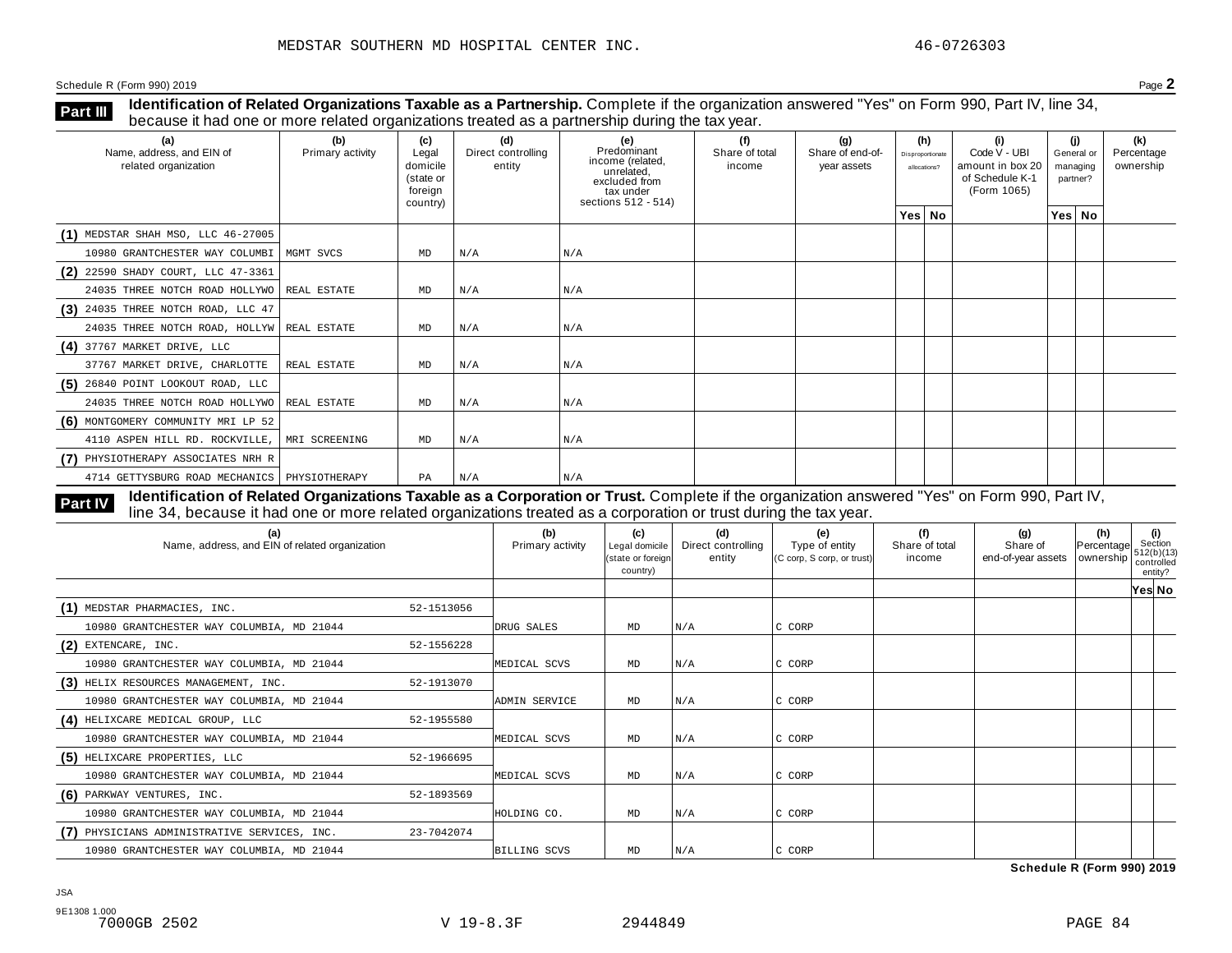**Identification of Related Organizations Taxable as a Partnership.** Complete if the organization answered "Yes" on Form 990, Part IV, line 34, **because it had one or more related organizations Taxable as a Partnership.** Complete if the organization of Related organizations treated as a partnership during the tax year.

| (a)<br>Name, address, and EIN of<br>related organization | (b)<br>Primary activity | (c)<br>Legal<br>domicile<br>(state or<br>foreign<br>country) | (d)<br>Direct controlling<br>entity | (e)<br>Predominant<br>income (related,<br>unrelated,<br>excluded from<br>tax under<br>sections 512 - 514) | (f)<br>Share of total<br>income | (q)<br>Share of end-of-<br>year assets | (h)<br>Disproportionate<br>allocations? | (i)<br>Code V - UBI<br>amount in box 20<br>of Schedule K-1<br>(Form 1065) | partner? | (i)<br>General or<br>managing | (k)<br>Percentage<br>ownership |
|----------------------------------------------------------|-------------------------|--------------------------------------------------------------|-------------------------------------|-----------------------------------------------------------------------------------------------------------|---------------------------------|----------------------------------------|-----------------------------------------|---------------------------------------------------------------------------|----------|-------------------------------|--------------------------------|
|                                                          |                         |                                                              |                                     |                                                                                                           |                                 |                                        | Yes No                                  |                                                                           |          | Yes No                        |                                |
| $(1)$ MEDSTAR SHAH MSO, LLC 46-27005                     |                         |                                                              |                                     |                                                                                                           |                                 |                                        |                                         |                                                                           |          |                               |                                |
| 10980 GRANTCHESTER WAY COLUMBI                           | MGMT SVCS               | MD                                                           | N/A                                 | N/A                                                                                                       |                                 |                                        |                                         |                                                                           |          |                               |                                |
| (2) 22590 SHADY COURT, LLC 47-3361                       |                         |                                                              |                                     |                                                                                                           |                                 |                                        |                                         |                                                                           |          |                               |                                |
| 24035 THREE NOTCH ROAD HOLLYWO                           | REAL ESTATE             | MD                                                           | N/A                                 | N/A                                                                                                       |                                 |                                        |                                         |                                                                           |          |                               |                                |
| $(3)$ 24035 THREE NOTCH ROAD, LLC 47                     |                         |                                                              |                                     |                                                                                                           |                                 |                                        |                                         |                                                                           |          |                               |                                |
| 24035 THREE NOTCH ROAD, HOLLYW REAL ESTATE               |                         | MD                                                           | N/A                                 | N/A                                                                                                       |                                 |                                        |                                         |                                                                           |          |                               |                                |
| $(4)$ 37767 MARKET DRIVE, LLC                            |                         |                                                              |                                     |                                                                                                           |                                 |                                        |                                         |                                                                           |          |                               |                                |
| 37767 MARKET DRIVE, CHARLOTTE                            | REAL ESTATE             | MD                                                           | N/A                                 | N/A                                                                                                       |                                 |                                        |                                         |                                                                           |          |                               |                                |
| $(5)$ 26840 POINT LOOKOUT ROAD, LLC                      |                         |                                                              |                                     |                                                                                                           |                                 |                                        |                                         |                                                                           |          |                               |                                |
| 24035 THREE NOTCH ROAD HOLLYWO                           | REAL ESTATE             | MD                                                           | N/A                                 | N/A                                                                                                       |                                 |                                        |                                         |                                                                           |          |                               |                                |
| (6) MONTGOMERY COMMUNITY MRI LP 52                       |                         |                                                              |                                     |                                                                                                           |                                 |                                        |                                         |                                                                           |          |                               |                                |
| 4110 ASPEN HILL RD. ROCKVILLE,                           | MRI SCREENING           | MD                                                           | N/A                                 | N/A                                                                                                       |                                 |                                        |                                         |                                                                           |          |                               |                                |
| (7) PHYSIOTHERAPY ASSOCIATES NRH R                       |                         |                                                              |                                     |                                                                                                           |                                 |                                        |                                         |                                                                           |          |                               |                                |
| 4714 GETTYSBURG ROAD MECHANICS   PHYSIOTHERAPY           |                         | PA                                                           | N/A                                 | N/A                                                                                                       |                                 |                                        |                                         |                                                                           |          |                               |                                |

**Identification of Related Organizations Taxable as a Corporation or Trust.** Complete if the organization answered "Yes" on Form 990, Part IV, **Part IV** dentification of Related Organizations Taxable as a Corporation or Trust. Complete if the organization answer line 34, because it had one or more related organizations treated as a corporation or trust during the

| (a)<br>Name, address, and EIN of related organization |            | (b)<br>Primary activity | (c)<br>Legal domicile<br>(state or foreign<br>country) | (d)<br>Direct controlling<br>entity | (e)<br>Type of entity<br>(C corp, S corp, or trust) | (f)<br>Share of total<br>income | (g)<br>Share of<br>end-of-year assets   ownership | (h)<br>Percentage | (i)<br>Section<br>1512(b)(13)<br>controlled<br>entity? |  |
|-------------------------------------------------------|------------|-------------------------|--------------------------------------------------------|-------------------------------------|-----------------------------------------------------|---------------------------------|---------------------------------------------------|-------------------|--------------------------------------------------------|--|
|                                                       |            |                         |                                                        |                                     |                                                     |                                 |                                                   |                   | Yes No                                                 |  |
| (1) MEDSTAR PHARMACIES, INC.                          | 52-1513056 |                         |                                                        |                                     |                                                     |                                 |                                                   |                   |                                                        |  |
| 10980 GRANTCHESTER WAY COLUMBIA, MD 21044             |            | DRUG SALES              | MD                                                     | N/A                                 | C CORP                                              |                                 |                                                   |                   |                                                        |  |
| $(2)$ EXTENCARE, INC.                                 | 52-1556228 |                         |                                                        |                                     |                                                     |                                 |                                                   |                   |                                                        |  |
| 10980 GRANTCHESTER WAY COLUMBIA, MD 21044             |            | MEDICAL SCVS            | MD                                                     | N/A                                 | C CORP                                              |                                 |                                                   |                   |                                                        |  |
| (3) HELIX RESOURCES MANAGEMENT, INC.                  | 52-1913070 |                         |                                                        |                                     |                                                     |                                 |                                                   |                   |                                                        |  |
| 10980 GRANTCHESTER WAY COLUMBIA, MD 21044             |            | ADMIN SERVICE           | MD                                                     | N/A                                 | C CORP                                              |                                 |                                                   |                   |                                                        |  |
| (4) HELIXCARE MEDICAL GROUP, LLC                      | 52-1955580 |                         |                                                        |                                     |                                                     |                                 |                                                   |                   |                                                        |  |
| 10980 GRANTCHESTER WAY COLUMBIA, MD 21044             |            | MEDICAL SCVS            | MD                                                     | N/A                                 | C CORP                                              |                                 |                                                   |                   |                                                        |  |
| (5) HELIXCARE PROPERTIES, LLC                         | 52-1966695 |                         |                                                        |                                     |                                                     |                                 |                                                   |                   |                                                        |  |
| 10980 GRANTCHESTER WAY COLUMBIA, MD 21044             |            | MEDICAL SCVS            | MD                                                     | N/A                                 | C CORP                                              |                                 |                                                   |                   |                                                        |  |
| (6) PARKWAY VENTURES, INC.                            | 52-1893569 |                         |                                                        |                                     |                                                     |                                 |                                                   |                   |                                                        |  |
| 10980 GRANTCHESTER WAY COLUMBIA, MD 21044             |            | HOLDING CO.             | MD                                                     | N/A                                 | C CORP                                              |                                 |                                                   |                   |                                                        |  |
| PHYSICIANS ADMINISTRATIVE SERVICES, INC.              | 23-7042074 |                         |                                                        |                                     |                                                     |                                 |                                                   |                   |                                                        |  |
| 10980 GRANTCHESTER WAY COLUMBIA, MD 21044             |            | <b>BILLING SCVS</b>     | MD                                                     | N/A                                 | C CORP                                              |                                 |                                                   |                   |                                                        |  |

**Schedule R (Form 990) 2019**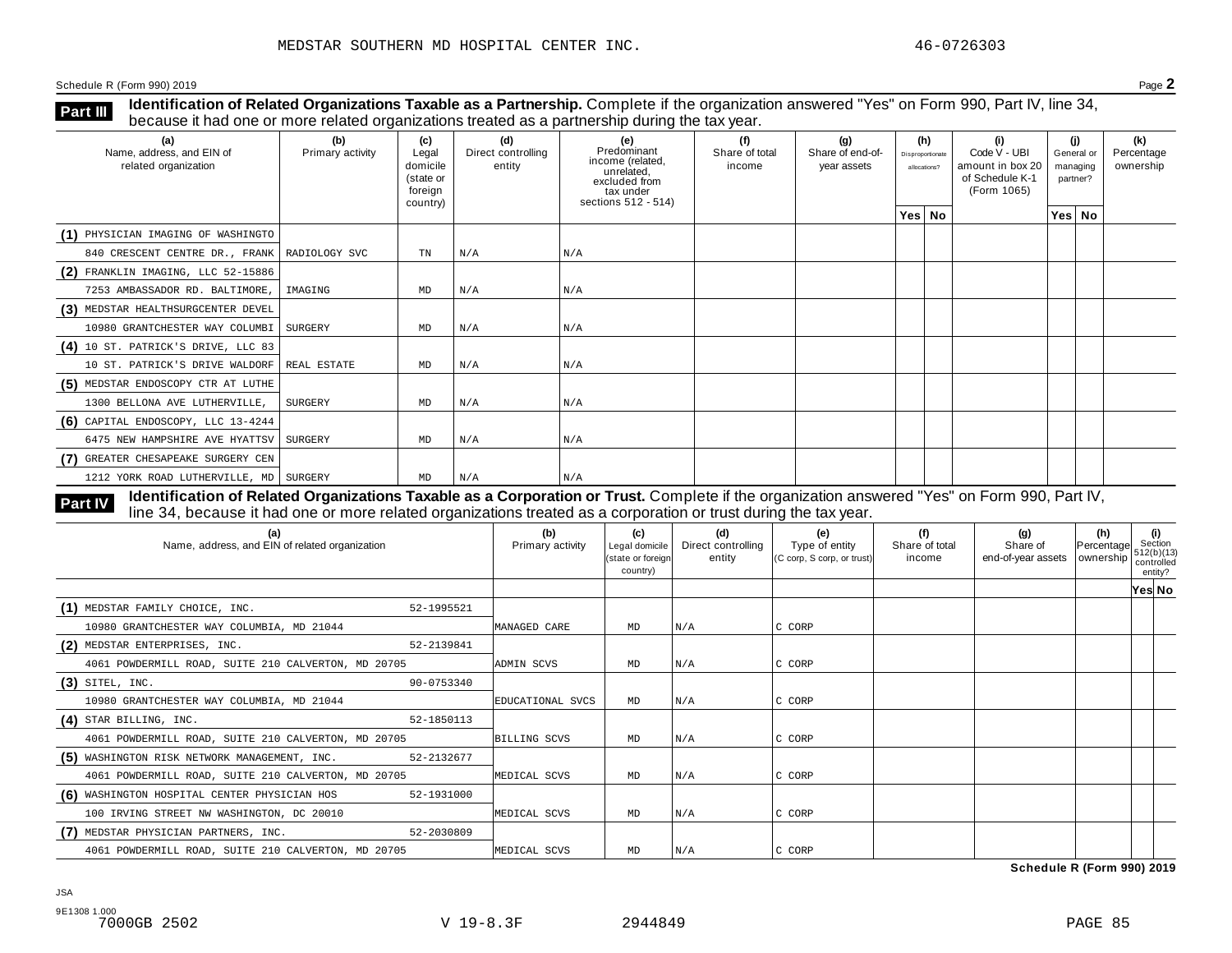**Identification of Related Organizations Taxable as a Partnership.** Complete if the organization answered "Yes" on Form 990, Part IV, line 34, **because it had one or more related organizations Taxable as a Partnership.** Complete if the organization of Related organizations treated as a partnership during the tax year.

| (a)<br>Name, address, and EIN of<br>related organization | (b)<br>Primary activity | (c)<br>Legal<br>domicile<br>(state or<br>foreign<br>country) | (d)<br>Direct controlling<br>entity | (e)<br>Predominant<br>income (related,<br>unrelated,<br>excluded from<br>tax under<br>sections 512 - 514) | (f)<br>Share of total<br>income | (q)<br>Share of end-of-<br>year assets | (h)<br>Disproportionate<br>allocations? | (i)<br>Code V - UBI<br>amount in box 20<br>of Schedule K-1<br>(Form 1065) | (i)<br>General or<br>managing<br>partner? | (k)<br>Percentage<br>ownership |
|----------------------------------------------------------|-------------------------|--------------------------------------------------------------|-------------------------------------|-----------------------------------------------------------------------------------------------------------|---------------------------------|----------------------------------------|-----------------------------------------|---------------------------------------------------------------------------|-------------------------------------------|--------------------------------|
|                                                          |                         |                                                              |                                     |                                                                                                           |                                 |                                        | Yes   No                                |                                                                           | Yes   No                                  |                                |
| (1) PHYSICIAN IMAGING OF WASHINGTO                       |                         |                                                              |                                     |                                                                                                           |                                 |                                        |                                         |                                                                           |                                           |                                |
| 840 CRESCENT CENTRE DR., FRANK   RADIOLOGY SVC           |                         | TN                                                           | N/A                                 | N/A                                                                                                       |                                 |                                        |                                         |                                                                           |                                           |                                |
| $(2)$ FRANKLIN IMAGING, LLC 52-15886                     |                         |                                                              |                                     |                                                                                                           |                                 |                                        |                                         |                                                                           |                                           |                                |
| 7253 AMBASSADOR RD. BALTIMORE,                           | IMAGING                 | MD                                                           | N/A                                 | N/A                                                                                                       |                                 |                                        |                                         |                                                                           |                                           |                                |
| (3) MEDSTAR HEALTHSURGCENTER DEVEL                       |                         |                                                              |                                     |                                                                                                           |                                 |                                        |                                         |                                                                           |                                           |                                |
| 10980 GRANTCHESTER WAY COLUMBI SURGERY                   |                         | MD                                                           | N/A                                 | N/A                                                                                                       |                                 |                                        |                                         |                                                                           |                                           |                                |
| (4) 10 ST. PATRICK'S DRIVE, LLC 83                       |                         |                                                              |                                     |                                                                                                           |                                 |                                        |                                         |                                                                           |                                           |                                |
| 10 ST. PATRICK'S DRIVE WALDORF                           | REAL ESTATE             | MD                                                           | N/A                                 | N/A                                                                                                       |                                 |                                        |                                         |                                                                           |                                           |                                |
| (5) MEDSTAR ENDOSCOPY CTR AT LUTHE                       |                         |                                                              |                                     |                                                                                                           |                                 |                                        |                                         |                                                                           |                                           |                                |
| 1300 BELLONA AVE LUTHERVILLE,                            | SURGERY                 | MD                                                           | N/A                                 | N/A                                                                                                       |                                 |                                        |                                         |                                                                           |                                           |                                |
| $(6)$ CAPITAL ENDOSCOPY, LLC 13-4244                     |                         |                                                              |                                     |                                                                                                           |                                 |                                        |                                         |                                                                           |                                           |                                |
| 6475 NEW HAMPSHIRE AVE HYATTSV                           | SURGERY                 | MD                                                           | N/A                                 | N/A                                                                                                       |                                 |                                        |                                         |                                                                           |                                           |                                |
| (7) GREATER CHESAPEAKE SURGERY CEN                       |                         |                                                              |                                     |                                                                                                           |                                 |                                        |                                         |                                                                           |                                           |                                |
| 1212 YORK ROAD LUTHERVILLE, MD   SURGERY                 |                         | MD                                                           | N/A                                 | N/A                                                                                                       |                                 |                                        |                                         |                                                                           |                                           |                                |

**Identification of Related Organizations Taxable as a Corporation or Trust.** Complete if the organization answered "Yes" on Form 990, Part IV, **Part IV** dentification of Related Organizations Taxable as a Corporation or Trust. Complete if the organization answer line 34, because it had one or more related organizations treated as a corporation or trust during the

| (a)<br>Name, address, and EIN of related organization      | (b)<br>Primary activity | (c)<br>Legal domicile<br>(state or foreign<br>country) | (d)<br>Direct controlling<br>entity | (e)<br>Type of entity<br>(C corp, S corp, or trust) | (f)<br>Share of total<br>income | (g)<br>Share of<br>end-of-year assets   ownership | (h)<br>Percentage | (i)<br>Section<br>1512(b)(13)<br>controlled<br>entity? |
|------------------------------------------------------------|-------------------------|--------------------------------------------------------|-------------------------------------|-----------------------------------------------------|---------------------------------|---------------------------------------------------|-------------------|--------------------------------------------------------|
|                                                            |                         |                                                        |                                     |                                                     |                                 |                                                   |                   | Yes∣ No                                                |
| (1) MEDSTAR FAMILY CHOICE, INC.<br>52-1995521              |                         |                                                        |                                     |                                                     |                                 |                                                   |                   |                                                        |
| 10980 GRANTCHESTER WAY COLUMBIA, MD 21044                  | MANAGED CARE            | MD                                                     | N/A                                 | C CORP                                              |                                 |                                                   |                   |                                                        |
| (2) MEDSTAR ENTERPRISES, INC.<br>52-2139841                |                         |                                                        |                                     |                                                     |                                 |                                                   |                   |                                                        |
| 4061 POWDERMILL ROAD, SUITE 210 CALVERTON, MD 20705        | ADMIN SCVS              | MD                                                     | N/A                                 | C CORP                                              |                                 |                                                   |                   |                                                        |
| $(3)$ SITEL, INC.<br>90-0753340                            |                         |                                                        |                                     |                                                     |                                 |                                                   |                   |                                                        |
| 10980 GRANTCHESTER WAY COLUMBIA, MD 21044                  | EDUCATIONAL SVCS        | MD                                                     | N/A                                 | C CORP                                              |                                 |                                                   |                   |                                                        |
| $(4)$ STAR BILLING, INC.<br>52-1850113                     |                         |                                                        |                                     |                                                     |                                 |                                                   |                   |                                                        |
| 4061 POWDERMILL ROAD, SUITE 210 CALVERTON, MD 20705        | BILLING SCVS            | MD                                                     | N/A                                 | C CORP                                              |                                 |                                                   |                   |                                                        |
| (5) WASHINGTON RISK NETWORK MANAGEMENT, INC.<br>52-2132677 |                         |                                                        |                                     |                                                     |                                 |                                                   |                   |                                                        |
| 4061 POWDERMILL ROAD, SUITE 210 CALVERTON, MD 20705        | MEDICAL SCVS            | MD                                                     | N/A                                 | C CORP                                              |                                 |                                                   |                   |                                                        |
| (6) WASHINGTON HOSPITAL CENTER PHYSICIAN HOS<br>52-1931000 |                         |                                                        |                                     |                                                     |                                 |                                                   |                   |                                                        |
| 100 IRVING STREET NW WASHINGTON, DC 20010                  | MEDICAL SCVS            | MD                                                     | N/A                                 | C CORP                                              |                                 |                                                   |                   |                                                        |
| (7) MEDSTAR PHYSICIAN PARTNERS, INC.<br>52-2030809         |                         |                                                        |                                     |                                                     |                                 |                                                   |                   |                                                        |
| 4061 POWDERMILL ROAD, SUITE 210 CALVERTON, MD 20705        | MEDICAL SCVS            | MD                                                     | N/A                                 | C CORP                                              |                                 |                                                   |                   |                                                        |

**Schedule R (Form 990) 2019**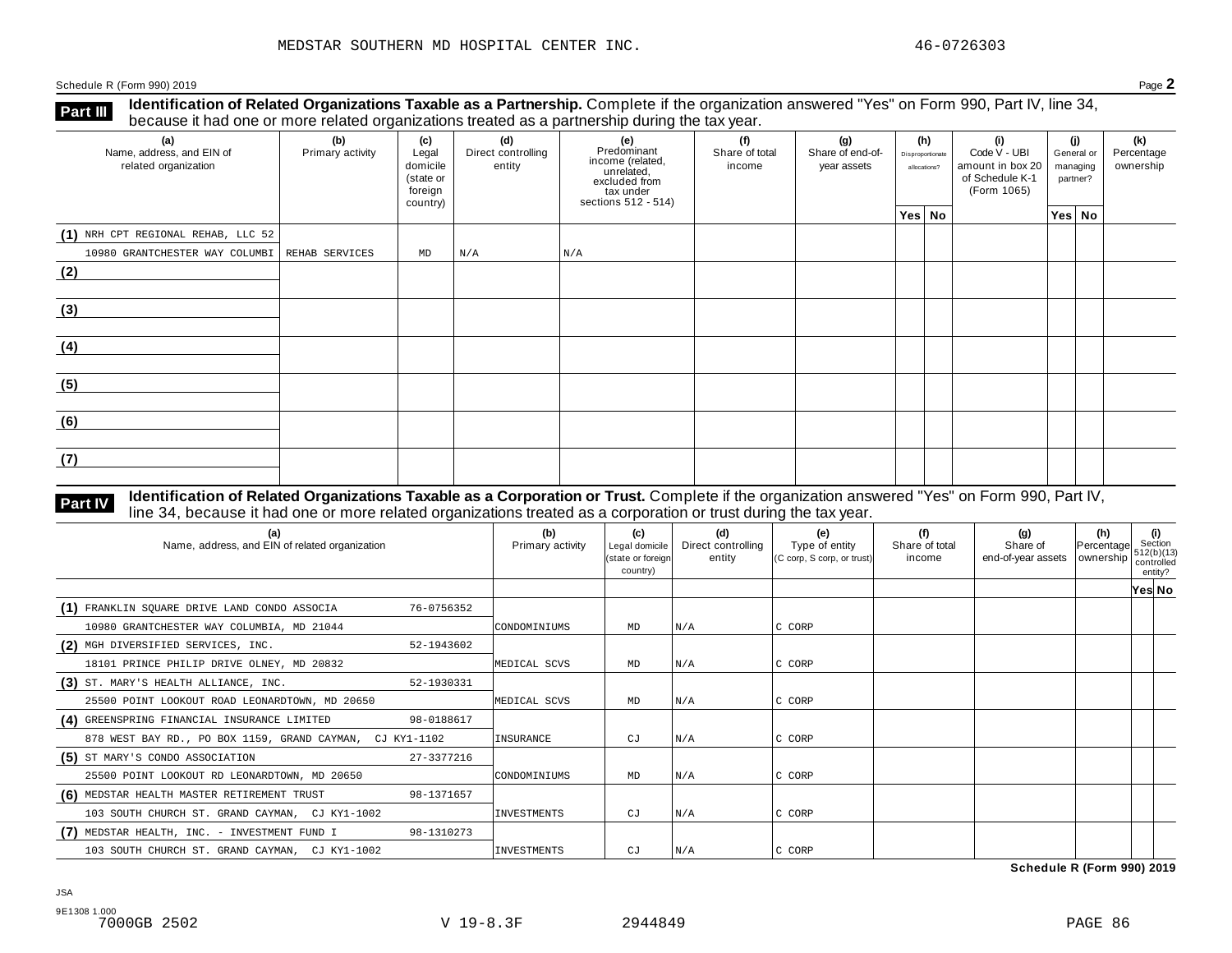**Identification of Related Organizations Taxable as a Partnership.** Complete if the organization answered "Yes" on Form 990, Part IV, line 34, **because it had one or more related organizations Taxable as a Partnership.** Complete if the organization of Related organizations treated as a partnership during the tax year.

| (a)<br>Name, address, and EIN of<br>related organization | ◡<br>(b)<br>Primary activity | (c)<br>Legal<br>domicile<br>(state or<br>foreign<br>country) | (d)<br>Direct controlling<br>entity | ັ<br>(e)<br>Predominant<br>income (related,<br>unrelated,<br>excluded from<br>tax under<br>sections 512 - 514) | (f)<br>Share of total<br>income | (g)<br>Share of end-of-<br>year assets | (h)<br>Disproportionate<br>allocations? | (i)<br>Code V - UBI<br>amount in box 20<br>of Schedule K-1<br>(Form 1065) | (i)<br>General or<br>managing<br>partner? | (k)<br>Percentage<br>ownership |
|----------------------------------------------------------|------------------------------|--------------------------------------------------------------|-------------------------------------|----------------------------------------------------------------------------------------------------------------|---------------------------------|----------------------------------------|-----------------------------------------|---------------------------------------------------------------------------|-------------------------------------------|--------------------------------|
|                                                          |                              |                                                              |                                     |                                                                                                                |                                 |                                        | Yes No                                  |                                                                           | Yes No                                    |                                |
| (1) NRH CPT REGIONAL REHAB, LLC 52                       |                              |                                                              |                                     |                                                                                                                |                                 |                                        |                                         |                                                                           |                                           |                                |
| 10980 GRANTCHESTER WAY COLUMBI   REHAB SERVICES          |                              | MD                                                           | N/A                                 | N/A                                                                                                            |                                 |                                        |                                         |                                                                           |                                           |                                |
| (2)                                                      |                              |                                                              |                                     |                                                                                                                |                                 |                                        |                                         |                                                                           |                                           |                                |
| (3)                                                      |                              |                                                              |                                     |                                                                                                                |                                 |                                        |                                         |                                                                           |                                           |                                |
| (4)                                                      |                              |                                                              |                                     |                                                                                                                |                                 |                                        |                                         |                                                                           |                                           |                                |
| (5)                                                      |                              |                                                              |                                     |                                                                                                                |                                 |                                        |                                         |                                                                           |                                           |                                |
| (6)                                                      |                              |                                                              |                                     |                                                                                                                |                                 |                                        |                                         |                                                                           |                                           |                                |
| (7)                                                      |                              |                                                              |                                     |                                                                                                                |                                 |                                        |                                         |                                                                           |                                           |                                |

# **Part IV** Identification of Related Organizations Taxable as a Corporation or Trust. Complete if the organization answered "Yes" on Form 990, Part IV,<br>line 34, because it had one or more related organizations treated as a

| (a)<br>Name, address, and EIN of related organization      | (b)<br>Primary activity | (c)<br>Legal domicile<br>(state or foreign)<br>country) | (d)<br>Direct controlling<br>entity | (e)<br>Type of entity<br>(C corp, S corp, or trust) | (f)<br>Share of total<br>income | (g)<br>Share of<br>end-of-year assets | (h)<br>Percentage<br>  ownership | (i)<br>Section<br>512(b)(13)<br>controlled<br>entity? |
|------------------------------------------------------------|-------------------------|---------------------------------------------------------|-------------------------------------|-----------------------------------------------------|---------------------------------|---------------------------------------|----------------------------------|-------------------------------------------------------|
|                                                            |                         |                                                         |                                     |                                                     |                                 |                                       |                                  | Yes No                                                |
| (1) FRANKLIN SQUARE DRIVE LAND CONDO ASSOCIA<br>76-0756352 |                         |                                                         |                                     |                                                     |                                 |                                       |                                  |                                                       |
| 10980 GRANTCHESTER WAY COLUMBIA, MD 21044                  | CONDOMINIUMS            | MD                                                      | N/A                                 | C CORP                                              |                                 |                                       |                                  |                                                       |
| (2) MGH DIVERSIFIED SERVICES, INC.<br>52-1943602           |                         |                                                         |                                     |                                                     |                                 |                                       |                                  |                                                       |
| 18101 PRINCE PHILIP DRIVE OLNEY, MD 20832                  | MEDICAL SCVS            | MD                                                      | N/A                                 | C CORP                                              |                                 |                                       |                                  |                                                       |
| (3) ST. MARY'S HEALTH ALLIANCE, INC.<br>52-1930331         |                         |                                                         |                                     |                                                     |                                 |                                       |                                  |                                                       |
| 25500 POINT LOOKOUT ROAD LEONARDTOWN, MD 20650             | MEDICAL SCVS            | MD                                                      | N/A                                 | C CORP                                              |                                 |                                       |                                  |                                                       |
| (4) GREENSPRING FINANCIAL INSURANCE LIMITED<br>98-0188617  |                         |                                                         |                                     |                                                     |                                 |                                       |                                  |                                                       |
| 878 WEST BAY RD., PO BOX 1159, GRAND CAYMAN, CJ KY1-1102   | INSURANCE               | CJ                                                      | N/A                                 | C CORP                                              |                                 |                                       |                                  |                                                       |
| (5) ST MARY'S CONDO ASSOCIATION<br>27-3377216              |                         |                                                         |                                     |                                                     |                                 |                                       |                                  |                                                       |
| 25500 POINT LOOKOUT RD LEONARDTOWN, MD 20650               | CONDOMINIUMS            | MD                                                      | N/A                                 | C CORP                                              |                                 |                                       |                                  |                                                       |
| (6) MEDSTAR HEALTH MASTER RETIREMENT TRUST<br>98-1371657   |                         |                                                         |                                     |                                                     |                                 |                                       |                                  |                                                       |
| 103 SOUTH CHURCH ST. GRAND CAYMAN, CJ KY1-1002             | <b>INVESTMENTS</b>      | CJ                                                      | N/A                                 | C CORP                                              |                                 |                                       |                                  |                                                       |
| (7) MEDSTAR HEALTH, INC. - INVESTMENT FUND I<br>98-1310273 |                         |                                                         |                                     |                                                     |                                 |                                       |                                  |                                                       |
| 103 SOUTH CHURCH ST. GRAND CAYMAN, CJ KY1-1002             | INVESTMENTS             | СJ                                                      | N/A                                 | C CORP                                              |                                 |                                       |                                  |                                                       |

**Schedule R (Form 990) 2019**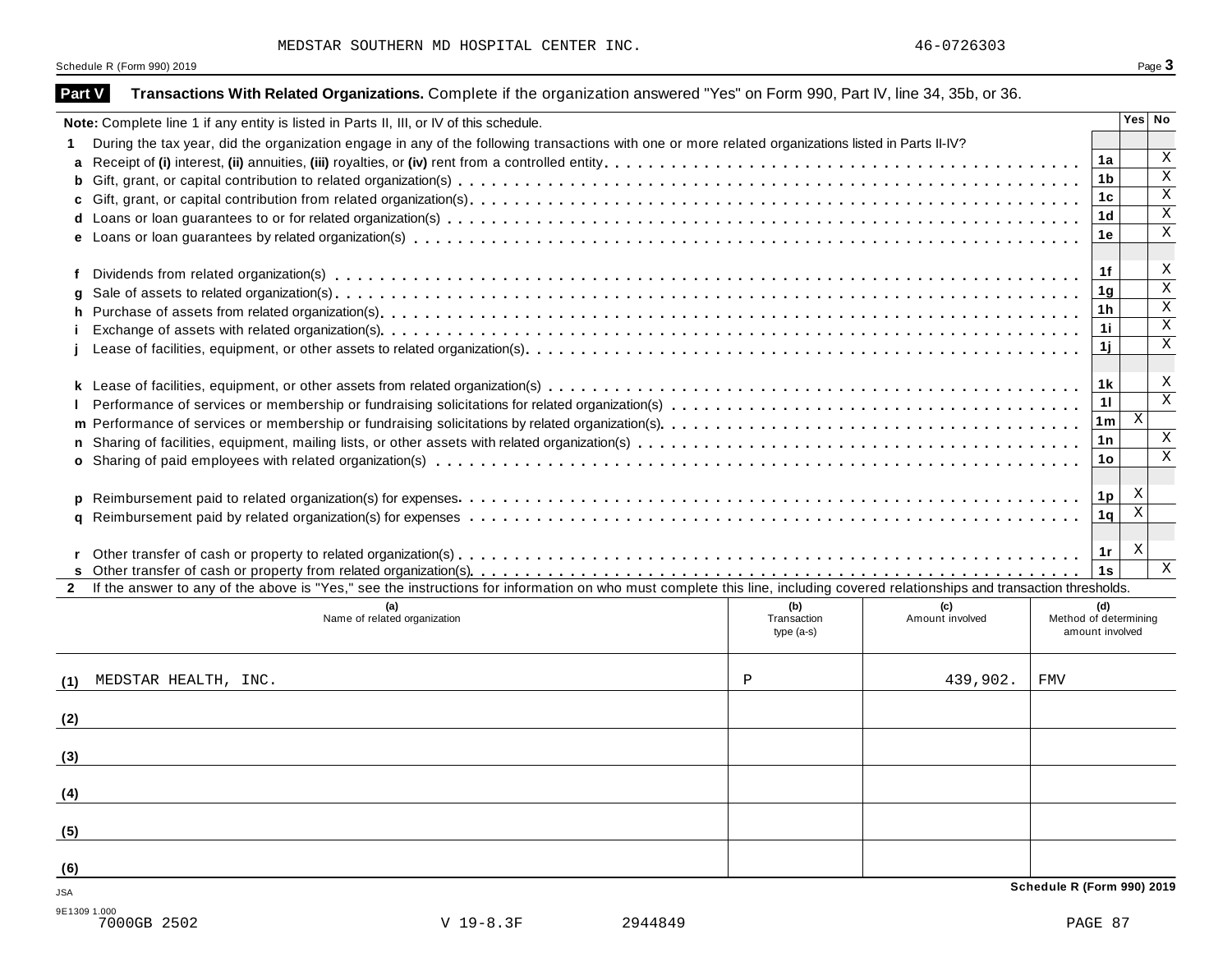MEDSTAR SOUTHERN MD HOSPITAL CENTER INC.  $46-0726303$ 

|               | Schedule R (Form 990) 2019                                                                                                                                                   |                            |                 |                            |                                          | Page 3                    |
|---------------|------------------------------------------------------------------------------------------------------------------------------------------------------------------------------|----------------------------|-----------------|----------------------------|------------------------------------------|---------------------------|
| <b>Part V</b> | Transactions With Related Organizations. Complete if the organization answered "Yes" on Form 990, Part IV, line 34, 35b, or 36.                                              |                            |                 |                            |                                          |                           |
|               | Note: Complete line 1 if any entity is listed in Parts II, III, or IV of this schedule.                                                                                      |                            |                 |                            |                                          | Yes No                    |
|               | During the tax year, did the organization engage in any of the following transactions with one or more related organizations listed in Parts II-IV?                          |                            |                 |                            |                                          |                           |
| a             |                                                                                                                                                                              |                            |                 |                            | 1a                                       | Χ                         |
|               |                                                                                                                                                                              |                            |                 |                            | 1b                                       | $\overline{\mathbf{x}}$   |
|               |                                                                                                                                                                              |                            |                 |                            | 1c                                       | X                         |
|               |                                                                                                                                                                              |                            |                 |                            | 1 <sub>d</sub>                           | $\mathbf X$               |
|               |                                                                                                                                                                              |                            |                 |                            | 1е                                       | $\mathbf X$               |
| f             |                                                                                                                                                                              |                            |                 |                            | 1f                                       | X                         |
|               |                                                                                                                                                                              |                            |                 |                            | 1g                                       | $\mathbf X$               |
|               |                                                                                                                                                                              |                            |                 |                            | 1h                                       | $\mathbf X$               |
|               |                                                                                                                                                                              |                            |                 |                            | 1i                                       | $\mathbf X$               |
|               |                                                                                                                                                                              |                            |                 |                            | 1j                                       | X                         |
|               |                                                                                                                                                                              |                            |                 |                            | 1 k                                      | X                         |
|               |                                                                                                                                                                              |                            |                 |                            | 11                                       | $\mathbf X$               |
|               |                                                                                                                                                                              |                            |                 |                            | 1m                                       | $\mathbf{X}$              |
|               |                                                                                                                                                                              |                            |                 |                            | 1n                                       | X                         |
|               |                                                                                                                                                                              |                            |                 |                            | 1o                                       | $\mathbf X$               |
|               |                                                                                                                                                                              |                            |                 |                            |                                          |                           |
|               |                                                                                                                                                                              |                            |                 |                            | 1p                                       | X                         |
|               |                                                                                                                                                                              |                            |                 |                            | 1q                                       | $\boldsymbol{\mathrm{X}}$ |
|               |                                                                                                                                                                              |                            |                 |                            | 1r                                       | X                         |
|               |                                                                                                                                                                              |                            |                 |                            | 1s                                       | X                         |
| $\mathbf{2}$  | If the answer to any of the above is "Yes," see the instructions for information on who must complete this line, including covered relationships and transaction thresholds. |                            |                 |                            |                                          |                           |
|               |                                                                                                                                                                              | (b)                        | (c)             |                            | (d)                                      |                           |
|               | Name of related organization                                                                                                                                                 | Transaction<br>$type(a-s)$ | Amount involved |                            | Method of determining<br>amount involved |                           |
| (1)           | MEDSTAR HEALTH, INC.                                                                                                                                                         | Ρ                          | 439,902.        | FMV                        |                                          |                           |
| (2)           |                                                                                                                                                                              |                            |                 |                            |                                          |                           |
|               |                                                                                                                                                                              |                            |                 |                            |                                          |                           |
| (3)           |                                                                                                                                                                              |                            |                 |                            |                                          |                           |
| (4)           |                                                                                                                                                                              |                            |                 |                            |                                          |                           |
| (5)           |                                                                                                                                                                              |                            |                 |                            |                                          |                           |
| (6)           |                                                                                                                                                                              |                            |                 |                            |                                          |                           |
| JSA           |                                                                                                                                                                              |                            |                 | Schedule R (Form 990) 2019 |                                          |                           |
| 9E1309 1.000  | 7000GB 2502<br>V 19-8.3F<br>2944849                                                                                                                                          |                            |                 |                            | PAGE 87                                  |                           |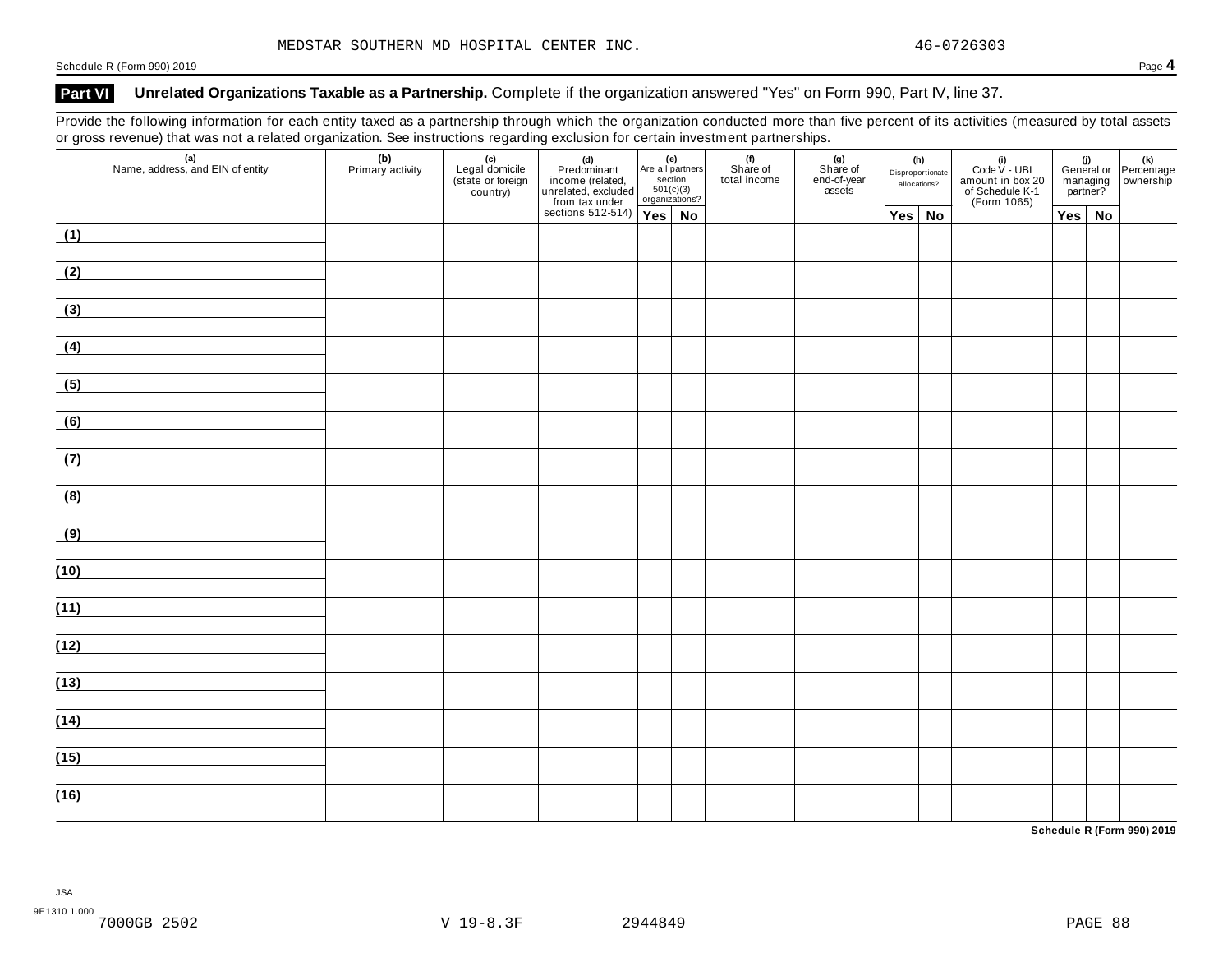### Part VI Unrelated Organizations Taxable as a Partnership. Complete if the organization answered "Yes" on Form 990, Part IV, line 37.

Provide the following information for each entity taxed as a partnership through which the organization conducted more than five percent of its activities (measured by total assets or gross revenue) that was not a related organization. See instructions regarding exclusion for certain investment partnerships.

| $\mathbf{z}$<br>(a)<br>Name, address, and EIN of entity | ╰<br>(b)<br>Primary activity | ັ<br>(c)<br>Legal domicile<br>(state or foreign<br>country) |  | $\begin{tabular}{ c c } \hline & \multicolumn{1}{ c }{\textbf{(d)}} & \multicolumn{1}{ c }{\textbf{(e)}} \\ \hline \multicolumn{1}{ c }{\textbf{Predominant}} & \multicolumn{1}{ c }{\textbf{(related)}} & \multicolumn{1}{ c }{\textbf{(e)}} \\ \hline \multicolumn{1}{ c }{\textbf{unculated}} & \multicolumn{1}{ c }{\textbf{(c)}} & \multicolumn{1}{ c }{\textbf{(c)}} \\ \hline \multicolumn{1}{ c }{\textbf{unculated}} & \multicolumn{1}{ c }{\textbf{(c)}} & \multicolumn{1}{ c }{$<br>Are all partners<br>section<br>$501(c)(3)$<br>organizations? |    | (f)<br>Share of<br>total income | . .<br>(g)<br>Share of<br>end-of-year<br>assets | (h)<br>Disproportionate<br>allocations? |               | (i)<br>Code $V$ - UBI<br>amount in box 20<br>of Schedule K-1<br>(Form 1065) | managing<br>partner? |               | (i)<br>General or Percentage<br>managing ownership |
|---------------------------------------------------------|------------------------------|-------------------------------------------------------------|--|-------------------------------------------------------------------------------------------------------------------------------------------------------------------------------------------------------------------------------------------------------------------------------------------------------------------------------------------------------------------------------------------------------------------------------------------------------------------------------------------------------------------------------------------------------------|----|---------------------------------|-------------------------------------------------|-----------------------------------------|---------------|-----------------------------------------------------------------------------|----------------------|---------------|----------------------------------------------------|
|                                                         |                              |                                                             |  |                                                                                                                                                                                                                                                                                                                                                                                                                                                                                                                                                             | No |                                 |                                                 |                                         | $Yes \mid No$ |                                                                             |                      | $Yes \mid No$ |                                                    |
| (1)                                                     |                              |                                                             |  |                                                                                                                                                                                                                                                                                                                                                                                                                                                                                                                                                             |    |                                 |                                                 |                                         |               |                                                                             |                      |               |                                                    |
| (2)                                                     |                              |                                                             |  |                                                                                                                                                                                                                                                                                                                                                                                                                                                                                                                                                             |    |                                 |                                                 |                                         |               |                                                                             |                      |               |                                                    |
| (3)                                                     |                              |                                                             |  |                                                                                                                                                                                                                                                                                                                                                                                                                                                                                                                                                             |    |                                 |                                                 |                                         |               |                                                                             |                      |               |                                                    |
| (4)                                                     |                              |                                                             |  |                                                                                                                                                                                                                                                                                                                                                                                                                                                                                                                                                             |    |                                 |                                                 |                                         |               |                                                                             |                      |               |                                                    |
| (5)                                                     |                              |                                                             |  |                                                                                                                                                                                                                                                                                                                                                                                                                                                                                                                                                             |    |                                 |                                                 |                                         |               |                                                                             |                      |               |                                                    |
| (6)                                                     |                              |                                                             |  |                                                                                                                                                                                                                                                                                                                                                                                                                                                                                                                                                             |    |                                 |                                                 |                                         |               |                                                                             |                      |               |                                                    |
| (7)                                                     |                              |                                                             |  |                                                                                                                                                                                                                                                                                                                                                                                                                                                                                                                                                             |    |                                 |                                                 |                                         |               |                                                                             |                      |               |                                                    |
| (8)                                                     |                              |                                                             |  |                                                                                                                                                                                                                                                                                                                                                                                                                                                                                                                                                             |    |                                 |                                                 |                                         |               |                                                                             |                      |               |                                                    |
| (9)                                                     |                              |                                                             |  |                                                                                                                                                                                                                                                                                                                                                                                                                                                                                                                                                             |    |                                 |                                                 |                                         |               |                                                                             |                      |               |                                                    |
| (10)                                                    |                              |                                                             |  |                                                                                                                                                                                                                                                                                                                                                                                                                                                                                                                                                             |    |                                 |                                                 |                                         |               |                                                                             |                      |               |                                                    |
| (11)                                                    |                              |                                                             |  |                                                                                                                                                                                                                                                                                                                                                                                                                                                                                                                                                             |    |                                 |                                                 |                                         |               |                                                                             |                      |               |                                                    |
| (12)                                                    |                              |                                                             |  |                                                                                                                                                                                                                                                                                                                                                                                                                                                                                                                                                             |    |                                 |                                                 |                                         |               |                                                                             |                      |               |                                                    |
| (13)                                                    |                              |                                                             |  |                                                                                                                                                                                                                                                                                                                                                                                                                                                                                                                                                             |    |                                 |                                                 |                                         |               |                                                                             |                      |               |                                                    |
| (14)                                                    |                              |                                                             |  |                                                                                                                                                                                                                                                                                                                                                                                                                                                                                                                                                             |    |                                 |                                                 |                                         |               |                                                                             |                      |               |                                                    |
| (15)                                                    |                              |                                                             |  |                                                                                                                                                                                                                                                                                                                                                                                                                                                                                                                                                             |    |                                 |                                                 |                                         |               |                                                                             |                      |               |                                                    |
|                                                         |                              |                                                             |  |                                                                                                                                                                                                                                                                                                                                                                                                                                                                                                                                                             |    |                                 |                                                 |                                         |               |                                                                             |                      |               |                                                    |
| (16)                                                    |                              |                                                             |  |                                                                                                                                                                                                                                                                                                                                                                                                                                                                                                                                                             |    |                                 |                                                 |                                         |               |                                                                             |                      |               |                                                    |

**Schedule R (Form 990) 2019**